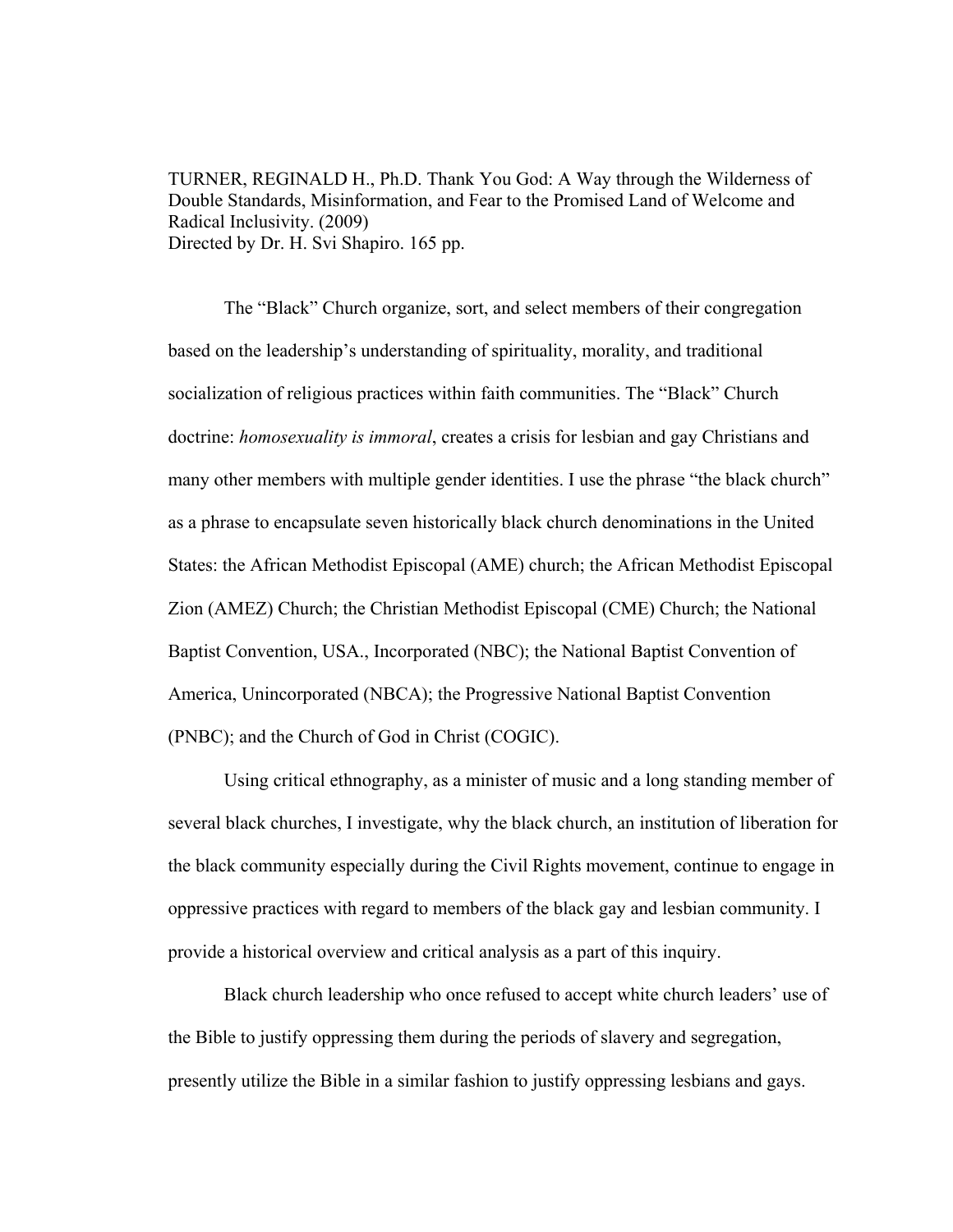TURNER, REGINALD H., Ph.D. Thank You God: A Way through the Wilderness of Double Standards, Misinformation, and Fear to the Promised Land of Welcome and Radical Inclusivity. (2009) Directed by Dr. H. Svi Shapiro. 165 pp.

The "Black" Church organize, sort, and select members of their congregation based on the leadership's understanding of spirituality, morality, and traditional socialization of religious practices within faith communities. The "Black" Church doctrine: *homosexuality is immoral*, creates a crisis for lesbian and gay Christians and many other members with multiple gender identities. I use the phrase "the black church" as a phrase to encapsulate seven historically black church denominations in the United States: the African Methodist Episcopal (AME) church; the African Methodist Episcopal Zion (AMEZ) Church; the Christian Methodist Episcopal (CME) Church; the National Baptist Convention, USA., Incorporated (NBC); the National Baptist Convention of America, Unincorporated (NBCA); the Progressive National Baptist Convention (PNBC); and the Church of God in Christ (COGIC).

Using critical ethnography, as a minister of music and a long standing member of several black churches, I investigate, why the black church, an institution of liberation for the black community especially during the Civil Rights movement, continue to engage in oppressive practices with regard to members of the black gay and lesbian community. I provide a historical overview and critical analysis as a part of this inquiry.

Black church leadership who once refused to accept white church leaders' use of the Bible to justify oppressing them during the periods of slavery and segregation, presently utilize the Bible in a similar fashion to justify oppressing lesbians and gays.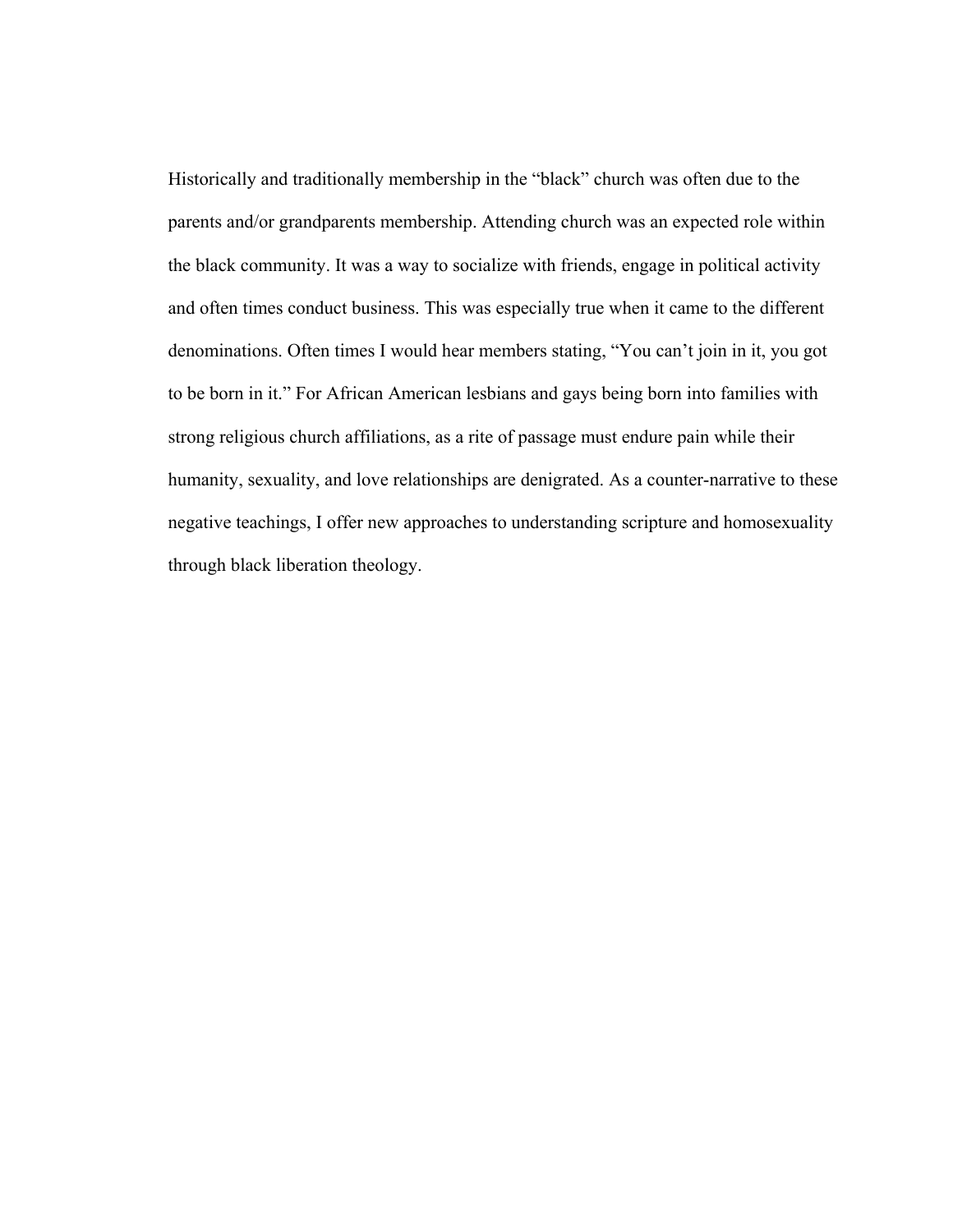Historically and traditionally membership in the "black" church was often due to the parents and/or grandparents membership. Attending church was an expected role within the black community. It was a way to socialize with friends, engage in political activity and often times conduct business. This was especially true when it came to the different denominations. Often times I would hear members stating, "You can't join in it, you got to be born in it." For African American lesbians and gays being born into families with strong religious church affiliations, as a rite of passage must endure pain while their humanity, sexuality, and love relationships are denigrated. As a counter-narrative to these negative teachings, I offer new approaches to understanding scripture and homosexuality through black liberation theology.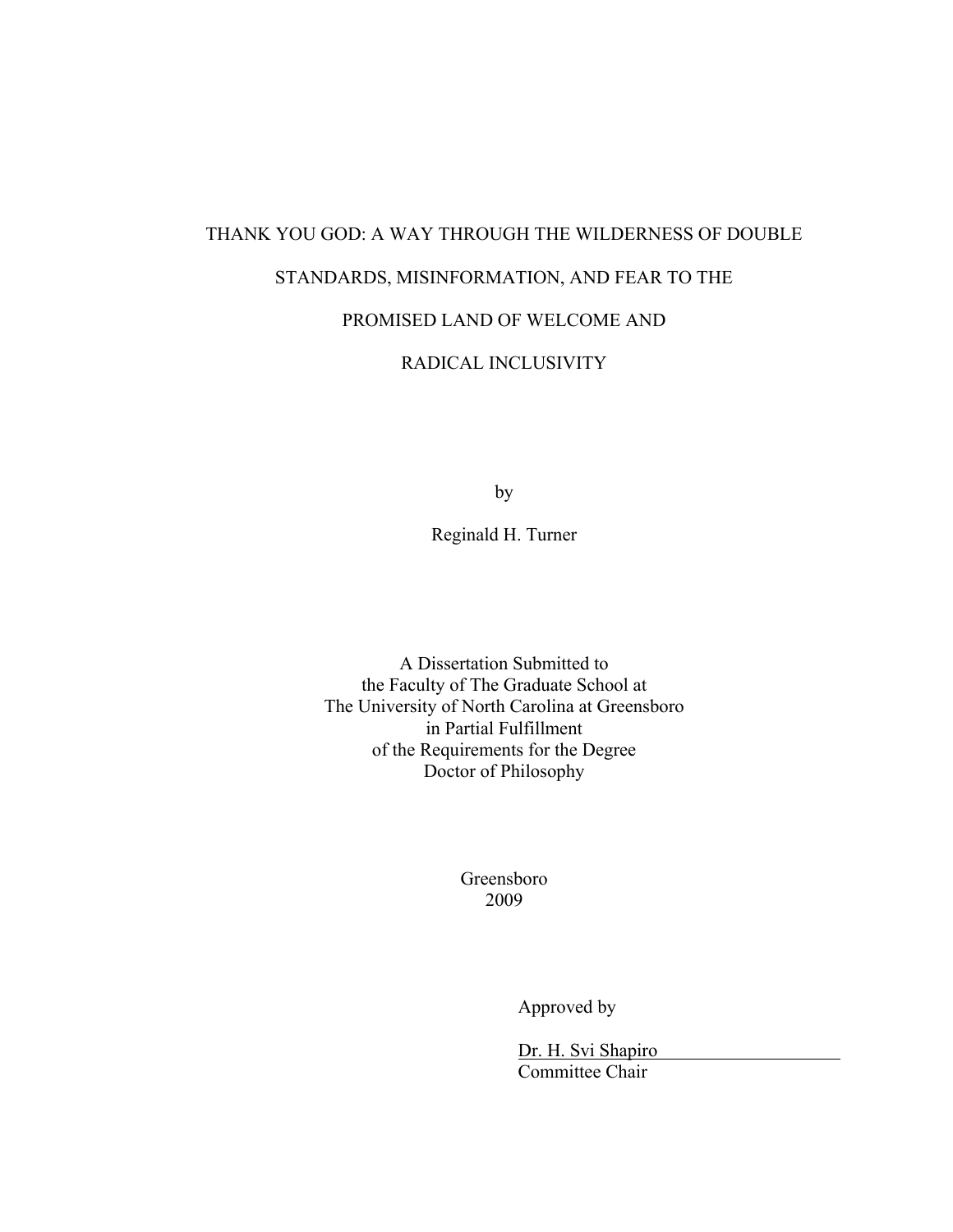# THANK YOU GOD: A WAY THROUGH THE WILDERNESS OF DOUBLE STANDARDS, MISINFORMATION, AND FEAR TO THE PROMISED LAND OF WELCOME AND

## RADICAL INCLUSIVITY

by

Reginald H. Turner

A Dissertation Submitted to the Faculty of The Graduate School at The University of North Carolina at Greensboro in Partial Fulfillment of the Requirements for the Degree Doctor of Philosophy

> Greensboro 2009

> > Approved by

Dr. H. Svi Shapiro Committee Chair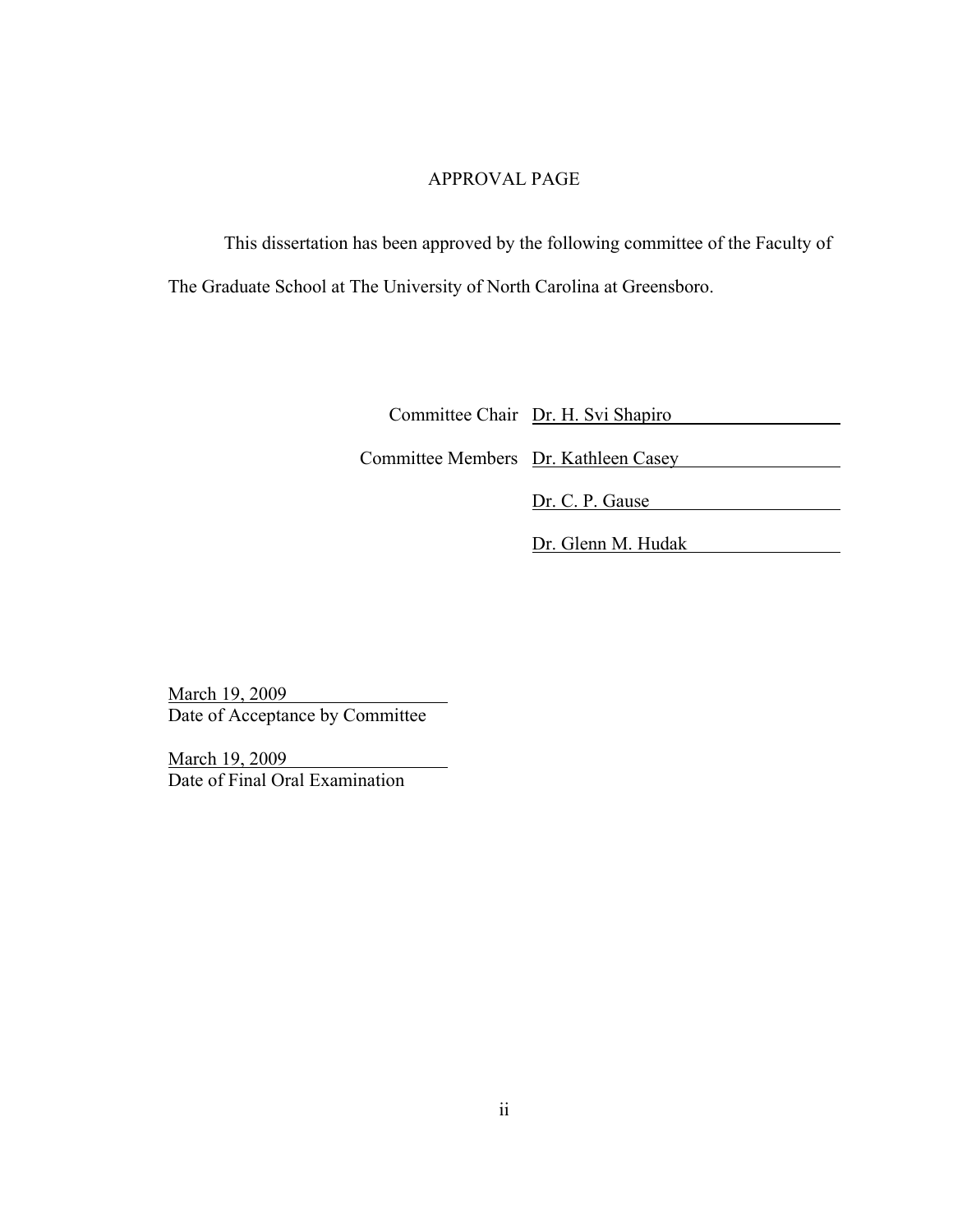## APPROVAL PAGE

This dissertation has been approved by the following committee of the Faculty of The Graduate School at The University of North Carolina at Greensboro.

Committee Chair Dr. H. Svi Shapiro

Committee Members Dr. Kathleen Casey

Dr. C. P. Gause

Dr. Glenn M. Hudak

March 19, 2009 Date of Acceptance by Committee

March 19, 2009 Date of Final Oral Examination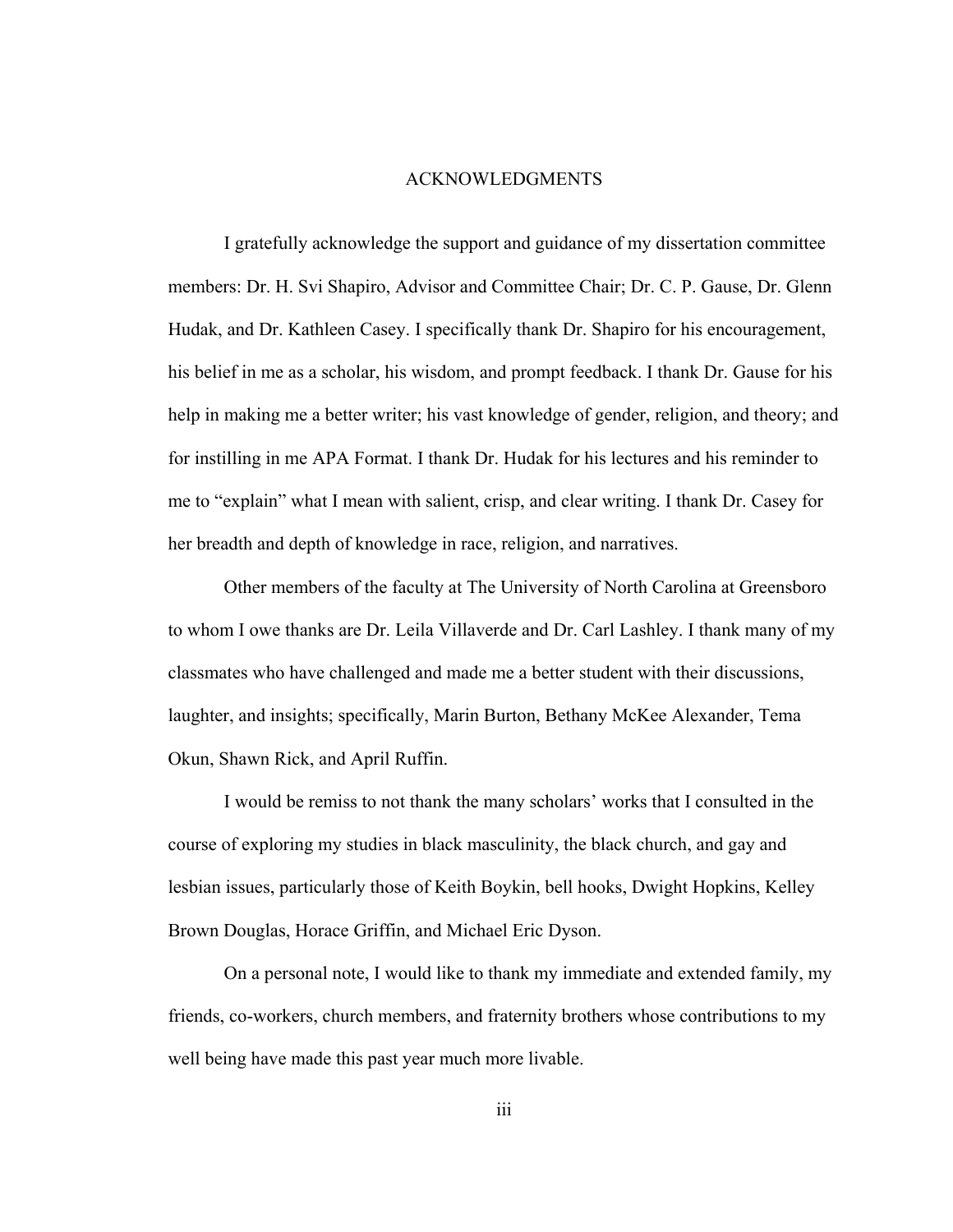### ACKNOWLEDGMENTS

I gratefully acknowledge the support and guidance of my dissertation committee members: Dr. H. Svi Shapiro, Advisor and Committee Chair; Dr. C. P. Gause, Dr. Glenn Hudak, and Dr. Kathleen Casey. I specifically thank Dr. Shapiro for his encouragement, his belief in me as a scholar, his wisdom, and prompt feedback. I thank Dr. Gause for his help in making me a better writer; his vast knowledge of gender, religion, and theory; and for instilling in me APA Format. I thank Dr. Hudak for his lectures and his reminder to me to "explain" what I mean with salient, crisp, and clear writing. I thank Dr. Casey for her breadth and depth of knowledge in race, religion, and narratives.

 Other members of the faculty at The University of North Carolina at Greensboro to whom I owe thanks are Dr. Leila Villaverde and Dr. Carl Lashley. I thank many of my classmates who have challenged and made me a better student with their discussions, laughter, and insights; specifically, Marin Burton, Bethany McKee Alexander, Tema Okun, Shawn Rick, and April Ruffin.

 I would be remiss to not thank the many scholars' works that I consulted in the course of exploring my studies in black masculinity, the black church, and gay and lesbian issues, particularly those of Keith Boykin, bell hooks, Dwight Hopkins, Kelley Brown Douglas, Horace Griffin, and Michael Eric Dyson.

 On a personal note, I would like to thank my immediate and extended family, my friends, co-workers, church members, and fraternity brothers whose contributions to my well being have made this past year much more livable.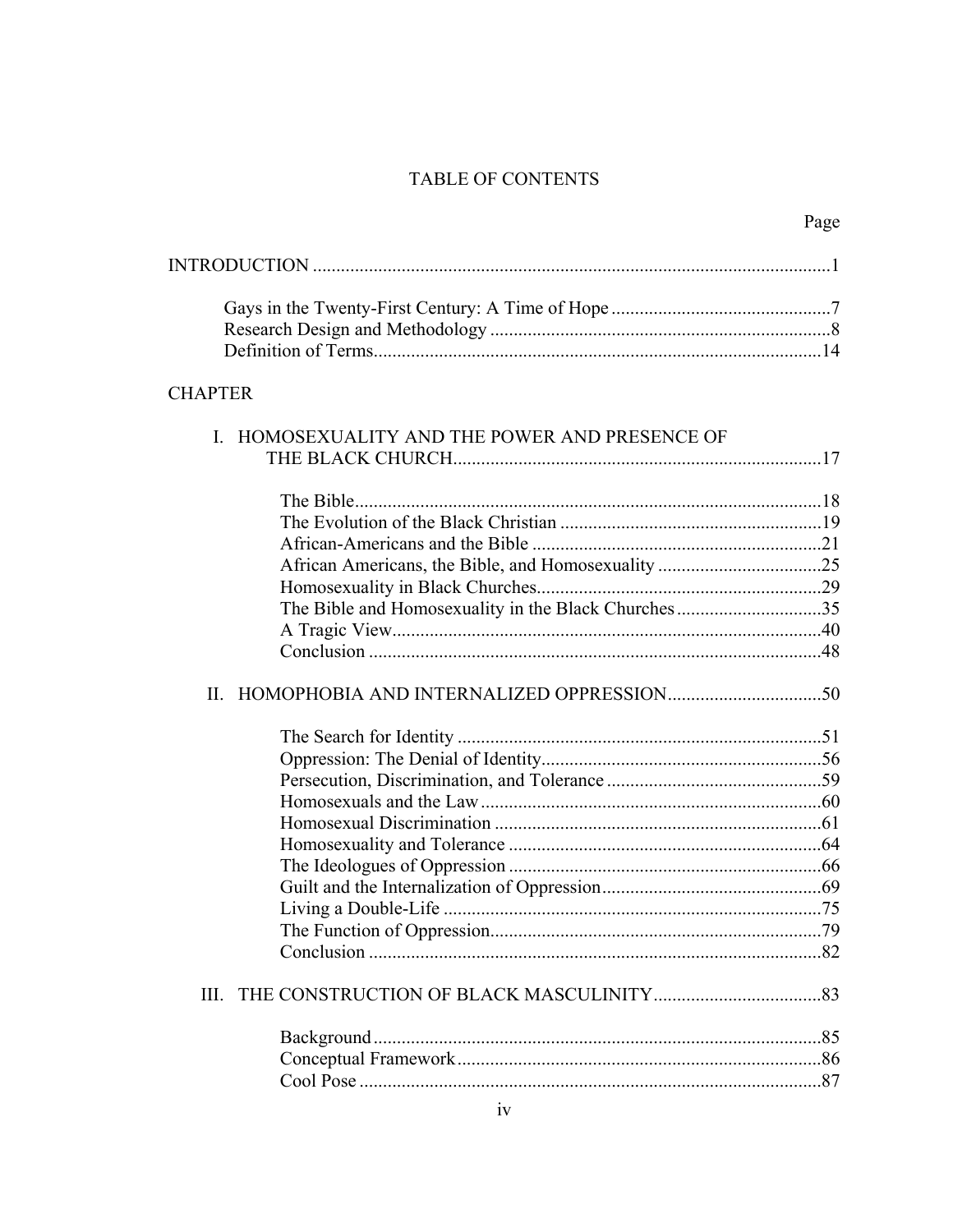## TABLE OF CONTENTS

| <b>CHAPTER</b> |                                                     |  |
|----------------|-----------------------------------------------------|--|
|                | I. HOMOSEXUALITY AND THE POWER AND PRESENCE OF      |  |
|                |                                                     |  |
|                |                                                     |  |
|                |                                                     |  |
|                |                                                     |  |
|                |                                                     |  |
|                |                                                     |  |
|                | The Bible and Homosexuality in the Black Churches35 |  |
|                |                                                     |  |
|                |                                                     |  |
|                |                                                     |  |
|                |                                                     |  |
|                |                                                     |  |
|                |                                                     |  |
|                |                                                     |  |
|                |                                                     |  |
|                |                                                     |  |
|                |                                                     |  |
|                |                                                     |  |
|                |                                                     |  |
|                |                                                     |  |
|                |                                                     |  |
|                |                                                     |  |
|                |                                                     |  |
|                |                                                     |  |
|                |                                                     |  |
|                |                                                     |  |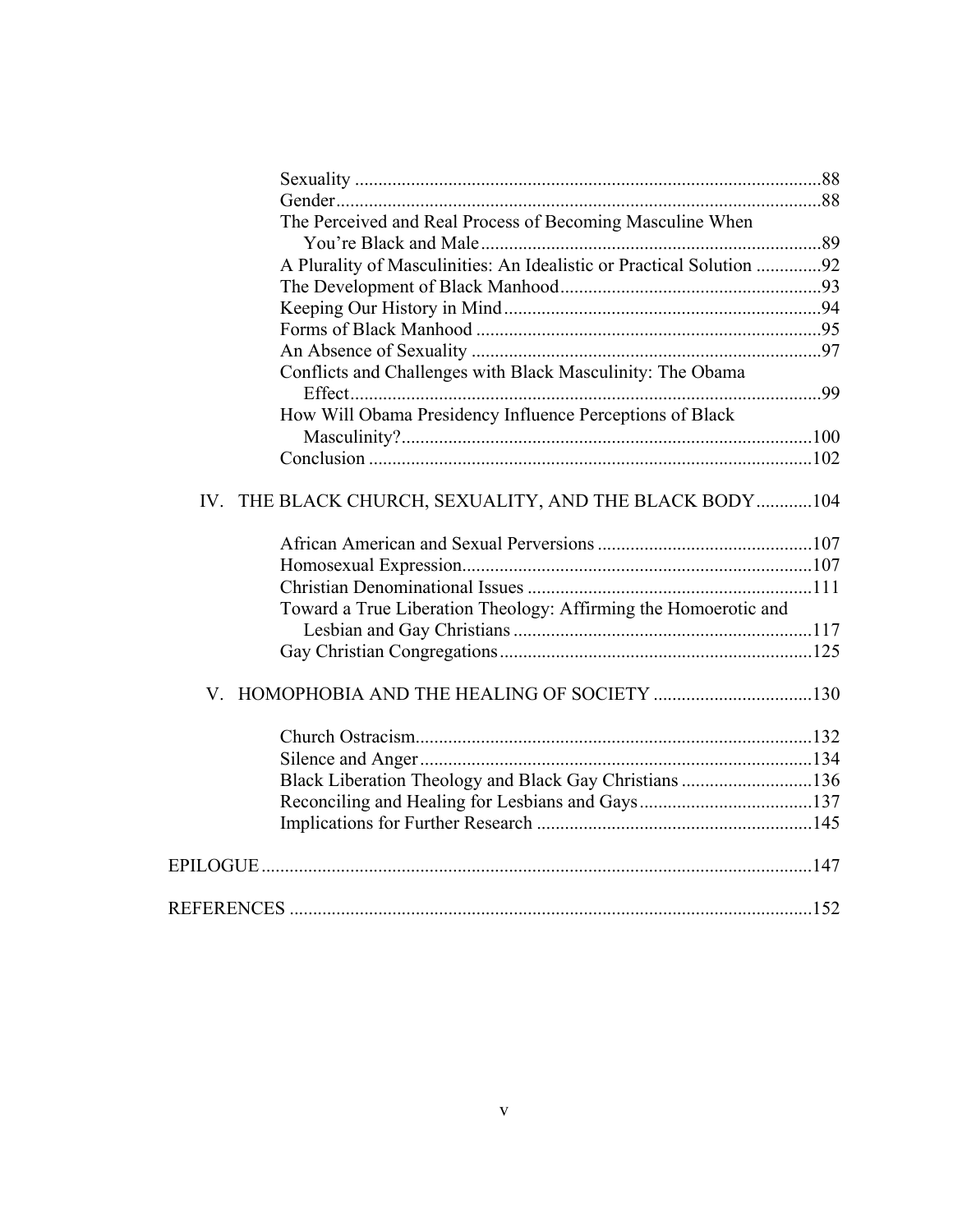| The Perceived and Real Process of Becoming Masculine When            |  |
|----------------------------------------------------------------------|--|
|                                                                      |  |
| A Plurality of Masculinities: An Idealistic or Practical Solution 92 |  |
|                                                                      |  |
|                                                                      |  |
|                                                                      |  |
|                                                                      |  |
| Conflicts and Challenges with Black Masculinity: The Obama           |  |
|                                                                      |  |
| How Will Obama Presidency Influence Perceptions of Black             |  |
|                                                                      |  |
|                                                                      |  |
|                                                                      |  |
| IV. THE BLACK CHURCH, SEXUALITY, AND THE BLACK BODY 104              |  |
|                                                                      |  |
|                                                                      |  |
|                                                                      |  |
|                                                                      |  |
| Toward a True Liberation Theology: Affirming the Homoerotic and      |  |
|                                                                      |  |
|                                                                      |  |
|                                                                      |  |
|                                                                      |  |
|                                                                      |  |
|                                                                      |  |
| Black Liberation Theology and Black Gay Christians 136               |  |
|                                                                      |  |
|                                                                      |  |
|                                                                      |  |
|                                                                      |  |
|                                                                      |  |
|                                                                      |  |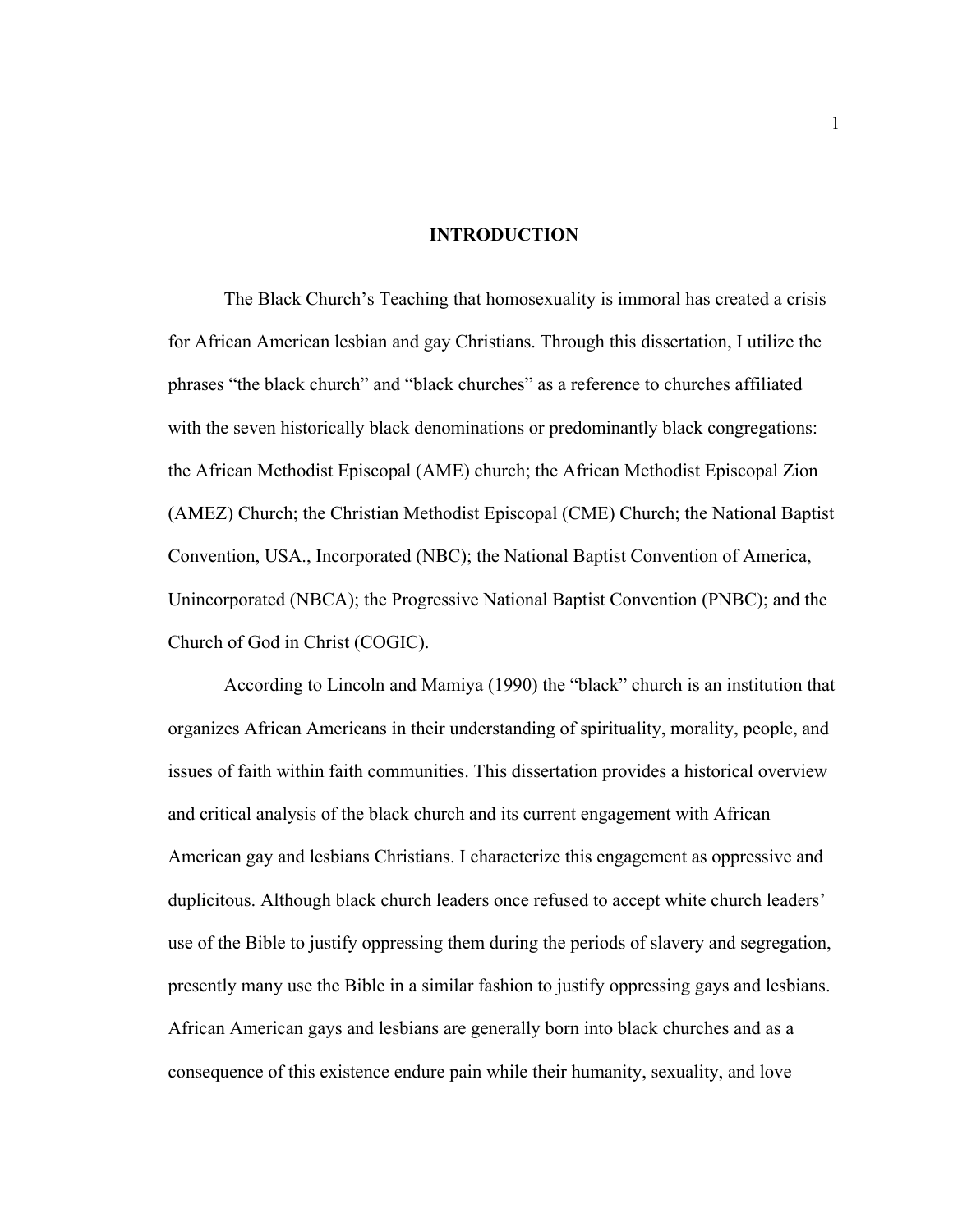### **INTRODUCTION**

The Black Church's Teaching that homosexuality is immoral has created a crisis for African American lesbian and gay Christians. Through this dissertation, I utilize the phrases "the black church" and "black churches" as a reference to churches affiliated with the seven historically black denominations or predominantly black congregations: the African Methodist Episcopal (AME) church; the African Methodist Episcopal Zion (AMEZ) Church; the Christian Methodist Episcopal (CME) Church; the National Baptist Convention, USA., Incorporated (NBC); the National Baptist Convention of America, Unincorporated (NBCA); the Progressive National Baptist Convention (PNBC); and the Church of God in Christ (COGIC).

According to Lincoln and Mamiya (1990) the "black" church is an institution that organizes African Americans in their understanding of spirituality, morality, people, and issues of faith within faith communities. This dissertation provides a historical overview and critical analysis of the black church and its current engagement with African American gay and lesbians Christians. I characterize this engagement as oppressive and duplicitous. Although black church leaders once refused to accept white church leaders' use of the Bible to justify oppressing them during the periods of slavery and segregation, presently many use the Bible in a similar fashion to justify oppressing gays and lesbians. African American gays and lesbians are generally born into black churches and as a consequence of this existence endure pain while their humanity, sexuality, and love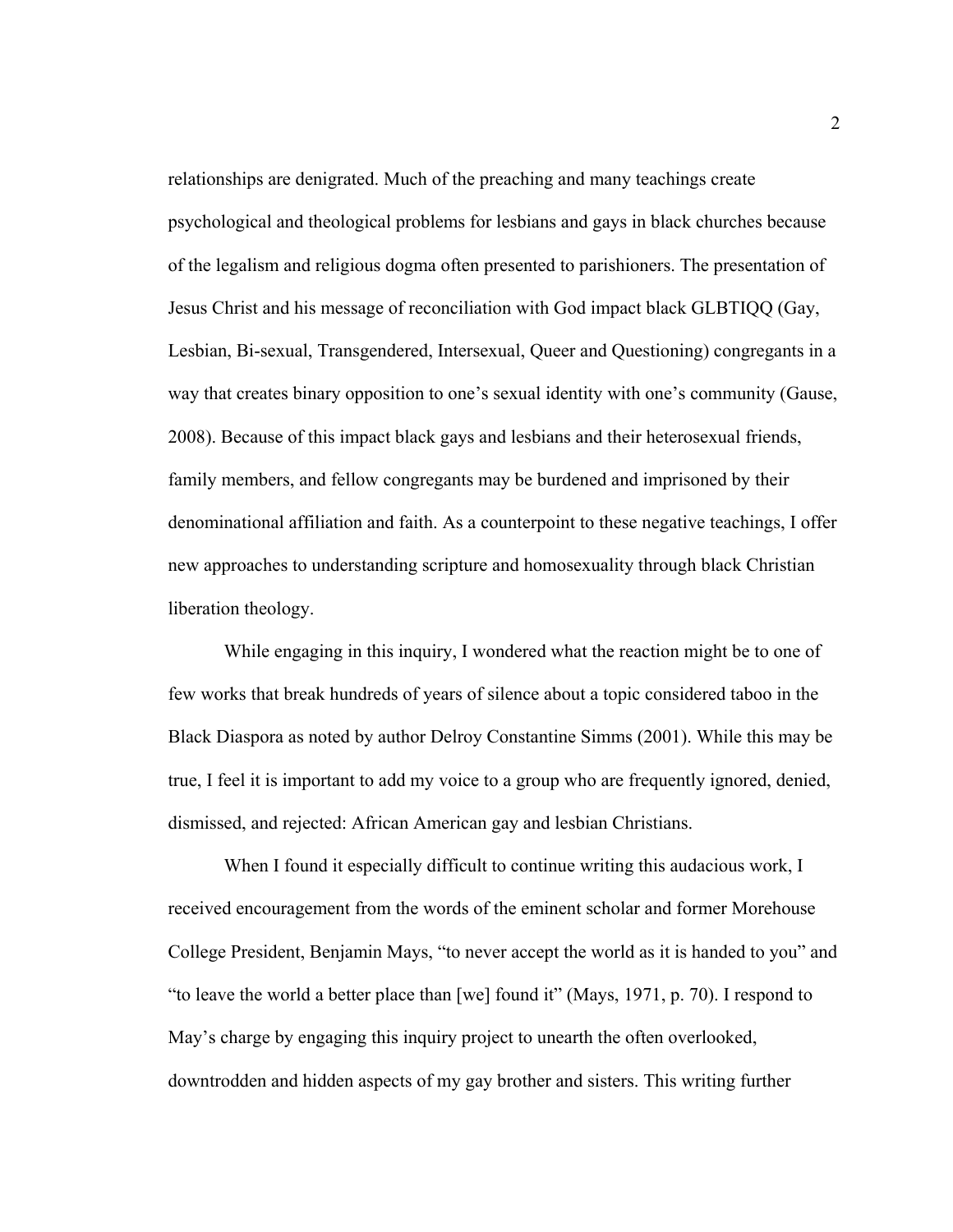relationships are denigrated. Much of the preaching and many teachings create psychological and theological problems for lesbians and gays in black churches because of the legalism and religious dogma often presented to parishioners. The presentation of Jesus Christ and his message of reconciliation with God impact black GLBTIQQ (Gay, Lesbian, Bi-sexual, Transgendered, Intersexual, Queer and Questioning) congregants in a way that creates binary opposition to one's sexual identity with one's community (Gause, 2008). Because of this impact black gays and lesbians and their heterosexual friends, family members, and fellow congregants may be burdened and imprisoned by their denominational affiliation and faith. As a counterpoint to these negative teachings, I offer new approaches to understanding scripture and homosexuality through black Christian liberation theology.

 While engaging in this inquiry, I wondered what the reaction might be to one of few works that break hundreds of years of silence about a topic considered taboo in the Black Diaspora as noted by author Delroy Constantine Simms (2001). While this may be true, I feel it is important to add my voice to a group who are frequently ignored, denied, dismissed, and rejected: African American gay and lesbian Christians.

When I found it especially difficult to continue writing this audacious work, I received encouragement from the words of the eminent scholar and former Morehouse College President, Benjamin Mays, "to never accept the world as it is handed to you" and "to leave the world a better place than [we] found it" (Mays, 1971, p. 70). I respond to May's charge by engaging this inquiry project to unearth the often overlooked, downtrodden and hidden aspects of my gay brother and sisters. This writing further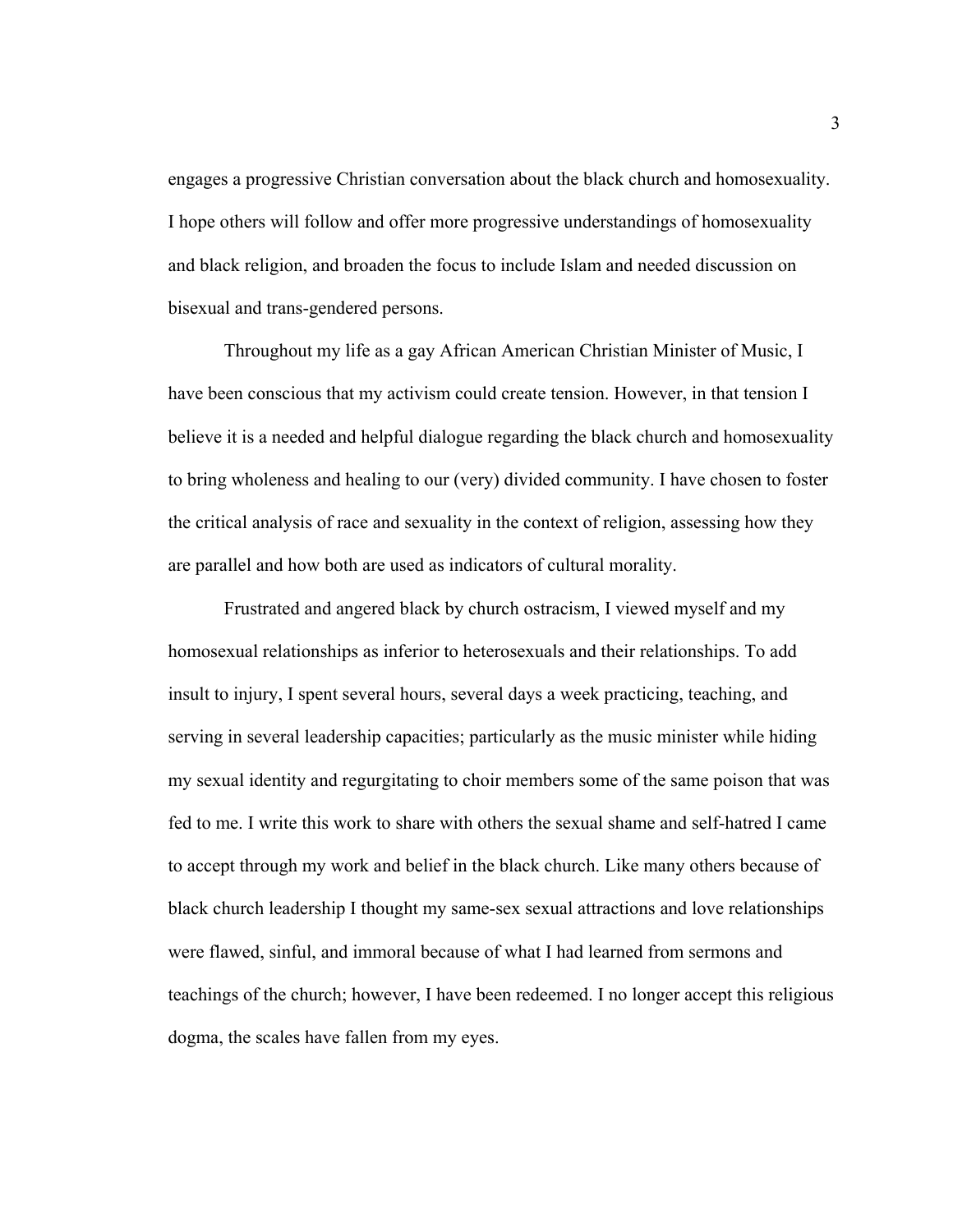engages a progressive Christian conversation about the black church and homosexuality. I hope others will follow and offer more progressive understandings of homosexuality and black religion, and broaden the focus to include Islam and needed discussion on bisexual and trans-gendered persons.

 Throughout my life as a gay African American Christian Minister of Music, I have been conscious that my activism could create tension. However, in that tension I believe it is a needed and helpful dialogue regarding the black church and homosexuality to bring wholeness and healing to our (very) divided community. I have chosen to foster the critical analysis of race and sexuality in the context of religion, assessing how they are parallel and how both are used as indicators of cultural morality.

Frustrated and angered black by church ostracism, I viewed myself and my homosexual relationships as inferior to heterosexuals and their relationships. To add insult to injury, I spent several hours, several days a week practicing, teaching, and serving in several leadership capacities; particularly as the music minister while hiding my sexual identity and regurgitating to choir members some of the same poison that was fed to me. I write this work to share with others the sexual shame and self-hatred I came to accept through my work and belief in the black church. Like many others because of black church leadership I thought my same-sex sexual attractions and love relationships were flawed, sinful, and immoral because of what I had learned from sermons and teachings of the church; however, I have been redeemed. I no longer accept this religious dogma, the scales have fallen from my eyes.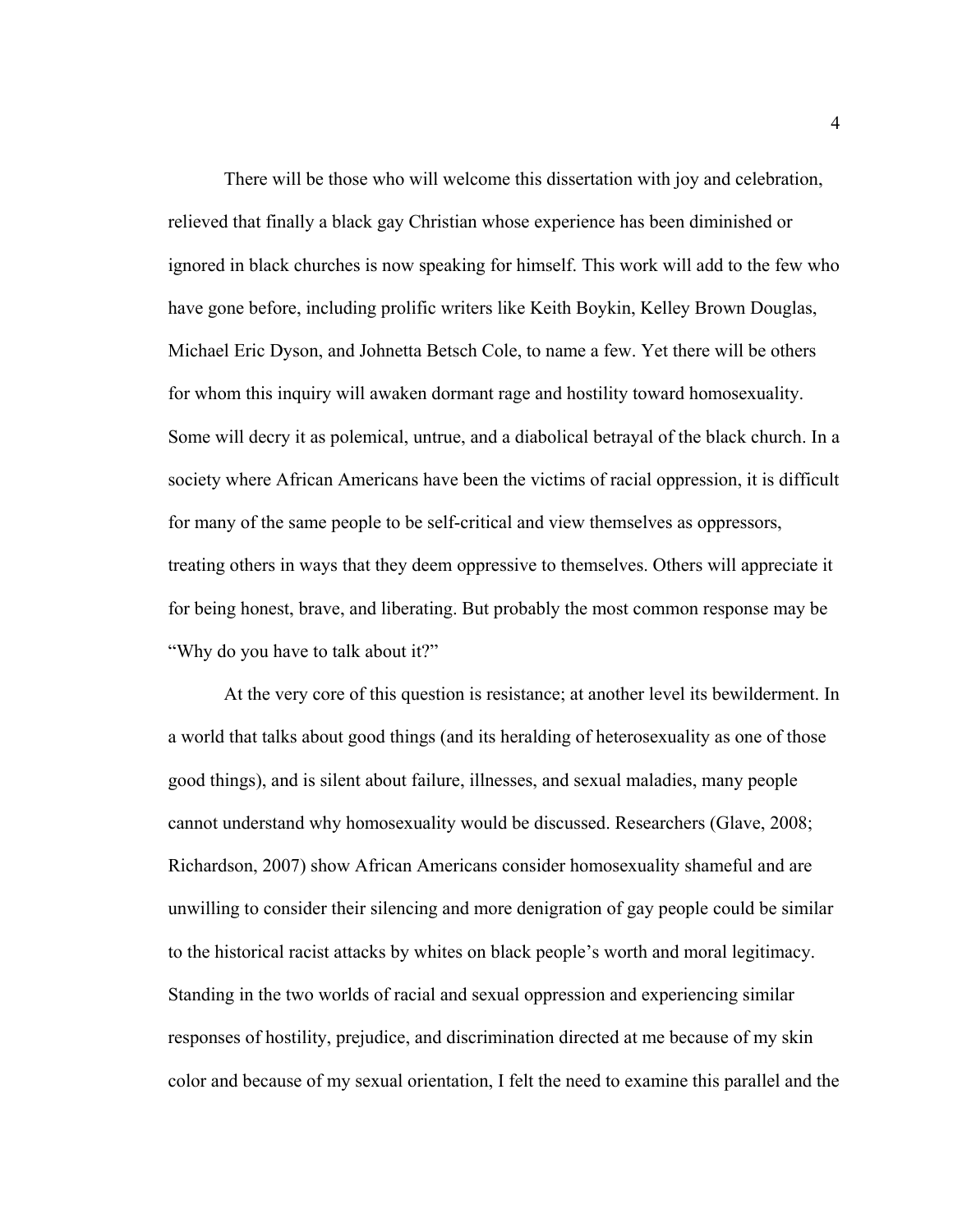There will be those who will welcome this dissertation with joy and celebration, relieved that finally a black gay Christian whose experience has been diminished or ignored in black churches is now speaking for himself. This work will add to the few who have gone before, including prolific writers like Keith Boykin, Kelley Brown Douglas, Michael Eric Dyson, and Johnetta Betsch Cole, to name a few. Yet there will be others for whom this inquiry will awaken dormant rage and hostility toward homosexuality. Some will decry it as polemical, untrue, and a diabolical betrayal of the black church. In a society where African Americans have been the victims of racial oppression, it is difficult for many of the same people to be self-critical and view themselves as oppressors, treating others in ways that they deem oppressive to themselves. Others will appreciate it for being honest, brave, and liberating. But probably the most common response may be "Why do you have to talk about it?"

 At the very core of this question is resistance; at another level its bewilderment. In a world that talks about good things (and its heralding of heterosexuality as one of those good things), and is silent about failure, illnesses, and sexual maladies, many people cannot understand why homosexuality would be discussed. Researchers (Glave, 2008; Richardson, 2007) show African Americans consider homosexuality shameful and are unwilling to consider their silencing and more denigration of gay people could be similar to the historical racist attacks by whites on black people's worth and moral legitimacy. Standing in the two worlds of racial and sexual oppression and experiencing similar responses of hostility, prejudice, and discrimination directed at me because of my skin color and because of my sexual orientation, I felt the need to examine this parallel and the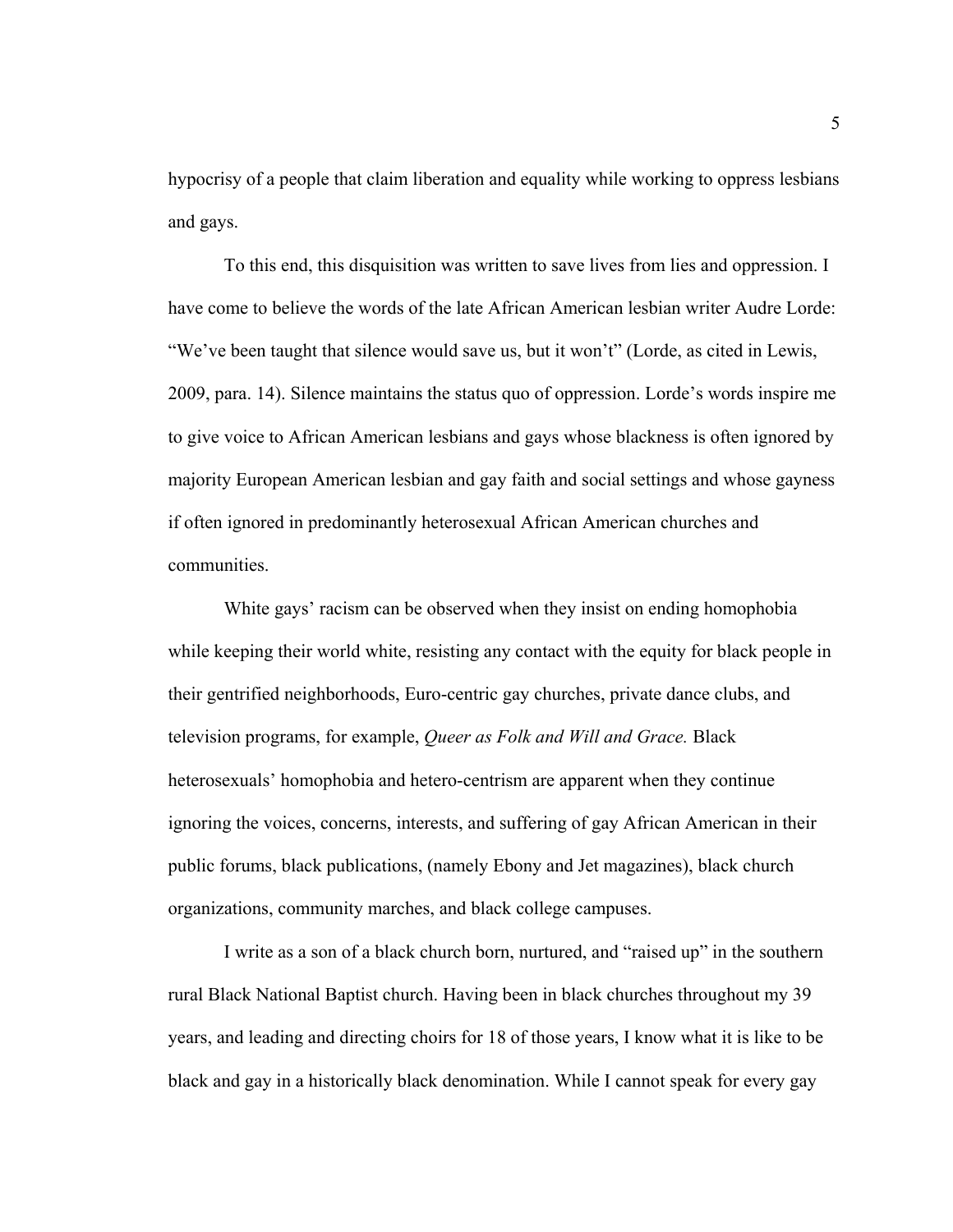hypocrisy of a people that claim liberation and equality while working to oppress lesbians and gays.

 To this end, this disquisition was written to save lives from lies and oppression. I have come to believe the words of the late African American lesbian writer Audre Lorde: "We've been taught that silence would save us, but it won't" (Lorde, as cited in Lewis, 2009, para. 14). Silence maintains the status quo of oppression. Lorde's words inspire me to give voice to African American lesbians and gays whose blackness is often ignored by majority European American lesbian and gay faith and social settings and whose gayness if often ignored in predominantly heterosexual African American churches and communities.

 White gays' racism can be observed when they insist on ending homophobia while keeping their world white, resisting any contact with the equity for black people in their gentrified neighborhoods, Euro-centric gay churches, private dance clubs, and television programs, for example, *Queer as Folk and Will and Grace.* Black heterosexuals' homophobia and hetero-centrism are apparent when they continue ignoring the voices, concerns, interests, and suffering of gay African American in their public forums, black publications, (namely Ebony and Jet magazines), black church organizations, community marches, and black college campuses.

I write as a son of a black church born, nurtured, and "raised up" in the southern rural Black National Baptist church. Having been in black churches throughout my 39 years, and leading and directing choirs for 18 of those years, I know what it is like to be black and gay in a historically black denomination. While I cannot speak for every gay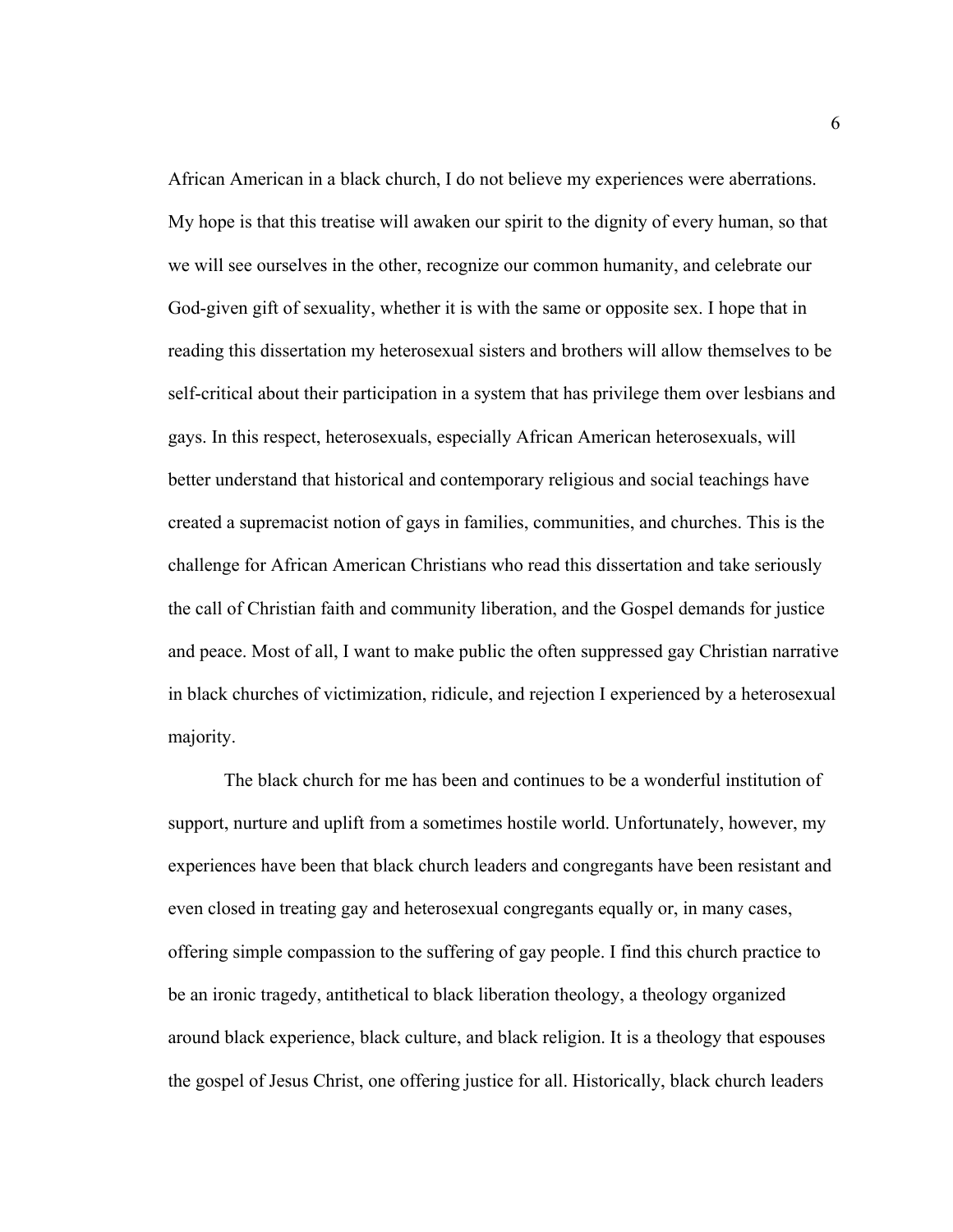African American in a black church, I do not believe my experiences were aberrations. My hope is that this treatise will awaken our spirit to the dignity of every human, so that we will see ourselves in the other, recognize our common humanity, and celebrate our God-given gift of sexuality, whether it is with the same or opposite sex. I hope that in reading this dissertation my heterosexual sisters and brothers will allow themselves to be self-critical about their participation in a system that has privilege them over lesbians and gays. In this respect, heterosexuals, especially African American heterosexuals, will better understand that historical and contemporary religious and social teachings have created a supremacist notion of gays in families, communities, and churches. This is the challenge for African American Christians who read this dissertation and take seriously the call of Christian faith and community liberation, and the Gospel demands for justice and peace. Most of all, I want to make public the often suppressed gay Christian narrative in black churches of victimization, ridicule, and rejection I experienced by a heterosexual majority.

The black church for me has been and continues to be a wonderful institution of support, nurture and uplift from a sometimes hostile world. Unfortunately, however, my experiences have been that black church leaders and congregants have been resistant and even closed in treating gay and heterosexual congregants equally or, in many cases, offering simple compassion to the suffering of gay people. I find this church practice to be an ironic tragedy, antithetical to black liberation theology, a theology organized around black experience, black culture, and black religion. It is a theology that espouses the gospel of Jesus Christ, one offering justice for all. Historically, black church leaders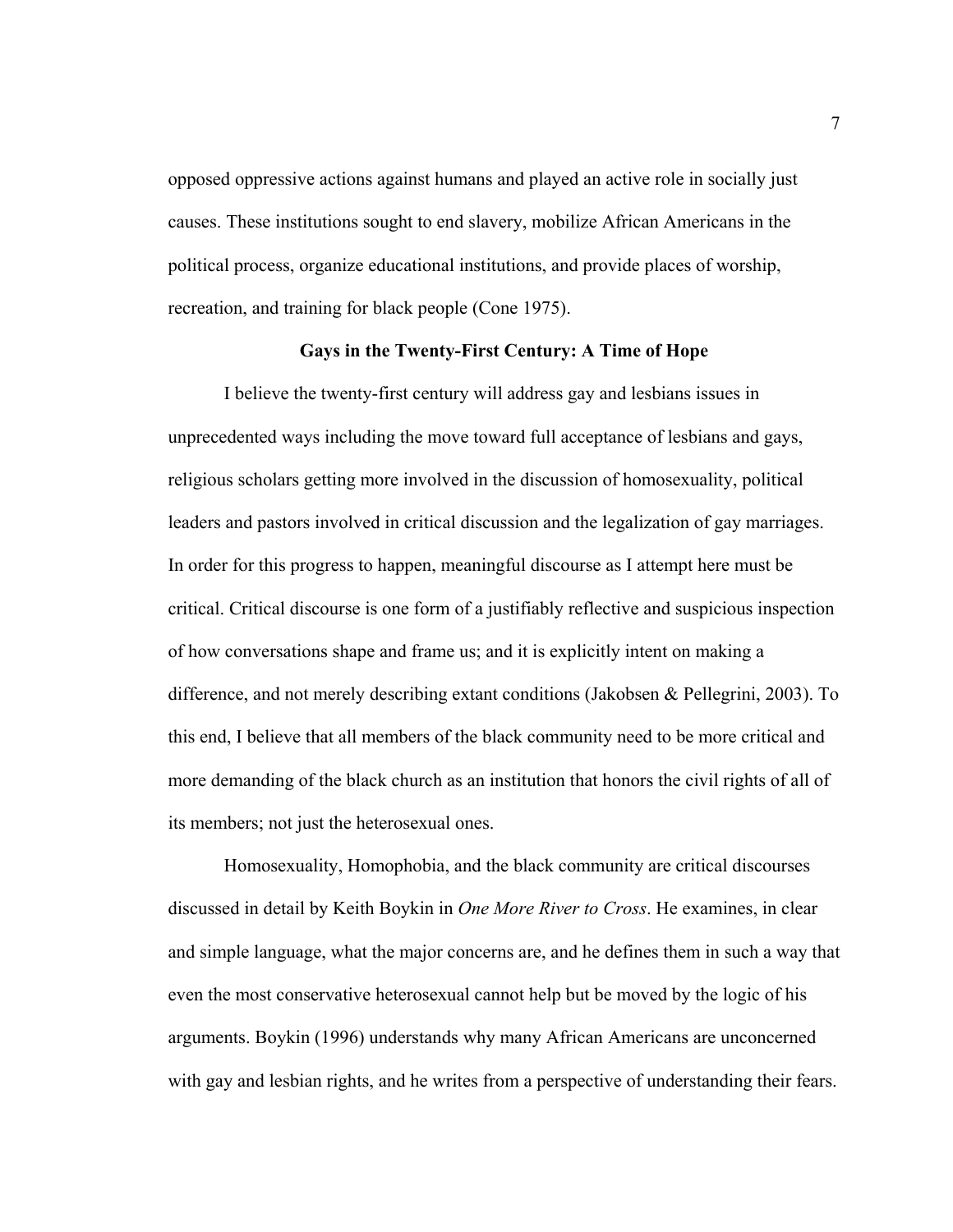opposed oppressive actions against humans and played an active role in socially just causes. These institutions sought to end slavery, mobilize African Americans in the political process, organize educational institutions, and provide places of worship, recreation, and training for black people (Cone 1975).

## **Gays in the Twenty-First Century: A Time of Hope**

I believe the twenty-first century will address gay and lesbians issues in unprecedented ways including the move toward full acceptance of lesbians and gays, religious scholars getting more involved in the discussion of homosexuality, political leaders and pastors involved in critical discussion and the legalization of gay marriages. In order for this progress to happen, meaningful discourse as I attempt here must be critical. Critical discourse is one form of a justifiably reflective and suspicious inspection of how conversations shape and frame us; and it is explicitly intent on making a difference, and not merely describing extant conditions (Jakobsen & Pellegrini, 2003). To this end, I believe that all members of the black community need to be more critical and more demanding of the black church as an institution that honors the civil rights of all of its members; not just the heterosexual ones.

Homosexuality, Homophobia, and the black community are critical discourses discussed in detail by Keith Boykin in *One More River to Cross*. He examines, in clear and simple language, what the major concerns are, and he defines them in such a way that even the most conservative heterosexual cannot help but be moved by the logic of his arguments. Boykin (1996) understands why many African Americans are unconcerned with gay and lesbian rights, and he writes from a perspective of understanding their fears.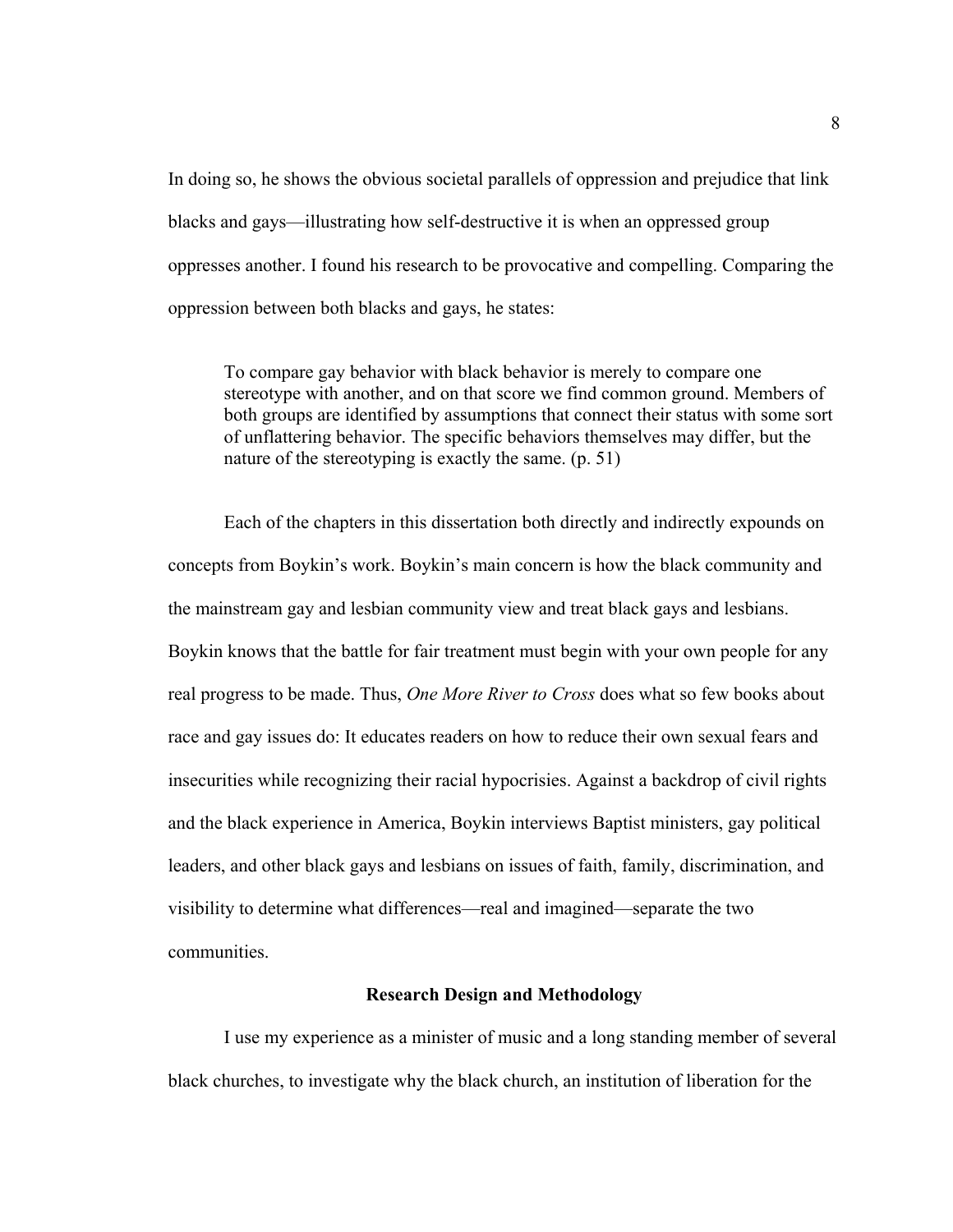In doing so, he shows the obvious societal parallels of oppression and prejudice that link blacks and gays—illustrating how self-destructive it is when an oppressed group oppresses another. I found his research to be provocative and compelling. Comparing the oppression between both blacks and gays, he states:

To compare gay behavior with black behavior is merely to compare one stereotype with another, and on that score we find common ground. Members of both groups are identified by assumptions that connect their status with some sort of unflattering behavior. The specific behaviors themselves may differ, but the nature of the stereotyping is exactly the same. (p. 51)

 Each of the chapters in this dissertation both directly and indirectly expounds on concepts from Boykin's work. Boykin's main concern is how the black community and the mainstream gay and lesbian community view and treat black gays and lesbians. Boykin knows that the battle for fair treatment must begin with your own people for any real progress to be made. Thus, *One More River to Cross* does what so few books about race and gay issues do: It educates readers on how to reduce their own sexual fears and insecurities while recognizing their racial hypocrisies. Against a backdrop of civil rights and the black experience in America, Boykin interviews Baptist ministers, gay political leaders, and other black gays and lesbians on issues of faith, family, discrimination, and visibility to determine what differences—real and imagined—separate the two communities.

### **Research Design and Methodology**

 I use my experience as a minister of music and a long standing member of several black churches, to investigate why the black church, an institution of liberation for the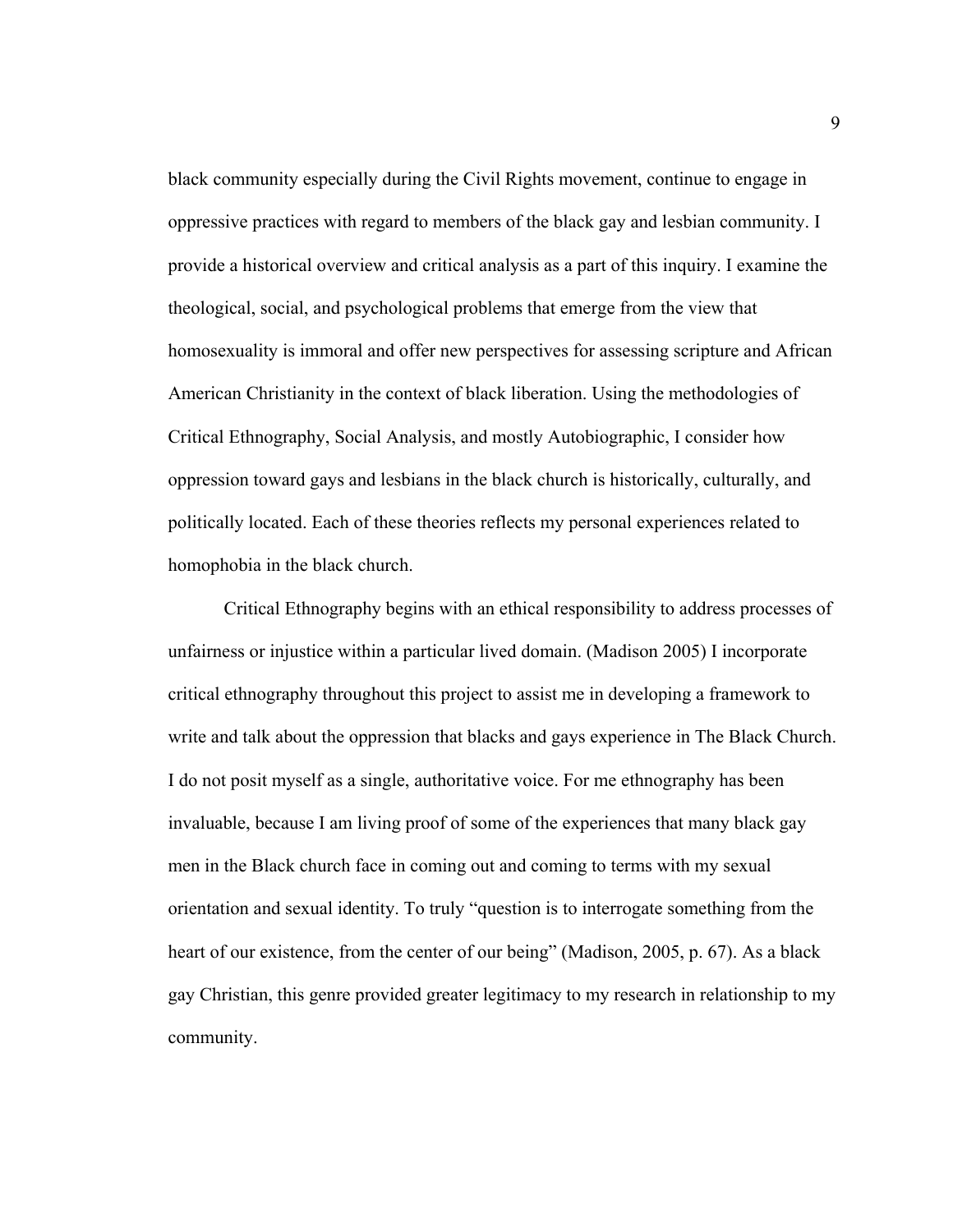black community especially during the Civil Rights movement, continue to engage in oppressive practices with regard to members of the black gay and lesbian community. I provide a historical overview and critical analysis as a part of this inquiry. I examine the theological, social, and psychological problems that emerge from the view that homosexuality is immoral and offer new perspectives for assessing scripture and African American Christianity in the context of black liberation. Using the methodologies of Critical Ethnography, Social Analysis, and mostly Autobiographic, I consider how oppression toward gays and lesbians in the black church is historically, culturally, and politically located. Each of these theories reflects my personal experiences related to homophobia in the black church.

 Critical Ethnography begins with an ethical responsibility to address processes of unfairness or injustice within a particular lived domain. (Madison 2005) I incorporate critical ethnography throughout this project to assist me in developing a framework to write and talk about the oppression that blacks and gays experience in The Black Church. I do not posit myself as a single, authoritative voice. For me ethnography has been invaluable, because I am living proof of some of the experiences that many black gay men in the Black church face in coming out and coming to terms with my sexual orientation and sexual identity. To truly "question is to interrogate something from the heart of our existence, from the center of our being" (Madison, 2005, p. 67). As a black gay Christian, this genre provided greater legitimacy to my research in relationship to my community.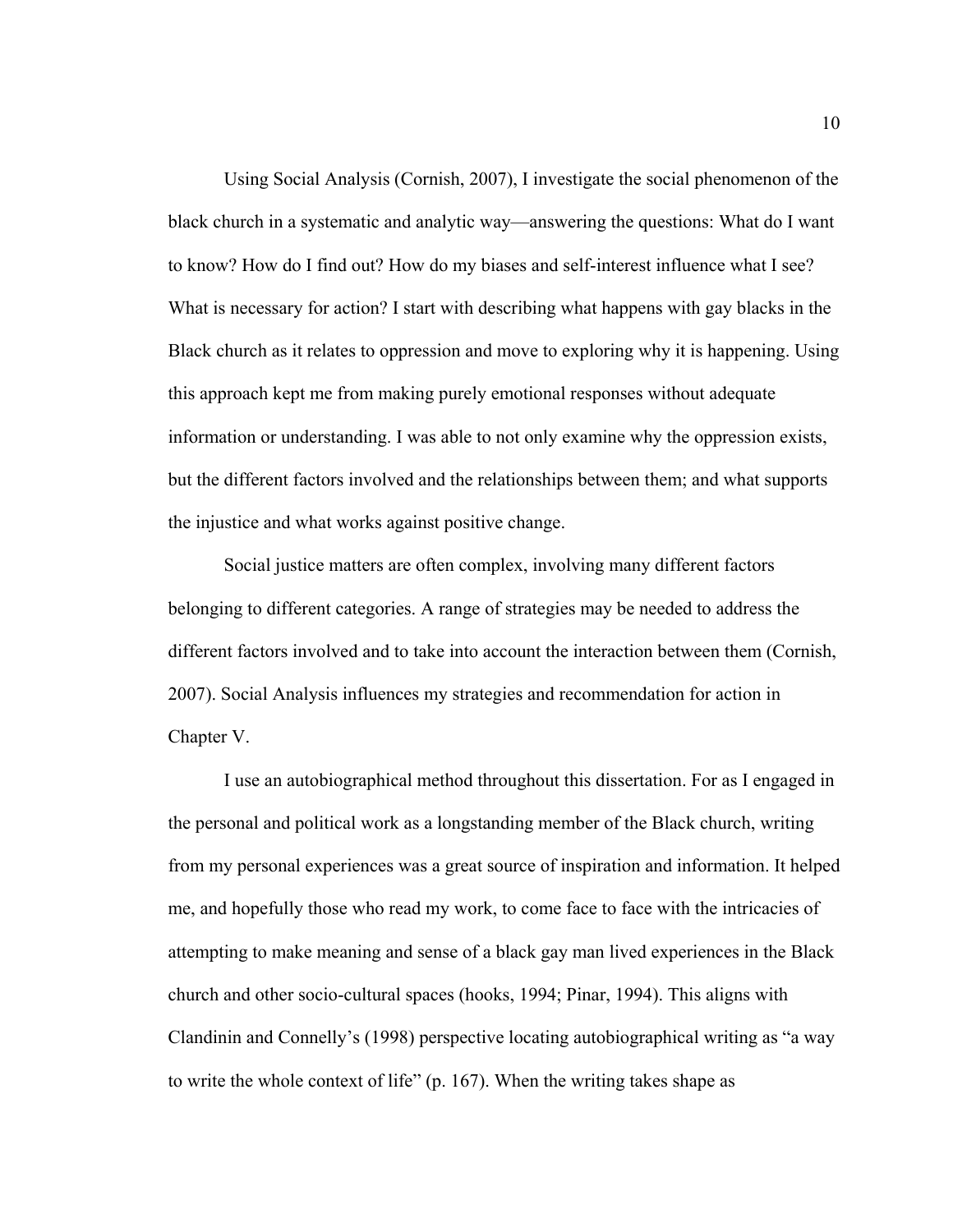Using Social Analysis (Cornish, 2007), I investigate the social phenomenon of the black church in a systematic and analytic way—answering the questions: What do I want to know? How do I find out? How do my biases and self-interest influence what I see? What is necessary for action? I start with describing what happens with gay blacks in the Black church as it relates to oppression and move to exploring why it is happening. Using this approach kept me from making purely emotional responses without adequate information or understanding. I was able to not only examine why the oppression exists, but the different factors involved and the relationships between them; and what supports the injustice and what works against positive change.

 Social justice matters are often complex, involving many different factors belonging to different categories. A range of strategies may be needed to address the different factors involved and to take into account the interaction between them (Cornish, 2007). Social Analysis influences my strategies and recommendation for action in Chapter V.

 I use an autobiographical method throughout this dissertation. For as I engaged in the personal and political work as a longstanding member of the Black church, writing from my personal experiences was a great source of inspiration and information. It helped me, and hopefully those who read my work, to come face to face with the intricacies of attempting to make meaning and sense of a black gay man lived experiences in the Black church and other socio-cultural spaces (hooks, 1994; Pinar, 1994). This aligns with Clandinin and Connelly's (1998) perspective locating autobiographical writing as "a way to write the whole context of life" (p. 167). When the writing takes shape as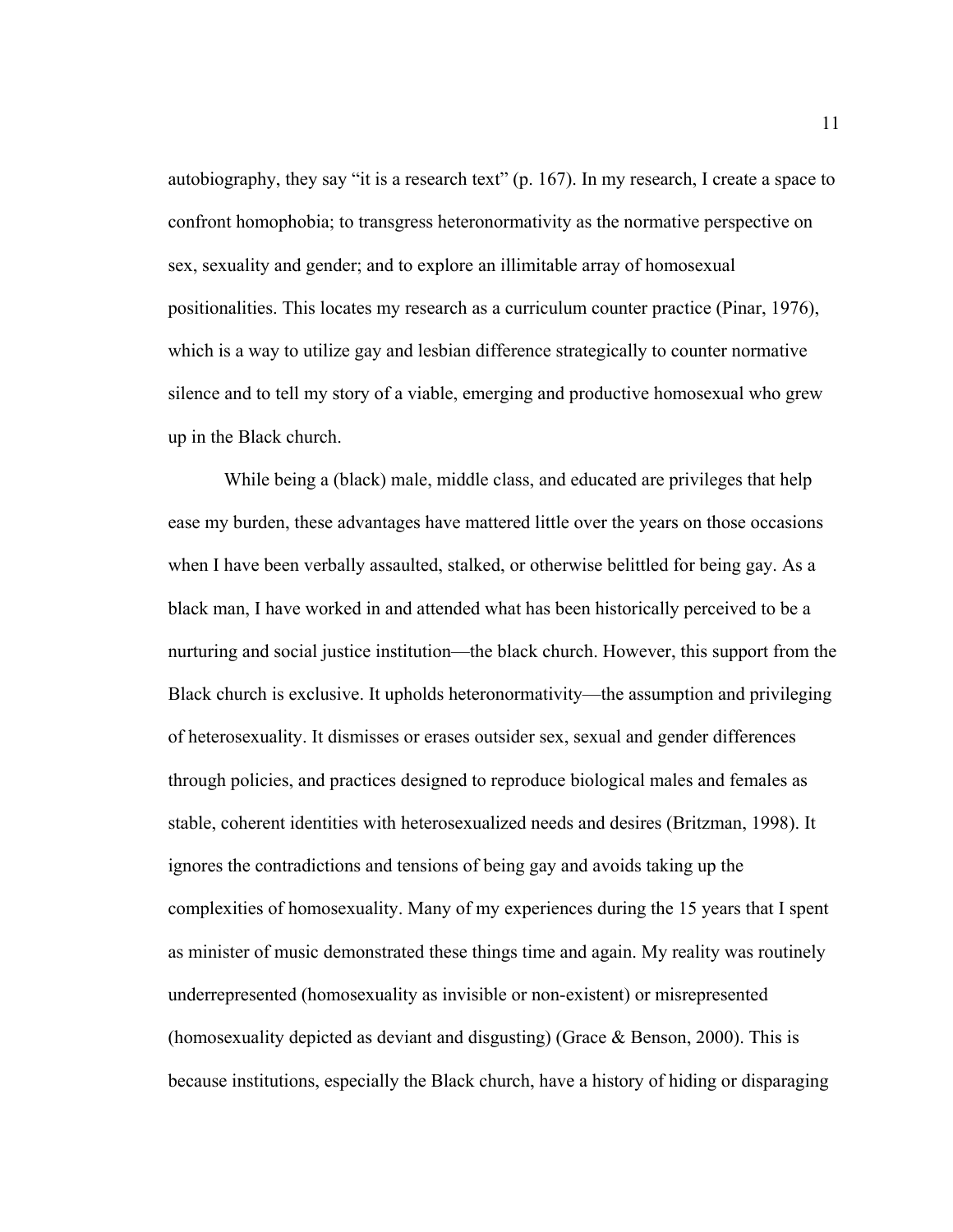autobiography, they say "it is a research text" (p. 167). In my research, I create a space to confront homophobia; to transgress heteronormativity as the normative perspective on sex, sexuality and gender; and to explore an illimitable array of homosexual positionalities. This locates my research as a curriculum counter practice (Pinar, 1976), which is a way to utilize gay and lesbian difference strategically to counter normative silence and to tell my story of a viable, emerging and productive homosexual who grew up in the Black church.

 While being a (black) male, middle class, and educated are privileges that help ease my burden, these advantages have mattered little over the years on those occasions when I have been verbally assaulted, stalked, or otherwise belittled for being gay. As a black man, I have worked in and attended what has been historically perceived to be a nurturing and social justice institution—the black church. However, this support from the Black church is exclusive. It upholds heteronormativity—the assumption and privileging of heterosexuality. It dismisses or erases outsider sex, sexual and gender differences through policies, and practices designed to reproduce biological males and females as stable, coherent identities with heterosexualized needs and desires (Britzman, 1998). It ignores the contradictions and tensions of being gay and avoids taking up the complexities of homosexuality. Many of my experiences during the 15 years that I spent as minister of music demonstrated these things time and again. My reality was routinely underrepresented (homosexuality as invisible or non-existent) or misrepresented (homosexuality depicted as deviant and disgusting) (Grace  $\&$  Benson, 2000). This is because institutions, especially the Black church, have a history of hiding or disparaging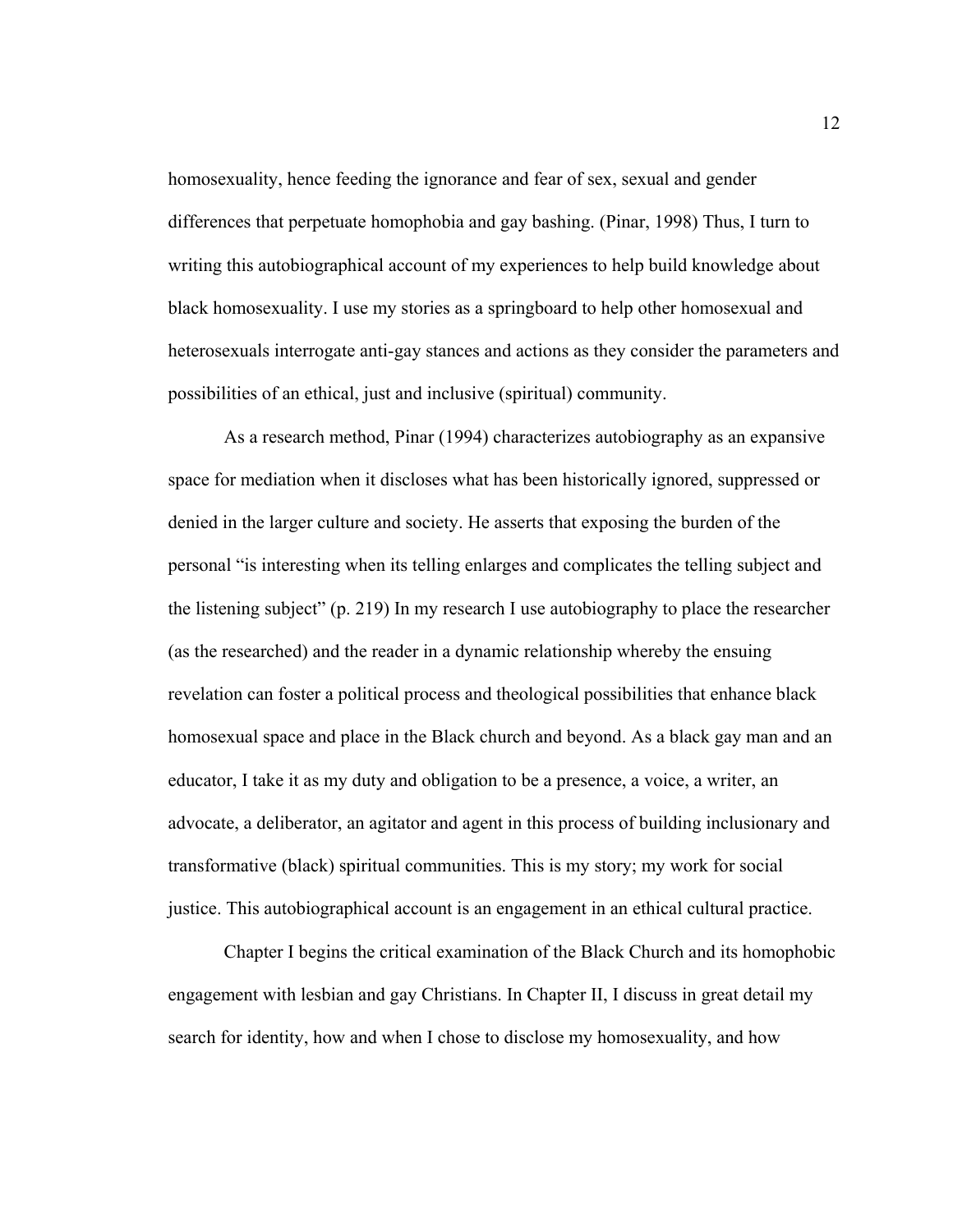homosexuality, hence feeding the ignorance and fear of sex, sexual and gender differences that perpetuate homophobia and gay bashing. (Pinar, 1998) Thus, I turn to writing this autobiographical account of my experiences to help build knowledge about black homosexuality. I use my stories as a springboard to help other homosexual and heterosexuals interrogate anti-gay stances and actions as they consider the parameters and possibilities of an ethical, just and inclusive (spiritual) community.

 As a research method, Pinar (1994) characterizes autobiography as an expansive space for mediation when it discloses what has been historically ignored, suppressed or denied in the larger culture and society. He asserts that exposing the burden of the personal "is interesting when its telling enlarges and complicates the telling subject and the listening subject" (p. 219) In my research I use autobiography to place the researcher (as the researched) and the reader in a dynamic relationship whereby the ensuing revelation can foster a political process and theological possibilities that enhance black homosexual space and place in the Black church and beyond. As a black gay man and an educator, I take it as my duty and obligation to be a presence, a voice, a writer, an advocate, a deliberator, an agitator and agent in this process of building inclusionary and transformative (black) spiritual communities. This is my story; my work for social justice. This autobiographical account is an engagement in an ethical cultural practice.

Chapter I begins the critical examination of the Black Church and its homophobic engagement with lesbian and gay Christians. In Chapter II, I discuss in great detail my search for identity, how and when I chose to disclose my homosexuality, and how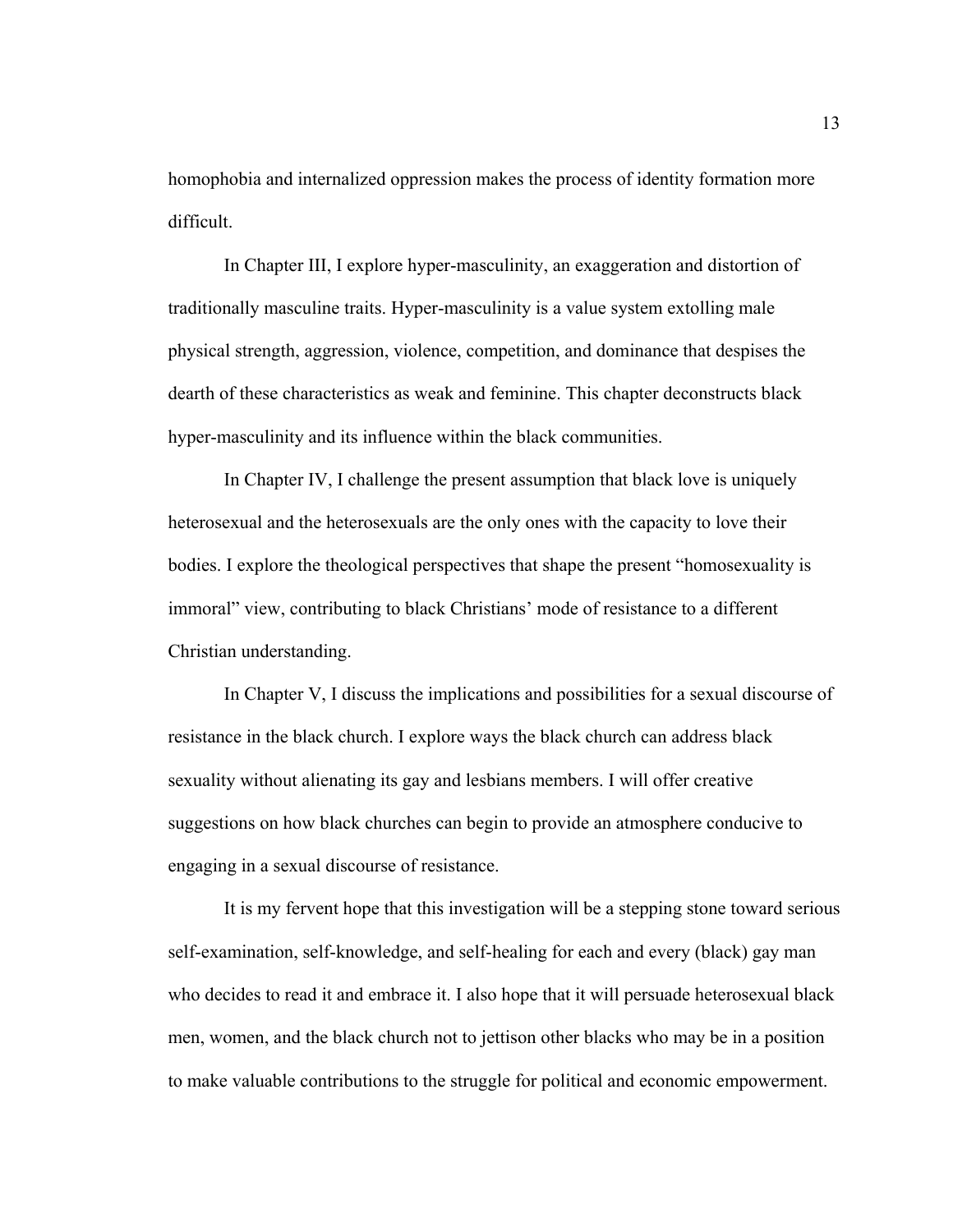homophobia and internalized oppression makes the process of identity formation more difficult.

 In Chapter III, I explore hyper-masculinity, an exaggeration and distortion of traditionally masculine traits. Hyper-masculinity is a value system extolling male physical strength, aggression, violence, competition, and dominance that despises the dearth of these characteristics as weak and feminine. This chapter deconstructs black hyper-masculinity and its influence within the black communities.

 In Chapter IV, I challenge the present assumption that black love is uniquely heterosexual and the heterosexuals are the only ones with the capacity to love their bodies. I explore the theological perspectives that shape the present "homosexuality is immoral" view, contributing to black Christians' mode of resistance to a different Christian understanding.

In Chapter V, I discuss the implications and possibilities for a sexual discourse of resistance in the black church. I explore ways the black church can address black sexuality without alienating its gay and lesbians members. I will offer creative suggestions on how black churches can begin to provide an atmosphere conducive to engaging in a sexual discourse of resistance.

It is my fervent hope that this investigation will be a stepping stone toward serious self-examination, self-knowledge, and self-healing for each and every (black) gay man who decides to read it and embrace it. I also hope that it will persuade heterosexual black men, women, and the black church not to jettison other blacks who may be in a position to make valuable contributions to the struggle for political and economic empowerment.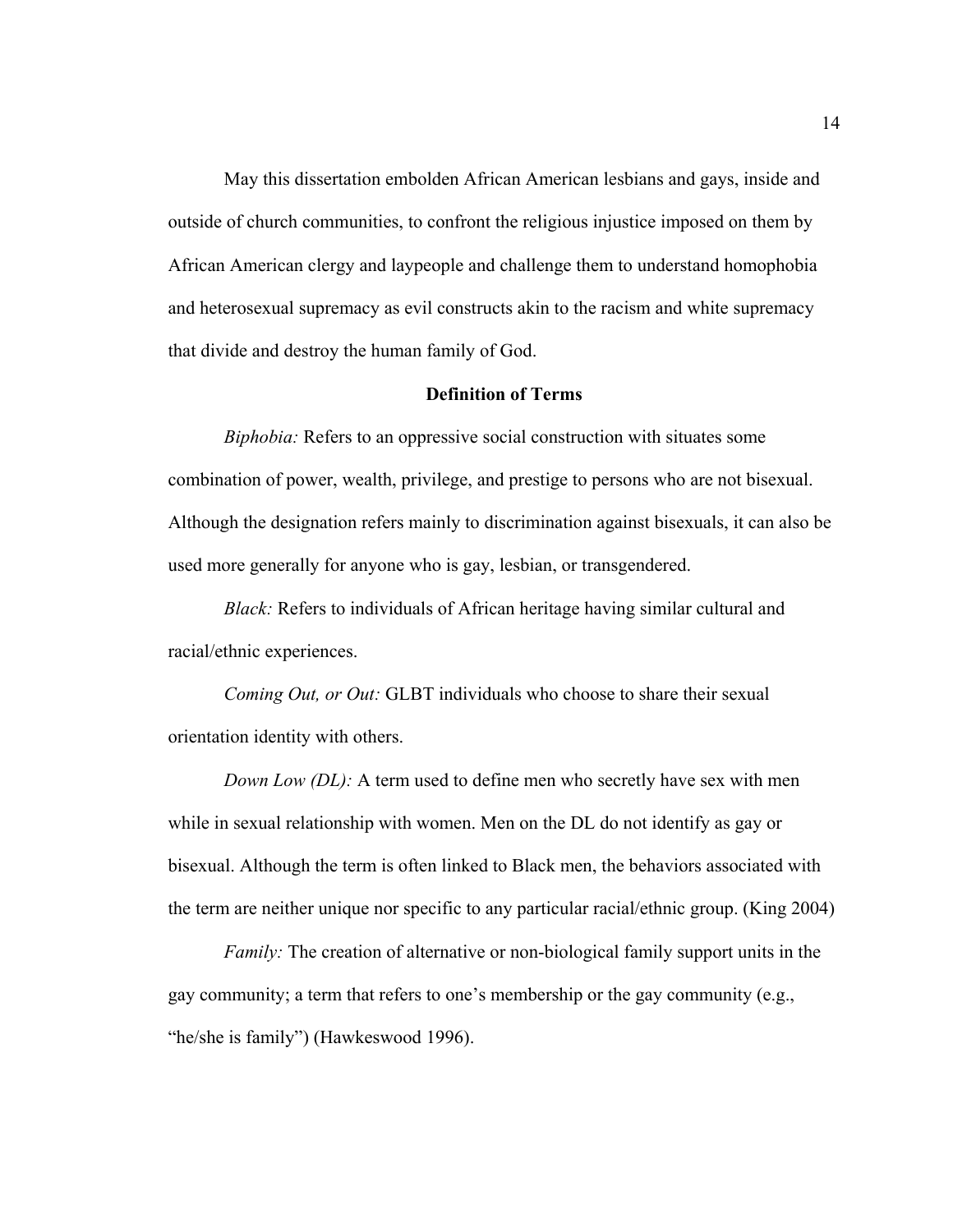May this dissertation embolden African American lesbians and gays, inside and outside of church communities, to confront the religious injustice imposed on them by African American clergy and laypeople and challenge them to understand homophobia and heterosexual supremacy as evil constructs akin to the racism and white supremacy that divide and destroy the human family of God.

## **Definition of Terms**

*Biphobia:* Refers to an oppressive social construction with situates some combination of power, wealth, privilege, and prestige to persons who are not bisexual. Although the designation refers mainly to discrimination against bisexuals, it can also be used more generally for anyone who is gay, lesbian, or transgendered.

*Black:* Refers to individuals of African heritage having similar cultural and racial/ethnic experiences.

*Coming Out, or Out:* GLBT individuals who choose to share their sexual orientation identity with others.

*Down Low (DL):* A term used to define men who secretly have sex with men while in sexual relationship with women. Men on the DL do not identify as gay or bisexual. Although the term is often linked to Black men, the behaviors associated with the term are neither unique nor specific to any particular racial/ethnic group. (King 2004)

*Family:* The creation of alternative or non-biological family support units in the gay community; a term that refers to one's membership or the gay community (e.g., "he/she is family") (Hawkeswood 1996).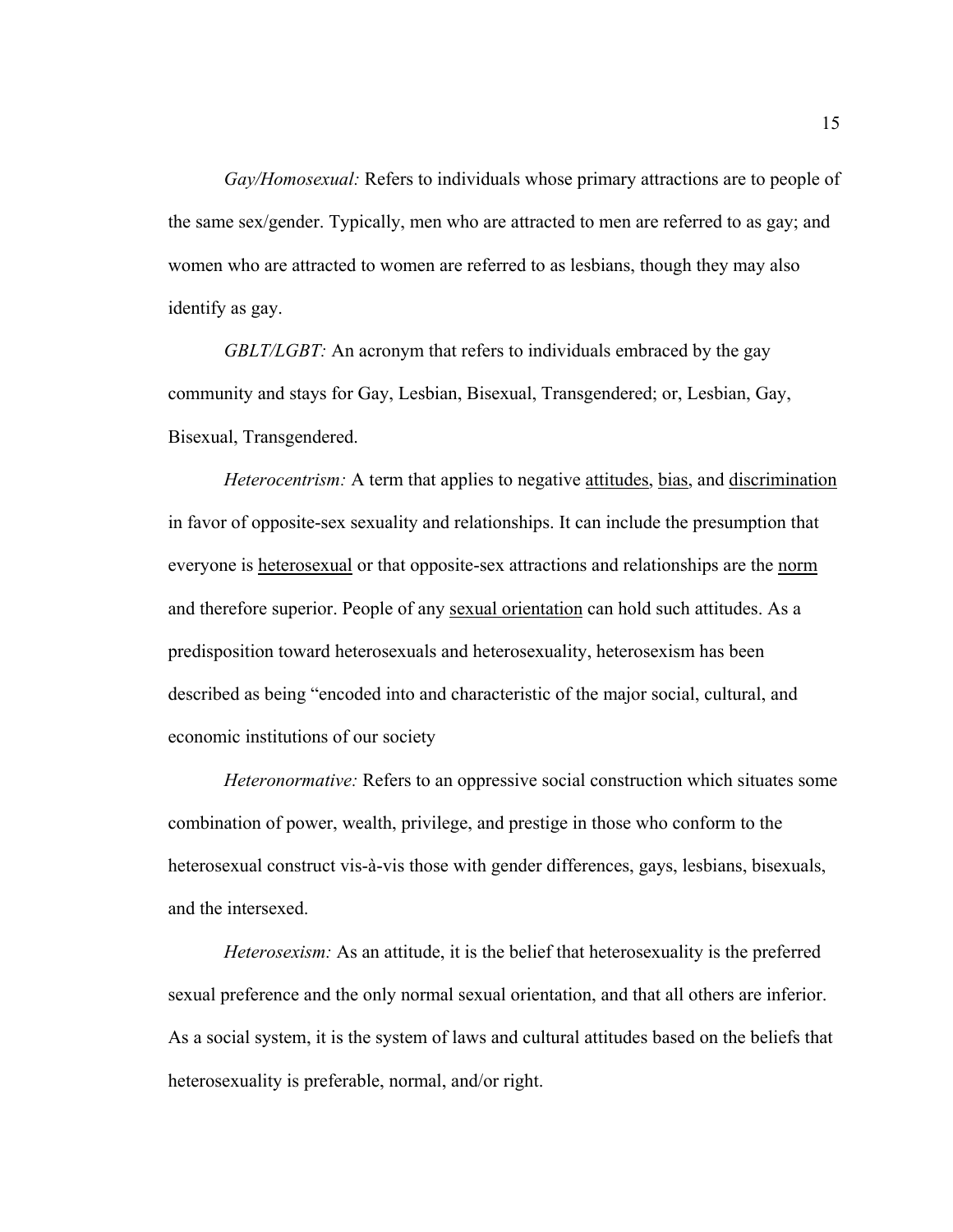*Gay/Homosexual:* Refers to individuals whose primary attractions are to people of the same sex/gender. Typically, men who are attracted to men are referred to as gay; and women who are attracted to women are referred to as lesbians, though they may also identify as gay.

*GBLT/LGBT:* An acronym that refers to individuals embraced by the gay community and stays for Gay, Lesbian, Bisexual, Transgendered; or, Lesbian, Gay, Bisexual, Transgendered.

*Heterocentrism:* A term that applies to negative attitudes, bias, and discrimination in favor of opposite-sex sexuality and relationships. It can include the presumption that everyone is heterosexual or that opposite-sex attractions and relationships are the norm and therefore superior. People of any sexual orientation can hold such attitudes. As a predisposition toward heterosexuals and heterosexuality, heterosexism has been described as being "encoded into and characteristic of the major social, cultural, and economic institutions of our society

*Heteronormative:* Refers to an oppressive social construction which situates some combination of power, wealth, privilege, and prestige in those who conform to the heterosexual construct vis-à-vis those with gender differences, gays, lesbians, bisexuals, and the intersexed.

*Heterosexism:* As an attitude, it is the belief that heterosexuality is the preferred sexual preference and the only normal sexual orientation, and that all others are inferior. As a social system, it is the system of laws and cultural attitudes based on the beliefs that heterosexuality is preferable, normal, and/or right.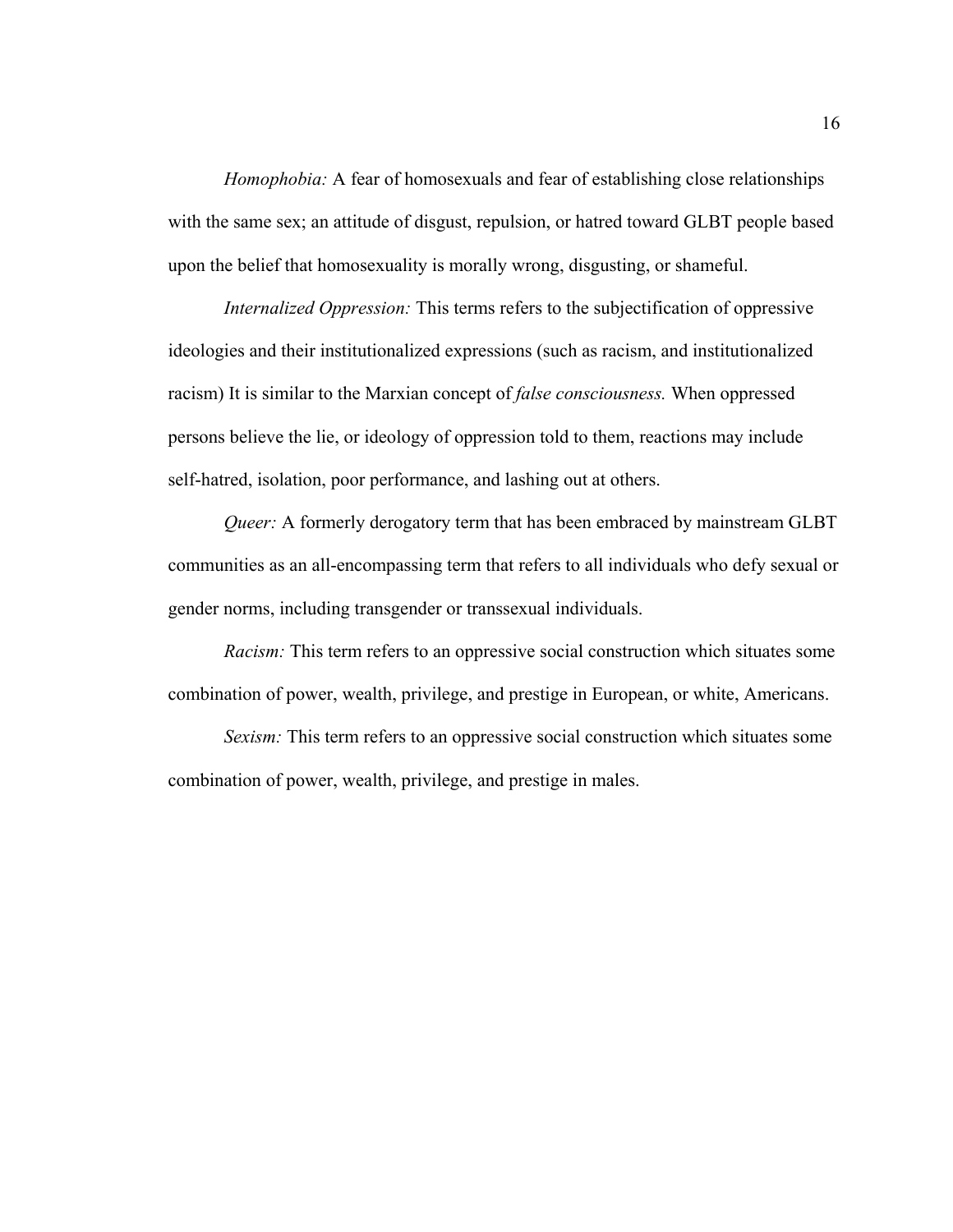*Homophobia:* A fear of homosexuals and fear of establishing close relationships with the same sex; an attitude of disgust, repulsion, or hatred toward GLBT people based upon the belief that homosexuality is morally wrong, disgusting, or shameful.

*Internalized Oppression:* This terms refers to the subjectification of oppressive ideologies and their institutionalized expressions (such as racism, and institutionalized racism) It is similar to the Marxian concept of *false consciousness.* When oppressed persons believe the lie, or ideology of oppression told to them, reactions may include self-hatred, isolation, poor performance, and lashing out at others.

*Queer:* A formerly derogatory term that has been embraced by mainstream GLBT communities as an all-encompassing term that refers to all individuals who defy sexual or gender norms, including transgender or transsexual individuals.

*Racism:* This term refers to an oppressive social construction which situates some combination of power, wealth, privilege, and prestige in European, or white, Americans.

*Sexism:* This term refers to an oppressive social construction which situates some combination of power, wealth, privilege, and prestige in males.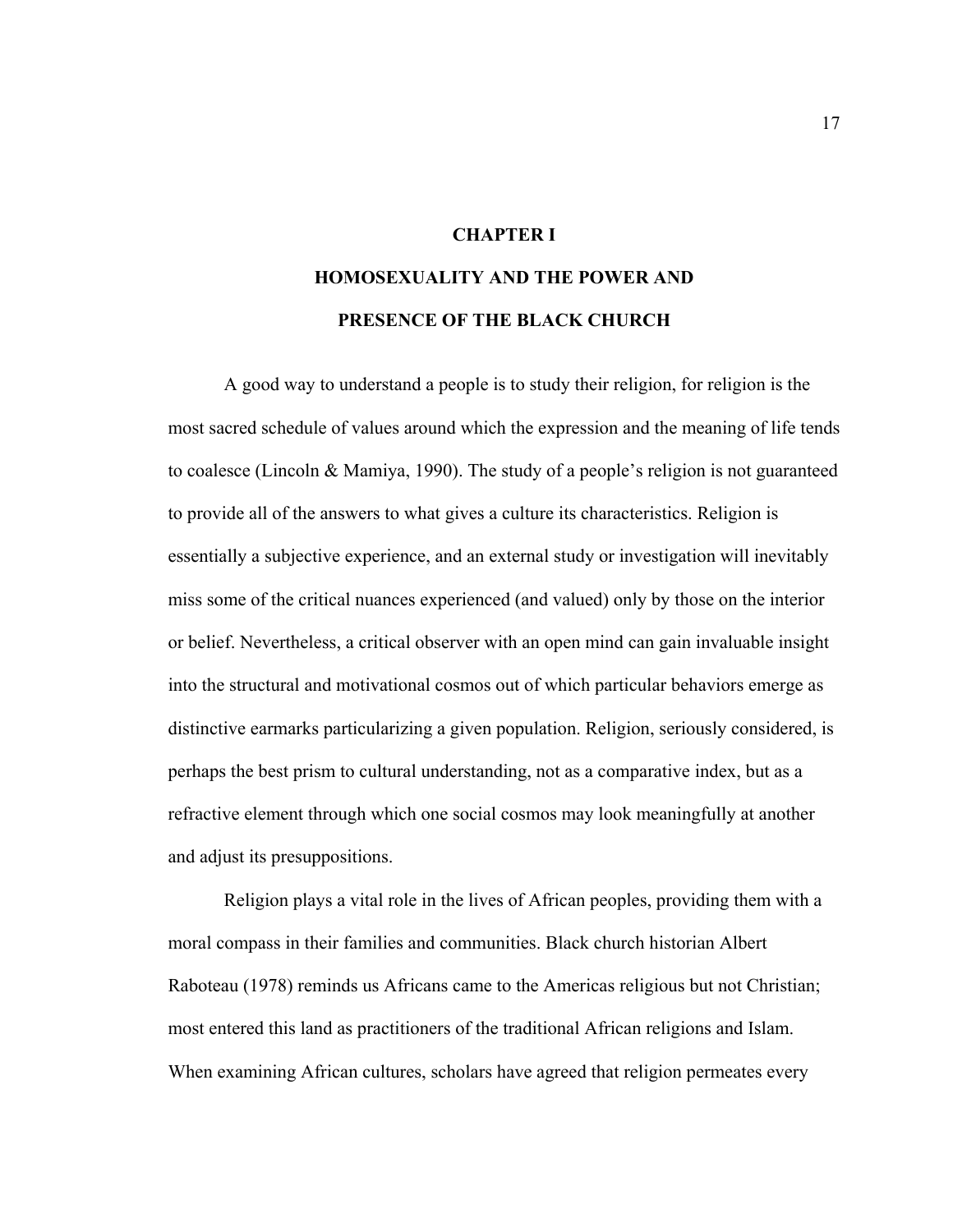## **CHAPTER I**

## **HOMOSEXUALITY AND THE POWER AND PRESENCE OF THE BLACK CHURCH**

A good way to understand a people is to study their religion, for religion is the most sacred schedule of values around which the expression and the meaning of life tends to coalesce (Lincoln & Mamiya, 1990). The study of a people's religion is not guaranteed to provide all of the answers to what gives a culture its characteristics. Religion is essentially a subjective experience, and an external study or investigation will inevitably miss some of the critical nuances experienced (and valued) only by those on the interior or belief. Nevertheless, a critical observer with an open mind can gain invaluable insight into the structural and motivational cosmos out of which particular behaviors emerge as distinctive earmarks particularizing a given population. Religion, seriously considered, is perhaps the best prism to cultural understanding, not as a comparative index, but as a refractive element through which one social cosmos may look meaningfully at another and adjust its presuppositions.

 Religion plays a vital role in the lives of African peoples, providing them with a moral compass in their families and communities. Black church historian Albert Raboteau (1978) reminds us Africans came to the Americas religious but not Christian; most entered this land as practitioners of the traditional African religions and Islam. When examining African cultures, scholars have agreed that religion permeates every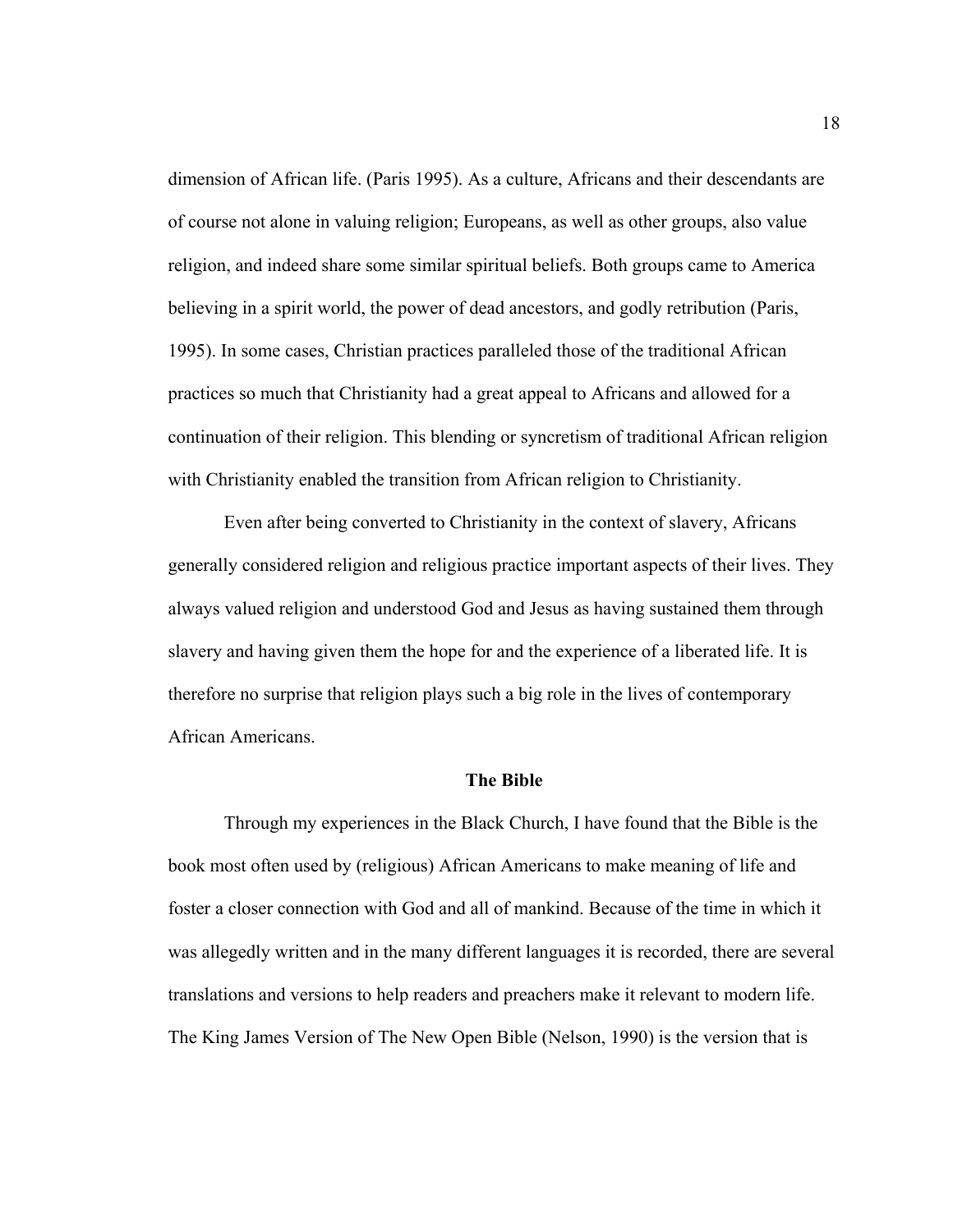dimension of African life. (Paris 1995). As a culture, Africans and their descendants are of course not alone in valuing religion; Europeans, as well as other groups, also value religion, and indeed share some similar spiritual beliefs. Both groups came to America believing in a spirit world, the power of dead ancestors, and godly retribution (Paris, 1995). In some cases, Christian practices paralleled those of the traditional African practices so much that Christianity had a great appeal to Africans and allowed for a continuation of their religion. This blending or syncretism of traditional African religion with Christianity enabled the transition from African religion to Christianity.

 Even after being converted to Christianity in the context of slavery, Africans generally considered religion and religious practice important aspects of their lives. They always valued religion and understood God and Jesus as having sustained them through slavery and having given them the hope for and the experience of a liberated life. It is therefore no surprise that religion plays such a big role in the lives of contemporary African Americans.

### **The Bible**

Through my experiences in the Black Church, I have found that the Bible is the book most often used by (religious) African Americans to make meaning of life and foster a closer connection with God and all of mankind. Because of the time in which it was allegedly written and in the many different languages it is recorded, there are several translations and versions to help readers and preachers make it relevant to modern life. The King James Version of The New Open Bible (Nelson, 1990) is the version that is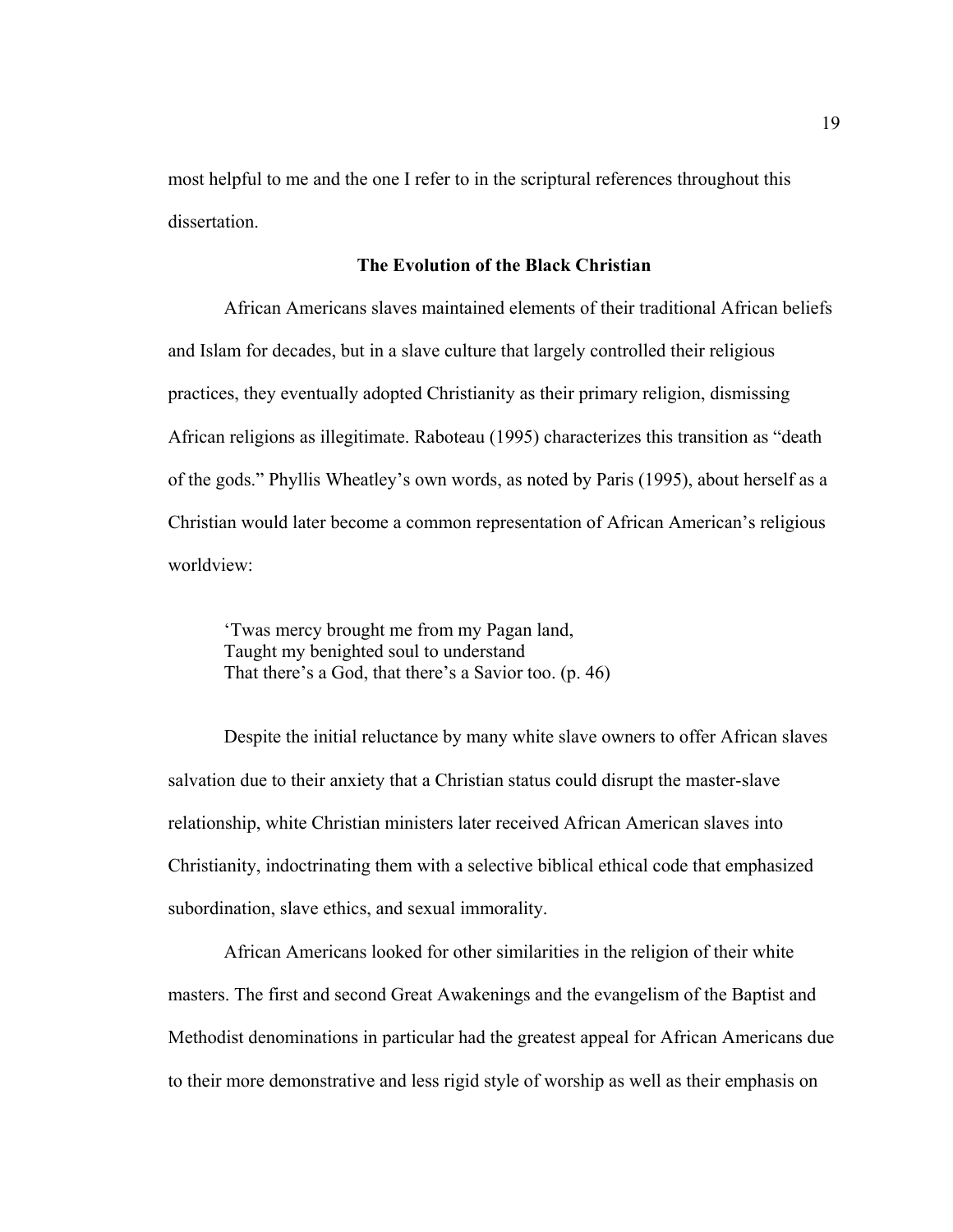most helpful to me and the one I refer to in the scriptural references throughout this dissertation.

## **The Evolution of the Black Christian**

 African Americans slaves maintained elements of their traditional African beliefs and Islam for decades, but in a slave culture that largely controlled their religious practices, they eventually adopted Christianity as their primary religion, dismissing African religions as illegitimate. Raboteau (1995) characterizes this transition as "death of the gods." Phyllis Wheatley's own words, as noted by Paris (1995), about herself as a Christian would later become a common representation of African American's religious worldview:

 'Twas mercy brought me from my Pagan land, Taught my benighted soul to understand That there's a God, that there's a Savior too. (p. 46)

Despite the initial reluctance by many white slave owners to offer African slaves salvation due to their anxiety that a Christian status could disrupt the master-slave relationship, white Christian ministers later received African American slaves into Christianity, indoctrinating them with a selective biblical ethical code that emphasized subordination, slave ethics, and sexual immorality.

African Americans looked for other similarities in the religion of their white masters. The first and second Great Awakenings and the evangelism of the Baptist and Methodist denominations in particular had the greatest appeal for African Americans due to their more demonstrative and less rigid style of worship as well as their emphasis on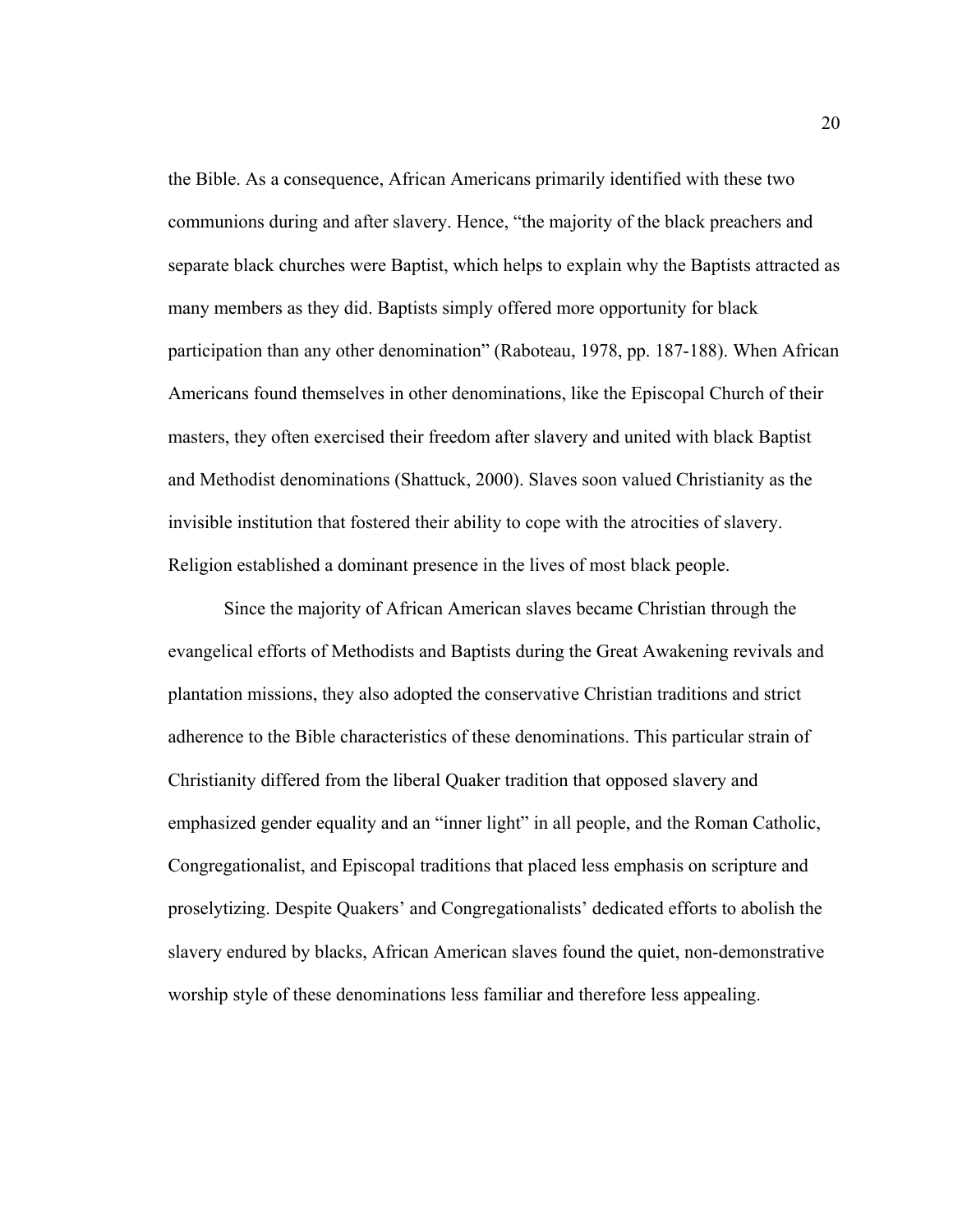the Bible. As a consequence, African Americans primarily identified with these two communions during and after slavery. Hence, "the majority of the black preachers and separate black churches were Baptist, which helps to explain why the Baptists attracted as many members as they did. Baptists simply offered more opportunity for black participation than any other denomination" (Raboteau, 1978, pp. 187-188). When African Americans found themselves in other denominations, like the Episcopal Church of their masters, they often exercised their freedom after slavery and united with black Baptist and Methodist denominations (Shattuck, 2000). Slaves soon valued Christianity as the invisible institution that fostered their ability to cope with the atrocities of slavery. Religion established a dominant presence in the lives of most black people.

Since the majority of African American slaves became Christian through the evangelical efforts of Methodists and Baptists during the Great Awakening revivals and plantation missions, they also adopted the conservative Christian traditions and strict adherence to the Bible characteristics of these denominations. This particular strain of Christianity differed from the liberal Quaker tradition that opposed slavery and emphasized gender equality and an "inner light" in all people, and the Roman Catholic, Congregationalist, and Episcopal traditions that placed less emphasis on scripture and proselytizing. Despite Quakers' and Congregationalists' dedicated efforts to abolish the slavery endured by blacks, African American slaves found the quiet, non-demonstrative worship style of these denominations less familiar and therefore less appealing.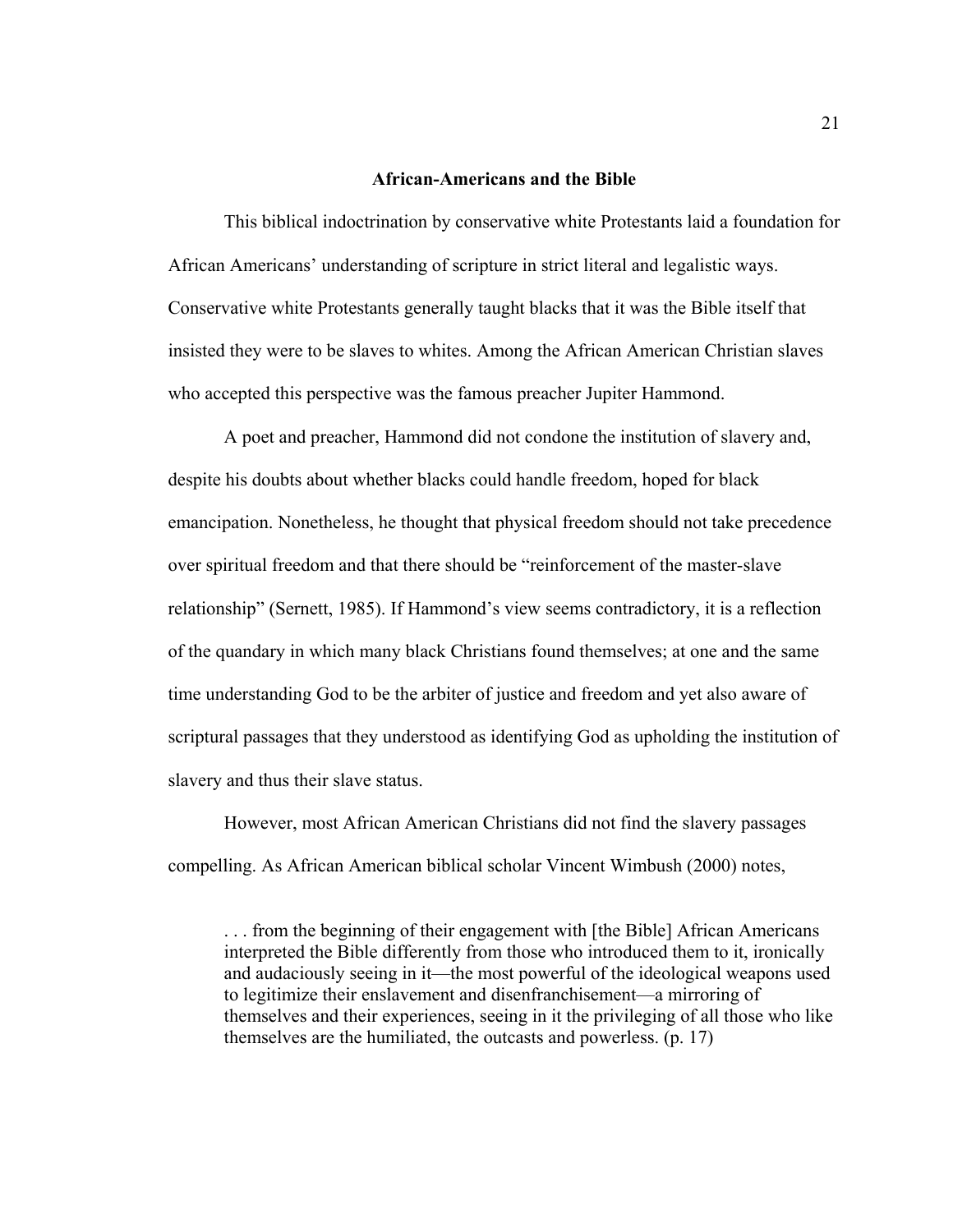## **African-Americans and the Bible**

This biblical indoctrination by conservative white Protestants laid a foundation for African Americans' understanding of scripture in strict literal and legalistic ways. Conservative white Protestants generally taught blacks that it was the Bible itself that insisted they were to be slaves to whites. Among the African American Christian slaves who accepted this perspective was the famous preacher Jupiter Hammond.

A poet and preacher, Hammond did not condone the institution of slavery and, despite his doubts about whether blacks could handle freedom, hoped for black emancipation. Nonetheless, he thought that physical freedom should not take precedence over spiritual freedom and that there should be "reinforcement of the master-slave relationship" (Sernett, 1985). If Hammond's view seems contradictory, it is a reflection of the quandary in which many black Christians found themselves; at one and the same time understanding God to be the arbiter of justice and freedom and yet also aware of scriptural passages that they understood as identifying God as upholding the institution of slavery and thus their slave status.

However, most African American Christians did not find the slavery passages compelling. As African American biblical scholar Vincent Wimbush (2000) notes,

. . . from the beginning of their engagement with [the Bible] African Americans interpreted the Bible differently from those who introduced them to it, ironically and audaciously seeing in it—the most powerful of the ideological weapons used to legitimize their enslavement and disenfranchisement—a mirroring of themselves and their experiences, seeing in it the privileging of all those who like themselves are the humiliated, the outcasts and powerless. (p. 17)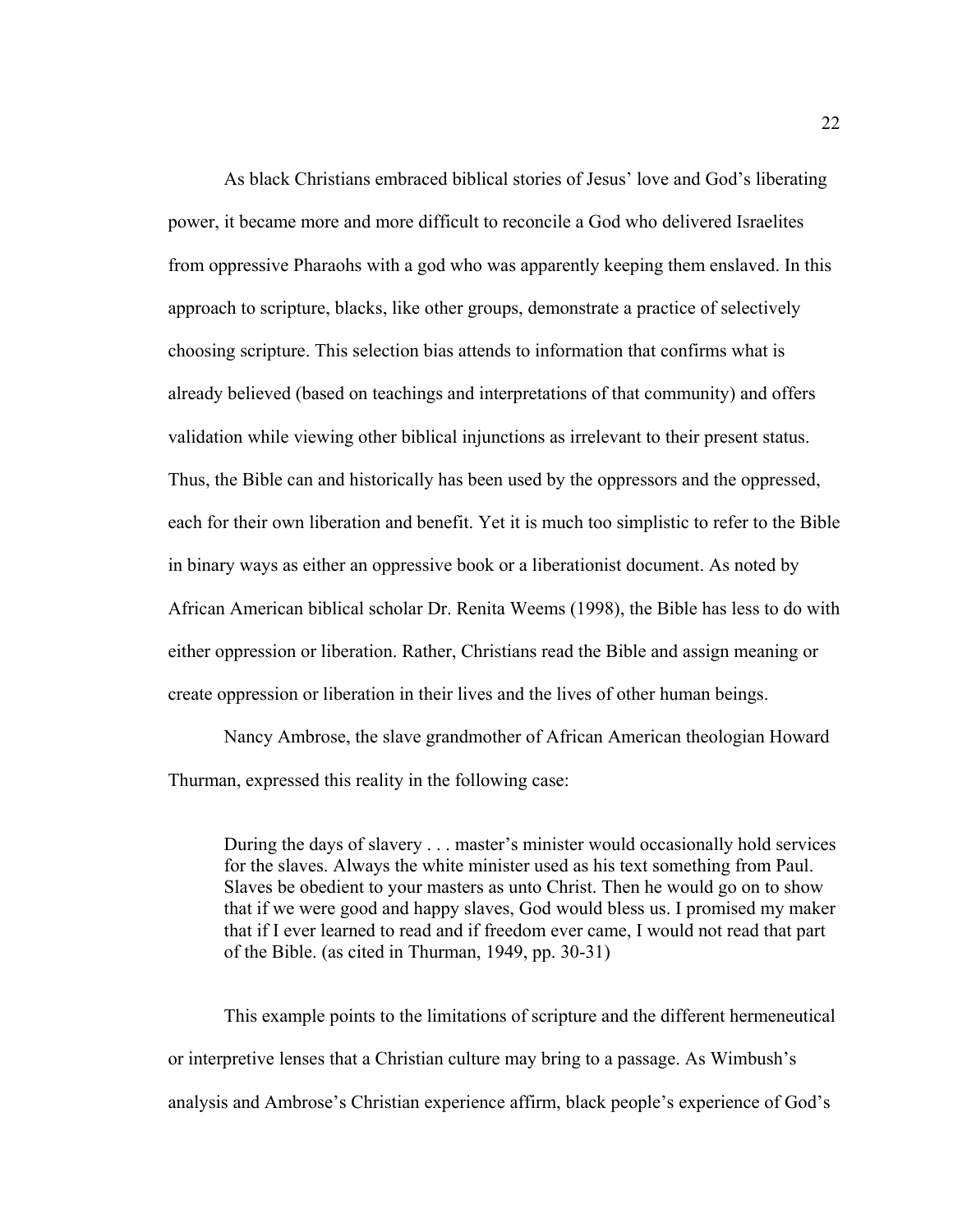As black Christians embraced biblical stories of Jesus' love and God's liberating power, it became more and more difficult to reconcile a God who delivered Israelites from oppressive Pharaohs with a god who was apparently keeping them enslaved. In this approach to scripture, blacks, like other groups, demonstrate a practice of selectively choosing scripture. This selection bias attends to information that confirms what is already believed (based on teachings and interpretations of that community) and offers validation while viewing other biblical injunctions as irrelevant to their present status. Thus, the Bible can and historically has been used by the oppressors and the oppressed, each for their own liberation and benefit. Yet it is much too simplistic to refer to the Bible in binary ways as either an oppressive book or a liberationist document. As noted by African American biblical scholar Dr. Renita Weems (1998), the Bible has less to do with either oppression or liberation. Rather, Christians read the Bible and assign meaning or create oppression or liberation in their lives and the lives of other human beings.

 Nancy Ambrose, the slave grandmother of African American theologian Howard Thurman, expressed this reality in the following case:

During the days of slavery . . . master's minister would occasionally hold services for the slaves. Always the white minister used as his text something from Paul. Slaves be obedient to your masters as unto Christ. Then he would go on to show that if we were good and happy slaves, God would bless us. I promised my maker that if I ever learned to read and if freedom ever came, I would not read that part of the Bible. (as cited in Thurman, 1949, pp. 30-31)

 This example points to the limitations of scripture and the different hermeneutical or interpretive lenses that a Christian culture may bring to a passage. As Wimbush's analysis and Ambrose's Christian experience affirm, black people's experience of God's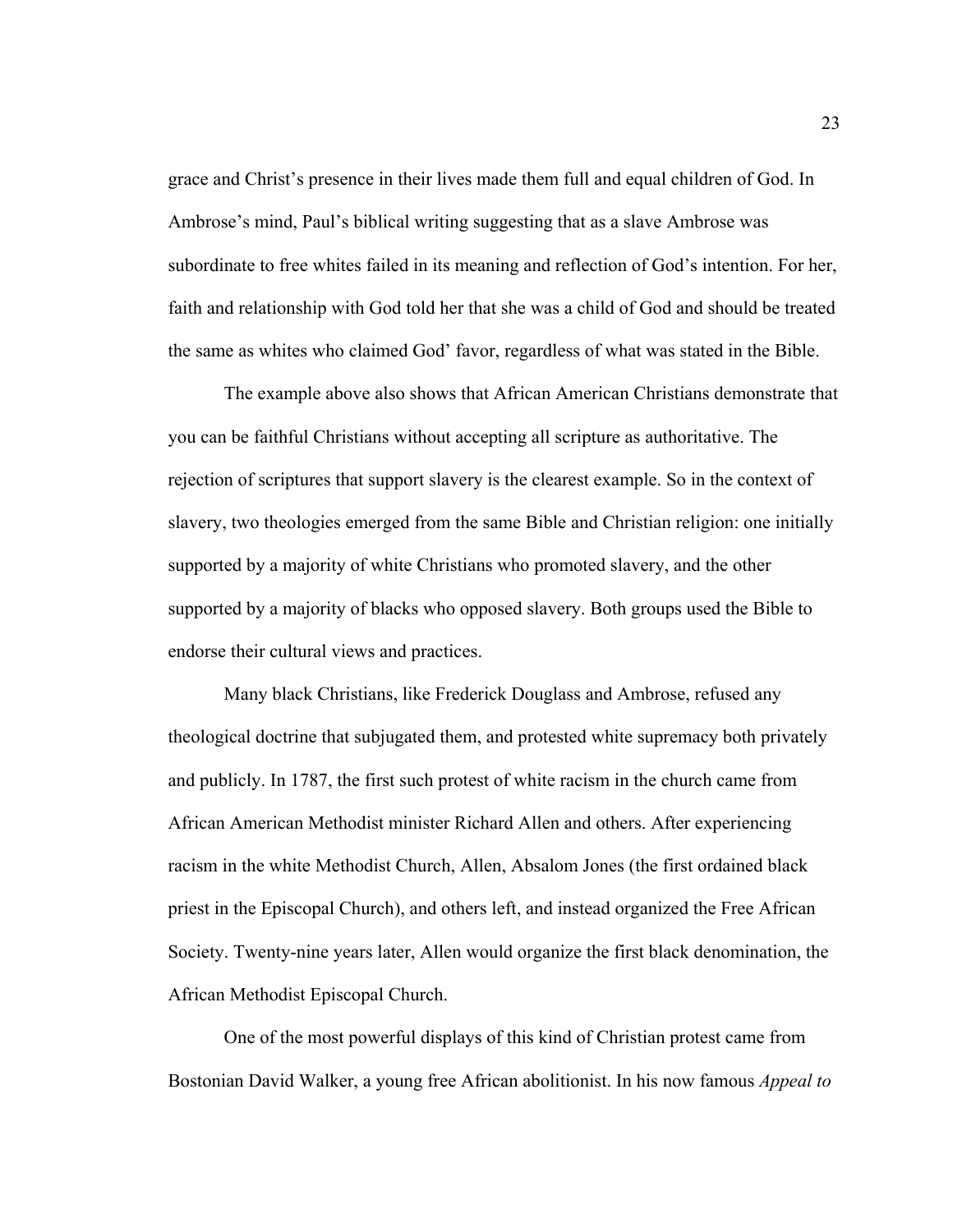grace and Christ's presence in their lives made them full and equal children of God. In Ambrose's mind, Paul's biblical writing suggesting that as a slave Ambrose was subordinate to free whites failed in its meaning and reflection of God's intention. For her, faith and relationship with God told her that she was a child of God and should be treated the same as whites who claimed God' favor, regardless of what was stated in the Bible.

 The example above also shows that African American Christians demonstrate that you can be faithful Christians without accepting all scripture as authoritative. The rejection of scriptures that support slavery is the clearest example. So in the context of slavery, two theologies emerged from the same Bible and Christian religion: one initially supported by a majority of white Christians who promoted slavery, and the other supported by a majority of blacks who opposed slavery. Both groups used the Bible to endorse their cultural views and practices.

 Many black Christians, like Frederick Douglass and Ambrose, refused any theological doctrine that subjugated them, and protested white supremacy both privately and publicly. In 1787, the first such protest of white racism in the church came from African American Methodist minister Richard Allen and others. After experiencing racism in the white Methodist Church, Allen, Absalom Jones (the first ordained black priest in the Episcopal Church), and others left, and instead organized the Free African Society. Twenty-nine years later, Allen would organize the first black denomination, the African Methodist Episcopal Church.

 One of the most powerful displays of this kind of Christian protest came from Bostonian David Walker, a young free African abolitionist. In his now famous *Appeal to*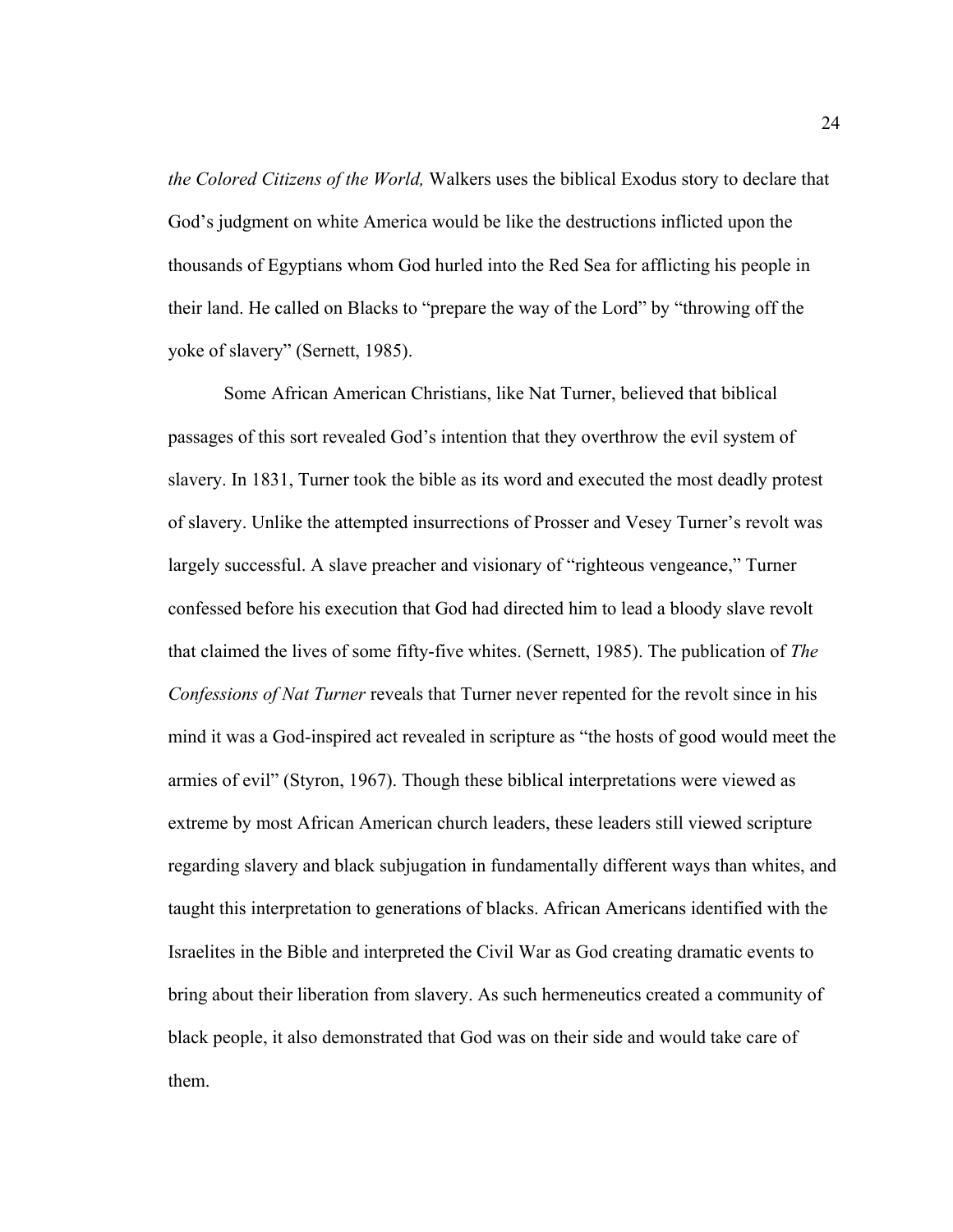*the Colored Citizens of the World,* Walkers uses the biblical Exodus story to declare that God's judgment on white America would be like the destructions inflicted upon the thousands of Egyptians whom God hurled into the Red Sea for afflicting his people in their land. He called on Blacks to "prepare the way of the Lord" by "throwing off the yoke of slavery" (Sernett, 1985).

 Some African American Christians, like Nat Turner, believed that biblical passages of this sort revealed God's intention that they overthrow the evil system of slavery. In 1831, Turner took the bible as its word and executed the most deadly protest of slavery. Unlike the attempted insurrections of Prosser and Vesey Turner's revolt was largely successful. A slave preacher and visionary of "righteous vengeance," Turner confessed before his execution that God had directed him to lead a bloody slave revolt that claimed the lives of some fifty-five whites. (Sernett, 1985). The publication of *The Confessions of Nat Turner* reveals that Turner never repented for the revolt since in his mind it was a God-inspired act revealed in scripture as "the hosts of good would meet the armies of evil" (Styron, 1967). Though these biblical interpretations were viewed as extreme by most African American church leaders, these leaders still viewed scripture regarding slavery and black subjugation in fundamentally different ways than whites, and taught this interpretation to generations of blacks. African Americans identified with the Israelites in the Bible and interpreted the Civil War as God creating dramatic events to bring about their liberation from slavery. As such hermeneutics created a community of black people, it also demonstrated that God was on their side and would take care of them.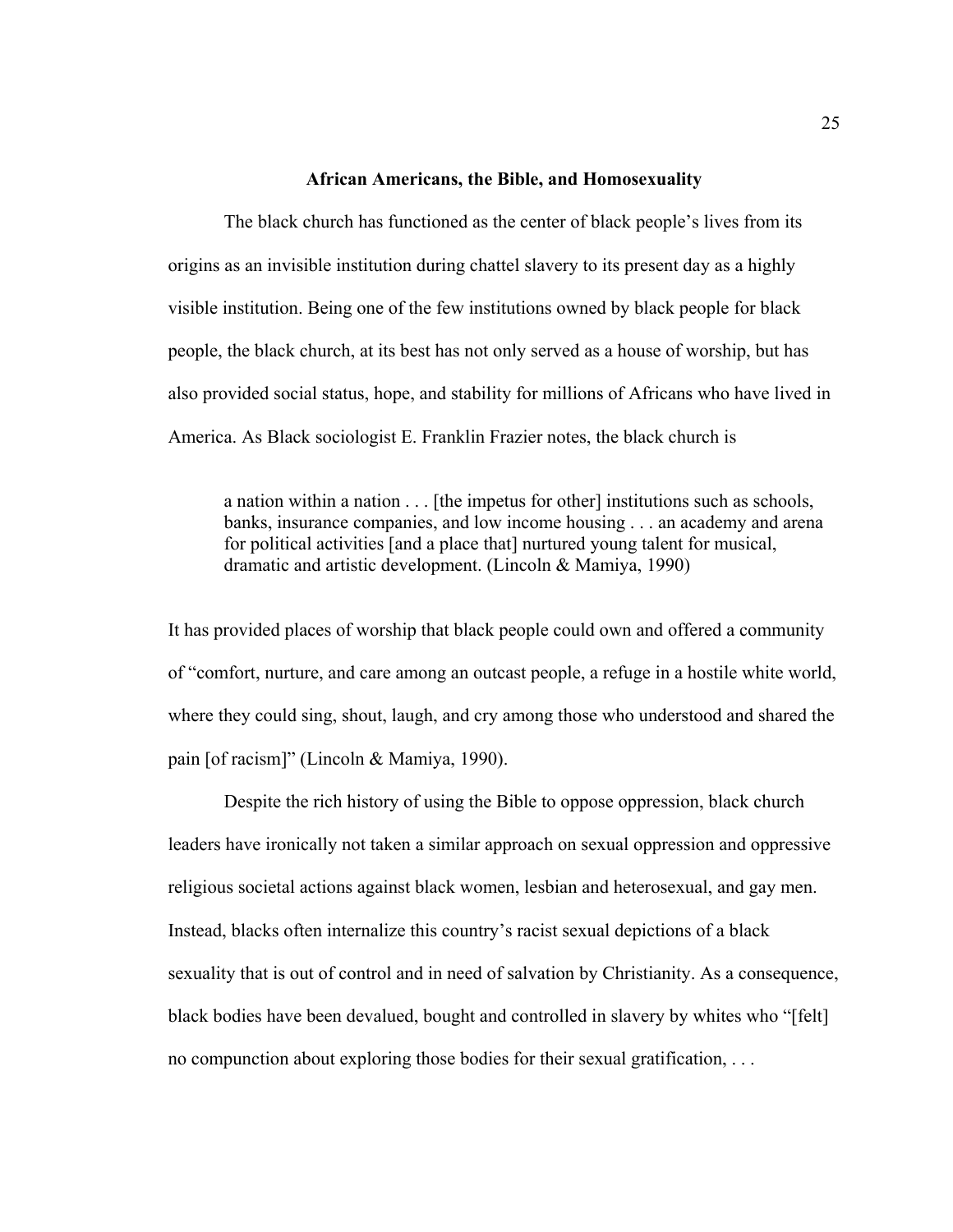#### **African Americans, the Bible, and Homosexuality**

 The black church has functioned as the center of black people's lives from its origins as an invisible institution during chattel slavery to its present day as a highly visible institution. Being one of the few institutions owned by black people for black people, the black church, at its best has not only served as a house of worship, but has also provided social status, hope, and stability for millions of Africans who have lived in America. As Black sociologist E. Franklin Frazier notes, the black church is

a nation within a nation . . . [the impetus for other] institutions such as schools, banks, insurance companies, and low income housing . . . an academy and arena for political activities [and a place that] nurtured young talent for musical, dramatic and artistic development. (Lincoln & Mamiya, 1990)

It has provided places of worship that black people could own and offered a community of "comfort, nurture, and care among an outcast people, a refuge in a hostile white world, where they could sing, shout, laugh, and cry among those who understood and shared the pain [of racism]" (Lincoln & Mamiya, 1990).

 Despite the rich history of using the Bible to oppose oppression, black church leaders have ironically not taken a similar approach on sexual oppression and oppressive religious societal actions against black women, lesbian and heterosexual, and gay men. Instead, blacks often internalize this country's racist sexual depictions of a black sexuality that is out of control and in need of salvation by Christianity. As a consequence, black bodies have been devalued, bought and controlled in slavery by whites who "[felt] no compunction about exploring those bodies for their sexual gratification, . . .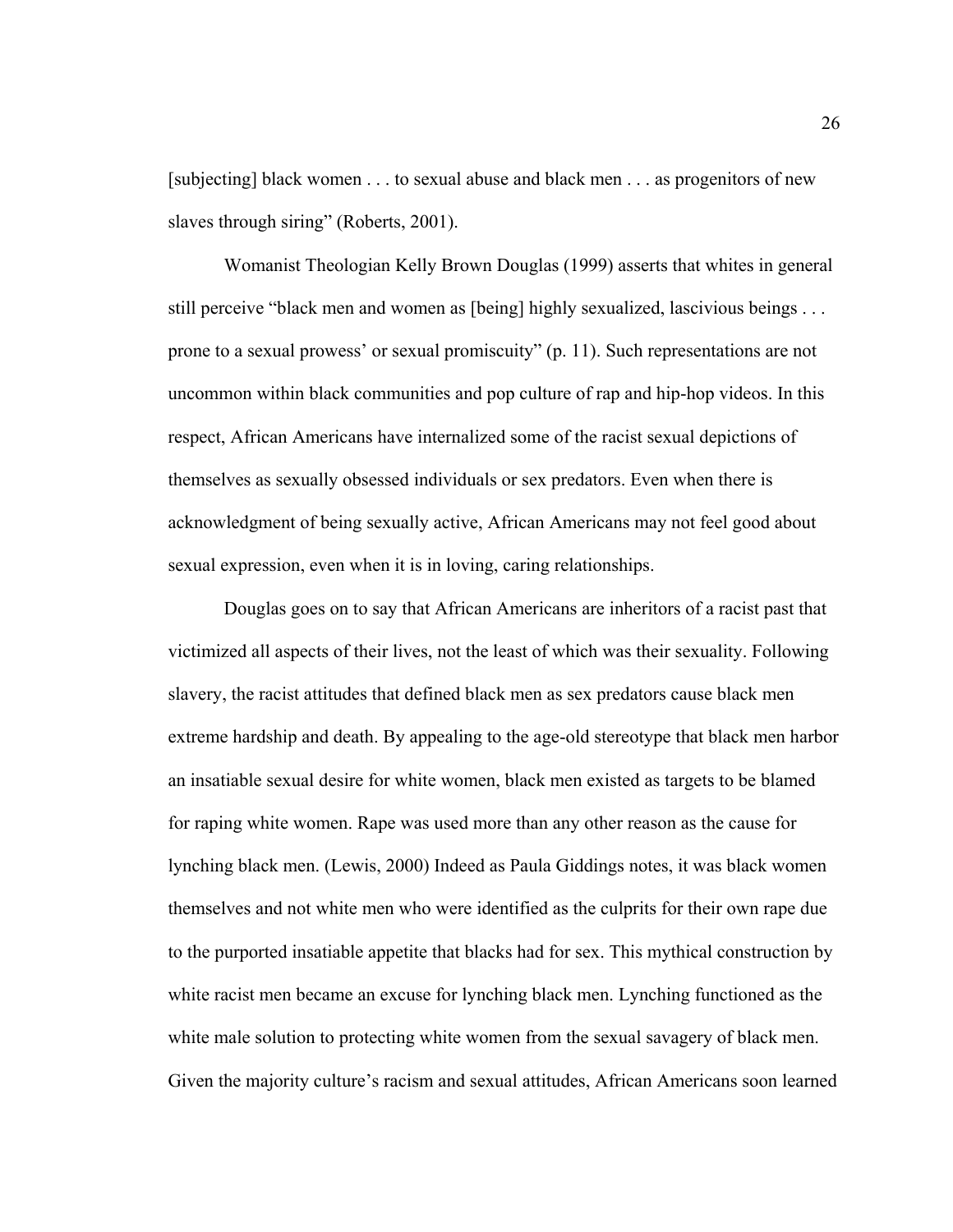[subjecting] black women . . . to sexual abuse and black men . . . as progenitors of new slaves through siring" (Roberts, 2001).

 Womanist Theologian Kelly Brown Douglas (1999) asserts that whites in general still perceive "black men and women as [being] highly sexualized, lascivious beings . . . prone to a sexual prowess' or sexual promiscuity" (p. 11). Such representations are not uncommon within black communities and pop culture of rap and hip-hop videos. In this respect, African Americans have internalized some of the racist sexual depictions of themselves as sexually obsessed individuals or sex predators. Even when there is acknowledgment of being sexually active, African Americans may not feel good about sexual expression, even when it is in loving, caring relationships.

 Douglas goes on to say that African Americans are inheritors of a racist past that victimized all aspects of their lives, not the least of which was their sexuality. Following slavery, the racist attitudes that defined black men as sex predators cause black men extreme hardship and death. By appealing to the age-old stereotype that black men harbor an insatiable sexual desire for white women, black men existed as targets to be blamed for raping white women. Rape was used more than any other reason as the cause for lynching black men. (Lewis, 2000) Indeed as Paula Giddings notes, it was black women themselves and not white men who were identified as the culprits for their own rape due to the purported insatiable appetite that blacks had for sex. This mythical construction by white racist men became an excuse for lynching black men. Lynching functioned as the white male solution to protecting white women from the sexual savagery of black men. Given the majority culture's racism and sexual attitudes, African Americans soon learned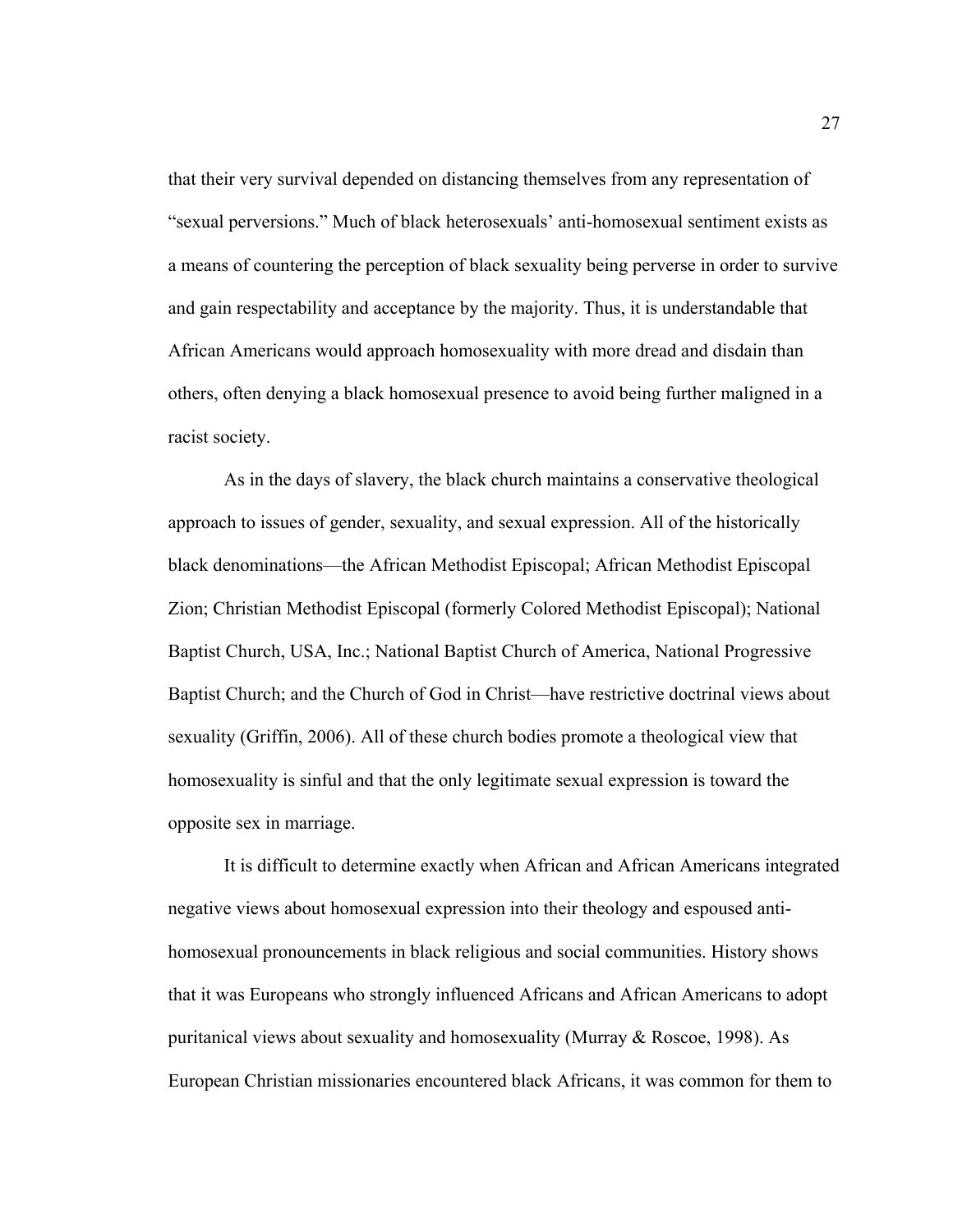that their very survival depended on distancing themselves from any representation of "sexual perversions." Much of black heterosexuals' anti-homosexual sentiment exists as a means of countering the perception of black sexuality being perverse in order to survive and gain respectability and acceptance by the majority. Thus, it is understandable that African Americans would approach homosexuality with more dread and disdain than others, often denying a black homosexual presence to avoid being further maligned in a racist society.

 As in the days of slavery, the black church maintains a conservative theological approach to issues of gender, sexuality, and sexual expression. All of the historically black denominations—the African Methodist Episcopal; African Methodist Episcopal Zion; Christian Methodist Episcopal (formerly Colored Methodist Episcopal); National Baptist Church, USA, Inc.; National Baptist Church of America, National Progressive Baptist Church; and the Church of God in Christ—have restrictive doctrinal views about sexuality (Griffin, 2006). All of these church bodies promote a theological view that homosexuality is sinful and that the only legitimate sexual expression is toward the opposite sex in marriage.

 It is difficult to determine exactly when African and African Americans integrated negative views about homosexual expression into their theology and espoused antihomosexual pronouncements in black religious and social communities. History shows that it was Europeans who strongly influenced Africans and African Americans to adopt puritanical views about sexuality and homosexuality (Murray & Roscoe, 1998). As European Christian missionaries encountered black Africans, it was common for them to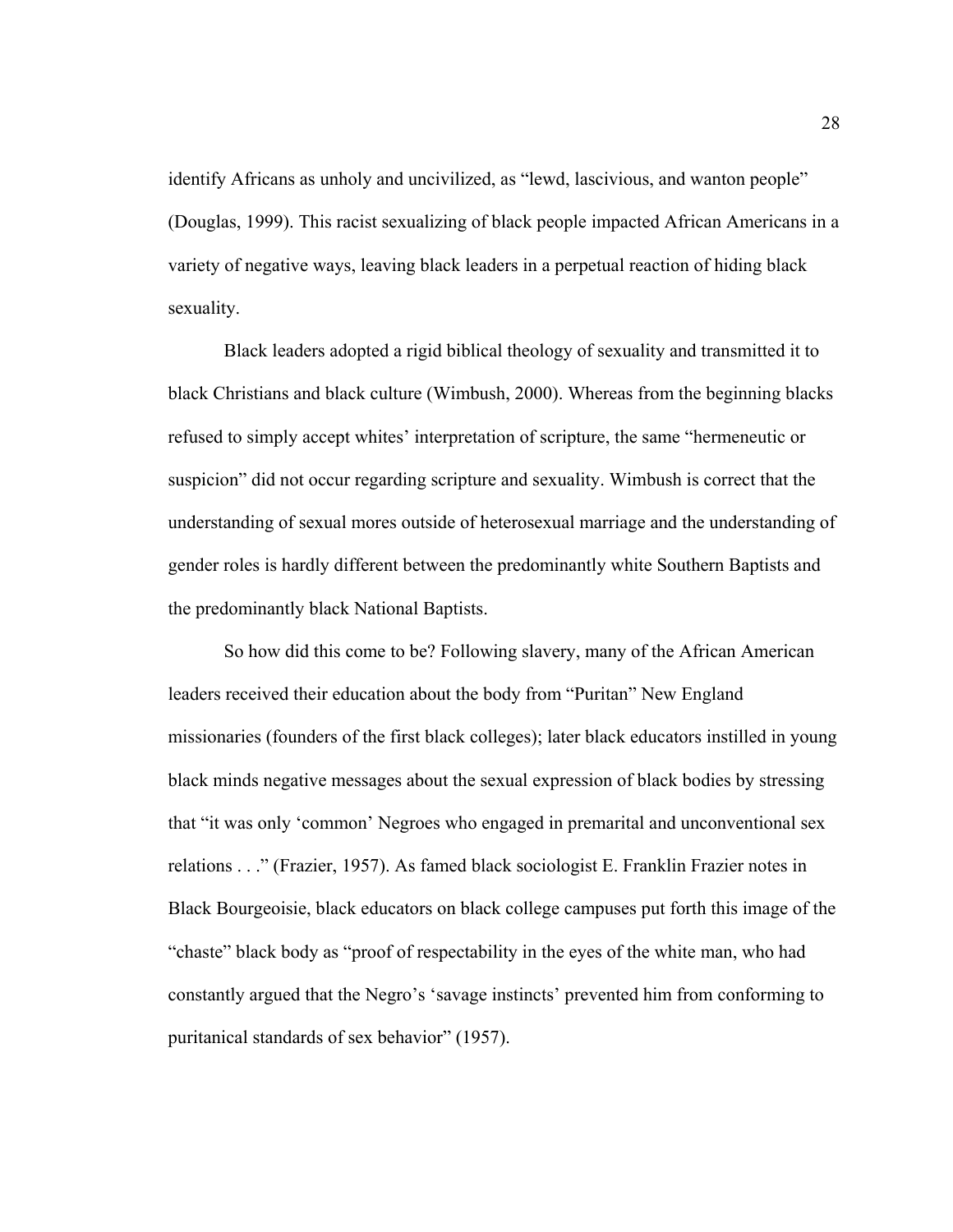identify Africans as unholy and uncivilized, as "lewd, lascivious, and wanton people" (Douglas, 1999). This racist sexualizing of black people impacted African Americans in a variety of negative ways, leaving black leaders in a perpetual reaction of hiding black sexuality.

 Black leaders adopted a rigid biblical theology of sexuality and transmitted it to black Christians and black culture (Wimbush, 2000). Whereas from the beginning blacks refused to simply accept whites' interpretation of scripture, the same "hermeneutic or suspicion" did not occur regarding scripture and sexuality. Wimbush is correct that the understanding of sexual mores outside of heterosexual marriage and the understanding of gender roles is hardly different between the predominantly white Southern Baptists and the predominantly black National Baptists.

So how did this come to be? Following slavery, many of the African American leaders received their education about the body from "Puritan" New England missionaries (founders of the first black colleges); later black educators instilled in young black minds negative messages about the sexual expression of black bodies by stressing that "it was only 'common' Negroes who engaged in premarital and unconventional sex relations . . ." (Frazier, 1957). As famed black sociologist E. Franklin Frazier notes in Black Bourgeoisie, black educators on black college campuses put forth this image of the "chaste" black body as "proof of respectability in the eyes of the white man, who had constantly argued that the Negro's 'savage instincts' prevented him from conforming to puritanical standards of sex behavior" (1957).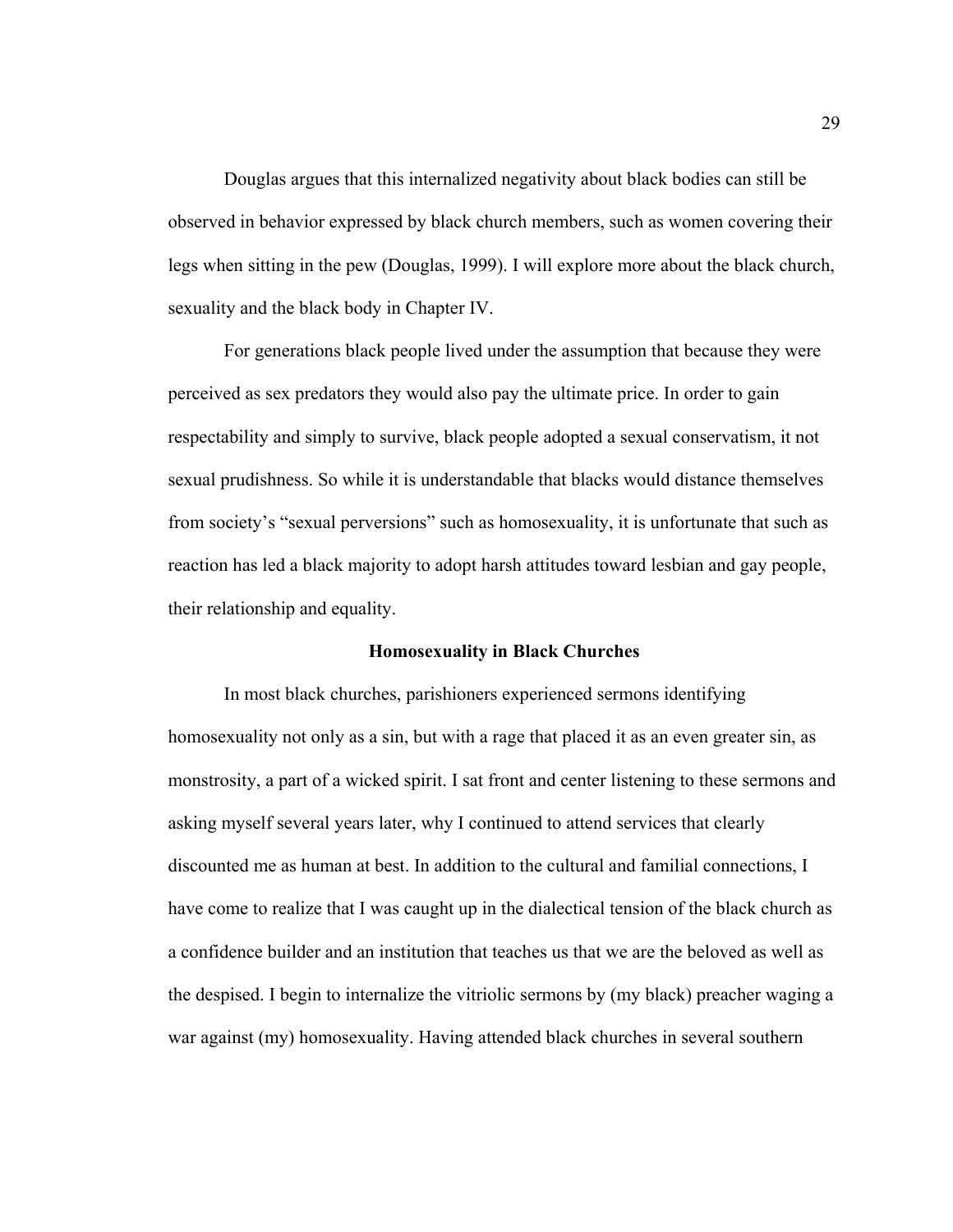Douglas argues that this internalized negativity about black bodies can still be observed in behavior expressed by black church members, such as women covering their legs when sitting in the pew (Douglas, 1999). I will explore more about the black church, sexuality and the black body in Chapter IV.

For generations black people lived under the assumption that because they were perceived as sex predators they would also pay the ultimate price. In order to gain respectability and simply to survive, black people adopted a sexual conservatism, it not sexual prudishness. So while it is understandable that blacks would distance themselves from society's "sexual perversions" such as homosexuality, it is unfortunate that such as reaction has led a black majority to adopt harsh attitudes toward lesbian and gay people, their relationship and equality.

### **Homosexuality in Black Churches**

 In most black churches, parishioners experienced sermons identifying homosexuality not only as a sin, but with a rage that placed it as an even greater sin, as monstrosity, a part of a wicked spirit. I sat front and center listening to these sermons and asking myself several years later, why I continued to attend services that clearly discounted me as human at best. In addition to the cultural and familial connections, I have come to realize that I was caught up in the dialectical tension of the black church as a confidence builder and an institution that teaches us that we are the beloved as well as the despised. I begin to internalize the vitriolic sermons by (my black) preacher waging a war against (my) homosexuality. Having attended black churches in several southern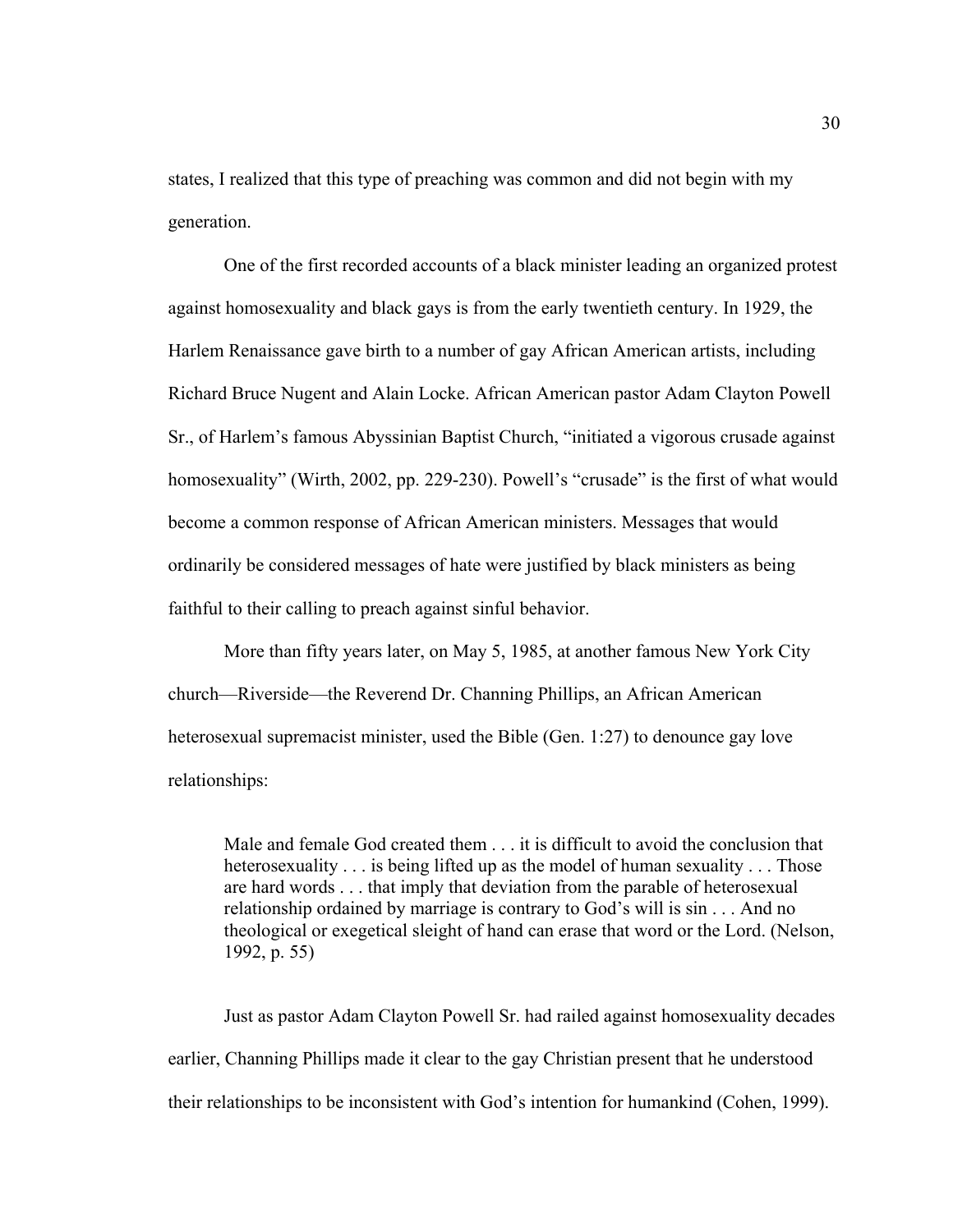states, I realized that this type of preaching was common and did not begin with my generation.

One of the first recorded accounts of a black minister leading an organized protest against homosexuality and black gays is from the early twentieth century. In 1929, the Harlem Renaissance gave birth to a number of gay African American artists, including Richard Bruce Nugent and Alain Locke. African American pastor Adam Clayton Powell Sr., of Harlem's famous Abyssinian Baptist Church, "initiated a vigorous crusade against homosexuality" (Wirth, 2002, pp. 229-230). Powell's "crusade" is the first of what would become a common response of African American ministers. Messages that would ordinarily be considered messages of hate were justified by black ministers as being faithful to their calling to preach against sinful behavior.

 More than fifty years later, on May 5, 1985, at another famous New York City church—Riverside—the Reverend Dr. Channing Phillips, an African American heterosexual supremacist minister, used the Bible (Gen. 1:27) to denounce gay love relationships:

Male and female God created them . . . it is difficult to avoid the conclusion that heterosexuality . . . is being lifted up as the model of human sexuality . . . Those are hard words . . . that imply that deviation from the parable of heterosexual relationship ordained by marriage is contrary to God's will is sin . . . And no theological or exegetical sleight of hand can erase that word or the Lord. (Nelson, 1992, p. 55)

 Just as pastor Adam Clayton Powell Sr. had railed against homosexuality decades earlier, Channing Phillips made it clear to the gay Christian present that he understood their relationships to be inconsistent with God's intention for humankind (Cohen, 1999).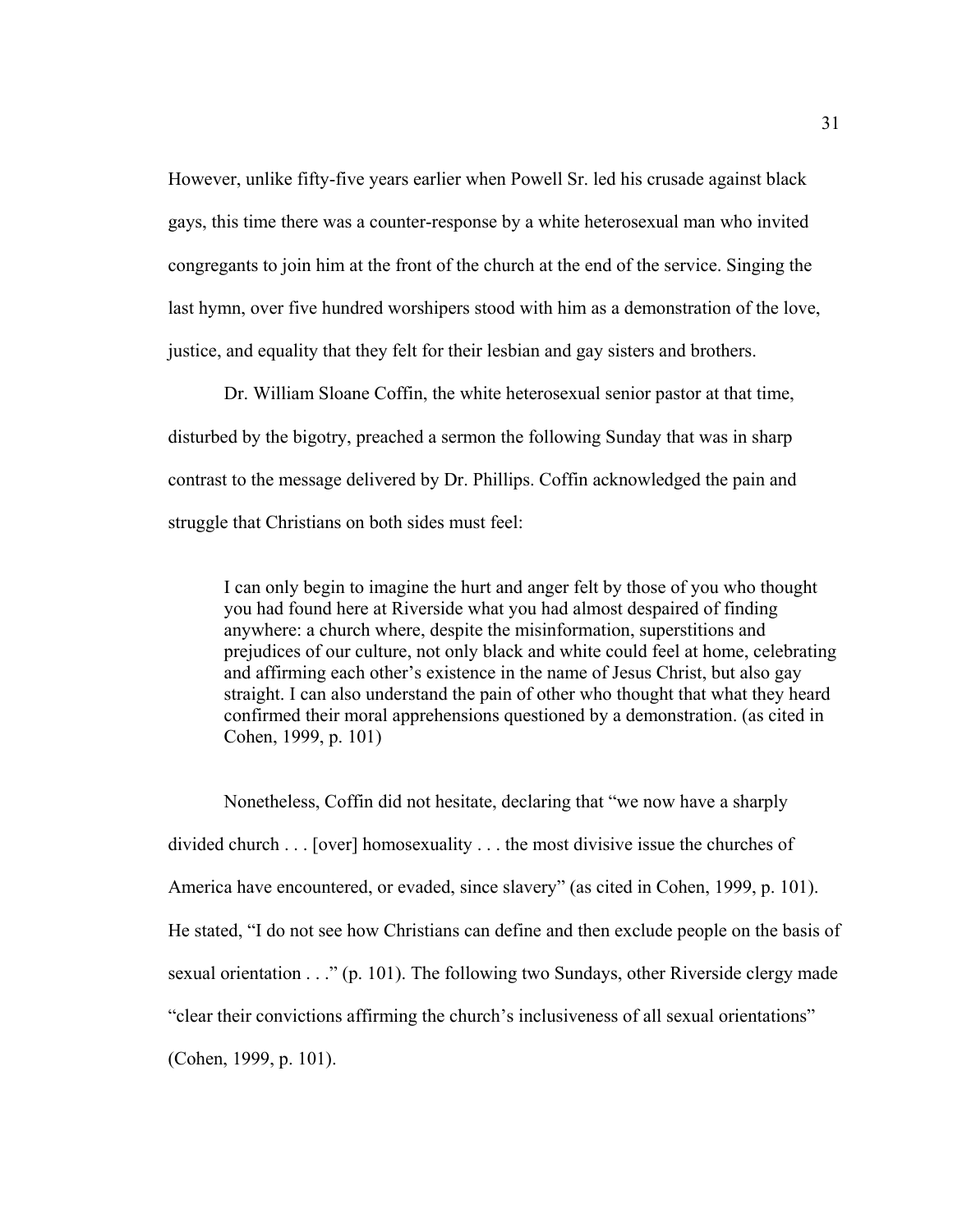However, unlike fifty-five years earlier when Powell Sr. led his crusade against black gays, this time there was a counter-response by a white heterosexual man who invited congregants to join him at the front of the church at the end of the service. Singing the last hymn, over five hundred worshipers stood with him as a demonstration of the love, justice, and equality that they felt for their lesbian and gay sisters and brothers.

 Dr. William Sloane Coffin, the white heterosexual senior pastor at that time, disturbed by the bigotry, preached a sermon the following Sunday that was in sharp contrast to the message delivered by Dr. Phillips. Coffin acknowledged the pain and struggle that Christians on both sides must feel:

I can only begin to imagine the hurt and anger felt by those of you who thought you had found here at Riverside what you had almost despaired of finding anywhere: a church where, despite the misinformation, superstitions and prejudices of our culture, not only black and white could feel at home, celebrating and affirming each other's existence in the name of Jesus Christ, but also gay straight. I can also understand the pain of other who thought that what they heard confirmed their moral apprehensions questioned by a demonstration. (as cited in Cohen, 1999, p. 101)

Nonetheless, Coffin did not hesitate, declaring that "we now have a sharply divided church . . . [over] homosexuality . . . the most divisive issue the churches of America have encountered, or evaded, since slavery" (as cited in Cohen, 1999, p. 101). He stated, "I do not see how Christians can define and then exclude people on the basis of sexual orientation . . ." (p. 101). The following two Sundays, other Riverside clergy made "clear their convictions affirming the church's inclusiveness of all sexual orientations" (Cohen, 1999, p. 101).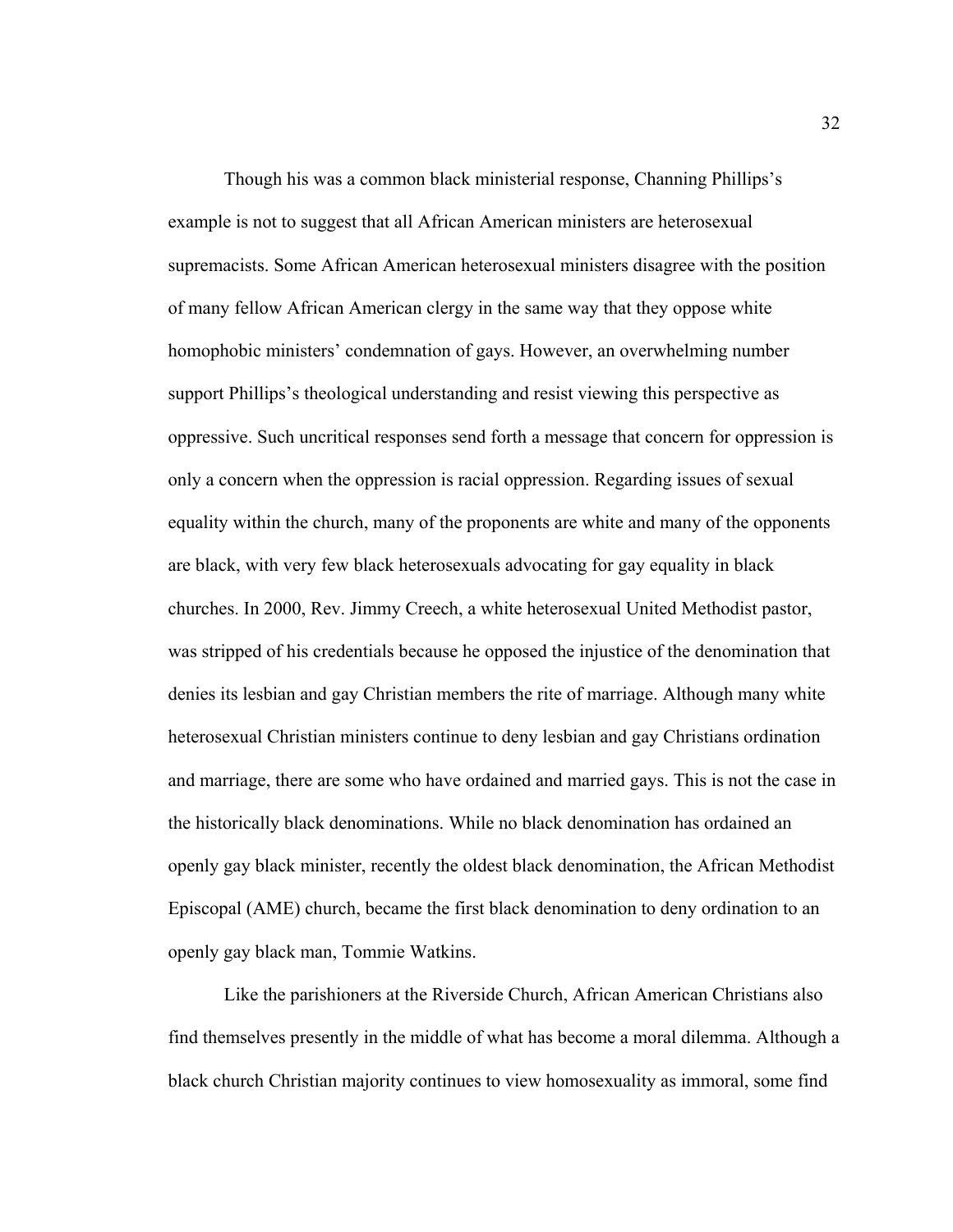Though his was a common black ministerial response, Channing Phillips's example is not to suggest that all African American ministers are heterosexual supremacists. Some African American heterosexual ministers disagree with the position of many fellow African American clergy in the same way that they oppose white homophobic ministers' condemnation of gays. However, an overwhelming number support Phillips's theological understanding and resist viewing this perspective as oppressive. Such uncritical responses send forth a message that concern for oppression is only a concern when the oppression is racial oppression. Regarding issues of sexual equality within the church, many of the proponents are white and many of the opponents are black, with very few black heterosexuals advocating for gay equality in black churches. In 2000, Rev. Jimmy Creech, a white heterosexual United Methodist pastor, was stripped of his credentials because he opposed the injustice of the denomination that denies its lesbian and gay Christian members the rite of marriage. Although many white heterosexual Christian ministers continue to deny lesbian and gay Christians ordination and marriage, there are some who have ordained and married gays. This is not the case in the historically black denominations. While no black denomination has ordained an openly gay black minister, recently the oldest black denomination, the African Methodist Episcopal (AME) church, became the first black denomination to deny ordination to an openly gay black man, Tommie Watkins.

 Like the parishioners at the Riverside Church, African American Christians also find themselves presently in the middle of what has become a moral dilemma. Although a black church Christian majority continues to view homosexuality as immoral, some find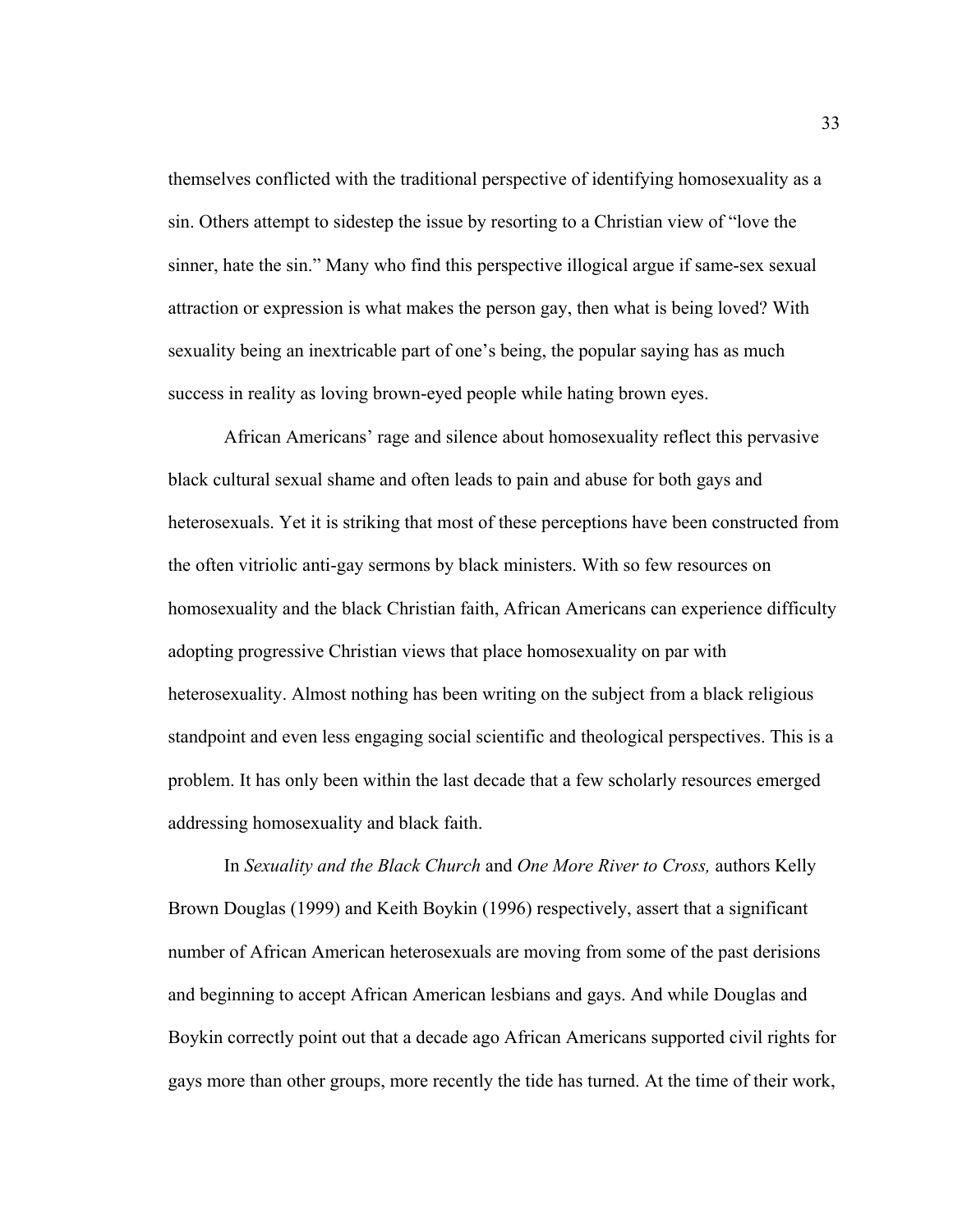themselves conflicted with the traditional perspective of identifying homosexuality as a sin. Others attempt to sidestep the issue by resorting to a Christian view of "love the sinner, hate the sin." Many who find this perspective illogical argue if same-sex sexual attraction or expression is what makes the person gay, then what is being loved? With sexuality being an inextricable part of one's being, the popular saying has as much success in reality as loving brown-eyed people while hating brown eyes.

 African Americans' rage and silence about homosexuality reflect this pervasive black cultural sexual shame and often leads to pain and abuse for both gays and heterosexuals. Yet it is striking that most of these perceptions have been constructed from the often vitriolic anti-gay sermons by black ministers. With so few resources on homosexuality and the black Christian faith, African Americans can experience difficulty adopting progressive Christian views that place homosexuality on par with heterosexuality. Almost nothing has been writing on the subject from a black religious standpoint and even less engaging social scientific and theological perspectives. This is a problem. It has only been within the last decade that a few scholarly resources emerged addressing homosexuality and black faith.

 In *Sexuality and the Black Church* and *One More River to Cross,* authors Kelly Brown Douglas (1999) and Keith Boykin (1996) respectively, assert that a significant number of African American heterosexuals are moving from some of the past derisions and beginning to accept African American lesbians and gays. And while Douglas and Boykin correctly point out that a decade ago African Americans supported civil rights for gays more than other groups, more recently the tide has turned. At the time of their work,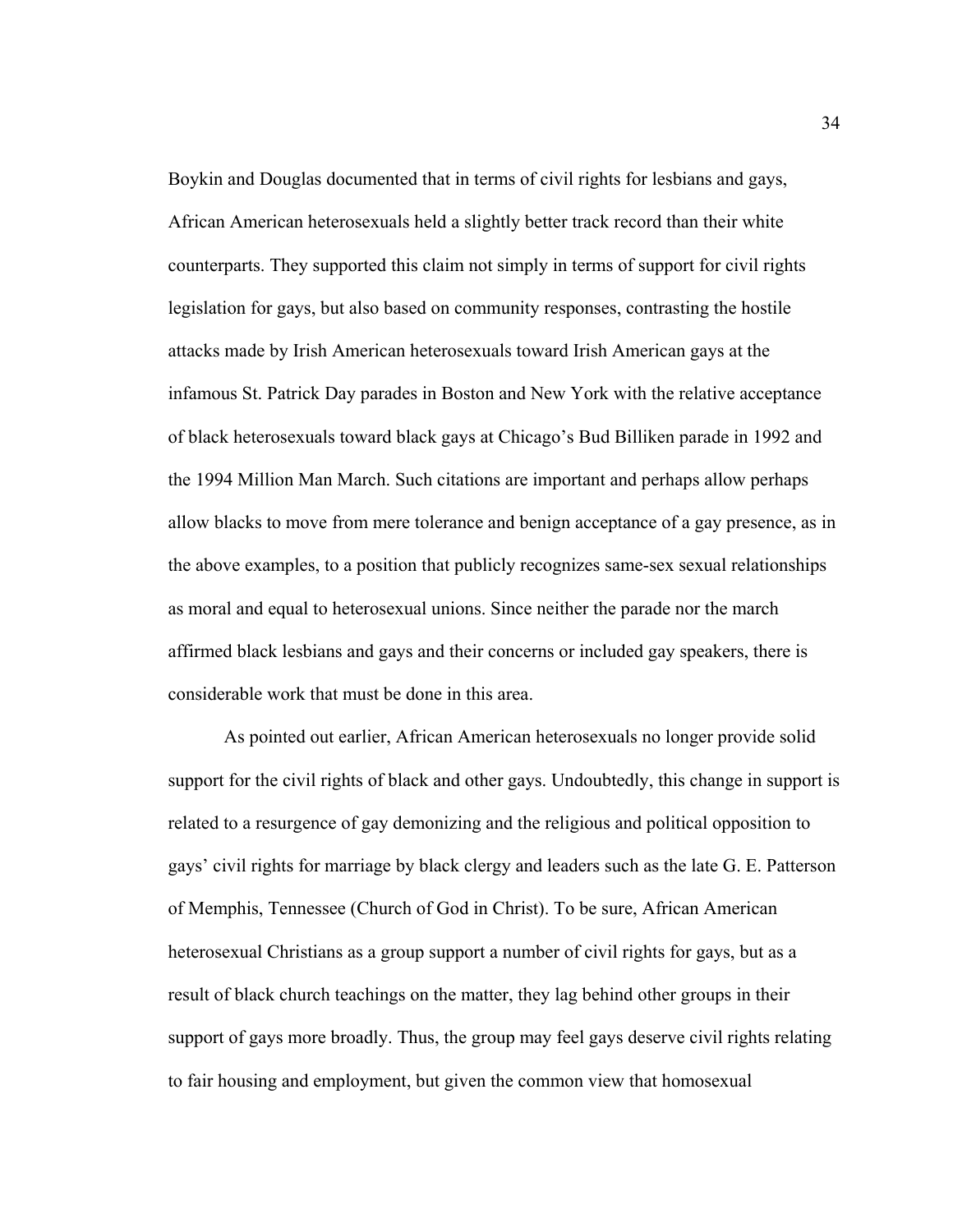Boykin and Douglas documented that in terms of civil rights for lesbians and gays, African American heterosexuals held a slightly better track record than their white counterparts. They supported this claim not simply in terms of support for civil rights legislation for gays, but also based on community responses, contrasting the hostile attacks made by Irish American heterosexuals toward Irish American gays at the infamous St. Patrick Day parades in Boston and New York with the relative acceptance of black heterosexuals toward black gays at Chicago's Bud Billiken parade in 1992 and the 1994 Million Man March. Such citations are important and perhaps allow perhaps allow blacks to move from mere tolerance and benign acceptance of a gay presence, as in the above examples, to a position that publicly recognizes same-sex sexual relationships as moral and equal to heterosexual unions. Since neither the parade nor the march affirmed black lesbians and gays and their concerns or included gay speakers, there is considerable work that must be done in this area.

As pointed out earlier, African American heterosexuals no longer provide solid support for the civil rights of black and other gays. Undoubtedly, this change in support is related to a resurgence of gay demonizing and the religious and political opposition to gays' civil rights for marriage by black clergy and leaders such as the late G. E. Patterson of Memphis, Tennessee (Church of God in Christ). To be sure, African American heterosexual Christians as a group support a number of civil rights for gays, but as a result of black church teachings on the matter, they lag behind other groups in their support of gays more broadly. Thus, the group may feel gays deserve civil rights relating to fair housing and employment, but given the common view that homosexual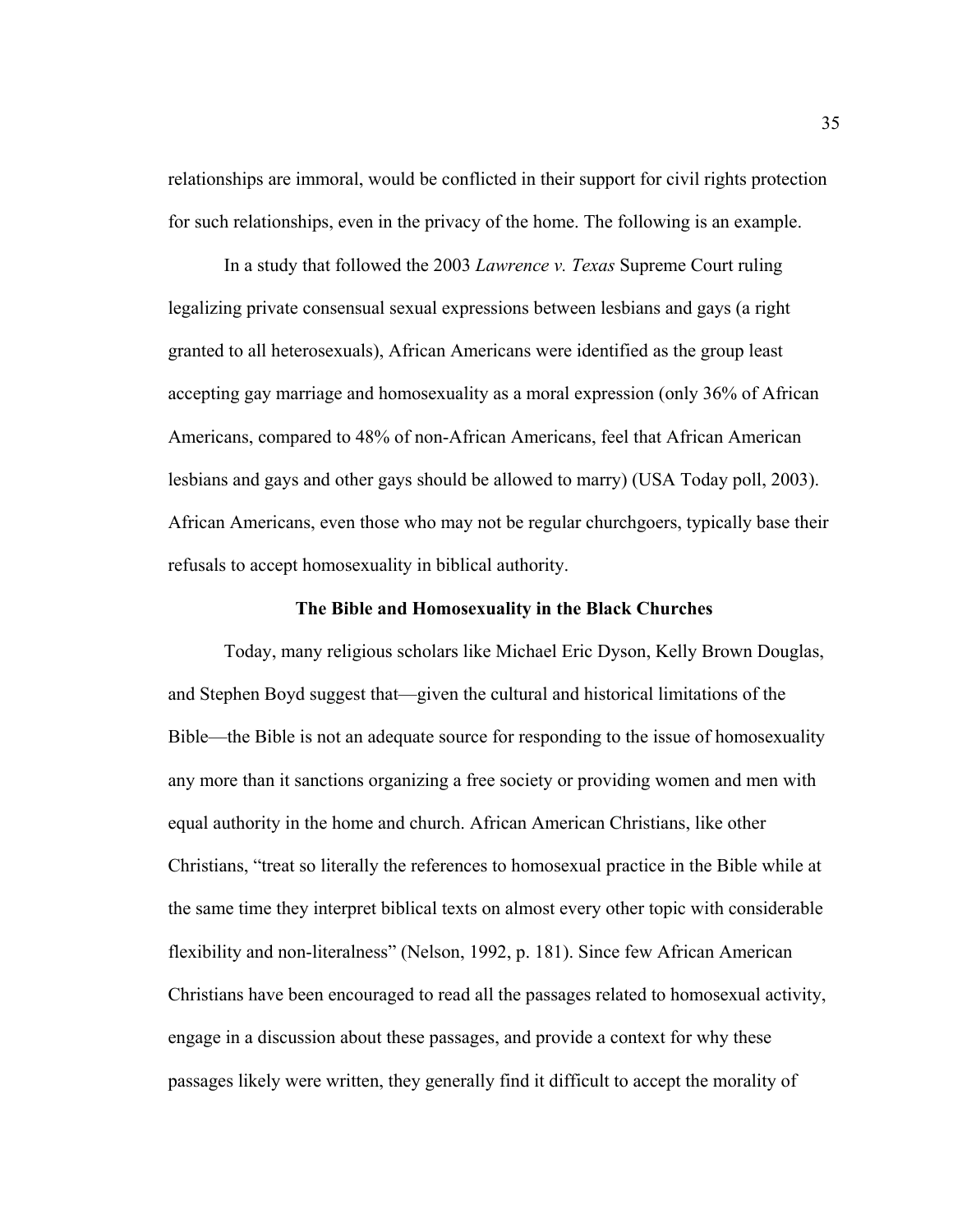relationships are immoral, would be conflicted in their support for civil rights protection for such relationships, even in the privacy of the home. The following is an example.

 In a study that followed the 2003 *Lawrence v. Texas* Supreme Court ruling legalizing private consensual sexual expressions between lesbians and gays (a right granted to all heterosexuals), African Americans were identified as the group least accepting gay marriage and homosexuality as a moral expression (only 36% of African Americans, compared to 48% of non-African Americans, feel that African American lesbians and gays and other gays should be allowed to marry) (USA Today poll, 2003). African Americans, even those who may not be regular churchgoers, typically base their refusals to accept homosexuality in biblical authority.

### **The Bible and Homosexuality in the Black Churches**

 Today, many religious scholars like Michael Eric Dyson, Kelly Brown Douglas, and Stephen Boyd suggest that—given the cultural and historical limitations of the Bible—the Bible is not an adequate source for responding to the issue of homosexuality any more than it sanctions organizing a free society or providing women and men with equal authority in the home and church. African American Christians, like other Christians, "treat so literally the references to homosexual practice in the Bible while at the same time they interpret biblical texts on almost every other topic with considerable flexibility and non-literalness" (Nelson, 1992, p. 181). Since few African American Christians have been encouraged to read all the passages related to homosexual activity, engage in a discussion about these passages, and provide a context for why these passages likely were written, they generally find it difficult to accept the morality of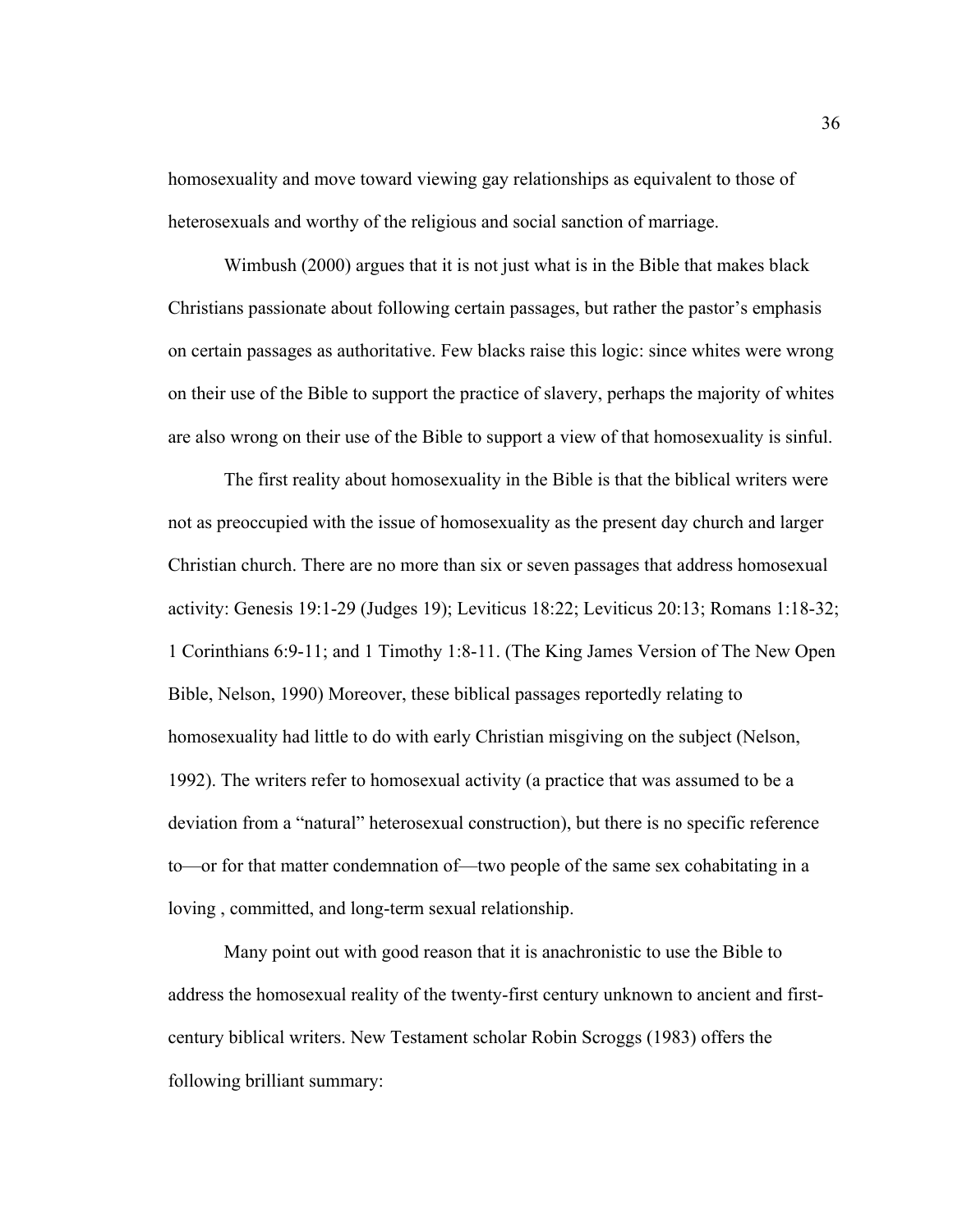homosexuality and move toward viewing gay relationships as equivalent to those of heterosexuals and worthy of the religious and social sanction of marriage.

 Wimbush (2000) argues that it is not just what is in the Bible that makes black Christians passionate about following certain passages, but rather the pastor's emphasis on certain passages as authoritative. Few blacks raise this logic: since whites were wrong on their use of the Bible to support the practice of slavery, perhaps the majority of whites are also wrong on their use of the Bible to support a view of that homosexuality is sinful.

 The first reality about homosexuality in the Bible is that the biblical writers were not as preoccupied with the issue of homosexuality as the present day church and larger Christian church. There are no more than six or seven passages that address homosexual activity: Genesis 19:1-29 (Judges 19); Leviticus 18:22; Leviticus 20:13; Romans 1:18-32; 1 Corinthians 6:9-11; and 1 Timothy 1:8-11. (The King James Version of The New Open Bible, Nelson, 1990) Moreover, these biblical passages reportedly relating to homosexuality had little to do with early Christian misgiving on the subject (Nelson, 1992). The writers refer to homosexual activity (a practice that was assumed to be a deviation from a "natural" heterosexual construction), but there is no specific reference to—or for that matter condemnation of—two people of the same sex cohabitating in a loving , committed, and long-term sexual relationship.

 Many point out with good reason that it is anachronistic to use the Bible to address the homosexual reality of the twenty-first century unknown to ancient and firstcentury biblical writers. New Testament scholar Robin Scroggs (1983) offers the following brilliant summary: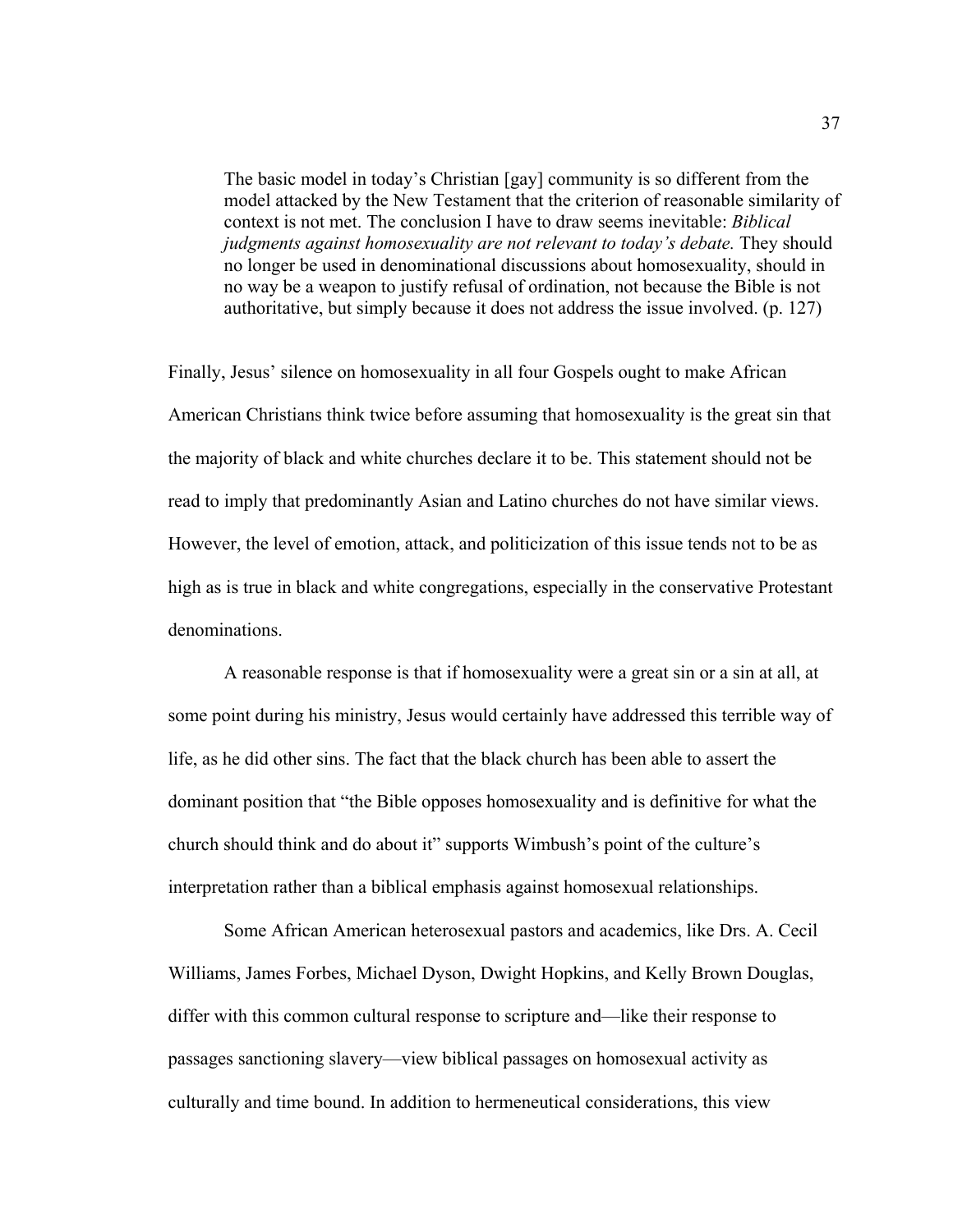The basic model in today's Christian [gay] community is so different from the model attacked by the New Testament that the criterion of reasonable similarity of context is not met. The conclusion I have to draw seems inevitable: *Biblical judgments against homosexuality are not relevant to today's debate.* They should no longer be used in denominational discussions about homosexuality, should in no way be a weapon to justify refusal of ordination, not because the Bible is not authoritative, but simply because it does not address the issue involved. (p. 127)

Finally, Jesus' silence on homosexuality in all four Gospels ought to make African American Christians think twice before assuming that homosexuality is the great sin that the majority of black and white churches declare it to be. This statement should not be read to imply that predominantly Asian and Latino churches do not have similar views. However, the level of emotion, attack, and politicization of this issue tends not to be as high as is true in black and white congregations, especially in the conservative Protestant denominations.

A reasonable response is that if homosexuality were a great sin or a sin at all, at some point during his ministry, Jesus would certainly have addressed this terrible way of life, as he did other sins. The fact that the black church has been able to assert the dominant position that "the Bible opposes homosexuality and is definitive for what the church should think and do about it" supports Wimbush's point of the culture's interpretation rather than a biblical emphasis against homosexual relationships.

 Some African American heterosexual pastors and academics, like Drs. A. Cecil Williams, James Forbes, Michael Dyson, Dwight Hopkins, and Kelly Brown Douglas, differ with this common cultural response to scripture and—like their response to passages sanctioning slavery—view biblical passages on homosexual activity as culturally and time bound. In addition to hermeneutical considerations, this view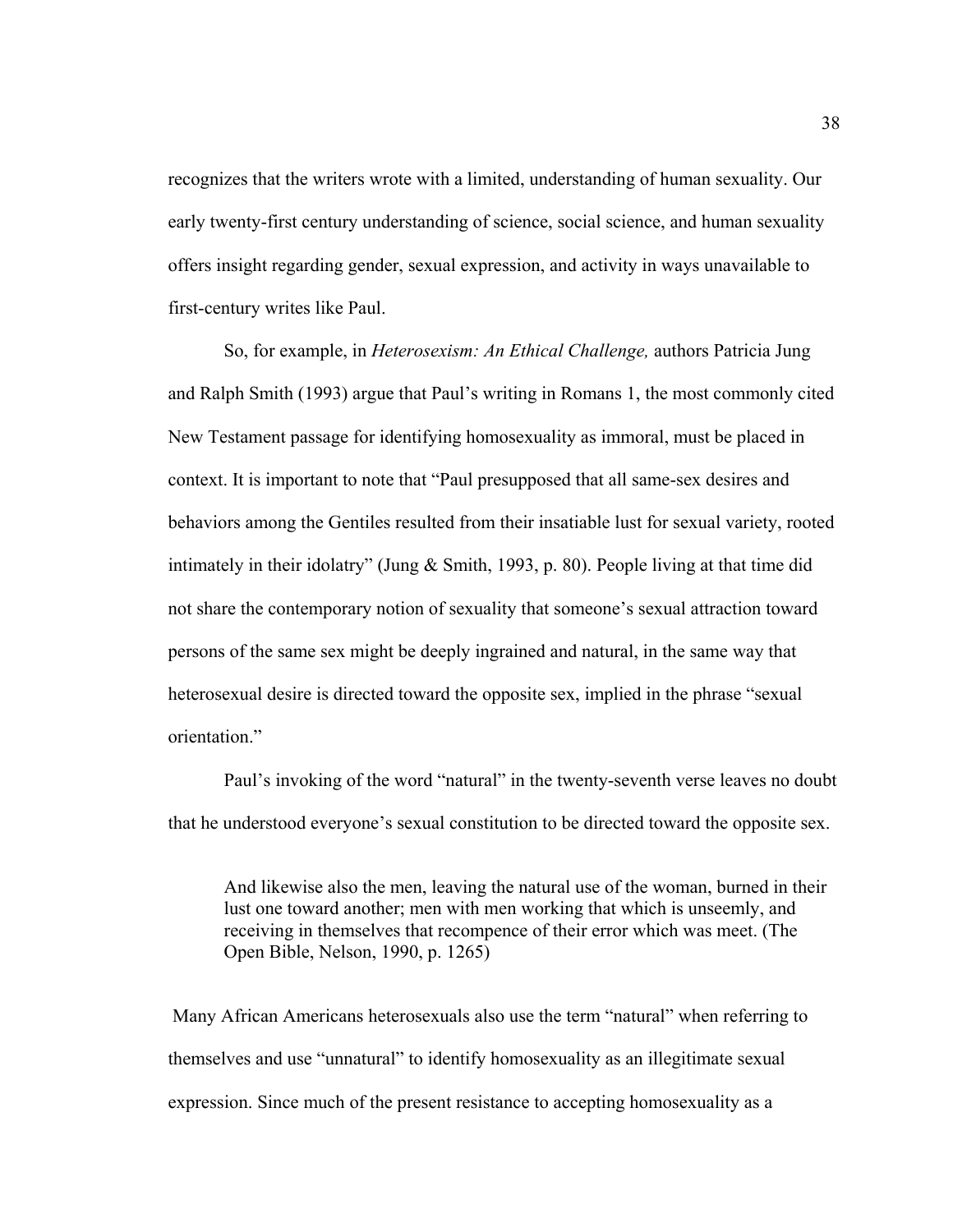recognizes that the writers wrote with a limited, understanding of human sexuality. Our early twenty-first century understanding of science, social science, and human sexuality offers insight regarding gender, sexual expression, and activity in ways unavailable to first-century writes like Paul.

 So, for example, in *Heterosexism: An Ethical Challenge,* authors Patricia Jung and Ralph Smith (1993) argue that Paul's writing in Romans 1, the most commonly cited New Testament passage for identifying homosexuality as immoral, must be placed in context. It is important to note that "Paul presupposed that all same-sex desires and behaviors among the Gentiles resulted from their insatiable lust for sexual variety, rooted intimately in their idolatry" (Jung & Smith, 1993, p. 80). People living at that time did not share the contemporary notion of sexuality that someone's sexual attraction toward persons of the same sex might be deeply ingrained and natural, in the same way that heterosexual desire is directed toward the opposite sex, implied in the phrase "sexual orientation."

Paul's invoking of the word "natural" in the twenty-seventh verse leaves no doubt that he understood everyone's sexual constitution to be directed toward the opposite sex.

And likewise also the men, leaving the natural use of the woman, burned in their lust one toward another; men with men working that which is unseemly, and receiving in themselves that recompence of their error which was meet. (The Open Bible, Nelson, 1990, p. 1265)

 Many African Americans heterosexuals also use the term "natural" when referring to themselves and use "unnatural" to identify homosexuality as an illegitimate sexual expression. Since much of the present resistance to accepting homosexuality as a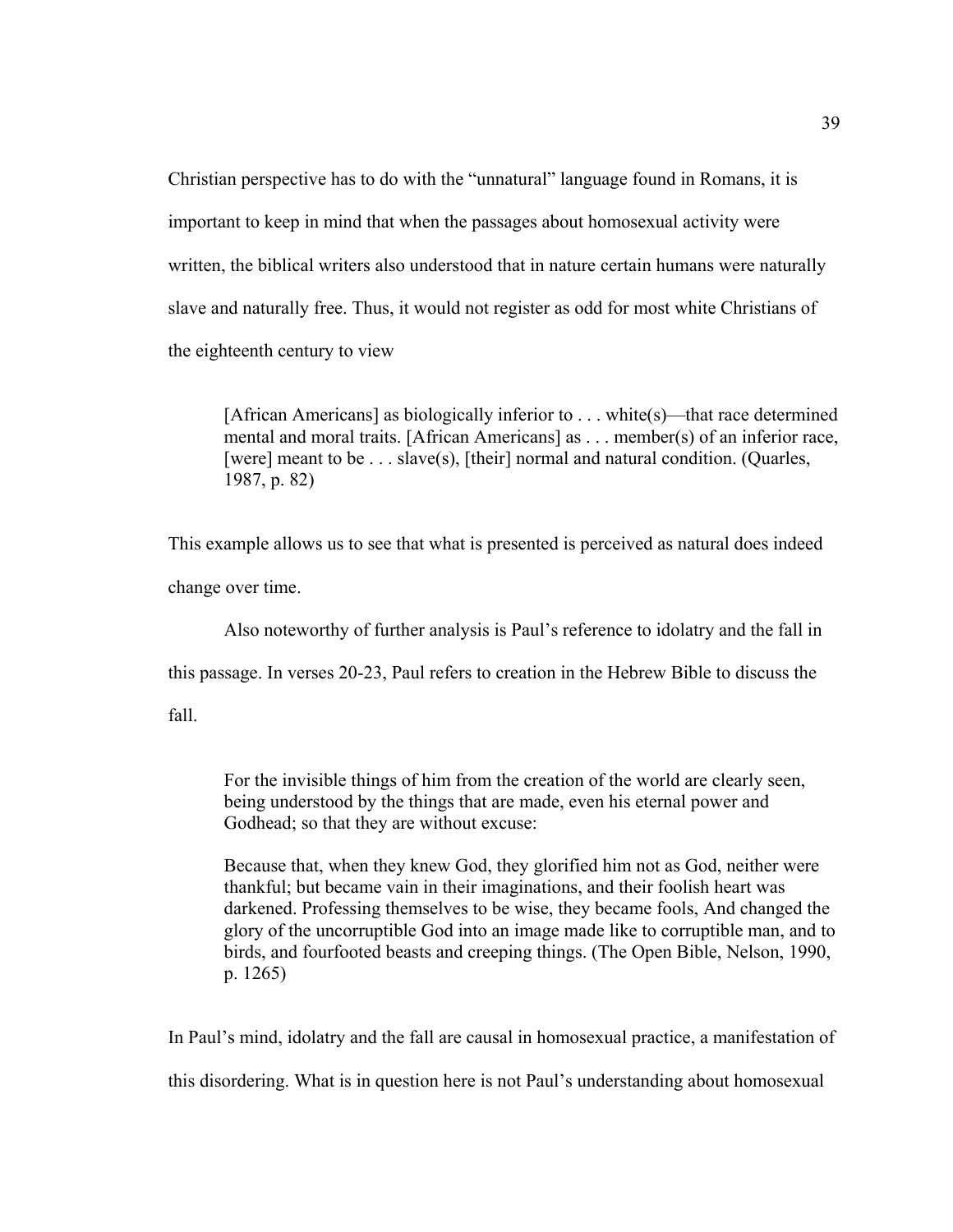Christian perspective has to do with the "unnatural" language found in Romans, it is important to keep in mind that when the passages about homosexual activity were written, the biblical writers also understood that in nature certain humans were naturally slave and naturally free. Thus, it would not register as odd for most white Christians of the eighteenth century to view

[African Americans] as biologically inferior to . . . white(s)—that race determined mental and moral traits. [African Americans] as . . . member(s) of an inferior race, [were] meant to be . . . slave(s), [their] normal and natural condition. (Quarles, 1987, p. 82)

This example allows us to see that what is presented is perceived as natural does indeed change over time.

Also noteworthy of further analysis is Paul's reference to idolatry and the fall in

this passage. In verses 20-23, Paul refers to creation in the Hebrew Bible to discuss the

fall.

For the invisible things of him from the creation of the world are clearly seen, being understood by the things that are made, even his eternal power and Godhead; so that they are without excuse:

Because that, when they knew God, they glorified him not as God, neither were thankful; but became vain in their imaginations, and their foolish heart was darkened. Professing themselves to be wise, they became fools, And changed the glory of the uncorruptible God into an image made like to corruptible man, and to birds, and fourfooted beasts and creeping things. (The Open Bible, Nelson, 1990, p. 1265)

In Paul's mind, idolatry and the fall are causal in homosexual practice, a manifestation of

this disordering. What is in question here is not Paul's understanding about homosexual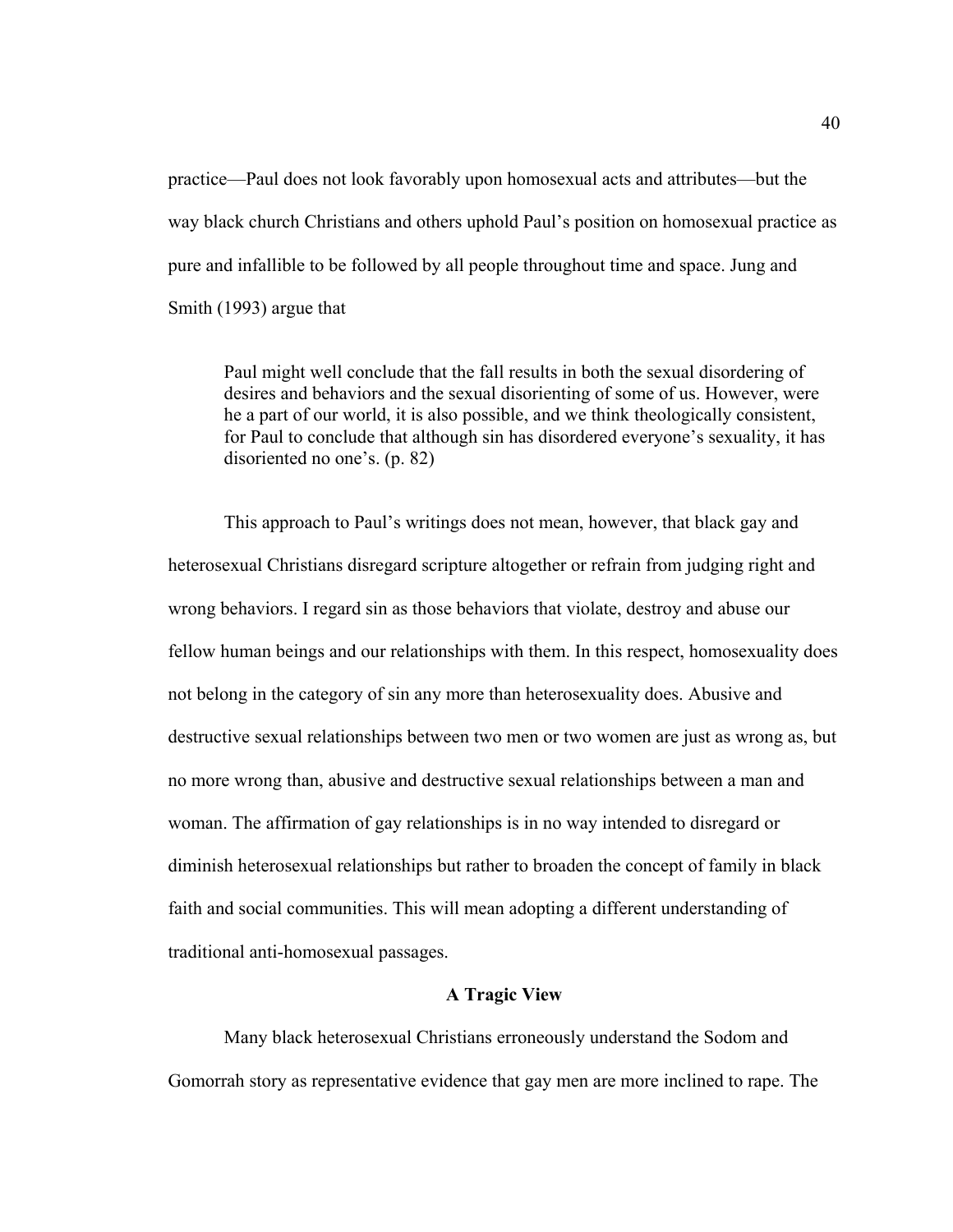practice—Paul does not look favorably upon homosexual acts and attributes—but the way black church Christians and others uphold Paul's position on homosexual practice as pure and infallible to be followed by all people throughout time and space. Jung and Smith (1993) argue that

Paul might well conclude that the fall results in both the sexual disordering of desires and behaviors and the sexual disorienting of some of us. However, were he a part of our world, it is also possible, and we think theologically consistent, for Paul to conclude that although sin has disordered everyone's sexuality, it has disoriented no one's. (p. 82)

 This approach to Paul's writings does not mean, however, that black gay and heterosexual Christians disregard scripture altogether or refrain from judging right and wrong behaviors. I regard sin as those behaviors that violate, destroy and abuse our fellow human beings and our relationships with them. In this respect, homosexuality does not belong in the category of sin any more than heterosexuality does. Abusive and destructive sexual relationships between two men or two women are just as wrong as, but no more wrong than, abusive and destructive sexual relationships between a man and woman. The affirmation of gay relationships is in no way intended to disregard or diminish heterosexual relationships but rather to broaden the concept of family in black faith and social communities. This will mean adopting a different understanding of traditional anti-homosexual passages.

### **A Tragic View**

 Many black heterosexual Christians erroneously understand the Sodom and Gomorrah story as representative evidence that gay men are more inclined to rape. The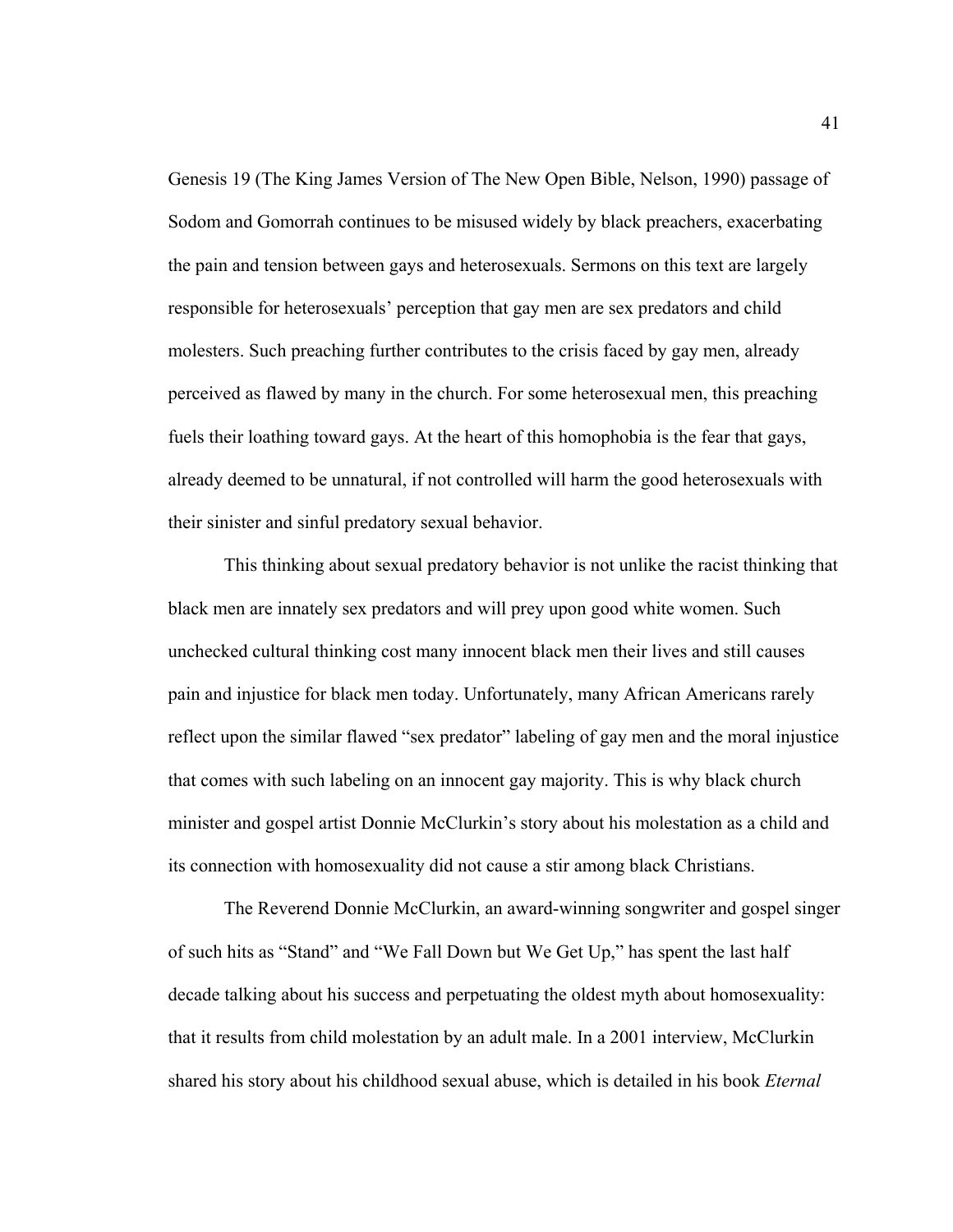Genesis 19 (The King James Version of The New Open Bible, Nelson, 1990) passage of Sodom and Gomorrah continues to be misused widely by black preachers, exacerbating the pain and tension between gays and heterosexuals. Sermons on this text are largely responsible for heterosexuals' perception that gay men are sex predators and child molesters. Such preaching further contributes to the crisis faced by gay men, already perceived as flawed by many in the church. For some heterosexual men, this preaching fuels their loathing toward gays. At the heart of this homophobia is the fear that gays, already deemed to be unnatural, if not controlled will harm the good heterosexuals with their sinister and sinful predatory sexual behavior.

 This thinking about sexual predatory behavior is not unlike the racist thinking that black men are innately sex predators and will prey upon good white women. Such unchecked cultural thinking cost many innocent black men their lives and still causes pain and injustice for black men today. Unfortunately, many African Americans rarely reflect upon the similar flawed "sex predator" labeling of gay men and the moral injustice that comes with such labeling on an innocent gay majority. This is why black church minister and gospel artist Donnie McClurkin's story about his molestation as a child and its connection with homosexuality did not cause a stir among black Christians.

 The Reverend Donnie McClurkin, an award-winning songwriter and gospel singer of such hits as "Stand" and "We Fall Down but We Get Up," has spent the last half decade talking about his success and perpetuating the oldest myth about homosexuality: that it results from child molestation by an adult male. In a 2001 interview, McClurkin shared his story about his childhood sexual abuse, which is detailed in his book *Eternal*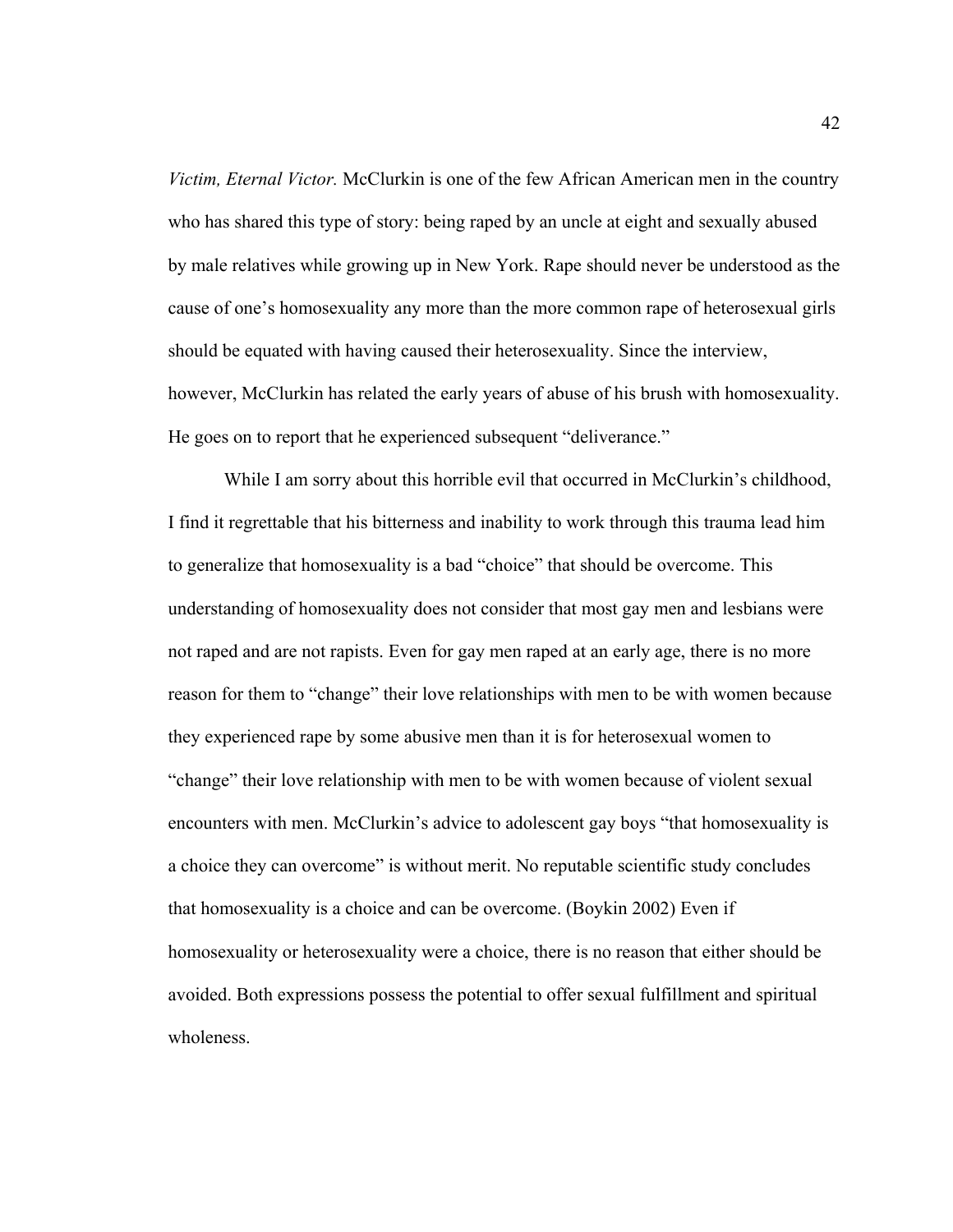*Victim, Eternal Victor.* McClurkin is one of the few African American men in the country who has shared this type of story: being raped by an uncle at eight and sexually abused by male relatives while growing up in New York. Rape should never be understood as the cause of one's homosexuality any more than the more common rape of heterosexual girls should be equated with having caused their heterosexuality. Since the interview, however, McClurkin has related the early years of abuse of his brush with homosexuality. He goes on to report that he experienced subsequent "deliverance."

While I am sorry about this horrible evil that occurred in McClurkin's childhood, I find it regrettable that his bitterness and inability to work through this trauma lead him to generalize that homosexuality is a bad "choice" that should be overcome. This understanding of homosexuality does not consider that most gay men and lesbians were not raped and are not rapists. Even for gay men raped at an early age, there is no more reason for them to "change" their love relationships with men to be with women because they experienced rape by some abusive men than it is for heterosexual women to "change" their love relationship with men to be with women because of violent sexual encounters with men. McClurkin's advice to adolescent gay boys "that homosexuality is a choice they can overcome" is without merit. No reputable scientific study concludes that homosexuality is a choice and can be overcome. (Boykin 2002) Even if homosexuality or heterosexuality were a choice, there is no reason that either should be avoided. Both expressions possess the potential to offer sexual fulfillment and spiritual wholeness.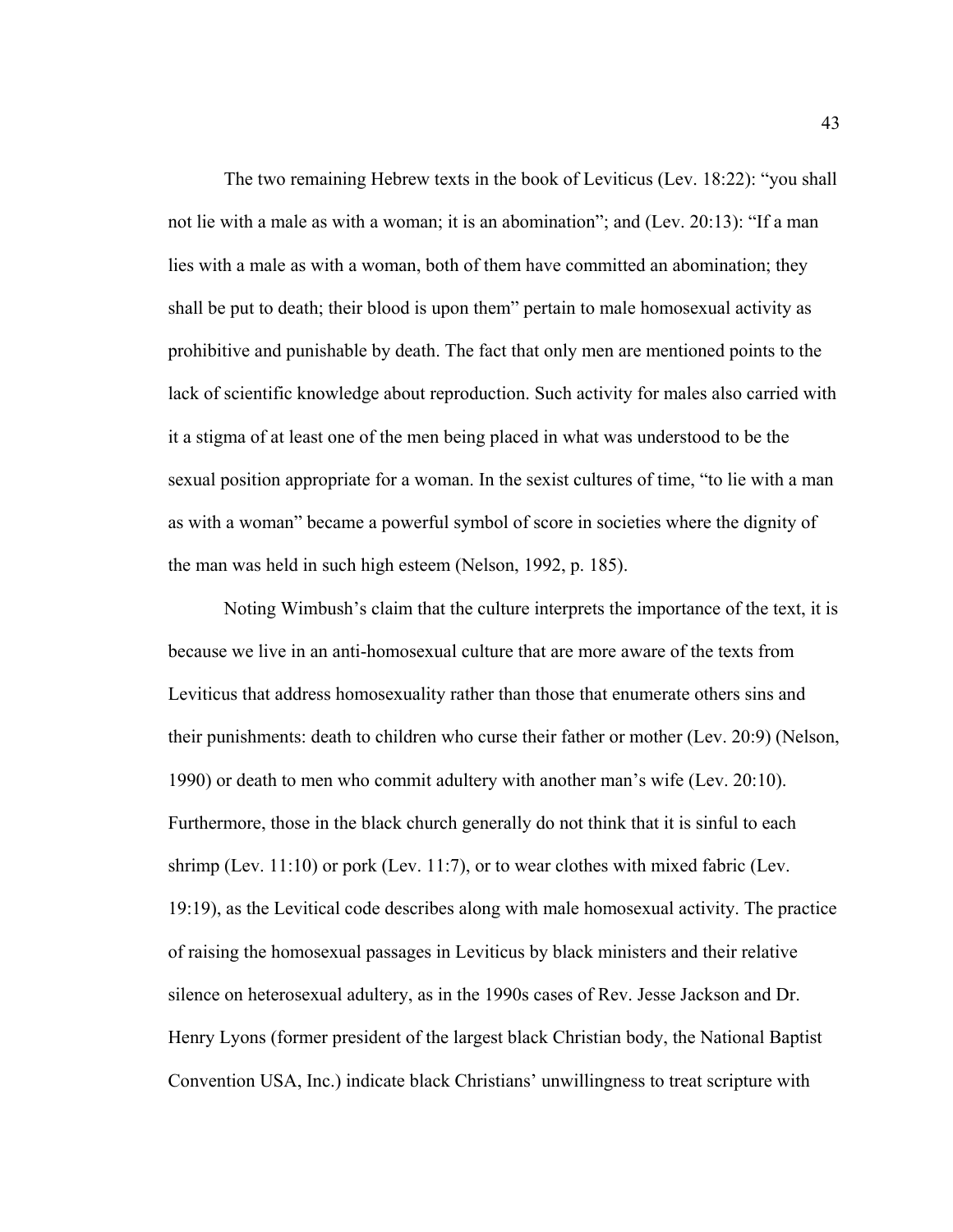The two remaining Hebrew texts in the book of Leviticus (Lev. 18:22): "you shall not lie with a male as with a woman; it is an abomination"; and (Lev. 20:13): "If a man lies with a male as with a woman, both of them have committed an abomination; they shall be put to death; their blood is upon them" pertain to male homosexual activity as prohibitive and punishable by death. The fact that only men are mentioned points to the lack of scientific knowledge about reproduction. Such activity for males also carried with it a stigma of at least one of the men being placed in what was understood to be the sexual position appropriate for a woman. In the sexist cultures of time, "to lie with a man as with a woman" became a powerful symbol of score in societies where the dignity of the man was held in such high esteem (Nelson, 1992, p. 185).

 Noting Wimbush's claim that the culture interprets the importance of the text, it is because we live in an anti-homosexual culture that are more aware of the texts from Leviticus that address homosexuality rather than those that enumerate others sins and their punishments: death to children who curse their father or mother (Lev. 20:9) (Nelson, 1990) or death to men who commit adultery with another man's wife (Lev. 20:10). Furthermore, those in the black church generally do not think that it is sinful to each shrimp (Lev. 11:10) or pork (Lev. 11:7), or to wear clothes with mixed fabric (Lev. 19:19), as the Levitical code describes along with male homosexual activity. The practice of raising the homosexual passages in Leviticus by black ministers and their relative silence on heterosexual adultery, as in the 1990s cases of Rev. Jesse Jackson and Dr. Henry Lyons (former president of the largest black Christian body, the National Baptist Convention USA, Inc.) indicate black Christians' unwillingness to treat scripture with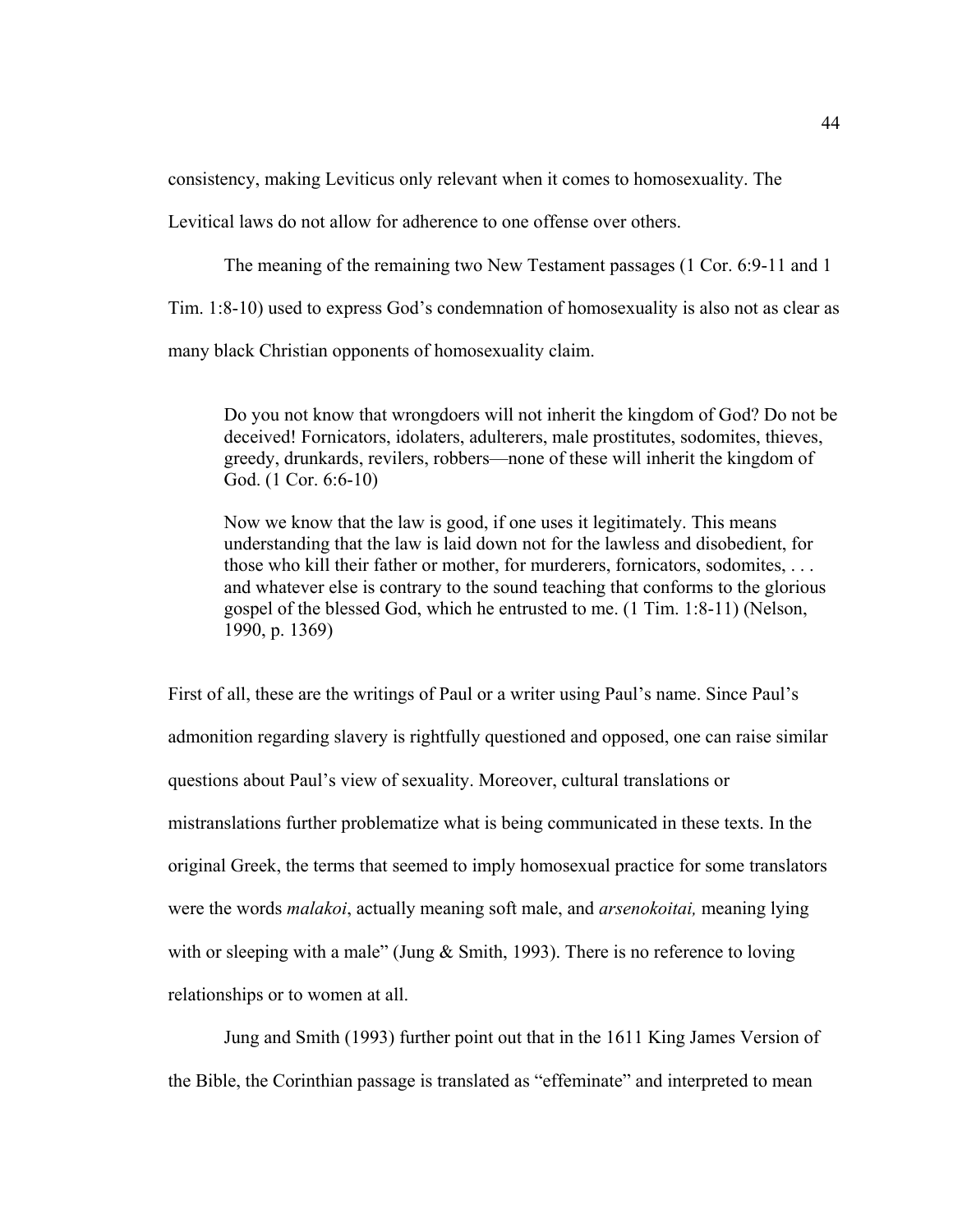consistency, making Leviticus only relevant when it comes to homosexuality. The

Levitical laws do not allow for adherence to one offense over others.

The meaning of the remaining two New Testament passages (1 Cor. 6:9-11 and 1

Tim. 1:8-10) used to express God's condemnation of homosexuality is also not as clear as

many black Christian opponents of homosexuality claim.

Do you not know that wrongdoers will not inherit the kingdom of God? Do not be deceived! Fornicators, idolaters, adulterers, male prostitutes, sodomites, thieves, greedy, drunkards, revilers, robbers—none of these will inherit the kingdom of God. (1 Cor. 6:6-10)

Now we know that the law is good, if one uses it legitimately. This means understanding that the law is laid down not for the lawless and disobedient, for those who kill their father or mother, for murderers, fornicators, sodomites, . . . and whatever else is contrary to the sound teaching that conforms to the glorious gospel of the blessed God, which he entrusted to me. (1 Tim. 1:8-11) (Nelson, 1990, p. 1369)

First of all, these are the writings of Paul or a writer using Paul's name. Since Paul's admonition regarding slavery is rightfully questioned and opposed, one can raise similar questions about Paul's view of sexuality. Moreover, cultural translations or mistranslations further problematize what is being communicated in these texts. In the original Greek, the terms that seemed to imply homosexual practice for some translators were the words *malakoi*, actually meaning soft male, and *arsenokoitai,* meaning lying with or sleeping with a male" (Jung  $&$  Smith, 1993). There is no reference to loving relationships or to women at all.

 Jung and Smith (1993) further point out that in the 1611 King James Version of the Bible, the Corinthian passage is translated as "effeminate" and interpreted to mean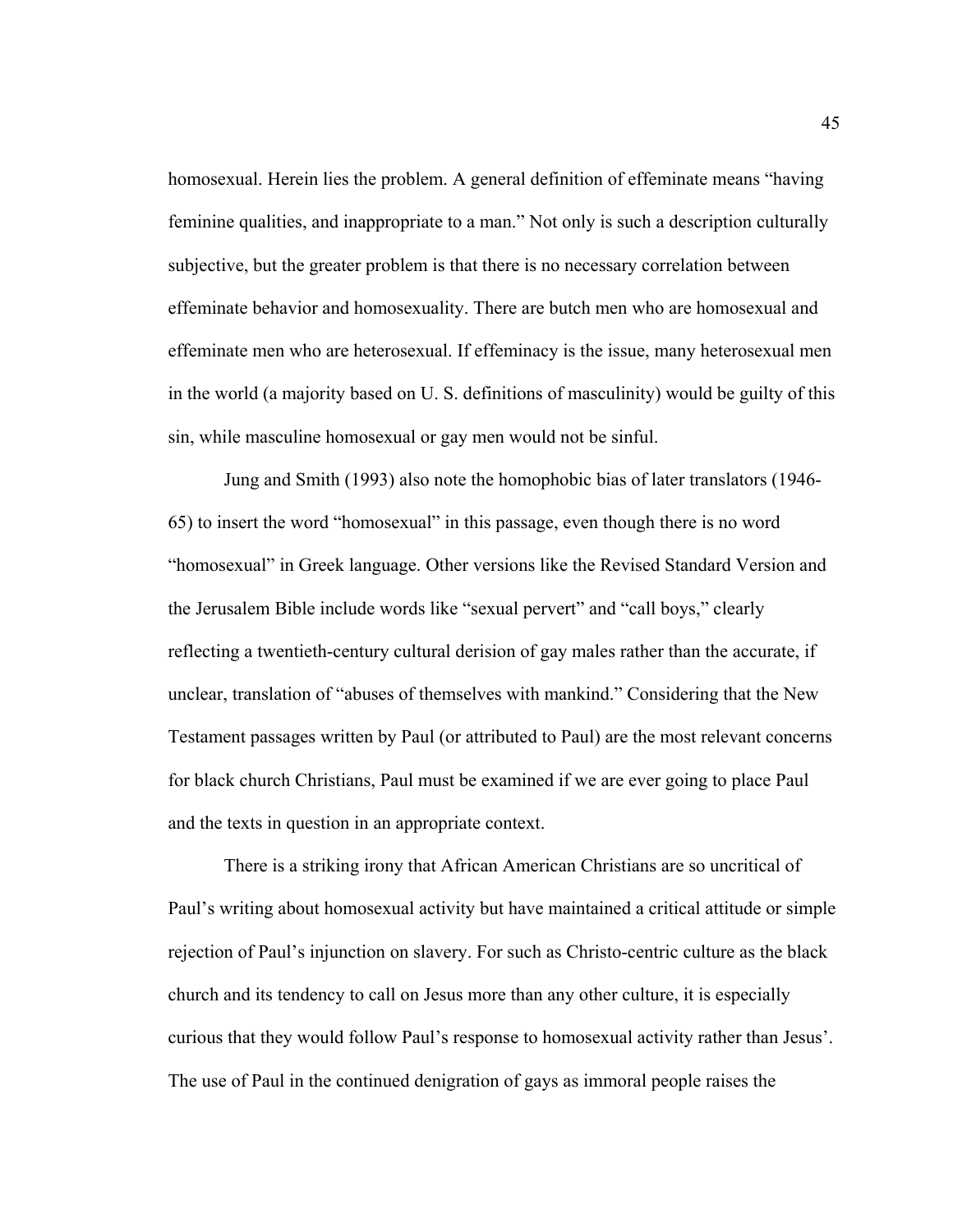homosexual. Herein lies the problem. A general definition of effeminate means "having feminine qualities, and inappropriate to a man." Not only is such a description culturally subjective, but the greater problem is that there is no necessary correlation between effeminate behavior and homosexuality. There are butch men who are homosexual and effeminate men who are heterosexual. If effeminacy is the issue, many heterosexual men in the world (a majority based on U. S. definitions of masculinity) would be guilty of this sin, while masculine homosexual or gay men would not be sinful.

 Jung and Smith (1993) also note the homophobic bias of later translators (1946- 65) to insert the word "homosexual" in this passage, even though there is no word "homosexual" in Greek language. Other versions like the Revised Standard Version and the Jerusalem Bible include words like "sexual pervert" and "call boys," clearly reflecting a twentieth-century cultural derision of gay males rather than the accurate, if unclear, translation of "abuses of themselves with mankind." Considering that the New Testament passages written by Paul (or attributed to Paul) are the most relevant concerns for black church Christians, Paul must be examined if we are ever going to place Paul and the texts in question in an appropriate context.

 There is a striking irony that African American Christians are so uncritical of Paul's writing about homosexual activity but have maintained a critical attitude or simple rejection of Paul's injunction on slavery. For such as Christo-centric culture as the black church and its tendency to call on Jesus more than any other culture, it is especially curious that they would follow Paul's response to homosexual activity rather than Jesus'. The use of Paul in the continued denigration of gays as immoral people raises the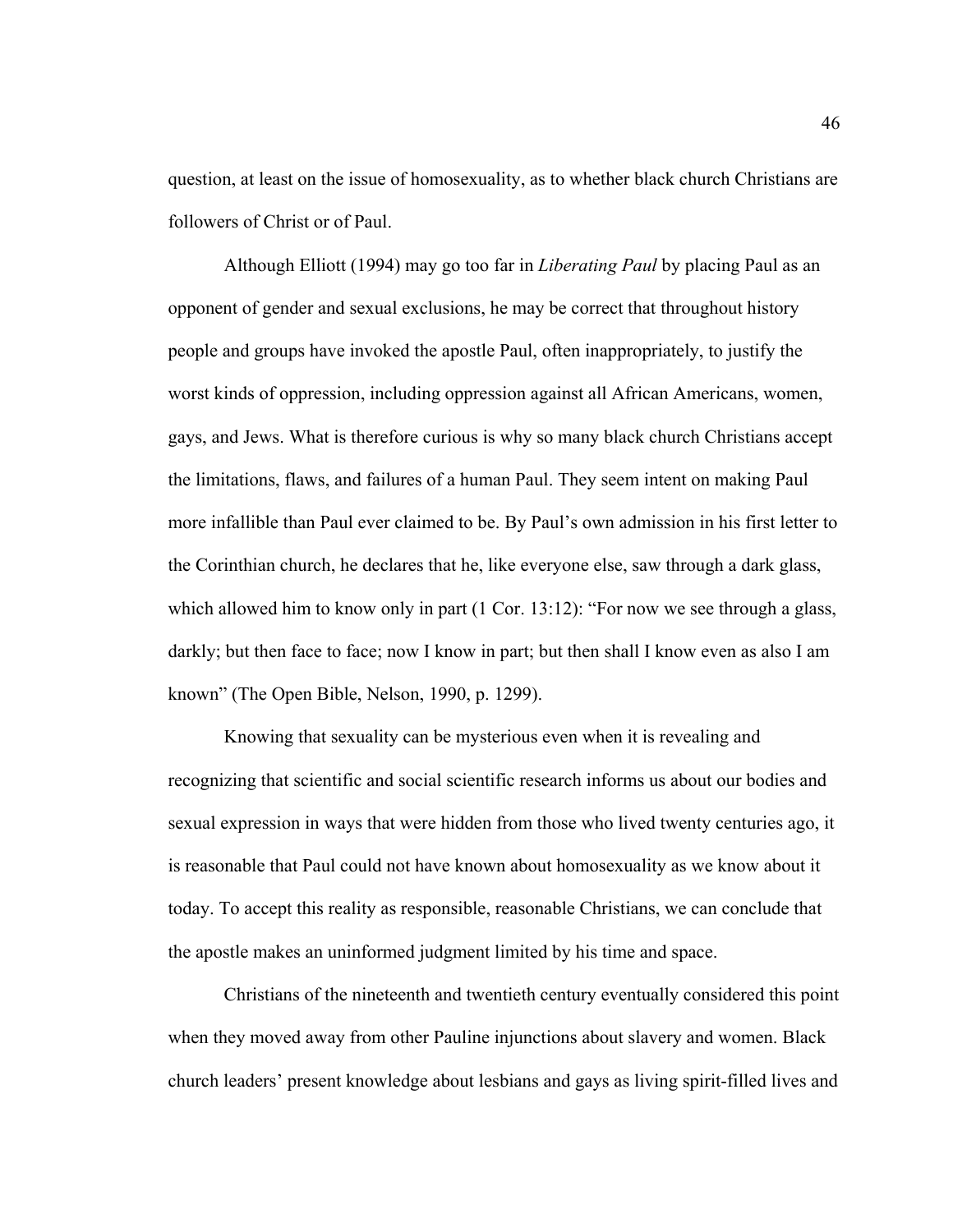question, at least on the issue of homosexuality, as to whether black church Christians are followers of Christ or of Paul.

 Although Elliott (1994) may go too far in *Liberating Paul* by placing Paul as an opponent of gender and sexual exclusions, he may be correct that throughout history people and groups have invoked the apostle Paul, often inappropriately, to justify the worst kinds of oppression, including oppression against all African Americans, women, gays, and Jews. What is therefore curious is why so many black church Christians accept the limitations, flaws, and failures of a human Paul. They seem intent on making Paul more infallible than Paul ever claimed to be. By Paul's own admission in his first letter to the Corinthian church, he declares that he, like everyone else, saw through a dark glass, which allowed him to know only in part (1 Cor. 13:12): "For now we see through a glass, darkly; but then face to face; now I know in part; but then shall I know even as also I am known" (The Open Bible, Nelson, 1990, p. 1299).

 Knowing that sexuality can be mysterious even when it is revealing and recognizing that scientific and social scientific research informs us about our bodies and sexual expression in ways that were hidden from those who lived twenty centuries ago, it is reasonable that Paul could not have known about homosexuality as we know about it today. To accept this reality as responsible, reasonable Christians, we can conclude that the apostle makes an uninformed judgment limited by his time and space.

 Christians of the nineteenth and twentieth century eventually considered this point when they moved away from other Pauline injunctions about slavery and women. Black church leaders' present knowledge about lesbians and gays as living spirit-filled lives and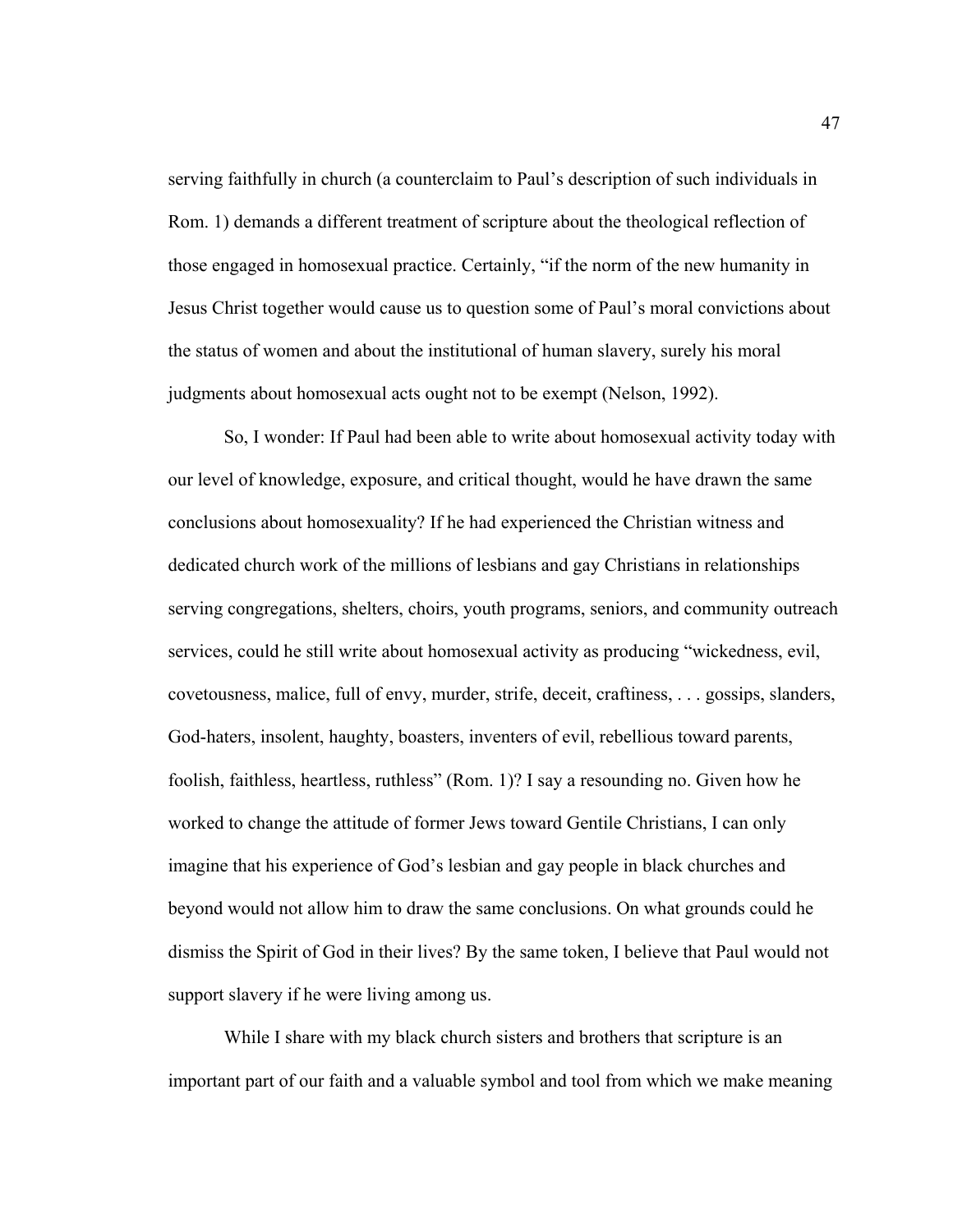serving faithfully in church (a counterclaim to Paul's description of such individuals in Rom. 1) demands a different treatment of scripture about the theological reflection of those engaged in homosexual practice. Certainly, "if the norm of the new humanity in Jesus Christ together would cause us to question some of Paul's moral convictions about the status of women and about the institutional of human slavery, surely his moral judgments about homosexual acts ought not to be exempt (Nelson, 1992).

So, I wonder: If Paul had been able to write about homosexual activity today with our level of knowledge, exposure, and critical thought, would he have drawn the same conclusions about homosexuality? If he had experienced the Christian witness and dedicated church work of the millions of lesbians and gay Christians in relationships serving congregations, shelters, choirs, youth programs, seniors, and community outreach services, could he still write about homosexual activity as producing "wickedness, evil, covetousness, malice, full of envy, murder, strife, deceit, craftiness, . . . gossips, slanders, God-haters, insolent, haughty, boasters, inventers of evil, rebellious toward parents, foolish, faithless, heartless, ruthless" (Rom. 1)? I say a resounding no. Given how he worked to change the attitude of former Jews toward Gentile Christians, I can only imagine that his experience of God's lesbian and gay people in black churches and beyond would not allow him to draw the same conclusions. On what grounds could he dismiss the Spirit of God in their lives? By the same token, I believe that Paul would not support slavery if he were living among us.

 While I share with my black church sisters and brothers that scripture is an important part of our faith and a valuable symbol and tool from which we make meaning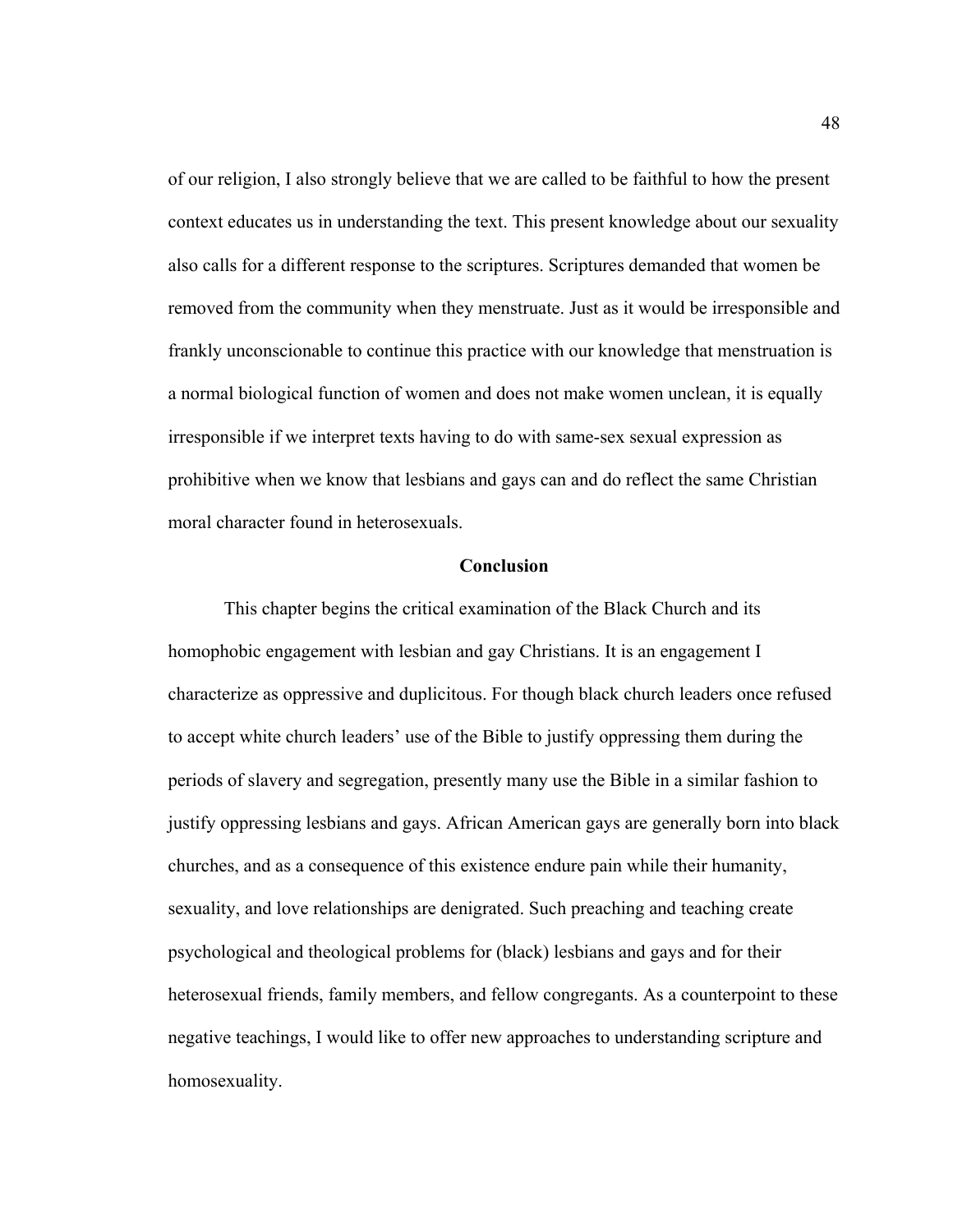of our religion, I also strongly believe that we are called to be faithful to how the present context educates us in understanding the text. This present knowledge about our sexuality also calls for a different response to the scriptures. Scriptures demanded that women be removed from the community when they menstruate. Just as it would be irresponsible and frankly unconscionable to continue this practice with our knowledge that menstruation is a normal biological function of women and does not make women unclean, it is equally irresponsible if we interpret texts having to do with same-sex sexual expression as prohibitive when we know that lesbians and gays can and do reflect the same Christian moral character found in heterosexuals.

## **Conclusion**

 This chapter begins the critical examination of the Black Church and its homophobic engagement with lesbian and gay Christians. It is an engagement I characterize as oppressive and duplicitous. For though black church leaders once refused to accept white church leaders' use of the Bible to justify oppressing them during the periods of slavery and segregation, presently many use the Bible in a similar fashion to justify oppressing lesbians and gays. African American gays are generally born into black churches, and as a consequence of this existence endure pain while their humanity, sexuality, and love relationships are denigrated. Such preaching and teaching create psychological and theological problems for (black) lesbians and gays and for their heterosexual friends, family members, and fellow congregants. As a counterpoint to these negative teachings, I would like to offer new approaches to understanding scripture and homosexuality.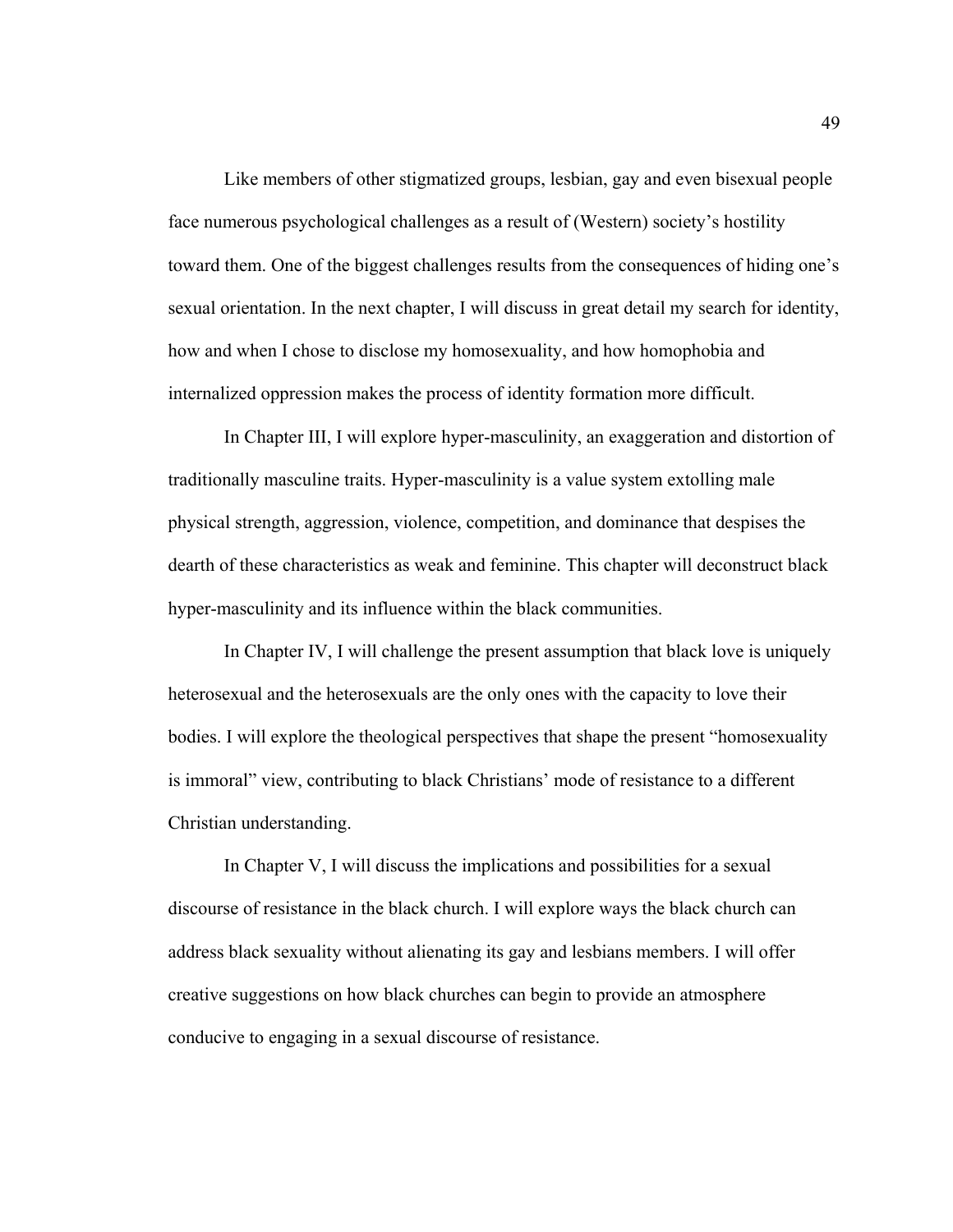Like members of other stigmatized groups, lesbian, gay and even bisexual people face numerous psychological challenges as a result of (Western) society's hostility toward them. One of the biggest challenges results from the consequences of hiding one's sexual orientation. In the next chapter, I will discuss in great detail my search for identity, how and when I chose to disclose my homosexuality, and how homophobia and internalized oppression makes the process of identity formation more difficult.

 In Chapter III, I will explore hyper-masculinity, an exaggeration and distortion of traditionally masculine traits. Hyper-masculinity is a value system extolling male physical strength, aggression, violence, competition, and dominance that despises the dearth of these characteristics as weak and feminine. This chapter will deconstruct black hyper-masculinity and its influence within the black communities.

 In Chapter IV, I will challenge the present assumption that black love is uniquely heterosexual and the heterosexuals are the only ones with the capacity to love their bodies. I will explore the theological perspectives that shape the present "homosexuality is immoral" view, contributing to black Christians' mode of resistance to a different Christian understanding.

 In Chapter V, I will discuss the implications and possibilities for a sexual discourse of resistance in the black church. I will explore ways the black church can address black sexuality without alienating its gay and lesbians members. I will offer creative suggestions on how black churches can begin to provide an atmosphere conducive to engaging in a sexual discourse of resistance.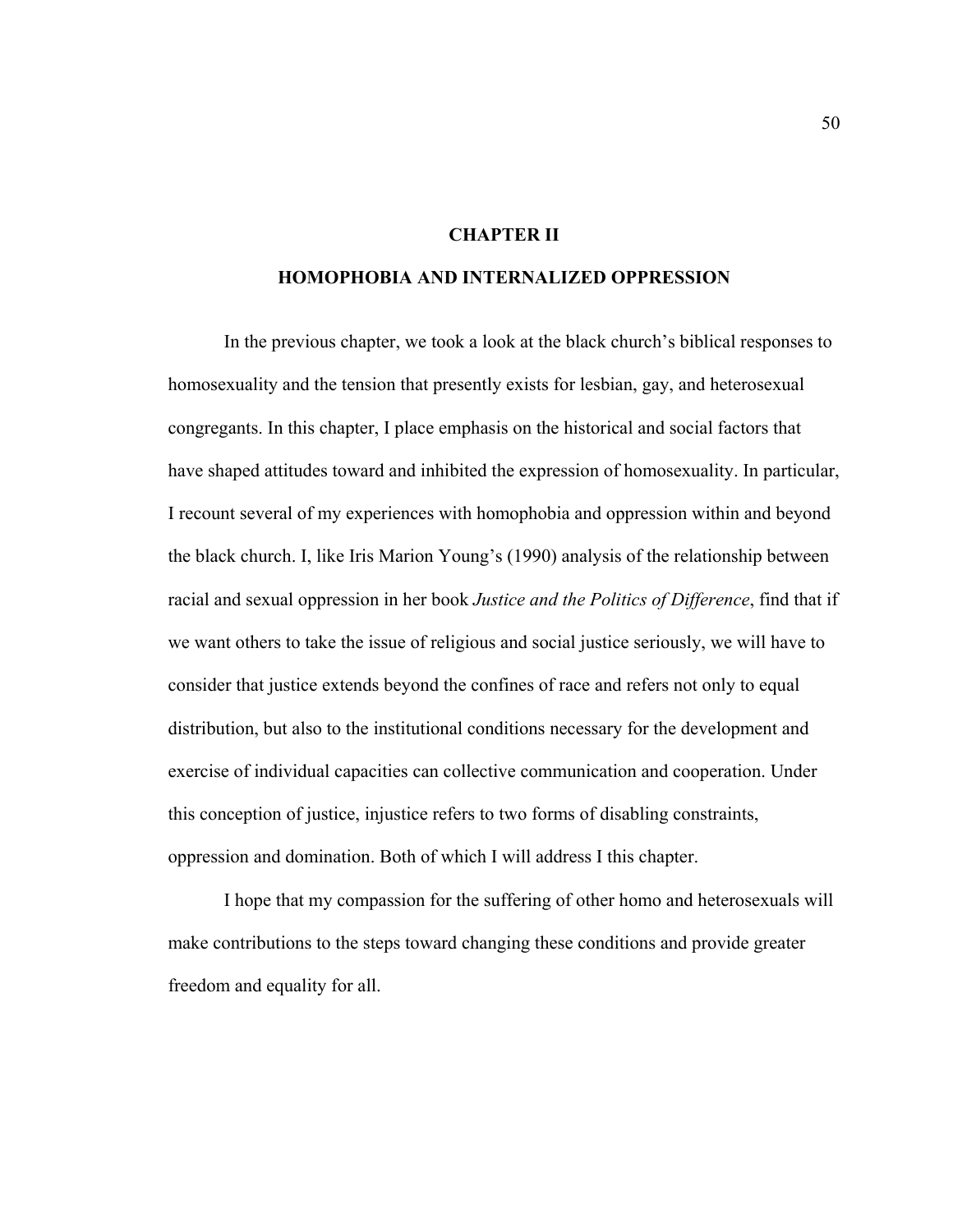# **CHAPTER II**

## **HOMOPHOBIA AND INTERNALIZED OPPRESSION**

 In the previous chapter, we took a look at the black church's biblical responses to homosexuality and the tension that presently exists for lesbian, gay, and heterosexual congregants. In this chapter, I place emphasis on the historical and social factors that have shaped attitudes toward and inhibited the expression of homosexuality. In particular, I recount several of my experiences with homophobia and oppression within and beyond the black church. I, like Iris Marion Young's (1990) analysis of the relationship between racial and sexual oppression in her book *Justice and the Politics of Difference*, find that if we want others to take the issue of religious and social justice seriously, we will have to consider that justice extends beyond the confines of race and refers not only to equal distribution, but also to the institutional conditions necessary for the development and exercise of individual capacities can collective communication and cooperation. Under this conception of justice, injustice refers to two forms of disabling constraints, oppression and domination. Both of which I will address I this chapter.

I hope that my compassion for the suffering of other homo and heterosexuals will make contributions to the steps toward changing these conditions and provide greater freedom and equality for all.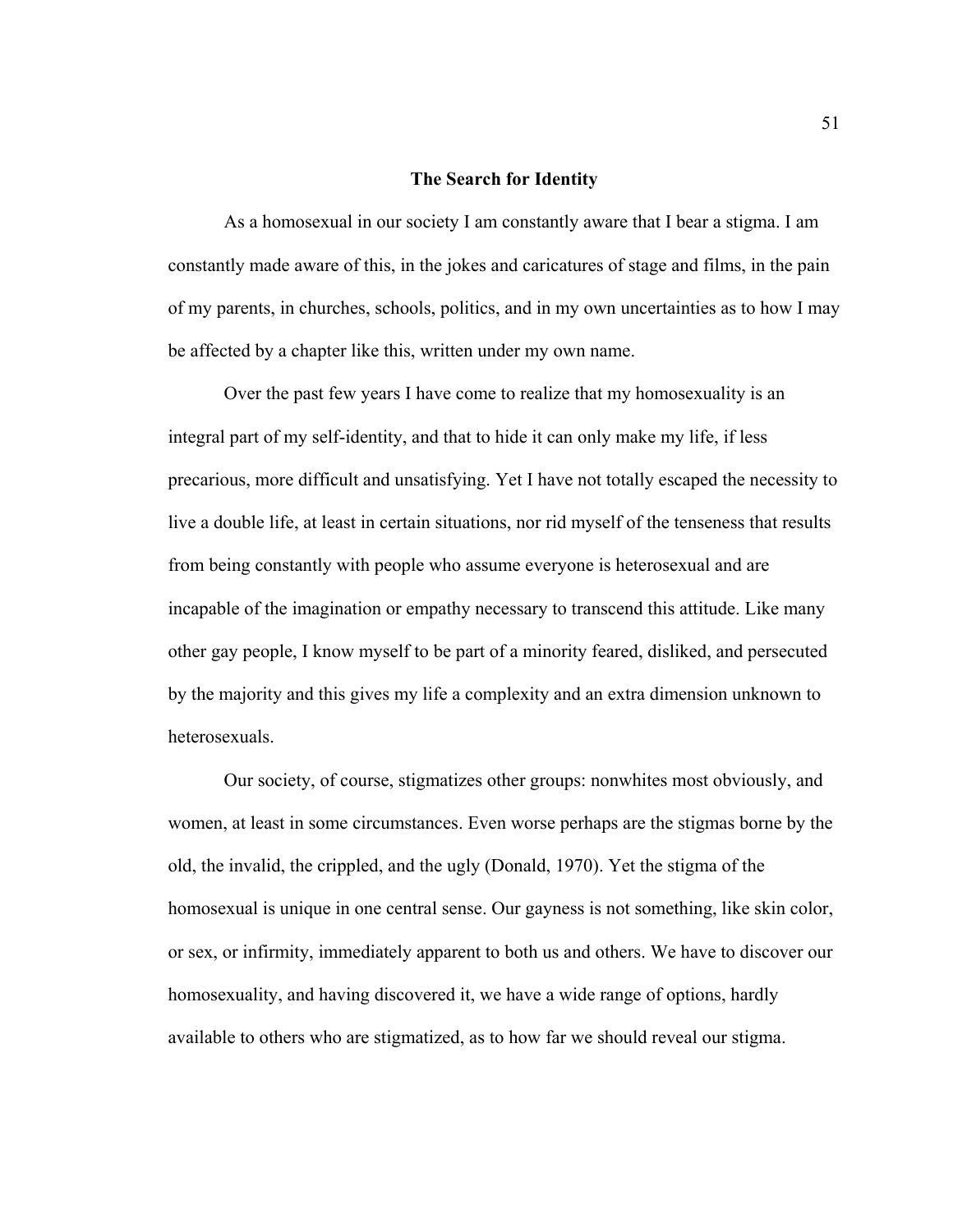#### **The Search for Identity**

As a homosexual in our society I am constantly aware that I bear a stigma. I am constantly made aware of this, in the jokes and caricatures of stage and films, in the pain of my parents, in churches, schools, politics, and in my own uncertainties as to how I may be affected by a chapter like this, written under my own name.

Over the past few years I have come to realize that my homosexuality is an integral part of my self-identity, and that to hide it can only make my life, if less precarious, more difficult and unsatisfying. Yet I have not totally escaped the necessity to live a double life, at least in certain situations, nor rid myself of the tenseness that results from being constantly with people who assume everyone is heterosexual and are incapable of the imagination or empathy necessary to transcend this attitude. Like many other gay people, I know myself to be part of a minority feared, disliked, and persecuted by the majority and this gives my life a complexity and an extra dimension unknown to heterosexuals.

Our society, of course, stigmatizes other groups: nonwhites most obviously, and women, at least in some circumstances. Even worse perhaps are the stigmas borne by the old, the invalid, the crippled, and the ugly (Donald, 1970). Yet the stigma of the homosexual is unique in one central sense. Our gayness is not something, like skin color, or sex, or infirmity, immediately apparent to both us and others. We have to discover our homosexuality, and having discovered it, we have a wide range of options, hardly available to others who are stigmatized, as to how far we should reveal our stigma.

51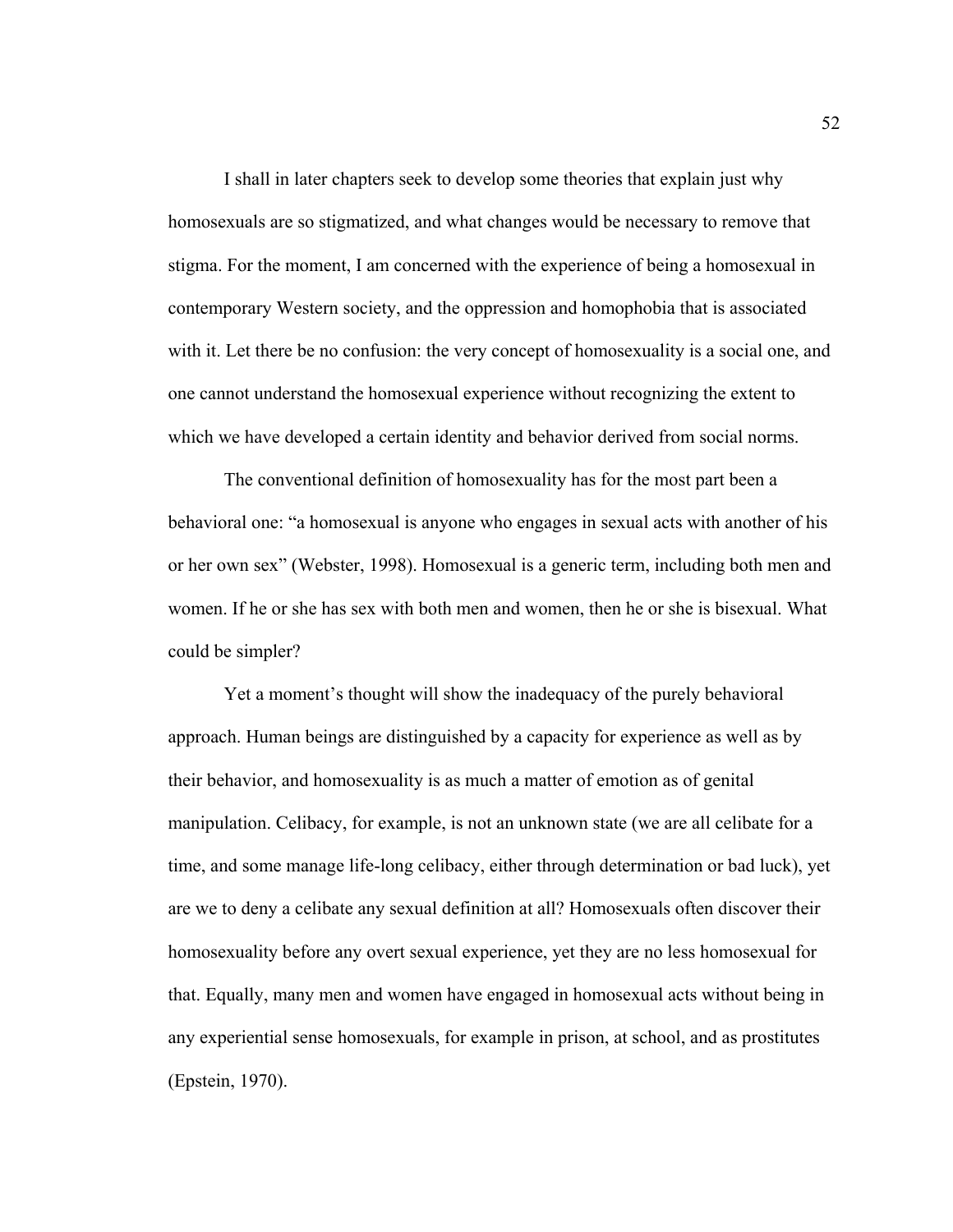I shall in later chapters seek to develop some theories that explain just why homosexuals are so stigmatized, and what changes would be necessary to remove that stigma. For the moment, I am concerned with the experience of being a homosexual in contemporary Western society, and the oppression and homophobia that is associated with it. Let there be no confusion: the very concept of homosexuality is a social one, and one cannot understand the homosexual experience without recognizing the extent to which we have developed a certain identity and behavior derived from social norms.

 The conventional definition of homosexuality has for the most part been a behavioral one: "a homosexual is anyone who engages in sexual acts with another of his or her own sex" (Webster, 1998). Homosexual is a generic term, including both men and women. If he or she has sex with both men and women, then he or she is bisexual. What could be simpler?

 Yet a moment's thought will show the inadequacy of the purely behavioral approach. Human beings are distinguished by a capacity for experience as well as by their behavior, and homosexuality is as much a matter of emotion as of genital manipulation. Celibacy, for example, is not an unknown state (we are all celibate for a time, and some manage life-long celibacy, either through determination or bad luck), yet are we to deny a celibate any sexual definition at all? Homosexuals often discover their homosexuality before any overt sexual experience, yet they are no less homosexual for that. Equally, many men and women have engaged in homosexual acts without being in any experiential sense homosexuals, for example in prison, at school, and as prostitutes (Epstein, 1970).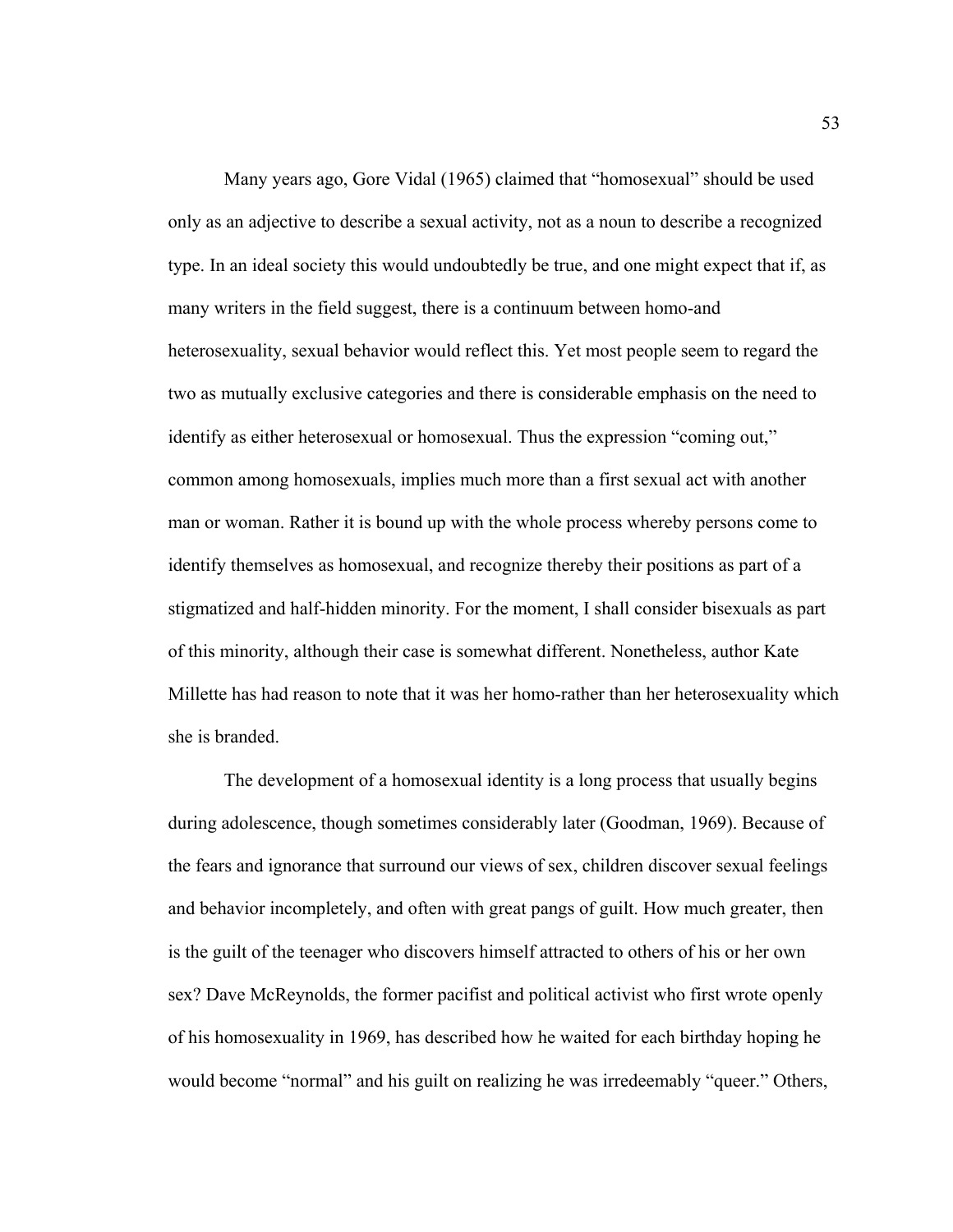Many years ago, Gore Vidal (1965) claimed that "homosexual" should be used only as an adjective to describe a sexual activity, not as a noun to describe a recognized type. In an ideal society this would undoubtedly be true, and one might expect that if, as many writers in the field suggest, there is a continuum between homo-and heterosexuality, sexual behavior would reflect this. Yet most people seem to regard the two as mutually exclusive categories and there is considerable emphasis on the need to identify as either heterosexual or homosexual. Thus the expression "coming out," common among homosexuals, implies much more than a first sexual act with another man or woman. Rather it is bound up with the whole process whereby persons come to identify themselves as homosexual, and recognize thereby their positions as part of a stigmatized and half-hidden minority. For the moment, I shall consider bisexuals as part of this minority, although their case is somewhat different. Nonetheless, author Kate Millette has had reason to note that it was her homo-rather than her heterosexuality which she is branded.

 The development of a homosexual identity is a long process that usually begins during adolescence, though sometimes considerably later (Goodman, 1969). Because of the fears and ignorance that surround our views of sex, children discover sexual feelings and behavior incompletely, and often with great pangs of guilt. How much greater, then is the guilt of the teenager who discovers himself attracted to others of his or her own sex? Dave McReynolds, the former pacifist and political activist who first wrote openly of his homosexuality in 1969, has described how he waited for each birthday hoping he would become "normal" and his guilt on realizing he was irredeemably "queer." Others,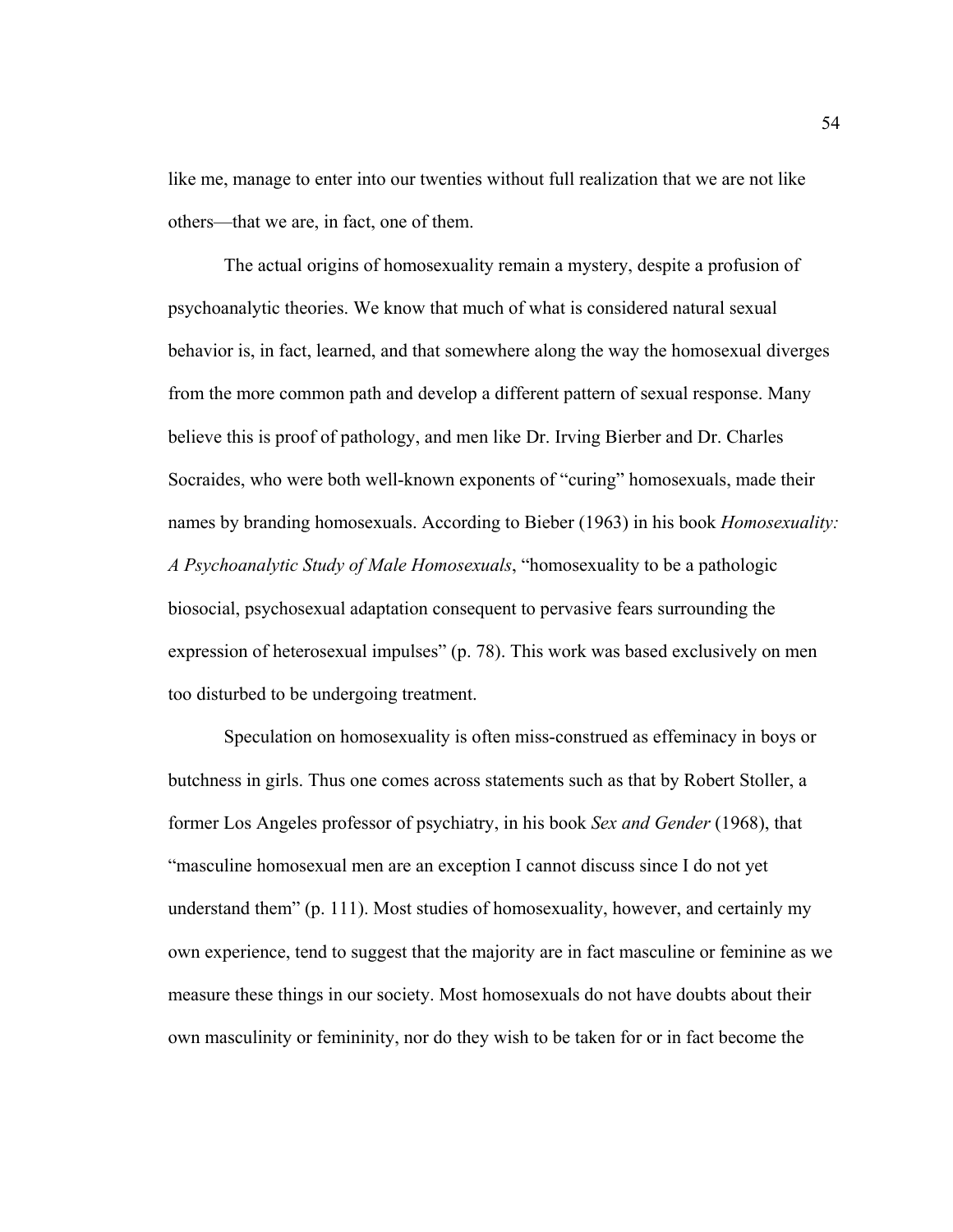like me, manage to enter into our twenties without full realization that we are not like others—that we are, in fact, one of them.

 The actual origins of homosexuality remain a mystery, despite a profusion of psychoanalytic theories. We know that much of what is considered natural sexual behavior is, in fact, learned, and that somewhere along the way the homosexual diverges from the more common path and develop a different pattern of sexual response. Many believe this is proof of pathology, and men like Dr. Irving Bierber and Dr. Charles Socraides, who were both well-known exponents of "curing" homosexuals, made their names by branding homosexuals. According to Bieber (1963) in his book *Homosexuality: A Psychoanalytic Study of Male Homosexuals*, "homosexuality to be a pathologic biosocial, psychosexual adaptation consequent to pervasive fears surrounding the expression of heterosexual impulses" (p. 78). This work was based exclusively on men too disturbed to be undergoing treatment.

 Speculation on homosexuality is often miss-construed as effeminacy in boys or butchness in girls. Thus one comes across statements such as that by Robert Stoller, a former Los Angeles professor of psychiatry, in his book *Sex and Gender* (1968), that "masculine homosexual men are an exception I cannot discuss since I do not yet understand them" (p. 111). Most studies of homosexuality, however, and certainly my own experience, tend to suggest that the majority are in fact masculine or feminine as we measure these things in our society. Most homosexuals do not have doubts about their own masculinity or femininity, nor do they wish to be taken for or in fact become the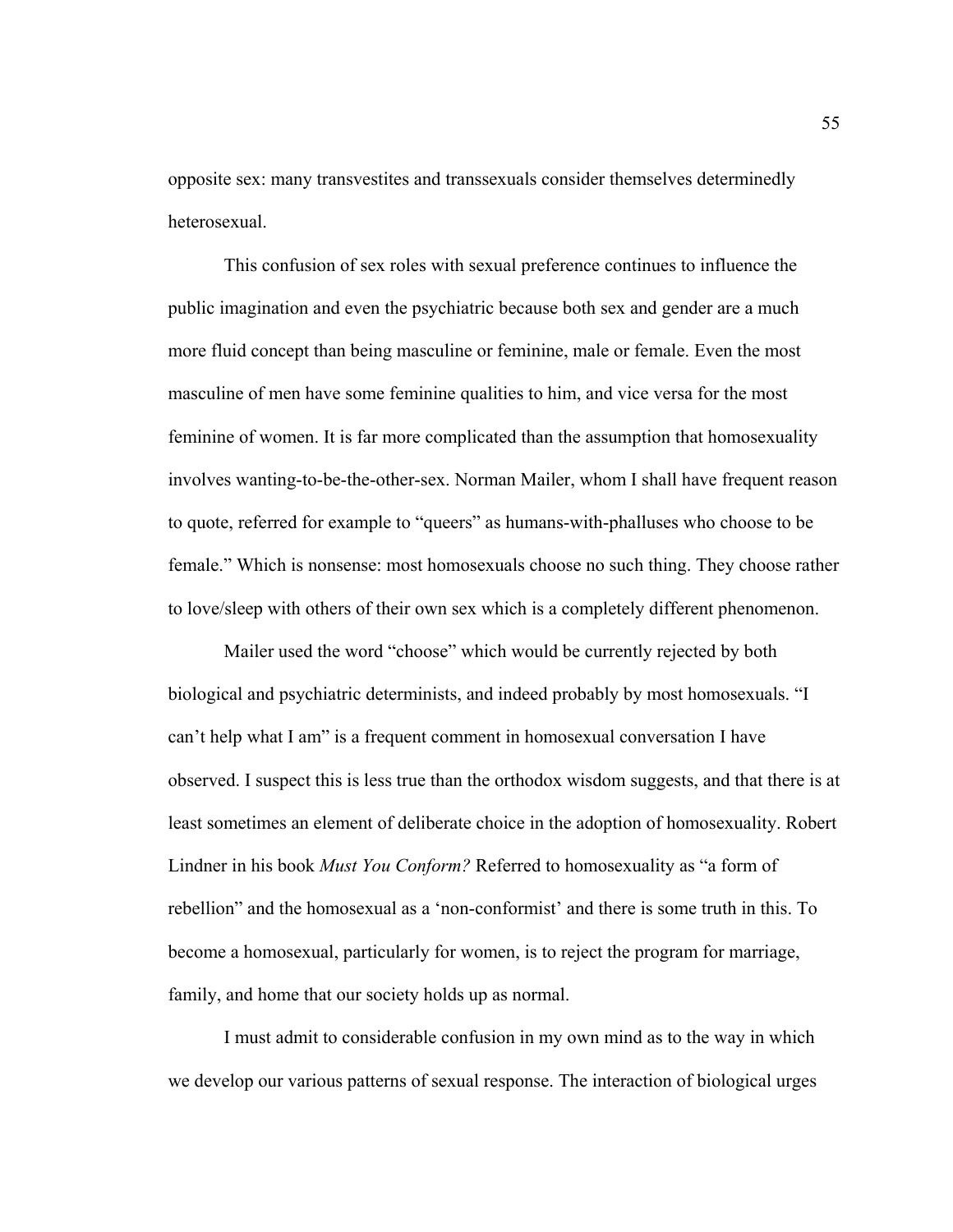opposite sex: many transvestites and transsexuals consider themselves determinedly heterosexual.

 This confusion of sex roles with sexual preference continues to influence the public imagination and even the psychiatric because both sex and gender are a much more fluid concept than being masculine or feminine, male or female. Even the most masculine of men have some feminine qualities to him, and vice versa for the most feminine of women. It is far more complicated than the assumption that homosexuality involves wanting-to-be-the-other-sex. Norman Mailer, whom I shall have frequent reason to quote, referred for example to "queers" as humans-with-phalluses who choose to be female." Which is nonsense: most homosexuals choose no such thing. They choose rather to love/sleep with others of their own sex which is a completely different phenomenon.

 Mailer used the word "choose" which would be currently rejected by both biological and psychiatric determinists, and indeed probably by most homosexuals. "I can't help what I am" is a frequent comment in homosexual conversation I have observed. I suspect this is less true than the orthodox wisdom suggests, and that there is at least sometimes an element of deliberate choice in the adoption of homosexuality. Robert Lindner in his book *Must You Conform?* Referred to homosexuality as "a form of rebellion" and the homosexual as a 'non-conformist' and there is some truth in this. To become a homosexual, particularly for women, is to reject the program for marriage, family, and home that our society holds up as normal.

 I must admit to considerable confusion in my own mind as to the way in which we develop our various patterns of sexual response. The interaction of biological urges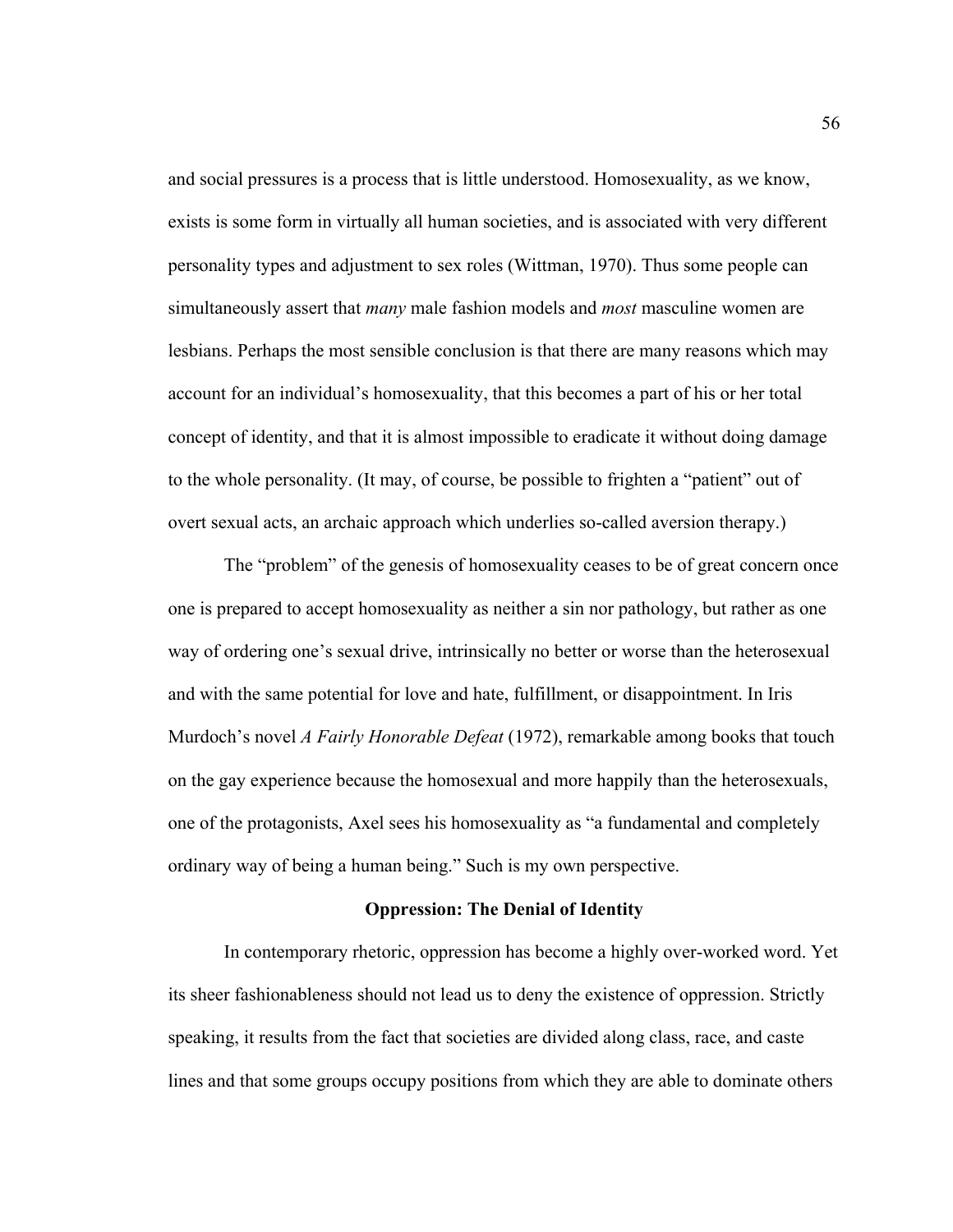and social pressures is a process that is little understood. Homosexuality, as we know, exists is some form in virtually all human societies, and is associated with very different personality types and adjustment to sex roles (Wittman, 1970). Thus some people can simultaneously assert that *many* male fashion models and *most* masculine women are lesbians. Perhaps the most sensible conclusion is that there are many reasons which may account for an individual's homosexuality, that this becomes a part of his or her total concept of identity, and that it is almost impossible to eradicate it without doing damage to the whole personality. (It may, of course, be possible to frighten a "patient" out of overt sexual acts, an archaic approach which underlies so-called aversion therapy.)

 The "problem" of the genesis of homosexuality ceases to be of great concern once one is prepared to accept homosexuality as neither a sin nor pathology, but rather as one way of ordering one's sexual drive, intrinsically no better or worse than the heterosexual and with the same potential for love and hate, fulfillment, or disappointment. In Iris Murdoch's novel *A Fairly Honorable Defeat* (1972), remarkable among books that touch on the gay experience because the homosexual and more happily than the heterosexuals, one of the protagonists, Axel sees his homosexuality as "a fundamental and completely ordinary way of being a human being." Such is my own perspective.

#### **Oppression: The Denial of Identity**

 In contemporary rhetoric, oppression has become a highly over-worked word. Yet its sheer fashionableness should not lead us to deny the existence of oppression. Strictly speaking, it results from the fact that societies are divided along class, race, and caste lines and that some groups occupy positions from which they are able to dominate others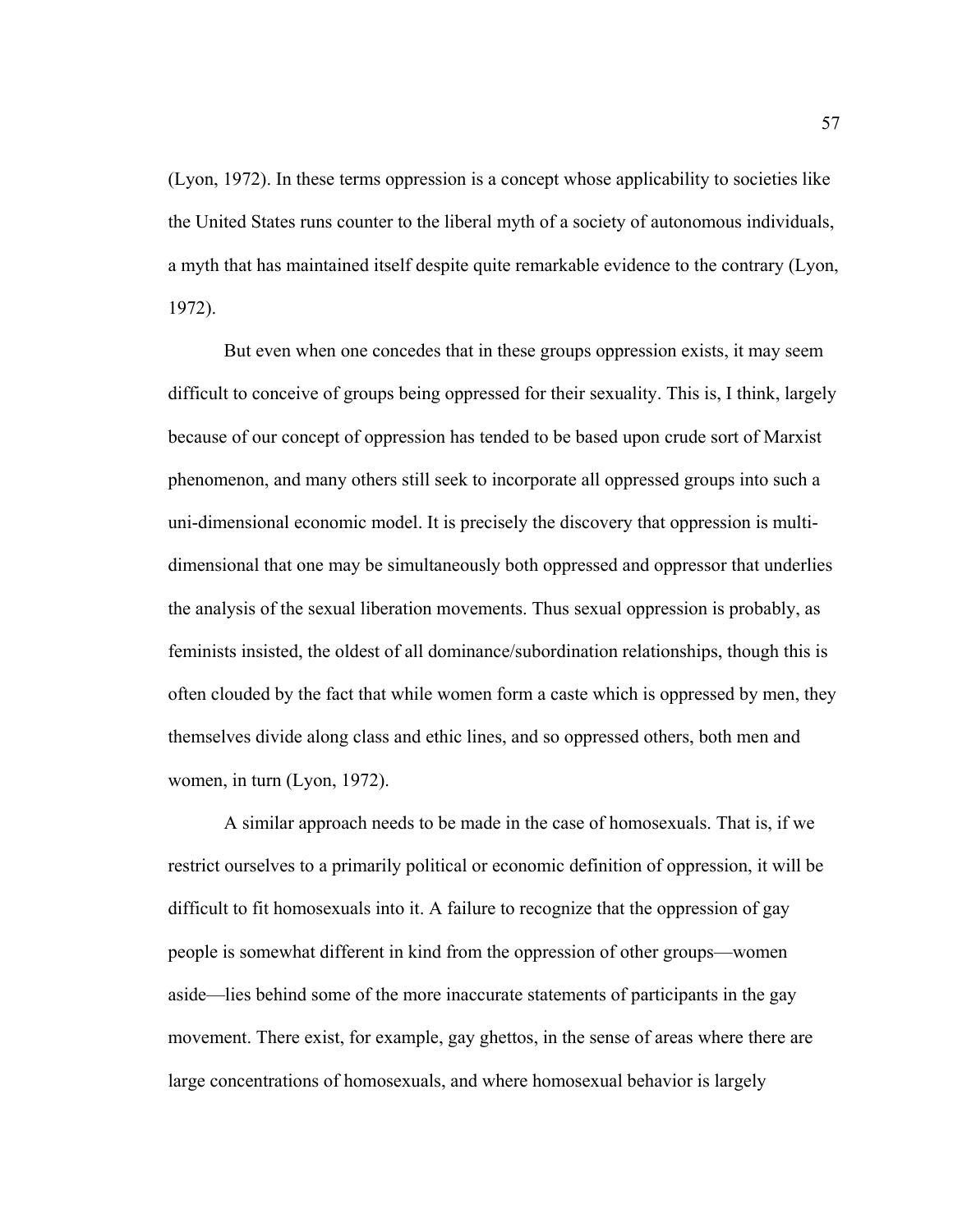(Lyon, 1972). In these terms oppression is a concept whose applicability to societies like the United States runs counter to the liberal myth of a society of autonomous individuals, a myth that has maintained itself despite quite remarkable evidence to the contrary (Lyon, 1972).

 But even when one concedes that in these groups oppression exists, it may seem difficult to conceive of groups being oppressed for their sexuality. This is, I think, largely because of our concept of oppression has tended to be based upon crude sort of Marxist phenomenon, and many others still seek to incorporate all oppressed groups into such a uni-dimensional economic model. It is precisely the discovery that oppression is multidimensional that one may be simultaneously both oppressed and oppressor that underlies the analysis of the sexual liberation movements. Thus sexual oppression is probably, as feminists insisted, the oldest of all dominance/subordination relationships, though this is often clouded by the fact that while women form a caste which is oppressed by men, they themselves divide along class and ethic lines, and so oppressed others, both men and women, in turn (Lyon, 1972).

 A similar approach needs to be made in the case of homosexuals. That is, if we restrict ourselves to a primarily political or economic definition of oppression, it will be difficult to fit homosexuals into it. A failure to recognize that the oppression of gay people is somewhat different in kind from the oppression of other groups—women aside—lies behind some of the more inaccurate statements of participants in the gay movement. There exist, for example, gay ghettos, in the sense of areas where there are large concentrations of homosexuals, and where homosexual behavior is largely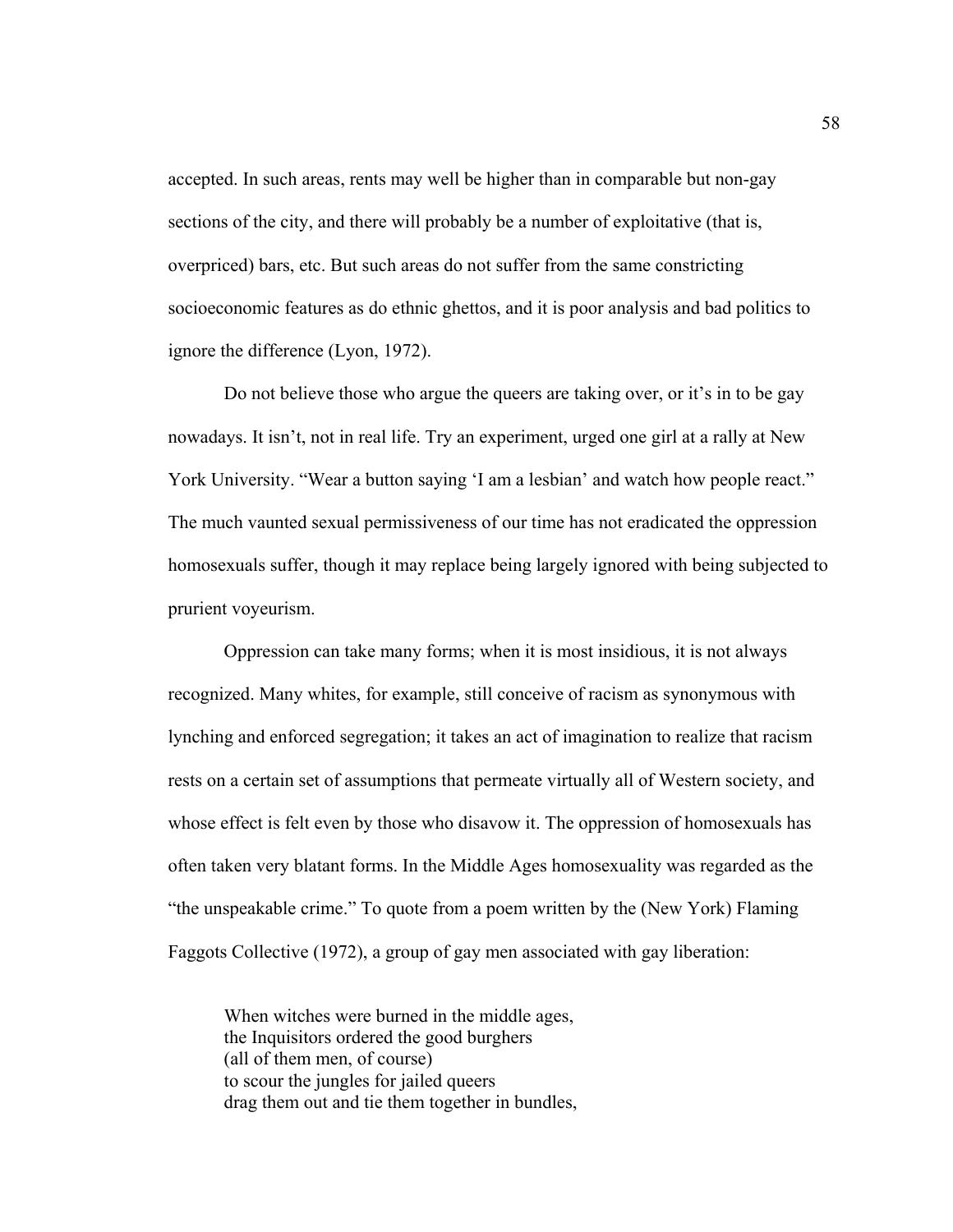accepted. In such areas, rents may well be higher than in comparable but non-gay sections of the city, and there will probably be a number of exploitative (that is, overpriced) bars, etc. But such areas do not suffer from the same constricting socioeconomic features as do ethnic ghettos, and it is poor analysis and bad politics to ignore the difference (Lyon, 1972).

Do not believe those who argue the queers are taking over, or it's in to be gay nowadays. It isn't, not in real life. Try an experiment, urged one girl at a rally at New York University. "Wear a button saying 'I am a lesbian' and watch how people react." The much vaunted sexual permissiveness of our time has not eradicated the oppression homosexuals suffer, though it may replace being largely ignored with being subjected to prurient voyeurism.

 Oppression can take many forms; when it is most insidious, it is not always recognized. Many whites, for example, still conceive of racism as synonymous with lynching and enforced segregation; it takes an act of imagination to realize that racism rests on a certain set of assumptions that permeate virtually all of Western society, and whose effect is felt even by those who disavow it. The oppression of homosexuals has often taken very blatant forms. In the Middle Ages homosexuality was regarded as the "the unspeakable crime." To quote from a poem written by the (New York) Flaming Faggots Collective (1972), a group of gay men associated with gay liberation:

When witches were burned in the middle ages, the Inquisitors ordered the good burghers (all of them men, of course) to scour the jungles for jailed queers drag them out and tie them together in bundles,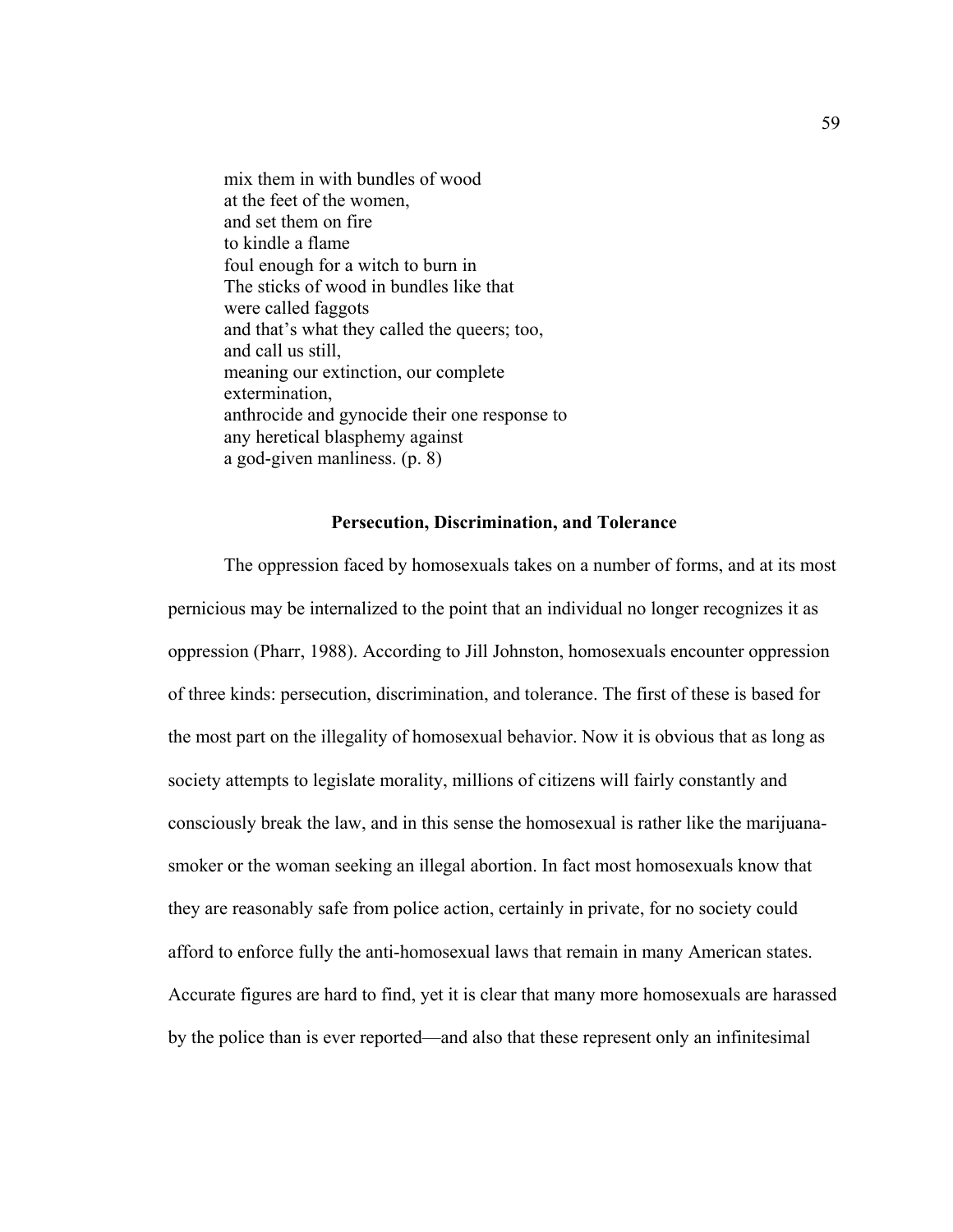mix them in with bundles of wood at the feet of the women, and set them on fire to kindle a flame foul enough for a witch to burn in The sticks of wood in bundles like that were called faggots and that's what they called the queers; too, and call us still, meaning our extinction, our complete extermination, anthrocide and gynocide their one response to any heretical blasphemy against a god-given manliness. (p. 8)

## **Persecution, Discrimination, and Tolerance**

The oppression faced by homosexuals takes on a number of forms, and at its most pernicious may be internalized to the point that an individual no longer recognizes it as oppression (Pharr, 1988). According to Jill Johnston, homosexuals encounter oppression of three kinds: persecution, discrimination, and tolerance. The first of these is based for the most part on the illegality of homosexual behavior. Now it is obvious that as long as society attempts to legislate morality, millions of citizens will fairly constantly and consciously break the law, and in this sense the homosexual is rather like the marijuanasmoker or the woman seeking an illegal abortion. In fact most homosexuals know that they are reasonably safe from police action, certainly in private, for no society could afford to enforce fully the anti-homosexual laws that remain in many American states. Accurate figures are hard to find, yet it is clear that many more homosexuals are harassed by the police than is ever reported—and also that these represent only an infinitesimal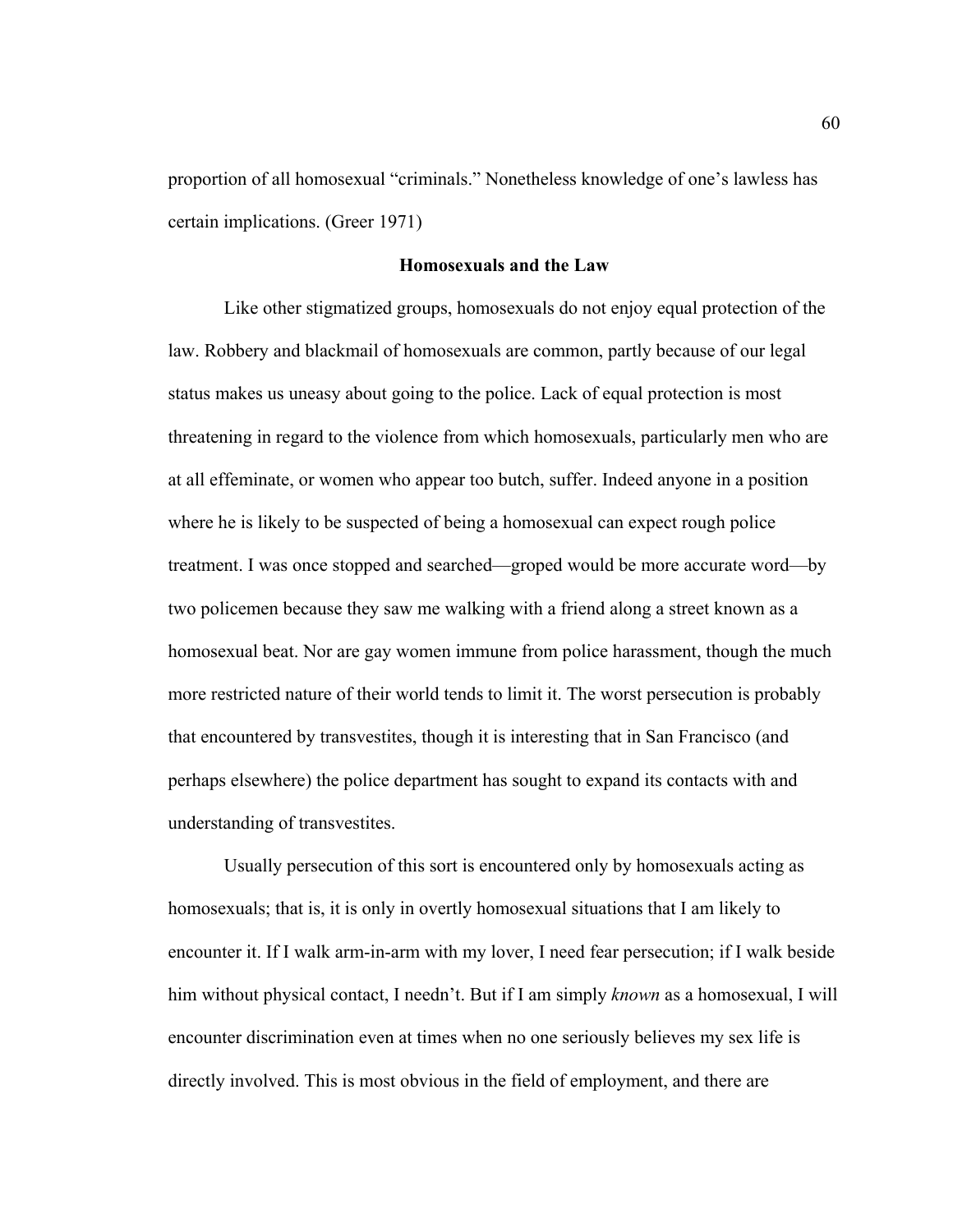proportion of all homosexual "criminals." Nonetheless knowledge of one's lawless has certain implications. (Greer 1971)

#### **Homosexuals and the Law**

Like other stigmatized groups, homosexuals do not enjoy equal protection of the law. Robbery and blackmail of homosexuals are common, partly because of our legal status makes us uneasy about going to the police. Lack of equal protection is most threatening in regard to the violence from which homosexuals, particularly men who are at all effeminate, or women who appear too butch, suffer. Indeed anyone in a position where he is likely to be suspected of being a homosexual can expect rough police treatment. I was once stopped and searched—groped would be more accurate word—by two policemen because they saw me walking with a friend along a street known as a homosexual beat. Nor are gay women immune from police harassment, though the much more restricted nature of their world tends to limit it. The worst persecution is probably that encountered by transvestites, though it is interesting that in San Francisco (and perhaps elsewhere) the police department has sought to expand its contacts with and understanding of transvestites.

Usually persecution of this sort is encountered only by homosexuals acting as homosexuals; that is, it is only in overtly homosexual situations that I am likely to encounter it. If I walk arm-in-arm with my lover, I need fear persecution; if I walk beside him without physical contact, I needn't. But if I am simply *known* as a homosexual, I will encounter discrimination even at times when no one seriously believes my sex life is directly involved. This is most obvious in the field of employment, and there are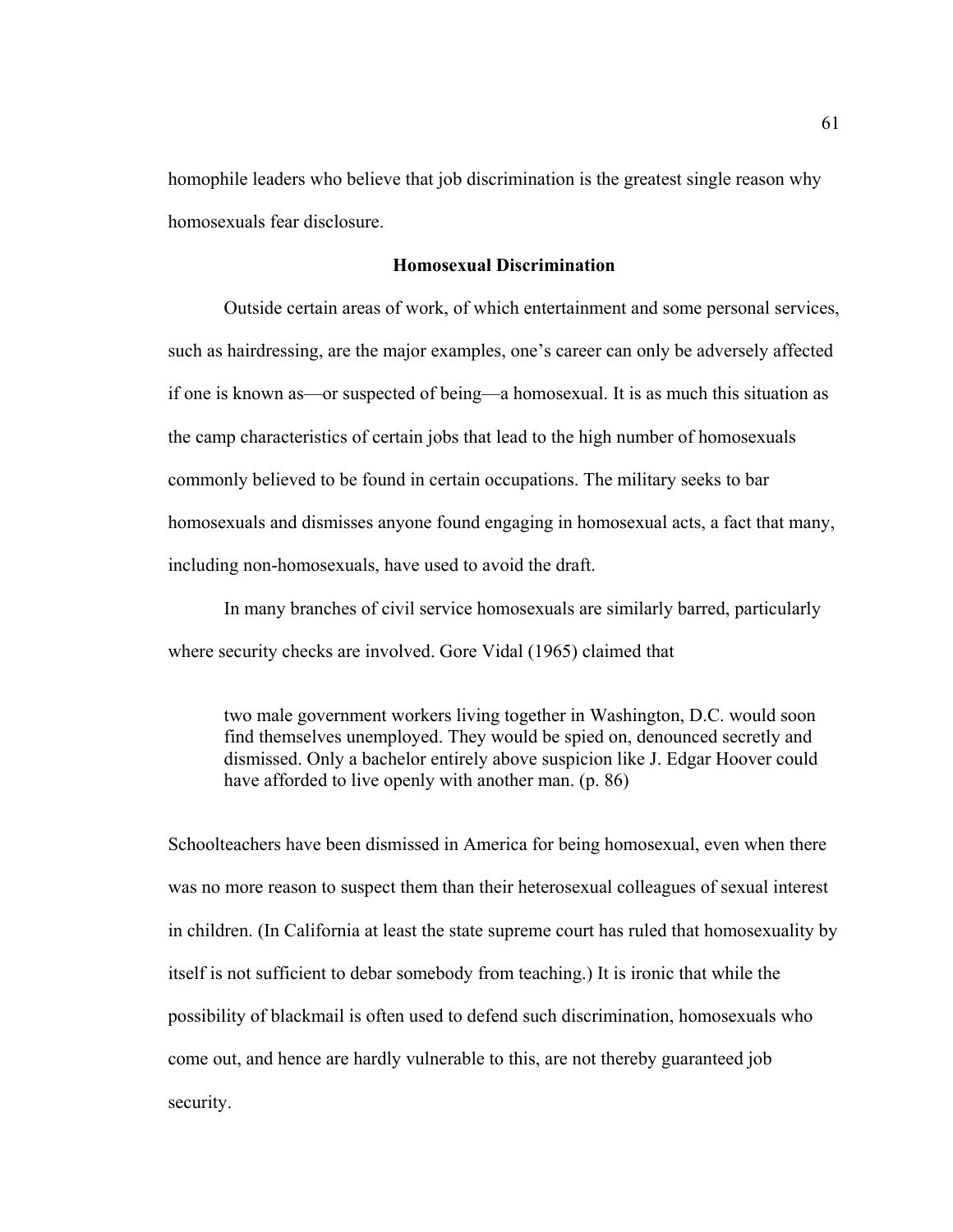homophile leaders who believe that job discrimination is the greatest single reason why homosexuals fear disclosure.

## **Homosexual Discrimination**

Outside certain areas of work, of which entertainment and some personal services, such as hairdressing, are the major examples, one's career can only be adversely affected if one is known as—or suspected of being—a homosexual. It is as much this situation as the camp characteristics of certain jobs that lead to the high number of homosexuals commonly believed to be found in certain occupations. The military seeks to bar homosexuals and dismisses anyone found engaging in homosexual acts, a fact that many, including non-homosexuals, have used to avoid the draft.

In many branches of civil service homosexuals are similarly barred, particularly where security checks are involved. Gore Vidal (1965) claimed that

two male government workers living together in Washington, D.C. would soon find themselves unemployed. They would be spied on, denounced secretly and dismissed. Only a bachelor entirely above suspicion like J. Edgar Hoover could have afforded to live openly with another man. (p. 86)

Schoolteachers have been dismissed in America for being homosexual, even when there was no more reason to suspect them than their heterosexual colleagues of sexual interest in children. (In California at least the state supreme court has ruled that homosexuality by itself is not sufficient to debar somebody from teaching.) It is ironic that while the possibility of blackmail is often used to defend such discrimination, homosexuals who come out, and hence are hardly vulnerable to this, are not thereby guaranteed job security.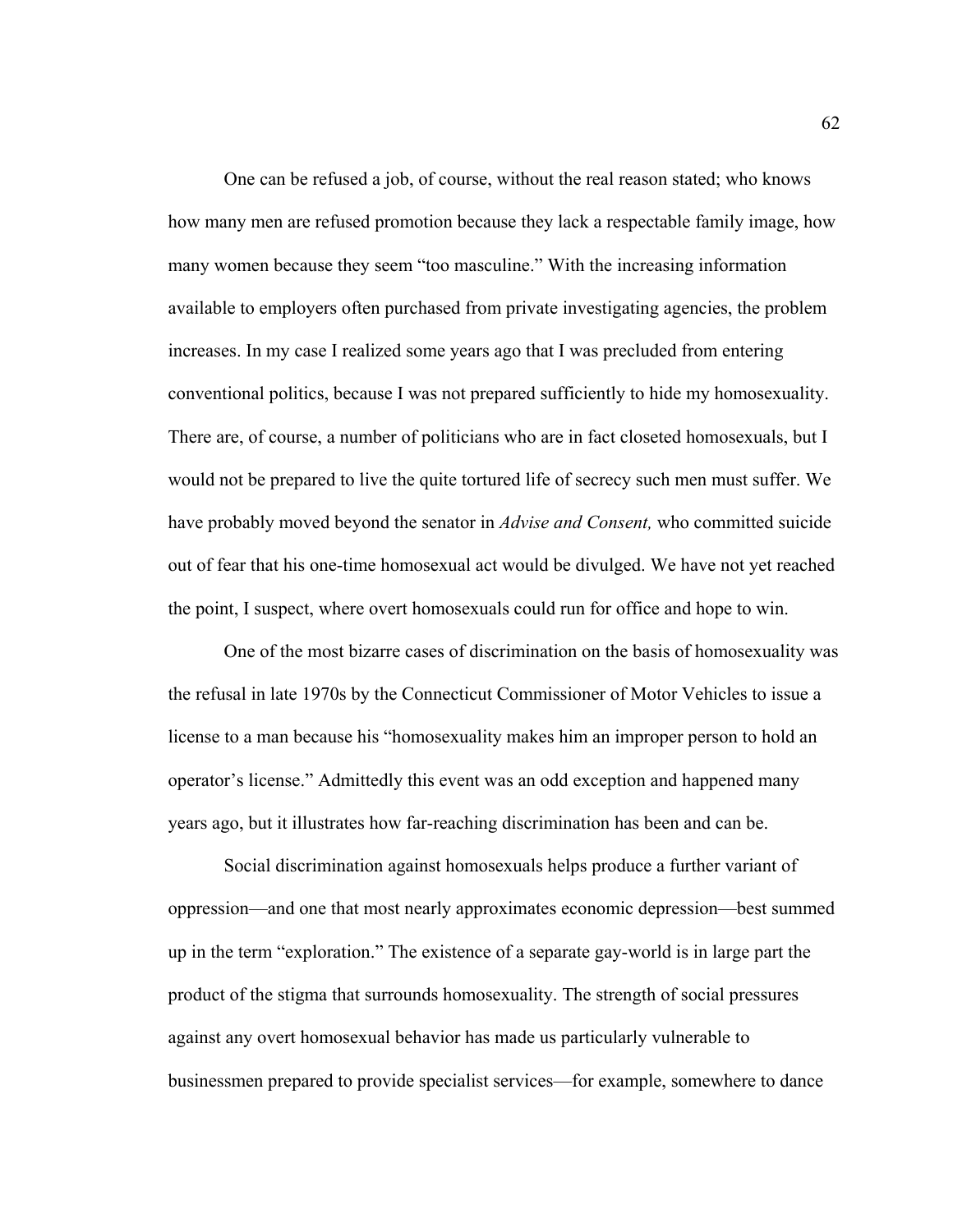One can be refused a job, of course, without the real reason stated; who knows how many men are refused promotion because they lack a respectable family image, how many women because they seem "too masculine." With the increasing information available to employers often purchased from private investigating agencies, the problem increases. In my case I realized some years ago that I was precluded from entering conventional politics, because I was not prepared sufficiently to hide my homosexuality. There are, of course, a number of politicians who are in fact closeted homosexuals, but I would not be prepared to live the quite tortured life of secrecy such men must suffer. We have probably moved beyond the senator in *Advise and Consent,* who committed suicide out of fear that his one-time homosexual act would be divulged. We have not yet reached the point, I suspect, where overt homosexuals could run for office and hope to win.

One of the most bizarre cases of discrimination on the basis of homosexuality was the refusal in late 1970s by the Connecticut Commissioner of Motor Vehicles to issue a license to a man because his "homosexuality makes him an improper person to hold an operator's license." Admittedly this event was an odd exception and happened many years ago, but it illustrates how far-reaching discrimination has been and can be.

Social discrimination against homosexuals helps produce a further variant of oppression—and one that most nearly approximates economic depression—best summed up in the term "exploration." The existence of a separate gay-world is in large part the product of the stigma that surrounds homosexuality. The strength of social pressures against any overt homosexual behavior has made us particularly vulnerable to businessmen prepared to provide specialist services—for example, somewhere to dance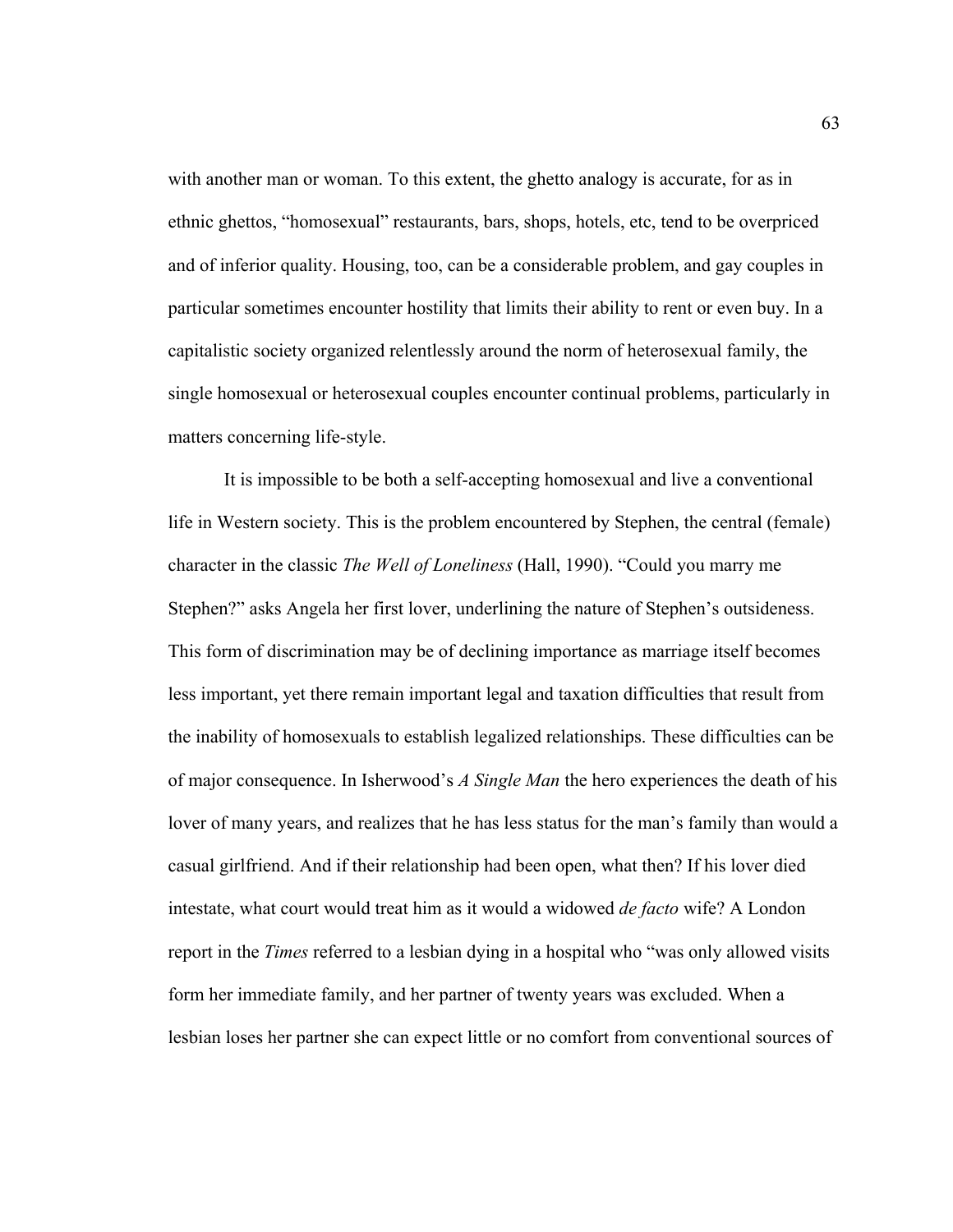with another man or woman. To this extent, the ghetto analogy is accurate, for as in ethnic ghettos, "homosexual" restaurants, bars, shops, hotels, etc, tend to be overpriced and of inferior quality. Housing, too, can be a considerable problem, and gay couples in particular sometimes encounter hostility that limits their ability to rent or even buy. In a capitalistic society organized relentlessly around the norm of heterosexual family, the single homosexual or heterosexual couples encounter continual problems, particularly in matters concerning life-style.

It is impossible to be both a self-accepting homosexual and live a conventional life in Western society. This is the problem encountered by Stephen, the central (female) character in the classic *The Well of Loneliness* (Hall, 1990). "Could you marry me Stephen?" asks Angela her first lover, underlining the nature of Stephen's outsideness. This form of discrimination may be of declining importance as marriage itself becomes less important, yet there remain important legal and taxation difficulties that result from the inability of homosexuals to establish legalized relationships. These difficulties can be of major consequence. In Isherwood's *A Single Man* the hero experiences the death of his lover of many years, and realizes that he has less status for the man's family than would a casual girlfriend. And if their relationship had been open, what then? If his lover died intestate, what court would treat him as it would a widowed *de facto* wife? A London report in the *Times* referred to a lesbian dying in a hospital who "was only allowed visits form her immediate family, and her partner of twenty years was excluded. When a lesbian loses her partner she can expect little or no comfort from conventional sources of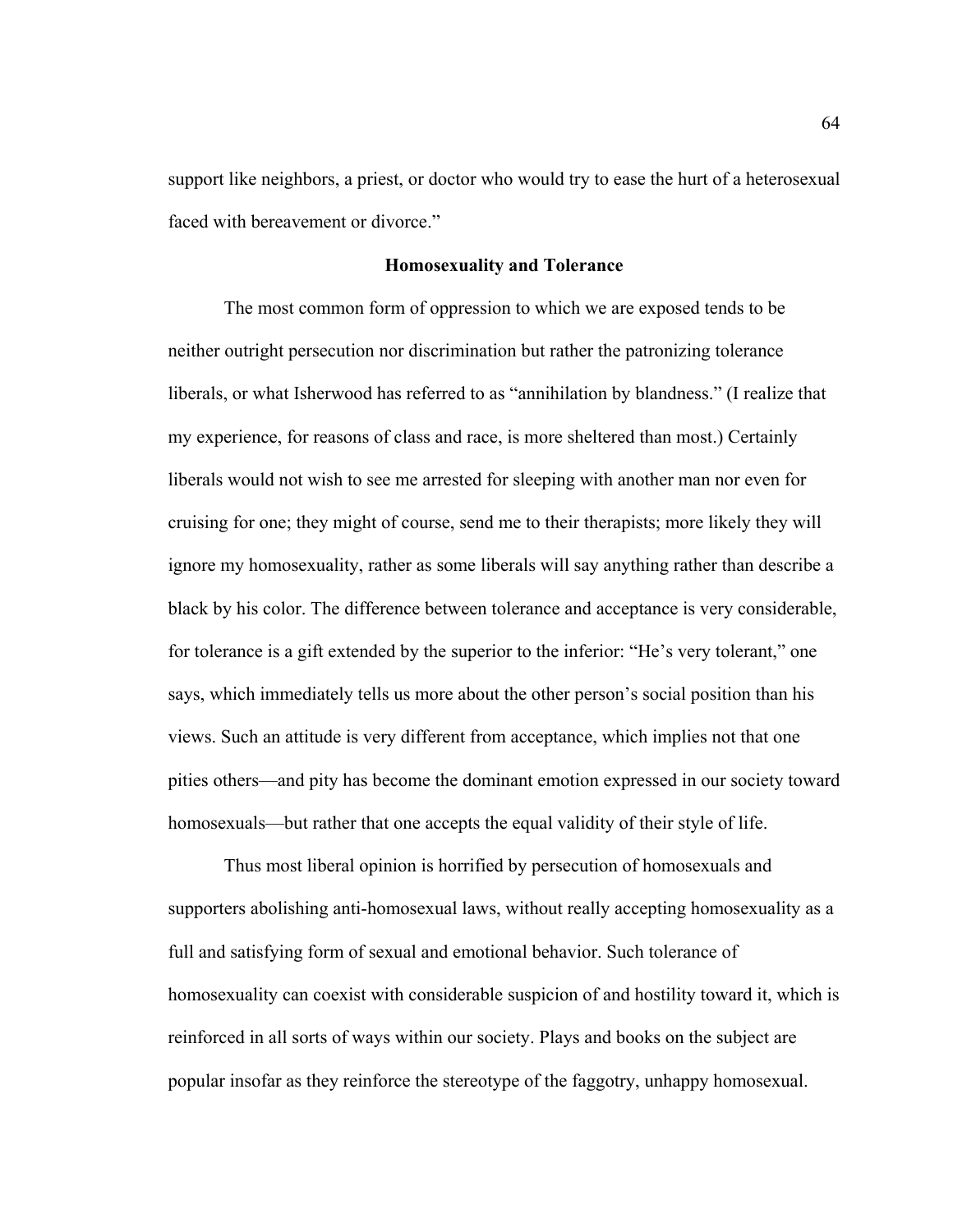support like neighbors, a priest, or doctor who would try to ease the hurt of a heterosexual faced with bereavement or divorce."

### **Homosexuality and Tolerance**

The most common form of oppression to which we are exposed tends to be neither outright persecution nor discrimination but rather the patronizing tolerance liberals, or what Isherwood has referred to as "annihilation by blandness." (I realize that my experience, for reasons of class and race, is more sheltered than most.) Certainly liberals would not wish to see me arrested for sleeping with another man nor even for cruising for one; they might of course, send me to their therapists; more likely they will ignore my homosexuality, rather as some liberals will say anything rather than describe a black by his color. The difference between tolerance and acceptance is very considerable, for tolerance is a gift extended by the superior to the inferior: "He's very tolerant," one says, which immediately tells us more about the other person's social position than his views. Such an attitude is very different from acceptance, which implies not that one pities others—and pity has become the dominant emotion expressed in our society toward homosexuals—but rather that one accepts the equal validity of their style of life.

Thus most liberal opinion is horrified by persecution of homosexuals and supporters abolishing anti-homosexual laws, without really accepting homosexuality as a full and satisfying form of sexual and emotional behavior. Such tolerance of homosexuality can coexist with considerable suspicion of and hostility toward it, which is reinforced in all sorts of ways within our society. Plays and books on the subject are popular insofar as they reinforce the stereotype of the faggotry, unhappy homosexual.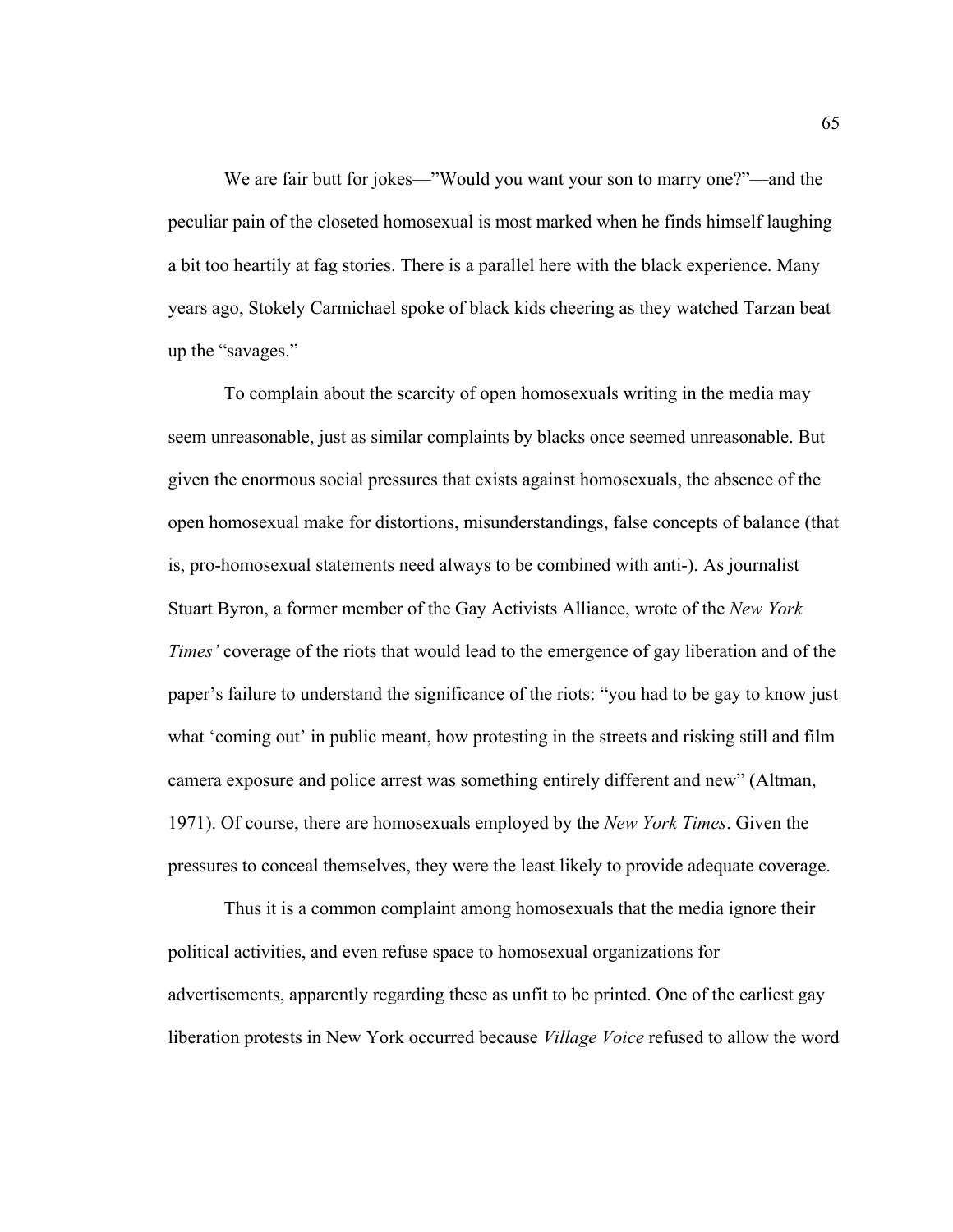We are fair butt for jokes—"Would you want your son to marry one?"—and the peculiar pain of the closeted homosexual is most marked when he finds himself laughing a bit too heartily at fag stories. There is a parallel here with the black experience. Many years ago, Stokely Carmichael spoke of black kids cheering as they watched Tarzan beat up the "savages."

 To complain about the scarcity of open homosexuals writing in the media may seem unreasonable, just as similar complaints by blacks once seemed unreasonable. But given the enormous social pressures that exists against homosexuals, the absence of the open homosexual make for distortions, misunderstandings, false concepts of balance (that is, pro-homosexual statements need always to be combined with anti-). As journalist Stuart Byron, a former member of the Gay Activists Alliance, wrote of the *New York Times'* coverage of the riots that would lead to the emergence of gay liberation and of the paper's failure to understand the significance of the riots: "you had to be gay to know just what 'coming out' in public meant, how protesting in the streets and risking still and film camera exposure and police arrest was something entirely different and new" (Altman, 1971). Of course, there are homosexuals employed by the *New York Times*. Given the pressures to conceal themselves, they were the least likely to provide adequate coverage.

 Thus it is a common complaint among homosexuals that the media ignore their political activities, and even refuse space to homosexual organizations for advertisements, apparently regarding these as unfit to be printed. One of the earliest gay liberation protests in New York occurred because *Village Voice* refused to allow the word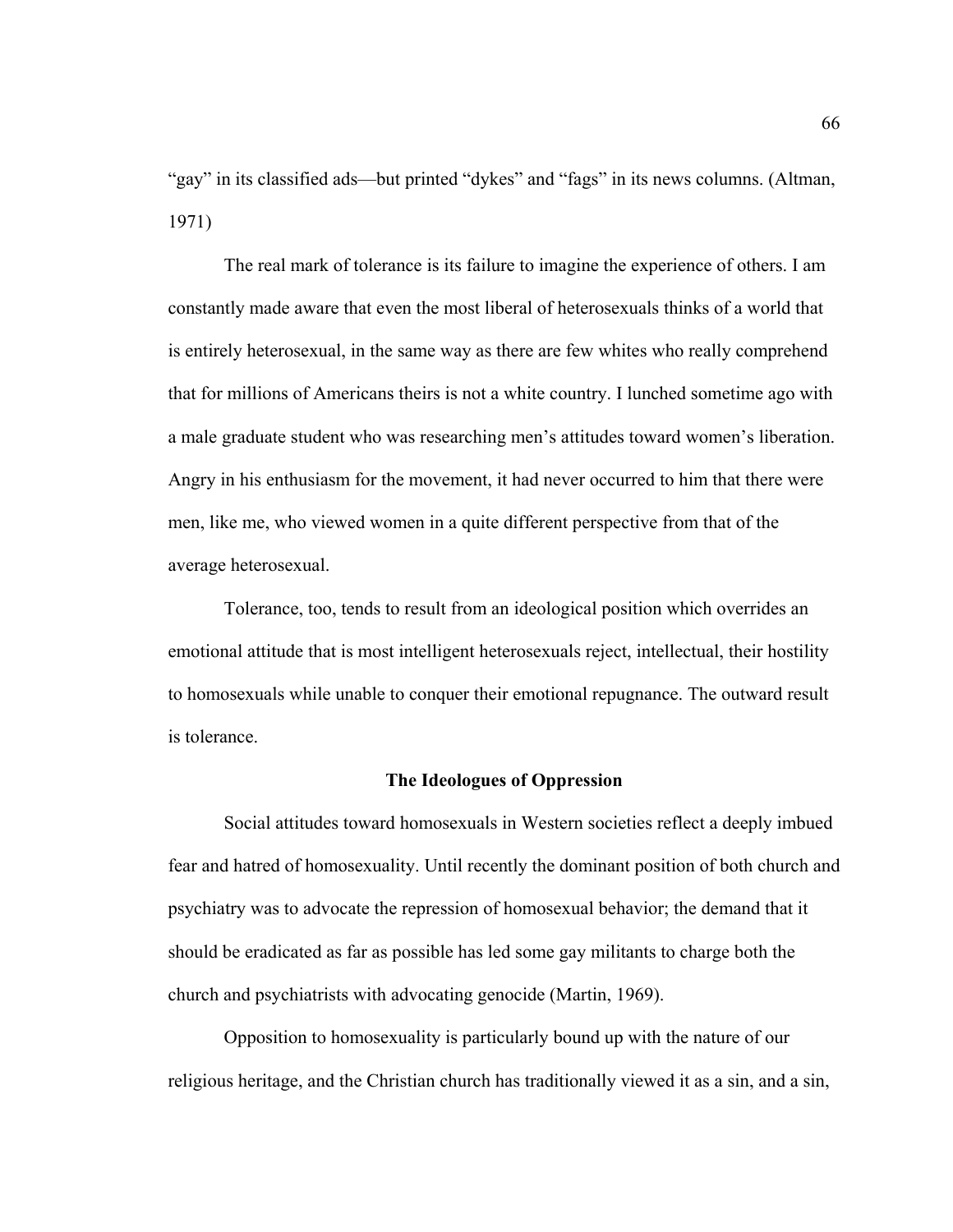"gay" in its classified ads—but printed "dykes" and "fags" in its news columns. (Altman, 1971)

The real mark of tolerance is its failure to imagine the experience of others. I am constantly made aware that even the most liberal of heterosexuals thinks of a world that is entirely heterosexual, in the same way as there are few whites who really comprehend that for millions of Americans theirs is not a white country. I lunched sometime ago with a male graduate student who was researching men's attitudes toward women's liberation. Angry in his enthusiasm for the movement, it had never occurred to him that there were men, like me, who viewed women in a quite different perspective from that of the average heterosexual.

 Tolerance, too, tends to result from an ideological position which overrides an emotional attitude that is most intelligent heterosexuals reject, intellectual, their hostility to homosexuals while unable to conquer their emotional repugnance. The outward result is tolerance.

#### **The Ideologues of Oppression**

Social attitudes toward homosexuals in Western societies reflect a deeply imbued fear and hatred of homosexuality. Until recently the dominant position of both church and psychiatry was to advocate the repression of homosexual behavior; the demand that it should be eradicated as far as possible has led some gay militants to charge both the church and psychiatrists with advocating genocide (Martin, 1969).

 Opposition to homosexuality is particularly bound up with the nature of our religious heritage, and the Christian church has traditionally viewed it as a sin, and a sin,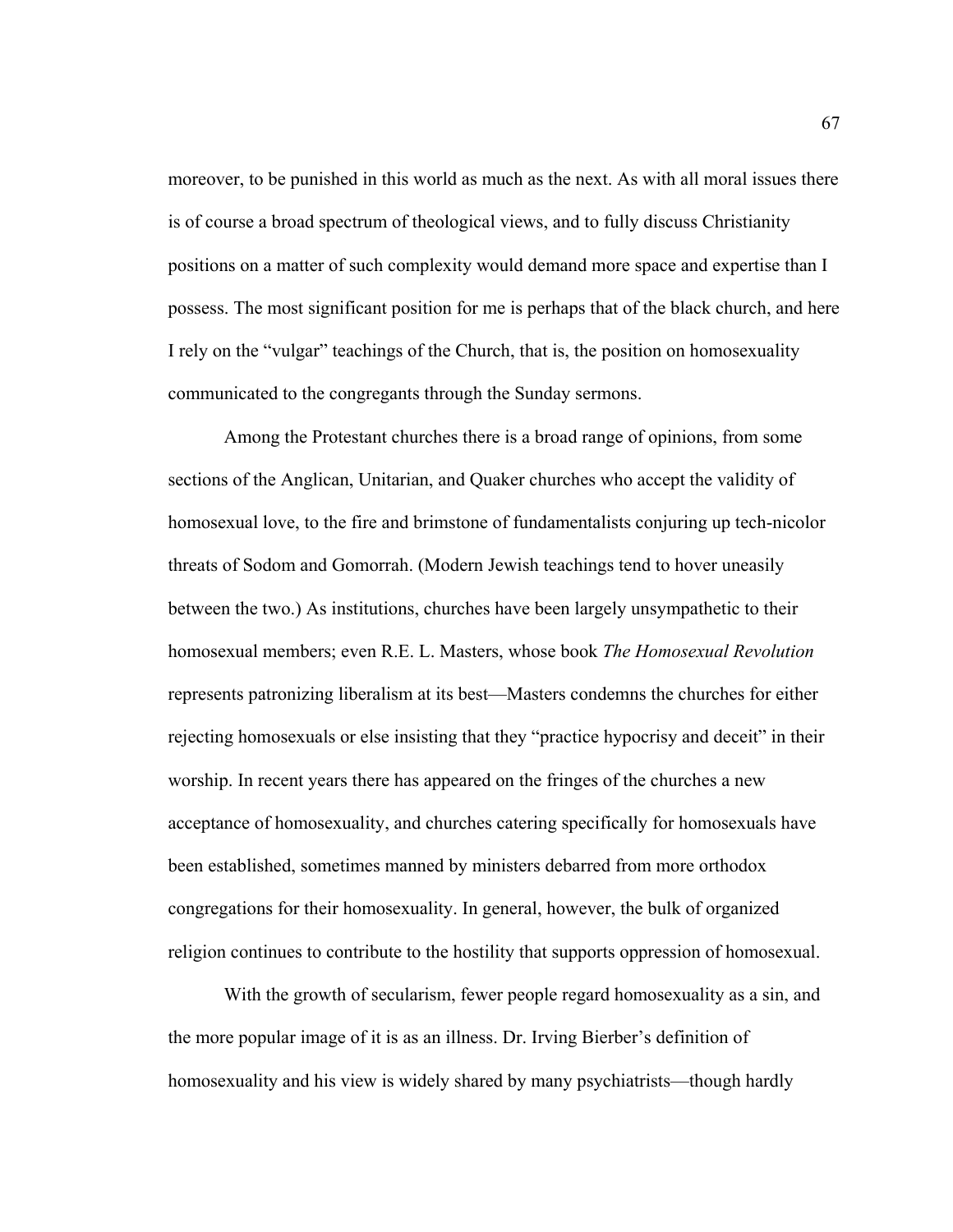moreover, to be punished in this world as much as the next. As with all moral issues there is of course a broad spectrum of theological views, and to fully discuss Christianity positions on a matter of such complexity would demand more space and expertise than I possess. The most significant position for me is perhaps that of the black church, and here I rely on the "vulgar" teachings of the Church, that is, the position on homosexuality communicated to the congregants through the Sunday sermons.

 Among the Protestant churches there is a broad range of opinions, from some sections of the Anglican, Unitarian, and Quaker churches who accept the validity of homosexual love, to the fire and brimstone of fundamentalists conjuring up tech-nicolor threats of Sodom and Gomorrah. (Modern Jewish teachings tend to hover uneasily between the two.) As institutions, churches have been largely unsympathetic to their homosexual members; even R.E. L. Masters, whose book *The Homosexual Revolution* represents patronizing liberalism at its best—Masters condemns the churches for either rejecting homosexuals or else insisting that they "practice hypocrisy and deceit" in their worship. In recent years there has appeared on the fringes of the churches a new acceptance of homosexuality, and churches catering specifically for homosexuals have been established, sometimes manned by ministers debarred from more orthodox congregations for their homosexuality. In general, however, the bulk of organized religion continues to contribute to the hostility that supports oppression of homosexual.

 With the growth of secularism, fewer people regard homosexuality as a sin, and the more popular image of it is as an illness. Dr. Irving Bierber's definition of homosexuality and his view is widely shared by many psychiatrists—though hardly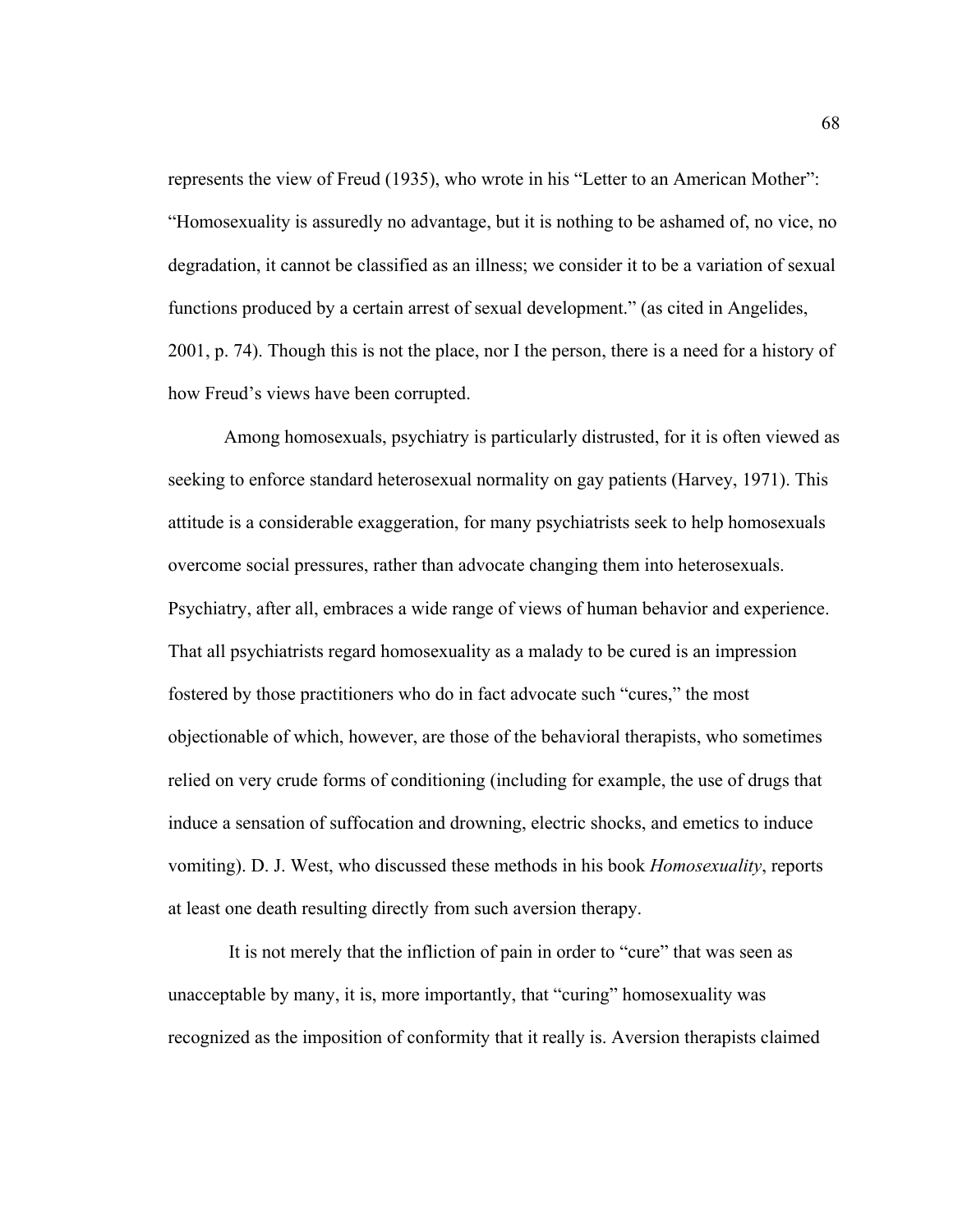represents the view of Freud (1935), who wrote in his "Letter to an American Mother": "Homosexuality is assuredly no advantage, but it is nothing to be ashamed of, no vice, no degradation, it cannot be classified as an illness; we consider it to be a variation of sexual functions produced by a certain arrest of sexual development." (as cited in Angelides, 2001, p. 74). Though this is not the place, nor I the person, there is a need for a history of how Freud's views have been corrupted.

 Among homosexuals, psychiatry is particularly distrusted, for it is often viewed as seeking to enforce standard heterosexual normality on gay patients (Harvey, 1971). This attitude is a considerable exaggeration, for many psychiatrists seek to help homosexuals overcome social pressures, rather than advocate changing them into heterosexuals. Psychiatry, after all, embraces a wide range of views of human behavior and experience. That all psychiatrists regard homosexuality as a malady to be cured is an impression fostered by those practitioners who do in fact advocate such "cures," the most objectionable of which, however, are those of the behavioral therapists, who sometimes relied on very crude forms of conditioning (including for example, the use of drugs that induce a sensation of suffocation and drowning, electric shocks, and emetics to induce vomiting). D. J. West, who discussed these methods in his book *Homosexuality*, reports at least one death resulting directly from such aversion therapy.

It is not merely that the infliction of pain in order to "cure" that was seen as unacceptable by many, it is, more importantly, that "curing" homosexuality was recognized as the imposition of conformity that it really is. Aversion therapists claimed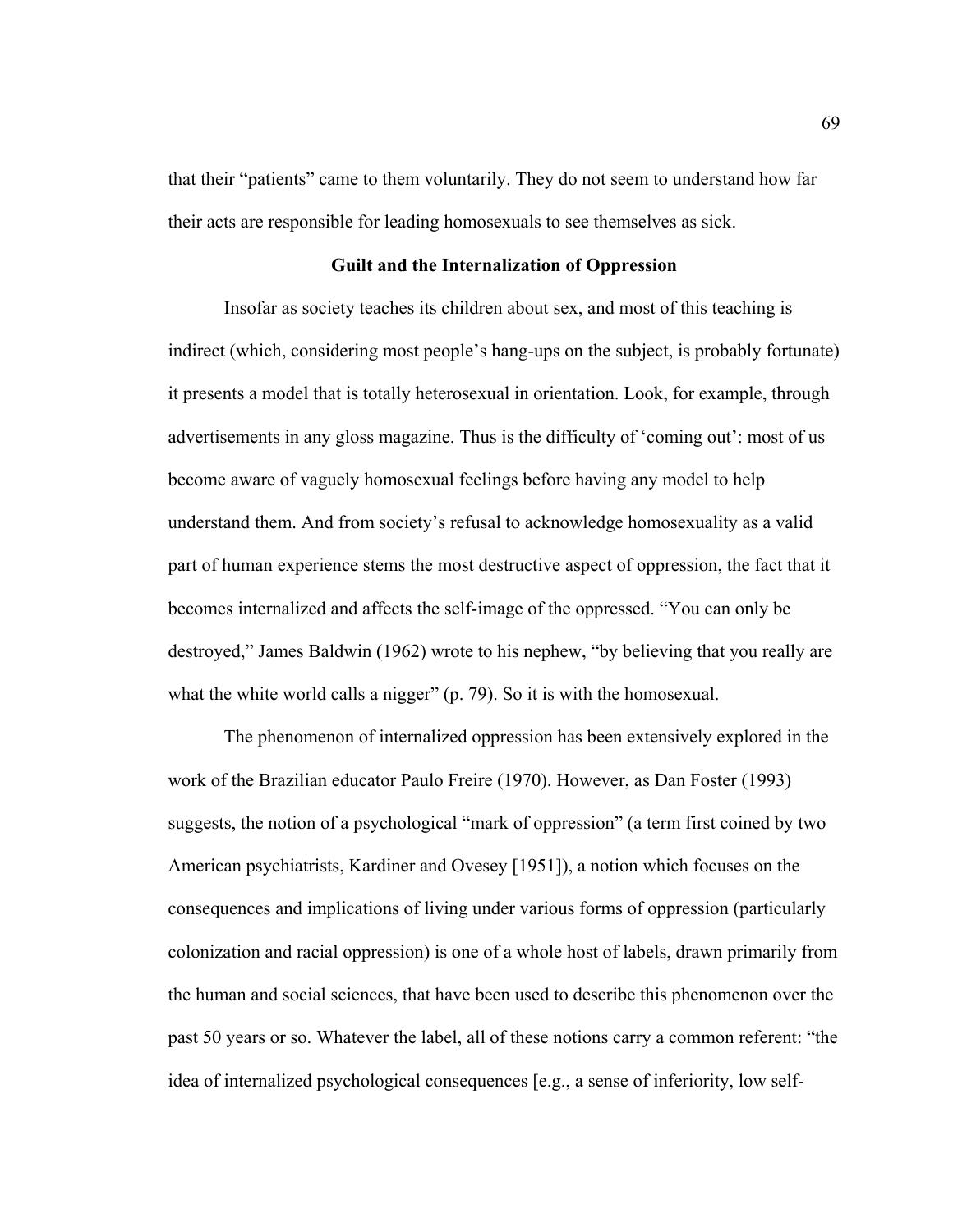that their "patients" came to them voluntarily. They do not seem to understand how far their acts are responsible for leading homosexuals to see themselves as sick.

## **Guilt and the Internalization of Oppression**

Insofar as society teaches its children about sex, and most of this teaching is indirect (which, considering most people's hang-ups on the subject, is probably fortunate) it presents a model that is totally heterosexual in orientation. Look, for example, through advertisements in any gloss magazine. Thus is the difficulty of 'coming out': most of us become aware of vaguely homosexual feelings before having any model to help understand them. And from society's refusal to acknowledge homosexuality as a valid part of human experience stems the most destructive aspect of oppression, the fact that it becomes internalized and affects the self-image of the oppressed. "You can only be destroyed," James Baldwin (1962) wrote to his nephew, "by believing that you really are what the white world calls a nigger" (p. 79). So it is with the homosexual.

The phenomenon of internalized oppression has been extensively explored in the work of the Brazilian educator Paulo Freire (1970). However, as Dan Foster (1993) suggests, the notion of a psychological "mark of oppression" (a term first coined by two American psychiatrists, Kardiner and Ovesey [1951]), a notion which focuses on the consequences and implications of living under various forms of oppression (particularly colonization and racial oppression) is one of a whole host of labels, drawn primarily from the human and social sciences, that have been used to describe this phenomenon over the past 50 years or so. Whatever the label, all of these notions carry a common referent: "the idea of internalized psychological consequences [e.g., a sense of inferiority, low self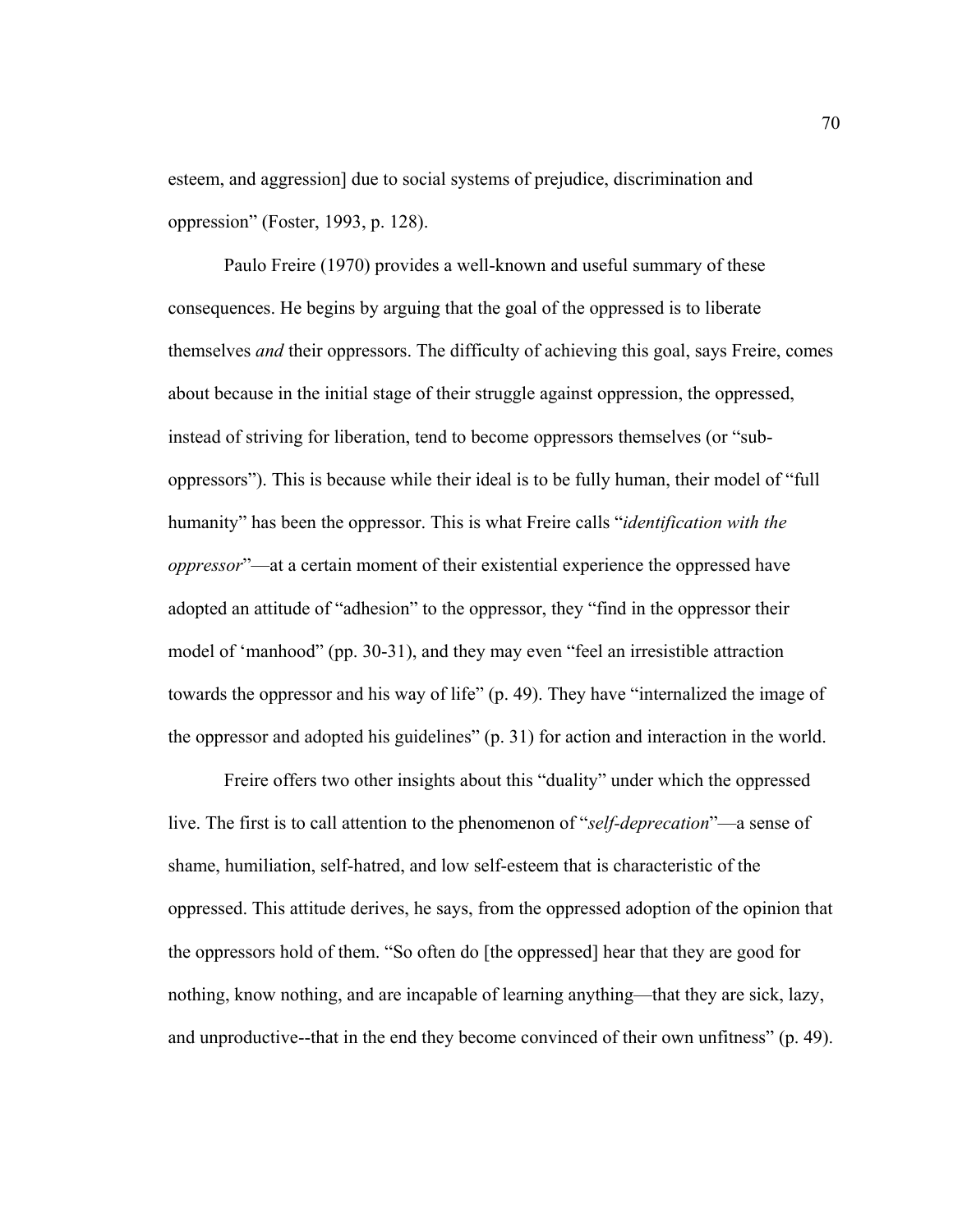esteem, and aggression] due to social systems of prejudice, discrimination and oppression" (Foster, 1993, p. 128).

 Paulo Freire (1970) provides a well-known and useful summary of these consequences. He begins by arguing that the goal of the oppressed is to liberate themselves *and* their oppressors. The difficulty of achieving this goal, says Freire, comes about because in the initial stage of their struggle against oppression, the oppressed, instead of striving for liberation, tend to become oppressors themselves (or "suboppressors"). This is because while their ideal is to be fully human, their model of "full humanity" has been the oppressor. This is what Freire calls "*identification with the oppressor*"—at a certain moment of their existential experience the oppressed have adopted an attitude of "adhesion" to the oppressor, they "find in the oppressor their model of 'manhood" (pp. 30-31), and they may even "feel an irresistible attraction towards the oppressor and his way of life" (p. 49). They have "internalized the image of the oppressor and adopted his guidelines" (p. 31) for action and interaction in the world.

Freire offers two other insights about this "duality" under which the oppressed live. The first is to call attention to the phenomenon of "*self-deprecation*"—a sense of shame, humiliation, self-hatred, and low self-esteem that is characteristic of the oppressed. This attitude derives, he says, from the oppressed adoption of the opinion that the oppressors hold of them. "So often do [the oppressed] hear that they are good for nothing, know nothing, and are incapable of learning anything—that they are sick, lazy, and unproductive--that in the end they become convinced of their own unfitness" (p. 49).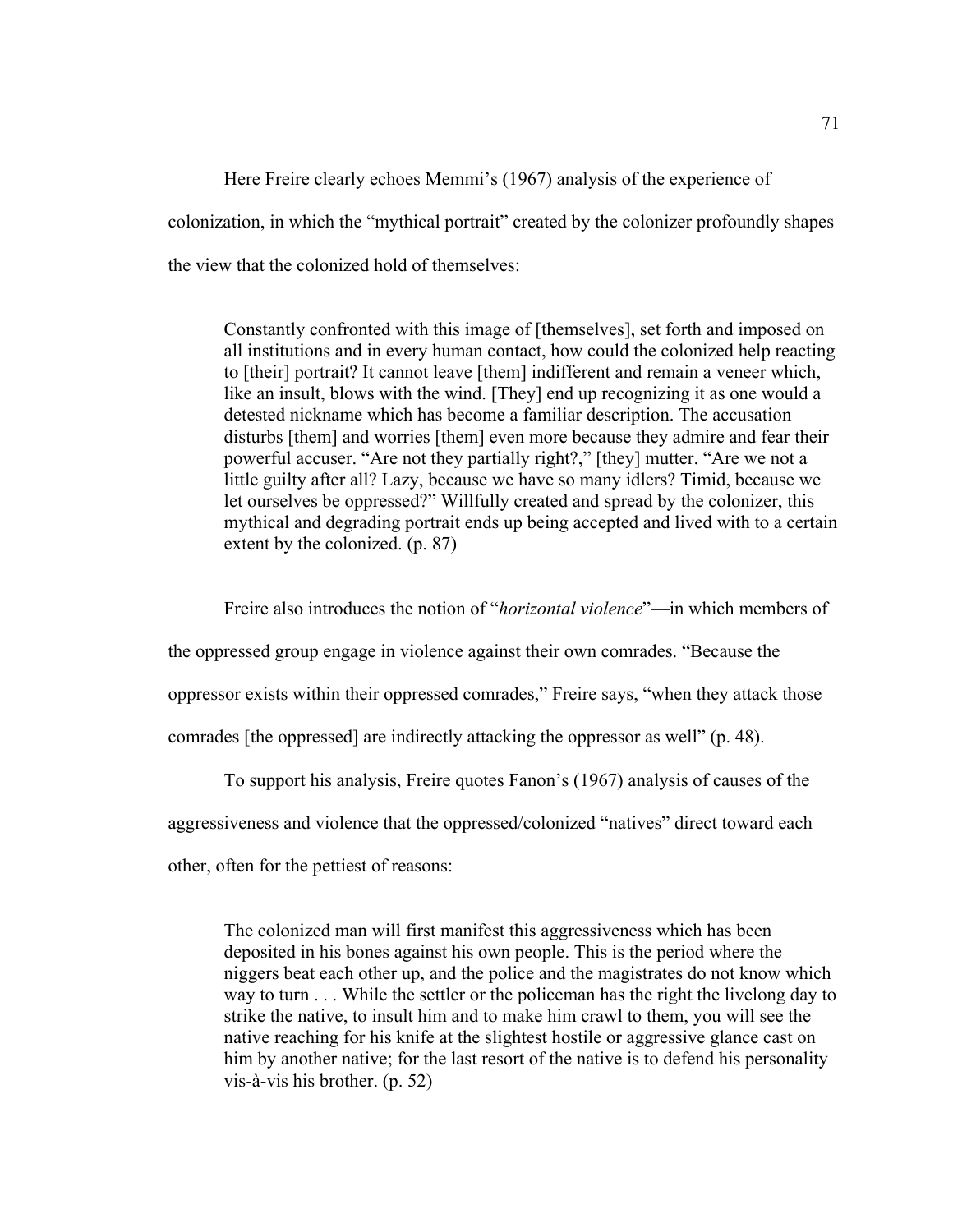Here Freire clearly echoes Memmi's (1967) analysis of the experience of colonization, in which the "mythical portrait" created by the colonizer profoundly shapes the view that the colonized hold of themselves:

Constantly confronted with this image of [themselves], set forth and imposed on all institutions and in every human contact, how could the colonized help reacting to [their] portrait? It cannot leave [them] indifferent and remain a veneer which, like an insult, blows with the wind. [They] end up recognizing it as one would a detested nickname which has become a familiar description. The accusation disturbs [them] and worries [them] even more because they admire and fear their powerful accuser. "Are not they partially right?," [they] mutter. "Are we not a little guilty after all? Lazy, because we have so many idlers? Timid, because we let ourselves be oppressed?" Willfully created and spread by the colonizer, this mythical and degrading portrait ends up being accepted and lived with to a certain extent by the colonized. (p. 87)

Freire also introduces the notion of "*horizontal violence*"—in which members of

the oppressed group engage in violence against their own comrades. "Because the

oppressor exists within their oppressed comrades," Freire says, "when they attack those

comrades [the oppressed] are indirectly attacking the oppressor as well" (p. 48).

To support his analysis, Freire quotes Fanon's (1967) analysis of causes of the

aggressiveness and violence that the oppressed/colonized "natives" direct toward each

other, often for the pettiest of reasons:

The colonized man will first manifest this aggressiveness which has been deposited in his bones against his own people. This is the period where the niggers beat each other up, and the police and the magistrates do not know which way to turn . . . While the settler or the policeman has the right the livelong day to strike the native, to insult him and to make him crawl to them, you will see the native reaching for his knife at the slightest hostile or aggressive glance cast on him by another native; for the last resort of the native is to defend his personality vis-à-vis his brother. (p. 52)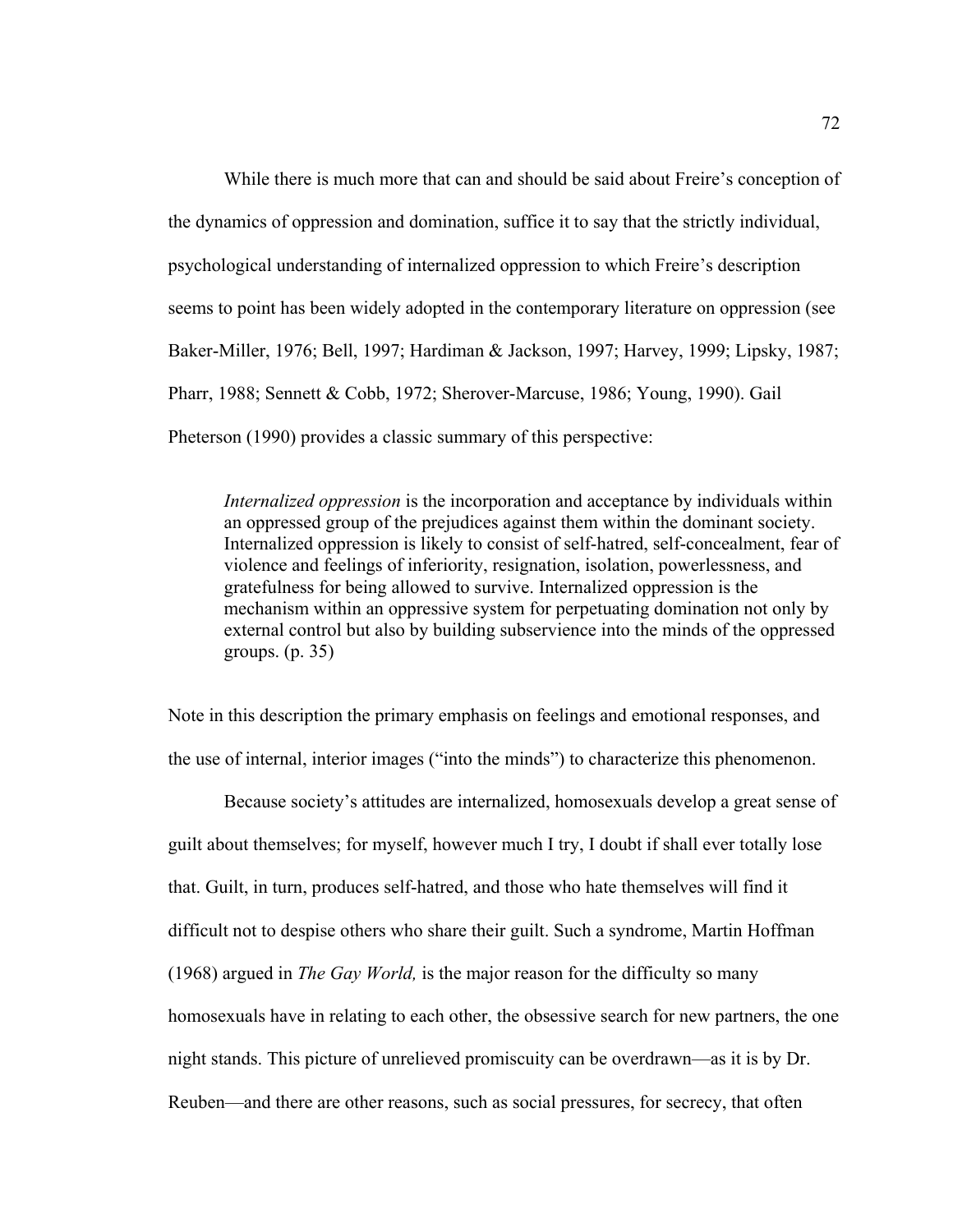While there is much more that can and should be said about Freire's conception of the dynamics of oppression and domination, suffice it to say that the strictly individual, psychological understanding of internalized oppression to which Freire's description seems to point has been widely adopted in the contemporary literature on oppression (see Baker-Miller, 1976; Bell, 1997; Hardiman & Jackson, 1997; Harvey, 1999; Lipsky, 1987; Pharr, 1988; Sennett & Cobb, 1972; Sherover-Marcuse, 1986; Young, 1990). Gail Pheterson (1990) provides a classic summary of this perspective:

*Internalized oppression* is the incorporation and acceptance by individuals within an oppressed group of the prejudices against them within the dominant society. Internalized oppression is likely to consist of self-hatred, self-concealment, fear of violence and feelings of inferiority, resignation, isolation, powerlessness, and gratefulness for being allowed to survive. Internalized oppression is the mechanism within an oppressive system for perpetuating domination not only by external control but also by building subservience into the minds of the oppressed groups. (p. 35)

Note in this description the primary emphasis on feelings and emotional responses, and the use of internal, interior images ("into the minds") to characterize this phenomenon.

 Because society's attitudes are internalized, homosexuals develop a great sense of guilt about themselves; for myself, however much I try, I doubt if shall ever totally lose that. Guilt, in turn, produces self-hatred, and those who hate themselves will find it difficult not to despise others who share their guilt. Such a syndrome, Martin Hoffman (1968) argued in *The Gay World,* is the major reason for the difficulty so many homosexuals have in relating to each other, the obsessive search for new partners, the one night stands. This picture of unrelieved promiscuity can be overdrawn—as it is by Dr. Reuben—and there are other reasons, such as social pressures, for secrecy, that often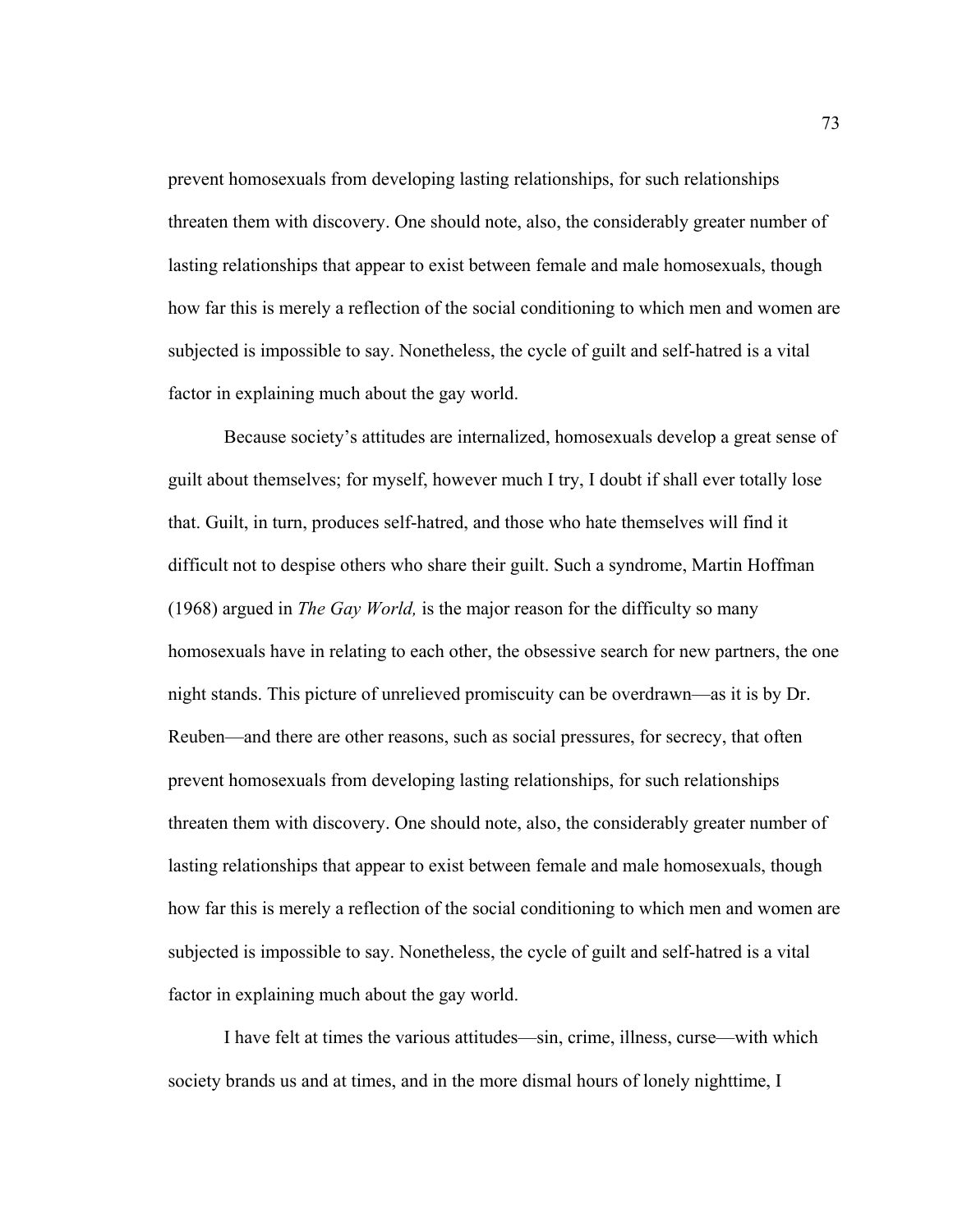prevent homosexuals from developing lasting relationships, for such relationships threaten them with discovery. One should note, also, the considerably greater number of lasting relationships that appear to exist between female and male homosexuals, though how far this is merely a reflection of the social conditioning to which men and women are subjected is impossible to say. Nonetheless, the cycle of guilt and self-hatred is a vital factor in explaining much about the gay world.

 Because society's attitudes are internalized, homosexuals develop a great sense of guilt about themselves; for myself, however much I try, I doubt if shall ever totally lose that. Guilt, in turn, produces self-hatred, and those who hate themselves will find it difficult not to despise others who share their guilt. Such a syndrome, Martin Hoffman (1968) argued in *The Gay World,* is the major reason for the difficulty so many homosexuals have in relating to each other, the obsessive search for new partners, the one night stands. This picture of unrelieved promiscuity can be overdrawn—as it is by Dr. Reuben—and there are other reasons, such as social pressures, for secrecy, that often prevent homosexuals from developing lasting relationships, for such relationships threaten them with discovery. One should note, also, the considerably greater number of lasting relationships that appear to exist between female and male homosexuals, though how far this is merely a reflection of the social conditioning to which men and women are subjected is impossible to say. Nonetheless, the cycle of guilt and self-hatred is a vital factor in explaining much about the gay world.

 I have felt at times the various attitudes—sin, crime, illness, curse—with which society brands us and at times, and in the more dismal hours of lonely nighttime, I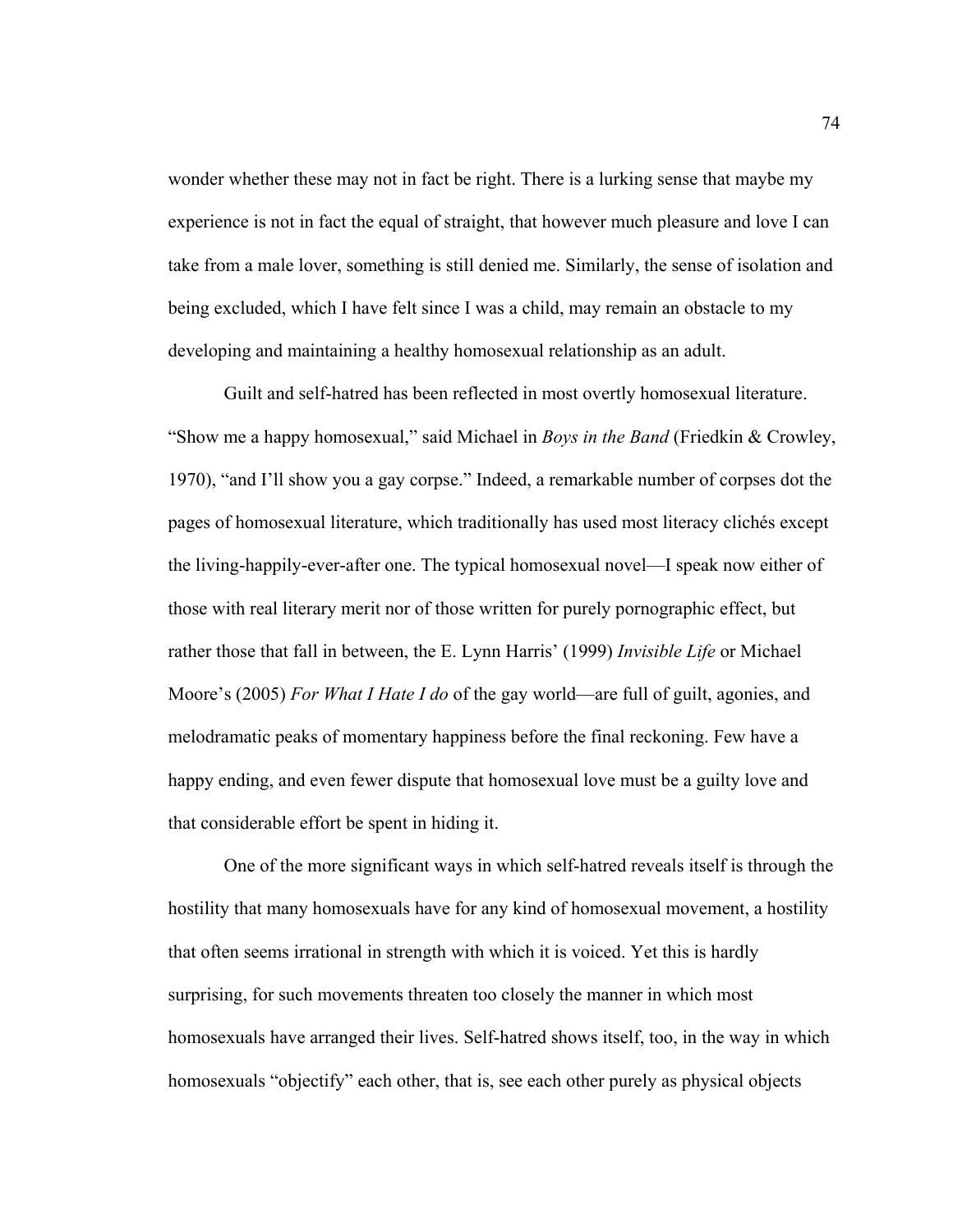wonder whether these may not in fact be right. There is a lurking sense that maybe my experience is not in fact the equal of straight, that however much pleasure and love I can take from a male lover, something is still denied me. Similarly, the sense of isolation and being excluded, which I have felt since I was a child, may remain an obstacle to my developing and maintaining a healthy homosexual relationship as an adult.

 Guilt and self-hatred has been reflected in most overtly homosexual literature. "Show me a happy homosexual," said Michael in *Boys in the Band* (Friedkin & Crowley, 1970), "and I'll show you a gay corpse." Indeed, a remarkable number of corpses dot the pages of homosexual literature, which traditionally has used most literacy clichés except the living-happily-ever-after one. The typical homosexual novel—I speak now either of those with real literary merit nor of those written for purely pornographic effect, but rather those that fall in between, the E. Lynn Harris' (1999) *Invisible Life* or Michael Moore's (2005) *For What I Hate I do* of the gay world—are full of guilt, agonies, and melodramatic peaks of momentary happiness before the final reckoning. Few have a happy ending, and even fewer dispute that homosexual love must be a guilty love and that considerable effort be spent in hiding it.

 One of the more significant ways in which self-hatred reveals itself is through the hostility that many homosexuals have for any kind of homosexual movement, a hostility that often seems irrational in strength with which it is voiced. Yet this is hardly surprising, for such movements threaten too closely the manner in which most homosexuals have arranged their lives. Self-hatred shows itself, too, in the way in which homosexuals "objectify" each other, that is, see each other purely as physical objects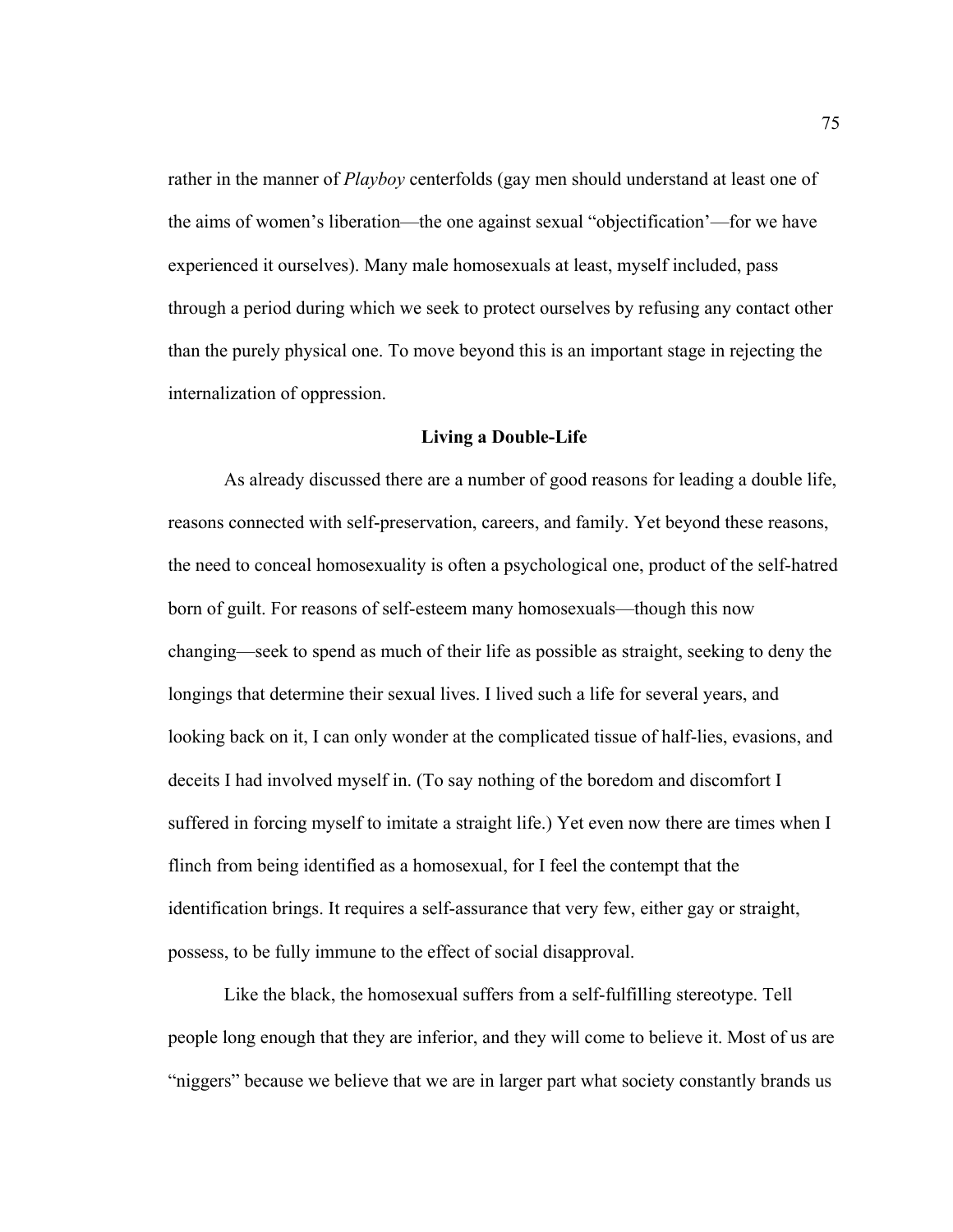rather in the manner of *Playboy* centerfolds (gay men should understand at least one of the aims of women's liberation—the one against sexual "objectification'—for we have experienced it ourselves). Many male homosexuals at least, myself included, pass through a period during which we seek to protect ourselves by refusing any contact other than the purely physical one. To move beyond this is an important stage in rejecting the internalization of oppression.

# **Living a Double-Life**

 As already discussed there are a number of good reasons for leading a double life, reasons connected with self-preservation, careers, and family. Yet beyond these reasons, the need to conceal homosexuality is often a psychological one, product of the self-hatred born of guilt. For reasons of self-esteem many homosexuals—though this now changing—seek to spend as much of their life as possible as straight, seeking to deny the longings that determine their sexual lives. I lived such a life for several years, and looking back on it, I can only wonder at the complicated tissue of half-lies, evasions, and deceits I had involved myself in. (To say nothing of the boredom and discomfort I suffered in forcing myself to imitate a straight life.) Yet even now there are times when I flinch from being identified as a homosexual, for I feel the contempt that the identification brings. It requires a self-assurance that very few, either gay or straight, possess, to be fully immune to the effect of social disapproval.

 Like the black, the homosexual suffers from a self-fulfilling stereotype. Tell people long enough that they are inferior, and they will come to believe it. Most of us are "niggers" because we believe that we are in larger part what society constantly brands us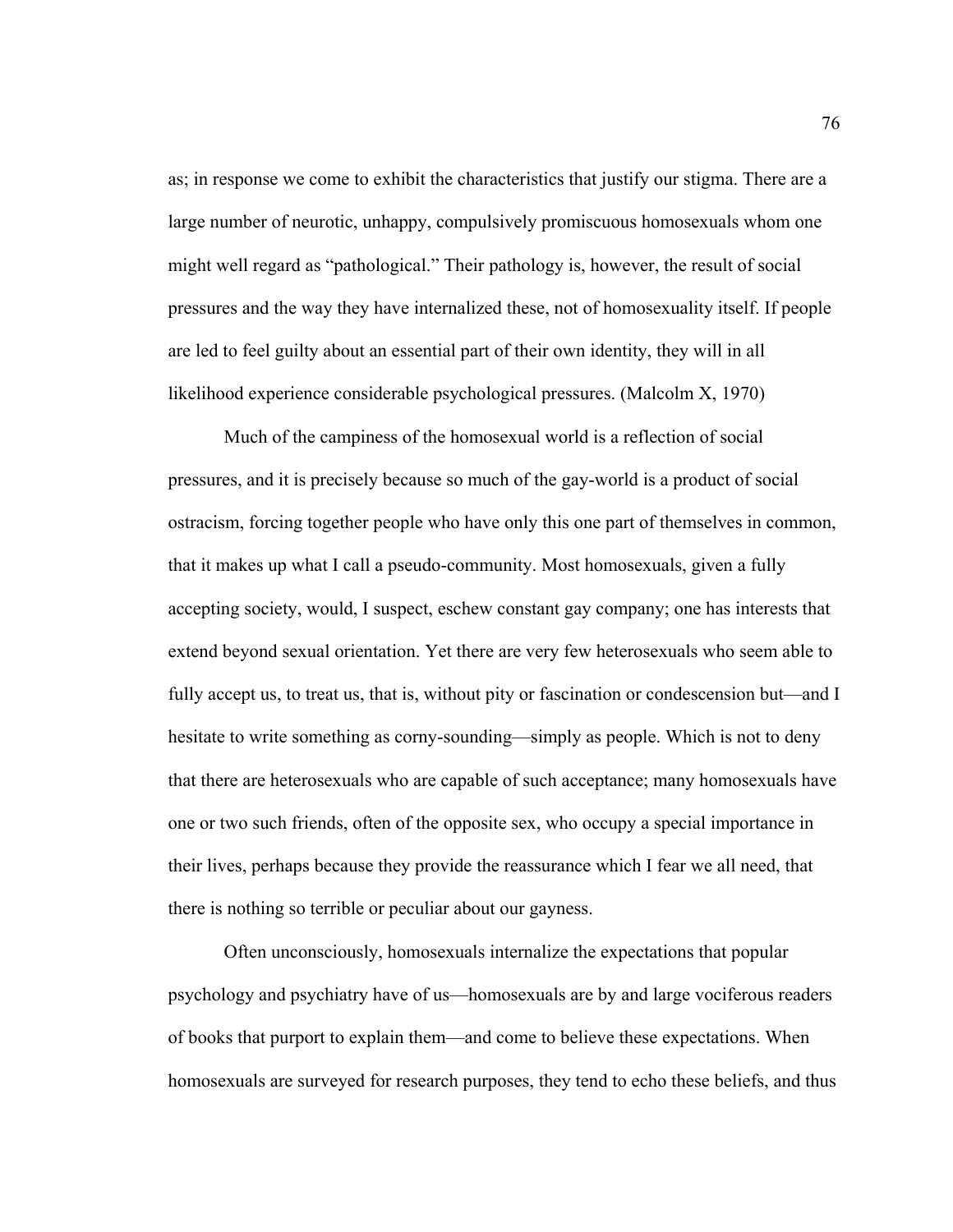as; in response we come to exhibit the characteristics that justify our stigma. There are a large number of neurotic, unhappy, compulsively promiscuous homosexuals whom one might well regard as "pathological." Their pathology is, however, the result of social pressures and the way they have internalized these, not of homosexuality itself. If people are led to feel guilty about an essential part of their own identity, they will in all likelihood experience considerable psychological pressures. (Malcolm X, 1970)

 Much of the campiness of the homosexual world is a reflection of social pressures, and it is precisely because so much of the gay-world is a product of social ostracism, forcing together people who have only this one part of themselves in common, that it makes up what I call a pseudo-community. Most homosexuals, given a fully accepting society, would, I suspect, eschew constant gay company; one has interests that extend beyond sexual orientation. Yet there are very few heterosexuals who seem able to fully accept us, to treat us, that is, without pity or fascination or condescension but—and I hesitate to write something as corny-sounding—simply as people. Which is not to deny that there are heterosexuals who are capable of such acceptance; many homosexuals have one or two such friends, often of the opposite sex, who occupy a special importance in their lives, perhaps because they provide the reassurance which I fear we all need, that there is nothing so terrible or peculiar about our gayness.

 Often unconsciously, homosexuals internalize the expectations that popular psychology and psychiatry have of us—homosexuals are by and large vociferous readers of books that purport to explain them—and come to believe these expectations. When homosexuals are surveyed for research purposes, they tend to echo these beliefs, and thus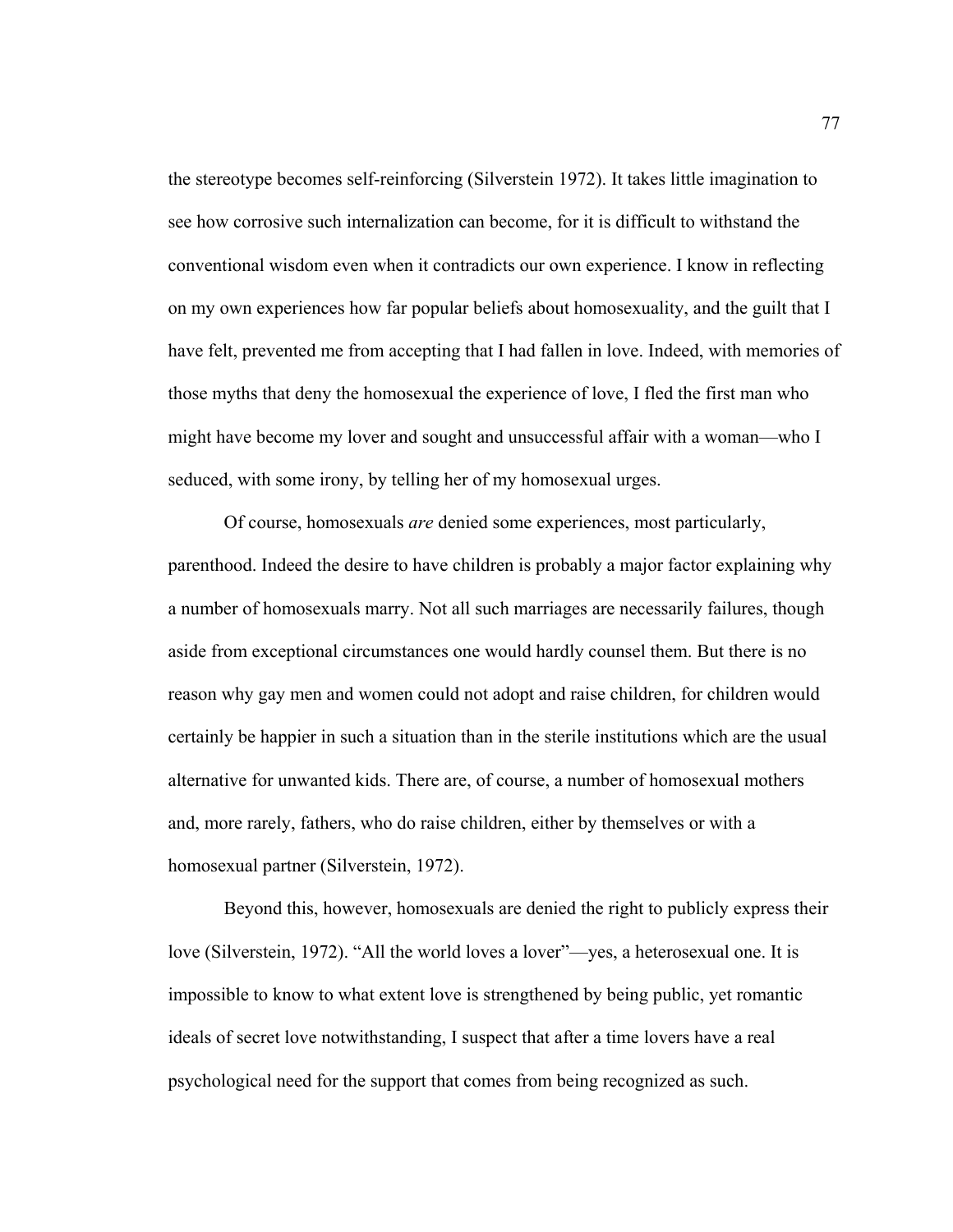the stereotype becomes self-reinforcing (Silverstein 1972). It takes little imagination to see how corrosive such internalization can become, for it is difficult to withstand the conventional wisdom even when it contradicts our own experience. I know in reflecting on my own experiences how far popular beliefs about homosexuality, and the guilt that I have felt, prevented me from accepting that I had fallen in love. Indeed, with memories of those myths that deny the homosexual the experience of love, I fled the first man who might have become my lover and sought and unsuccessful affair with a woman—who I seduced, with some irony, by telling her of my homosexual urges.

 Of course, homosexuals *are* denied some experiences, most particularly, parenthood. Indeed the desire to have children is probably a major factor explaining why a number of homosexuals marry. Not all such marriages are necessarily failures, though aside from exceptional circumstances one would hardly counsel them. But there is no reason why gay men and women could not adopt and raise children, for children would certainly be happier in such a situation than in the sterile institutions which are the usual alternative for unwanted kids. There are, of course, a number of homosexual mothers and, more rarely, fathers, who do raise children, either by themselves or with a homosexual partner (Silverstein, 1972).

 Beyond this, however, homosexuals are denied the right to publicly express their love (Silverstein, 1972). "All the world loves a lover"—yes, a heterosexual one. It is impossible to know to what extent love is strengthened by being public, yet romantic ideals of secret love notwithstanding, I suspect that after a time lovers have a real psychological need for the support that comes from being recognized as such.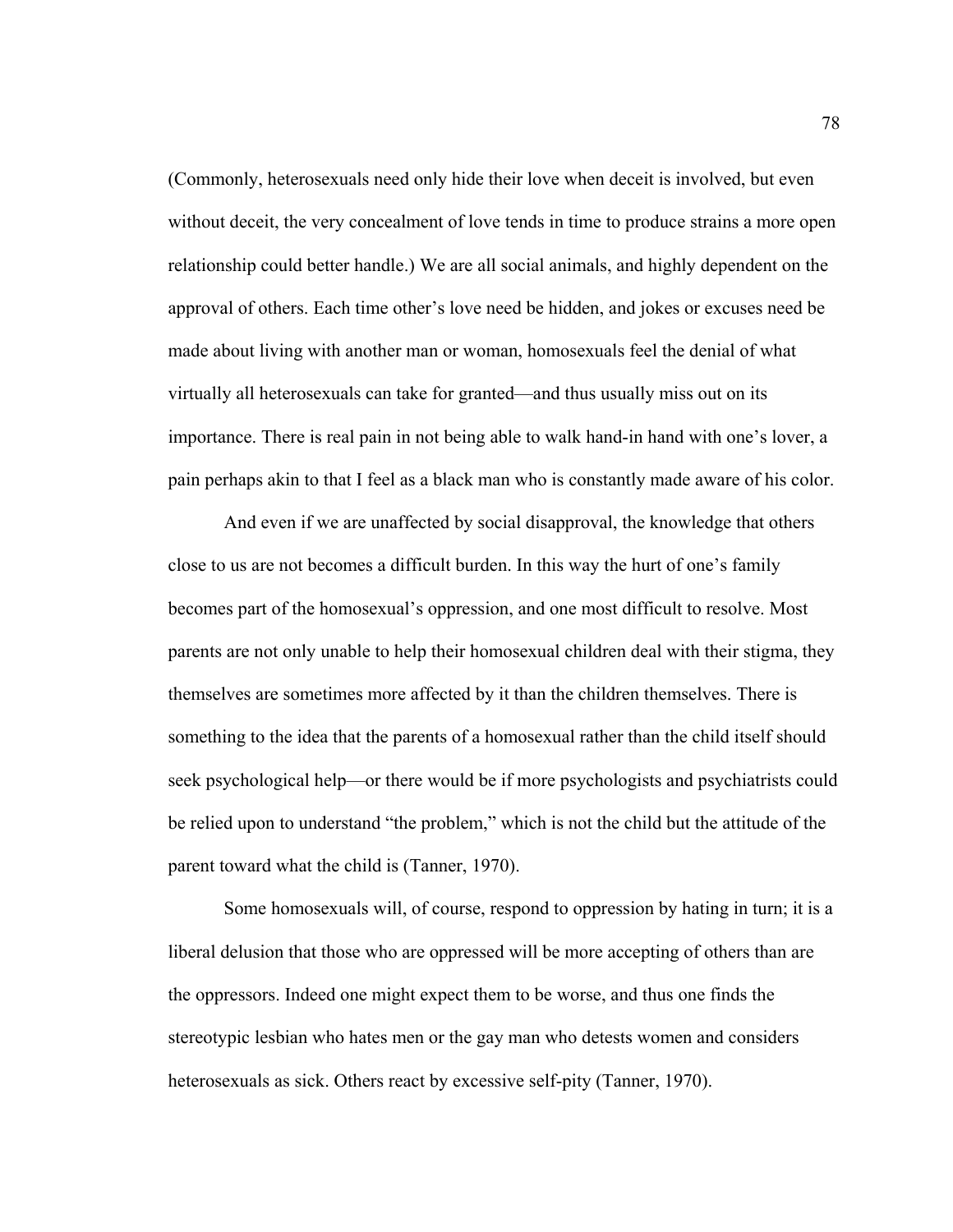(Commonly, heterosexuals need only hide their love when deceit is involved, but even without deceit, the very concealment of love tends in time to produce strains a more open relationship could better handle.) We are all social animals, and highly dependent on the approval of others. Each time other's love need be hidden, and jokes or excuses need be made about living with another man or woman, homosexuals feel the denial of what virtually all heterosexuals can take for granted—and thus usually miss out on its importance. There is real pain in not being able to walk hand-in hand with one's lover, a pain perhaps akin to that I feel as a black man who is constantly made aware of his color.

 And even if we are unaffected by social disapproval, the knowledge that others close to us are not becomes a difficult burden. In this way the hurt of one's family becomes part of the homosexual's oppression, and one most difficult to resolve. Most parents are not only unable to help their homosexual children deal with their stigma, they themselves are sometimes more affected by it than the children themselves. There is something to the idea that the parents of a homosexual rather than the child itself should seek psychological help—or there would be if more psychologists and psychiatrists could be relied upon to understand "the problem," which is not the child but the attitude of the parent toward what the child is (Tanner, 1970).

 Some homosexuals will, of course, respond to oppression by hating in turn; it is a liberal delusion that those who are oppressed will be more accepting of others than are the oppressors. Indeed one might expect them to be worse, and thus one finds the stereotypic lesbian who hates men or the gay man who detests women and considers heterosexuals as sick. Others react by excessive self-pity (Tanner, 1970).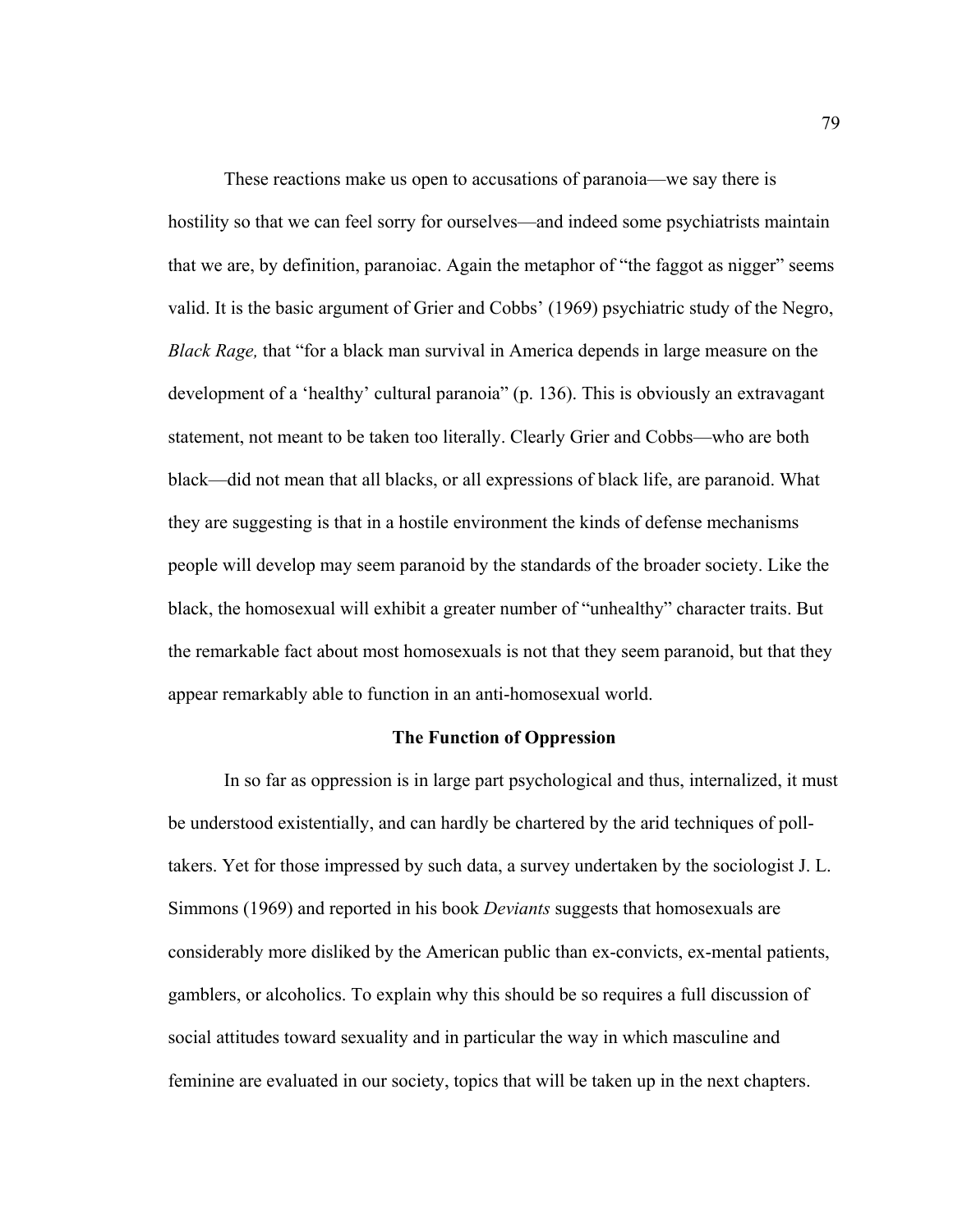These reactions make us open to accusations of paranoia—we say there is hostility so that we can feel sorry for ourselves—and indeed some psychiatrists maintain that we are, by definition, paranoiac. Again the metaphor of "the faggot as nigger" seems valid. It is the basic argument of Grier and Cobbs' (1969) psychiatric study of the Negro, *Black Rage*, that "for a black man survival in America depends in large measure on the development of a 'healthy' cultural paranoia" (p. 136). This is obviously an extravagant statement, not meant to be taken too literally. Clearly Grier and Cobbs—who are both black—did not mean that all blacks, or all expressions of black life, are paranoid. What they are suggesting is that in a hostile environment the kinds of defense mechanisms people will develop may seem paranoid by the standards of the broader society. Like the black, the homosexual will exhibit a greater number of "unhealthy" character traits. But the remarkable fact about most homosexuals is not that they seem paranoid, but that they appear remarkably able to function in an anti-homosexual world.

#### **The Function of Oppression**

 In so far as oppression is in large part psychological and thus, internalized, it must be understood existentially, and can hardly be chartered by the arid techniques of polltakers. Yet for those impressed by such data, a survey undertaken by the sociologist J. L. Simmons (1969) and reported in his book *Deviants* suggests that homosexuals are considerably more disliked by the American public than ex-convicts, ex-mental patients, gamblers, or alcoholics. To explain why this should be so requires a full discussion of social attitudes toward sexuality and in particular the way in which masculine and feminine are evaluated in our society, topics that will be taken up in the next chapters.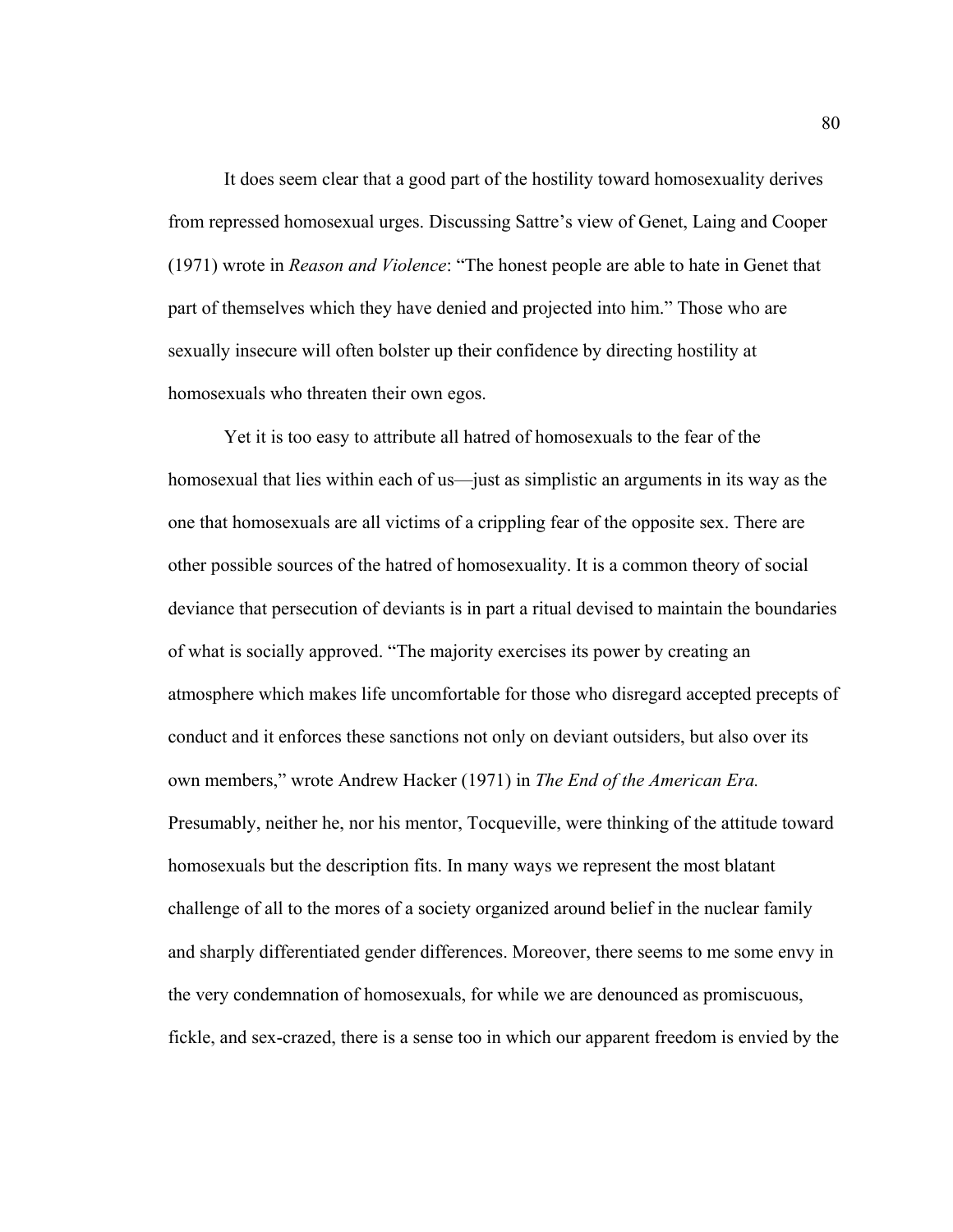It does seem clear that a good part of the hostility toward homosexuality derives from repressed homosexual urges. Discussing Sattre's view of Genet, Laing and Cooper (1971) wrote in *Reason and Violence*: "The honest people are able to hate in Genet that part of themselves which they have denied and projected into him." Those who are sexually insecure will often bolster up their confidence by directing hostility at homosexuals who threaten their own egos.

 Yet it is too easy to attribute all hatred of homosexuals to the fear of the homosexual that lies within each of us—just as simplistic an arguments in its way as the one that homosexuals are all victims of a crippling fear of the opposite sex. There are other possible sources of the hatred of homosexuality. It is a common theory of social deviance that persecution of deviants is in part a ritual devised to maintain the boundaries of what is socially approved. "The majority exercises its power by creating an atmosphere which makes life uncomfortable for those who disregard accepted precepts of conduct and it enforces these sanctions not only on deviant outsiders, but also over its own members," wrote Andrew Hacker (1971) in *The End of the American Era.*  Presumably, neither he, nor his mentor, Tocqueville, were thinking of the attitude toward homosexuals but the description fits. In many ways we represent the most blatant challenge of all to the mores of a society organized around belief in the nuclear family and sharply differentiated gender differences. Moreover, there seems to me some envy in the very condemnation of homosexuals, for while we are denounced as promiscuous, fickle, and sex-crazed, there is a sense too in which our apparent freedom is envied by the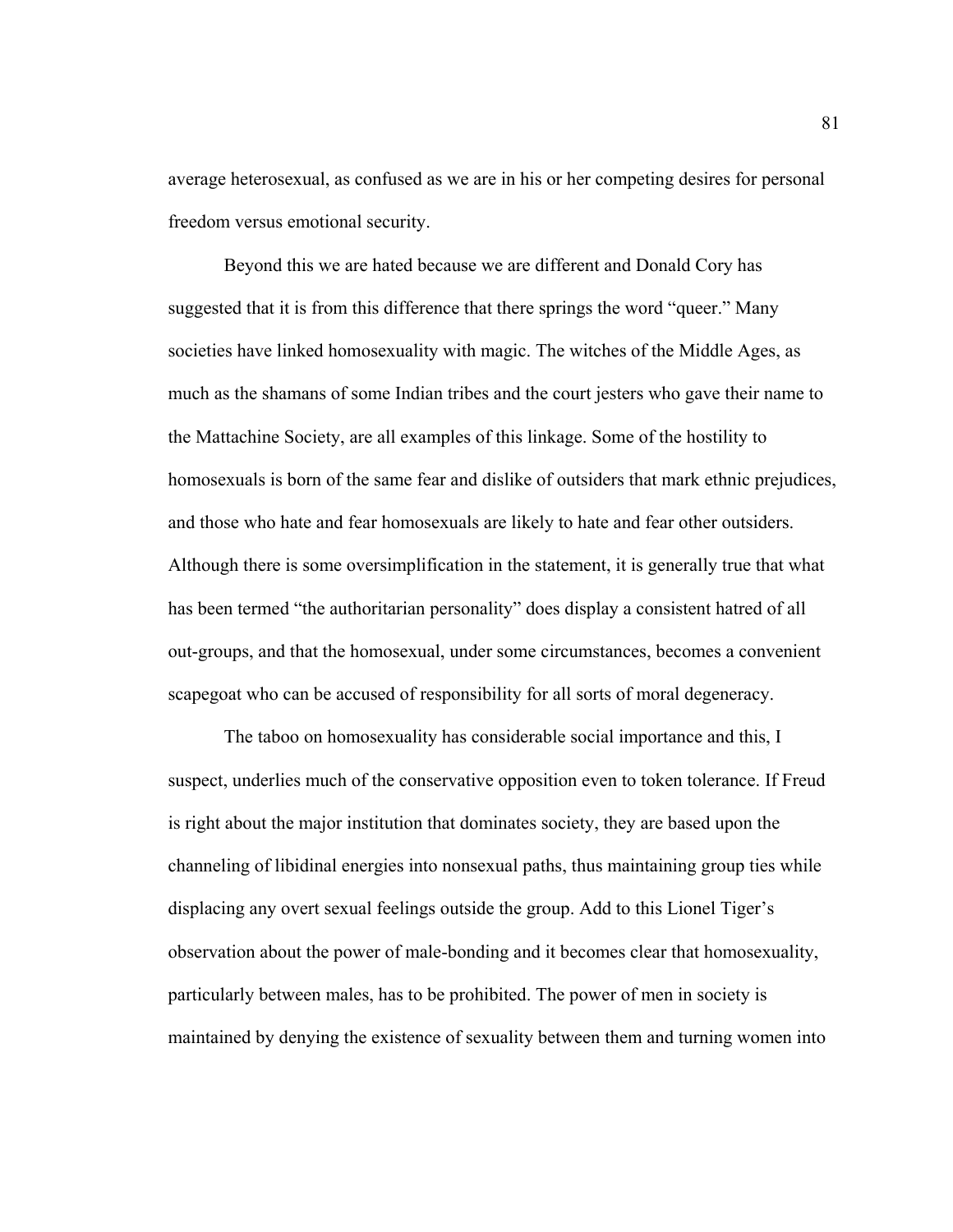average heterosexual, as confused as we are in his or her competing desires for personal freedom versus emotional security.

 Beyond this we are hated because we are different and Donald Cory has suggested that it is from this difference that there springs the word "queer." Many societies have linked homosexuality with magic. The witches of the Middle Ages, as much as the shamans of some Indian tribes and the court jesters who gave their name to the Mattachine Society, are all examples of this linkage. Some of the hostility to homosexuals is born of the same fear and dislike of outsiders that mark ethnic prejudices, and those who hate and fear homosexuals are likely to hate and fear other outsiders. Although there is some oversimplification in the statement, it is generally true that what has been termed "the authoritarian personality" does display a consistent hatred of all out-groups, and that the homosexual, under some circumstances, becomes a convenient scapegoat who can be accused of responsibility for all sorts of moral degeneracy.

 The taboo on homosexuality has considerable social importance and this, I suspect, underlies much of the conservative opposition even to token tolerance. If Freud is right about the major institution that dominates society, they are based upon the channeling of libidinal energies into nonsexual paths, thus maintaining group ties while displacing any overt sexual feelings outside the group. Add to this Lionel Tiger's observation about the power of male-bonding and it becomes clear that homosexuality, particularly between males, has to be prohibited. The power of men in society is maintained by denying the existence of sexuality between them and turning women into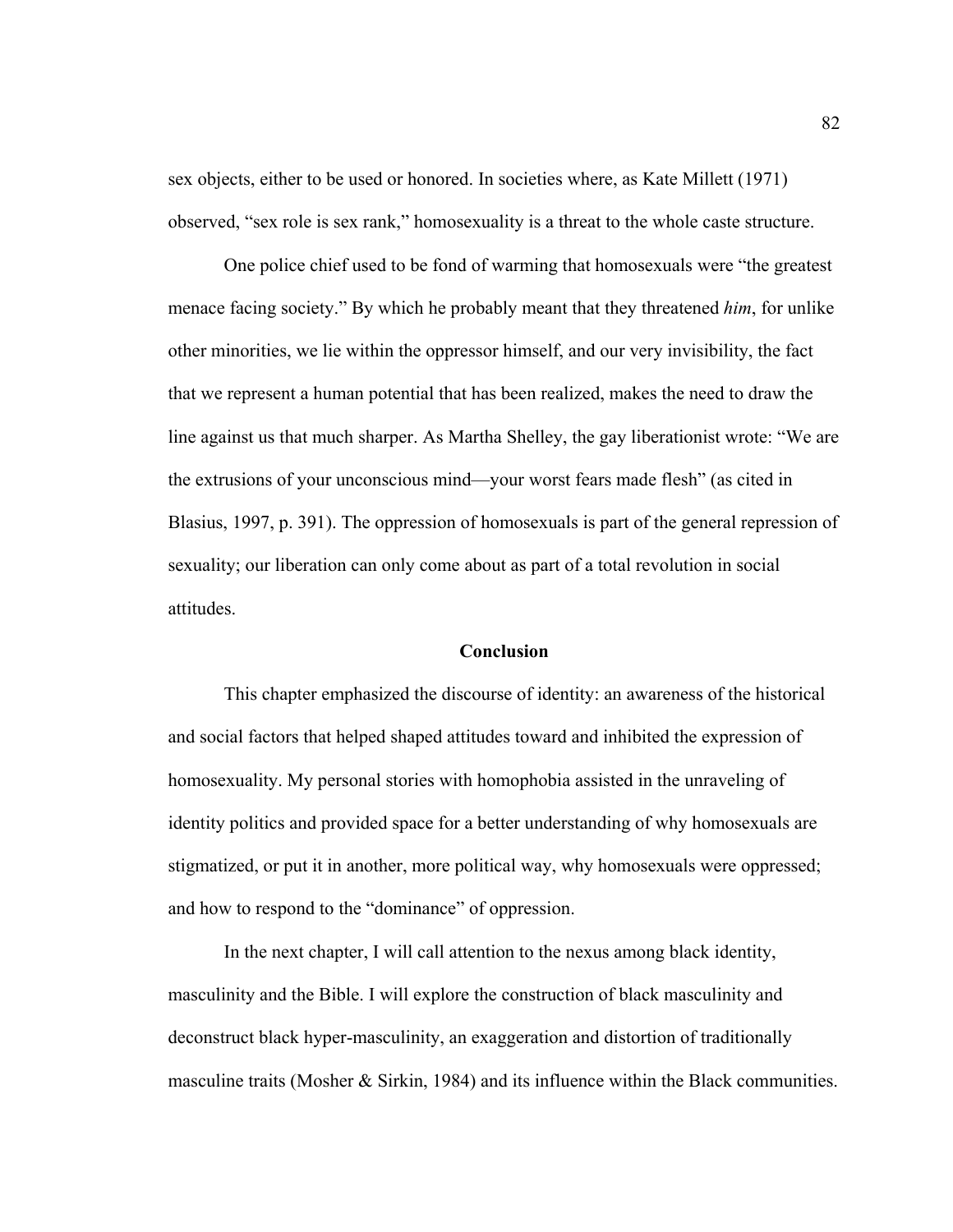sex objects, either to be used or honored. In societies where, as Kate Millett (1971) observed, "sex role is sex rank," homosexuality is a threat to the whole caste structure.

 One police chief used to be fond of warming that homosexuals were "the greatest menace facing society." By which he probably meant that they threatened *him*, for unlike other minorities, we lie within the oppressor himself, and our very invisibility, the fact that we represent a human potential that has been realized, makes the need to draw the line against us that much sharper. As Martha Shelley, the gay liberationist wrote: "We are the extrusions of your unconscious mind—your worst fears made flesh" (as cited in Blasius, 1997, p. 391). The oppression of homosexuals is part of the general repression of sexuality; our liberation can only come about as part of a total revolution in social attitudes.

## **Conclusion**

 This chapter emphasized the discourse of identity: an awareness of the historical and social factors that helped shaped attitudes toward and inhibited the expression of homosexuality. My personal stories with homophobia assisted in the unraveling of identity politics and provided space for a better understanding of why homosexuals are stigmatized, or put it in another, more political way, why homosexuals were oppressed; and how to respond to the "dominance" of oppression.

In the next chapter, I will call attention to the nexus among black identity, masculinity and the Bible. I will explore the construction of black masculinity and deconstruct black hyper-masculinity, an exaggeration and distortion of traditionally masculine traits (Mosher & Sirkin, 1984) and its influence within the Black communities.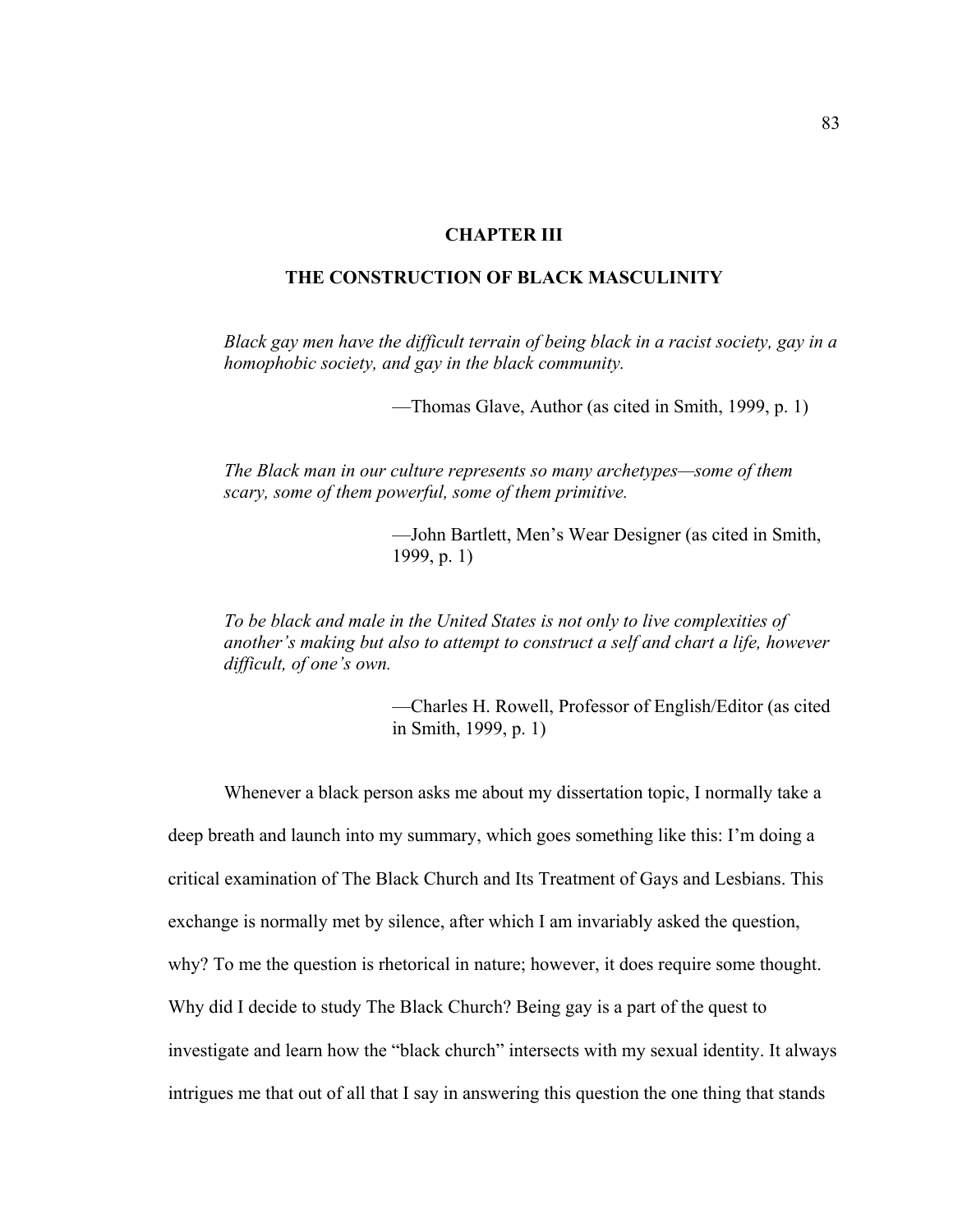# **CHAPTER III**

# **THE CONSTRUCTION OF BLACK MASCULINITY**

*Black gay men have the difficult terrain of being black in a racist society, gay in a homophobic society, and gay in the black community.* 

—Thomas Glave, Author (as cited in Smith, 1999, p. 1)

*The Black man in our culture represents so many archetypes—some of them scary, some of them powerful, some of them primitive.* 

> —John Bartlett, Men's Wear Designer (as cited in Smith, 1999, p. 1)

*To be black and male in the United States is not only to live complexities of another's making but also to attempt to construct a self and chart a life, however difficult, of one's own.* 

> —Charles H. Rowell, Professor of English/Editor (as cited in Smith, 1999, p. 1)

Whenever a black person asks me about my dissertation topic, I normally take a deep breath and launch into my summary, which goes something like this: I'm doing a critical examination of The Black Church and Its Treatment of Gays and Lesbians. This exchange is normally met by silence, after which I am invariably asked the question, why? To me the question is rhetorical in nature; however, it does require some thought. Why did I decide to study The Black Church? Being gay is a part of the quest to investigate and learn how the "black church" intersects with my sexual identity. It always intrigues me that out of all that I say in answering this question the one thing that stands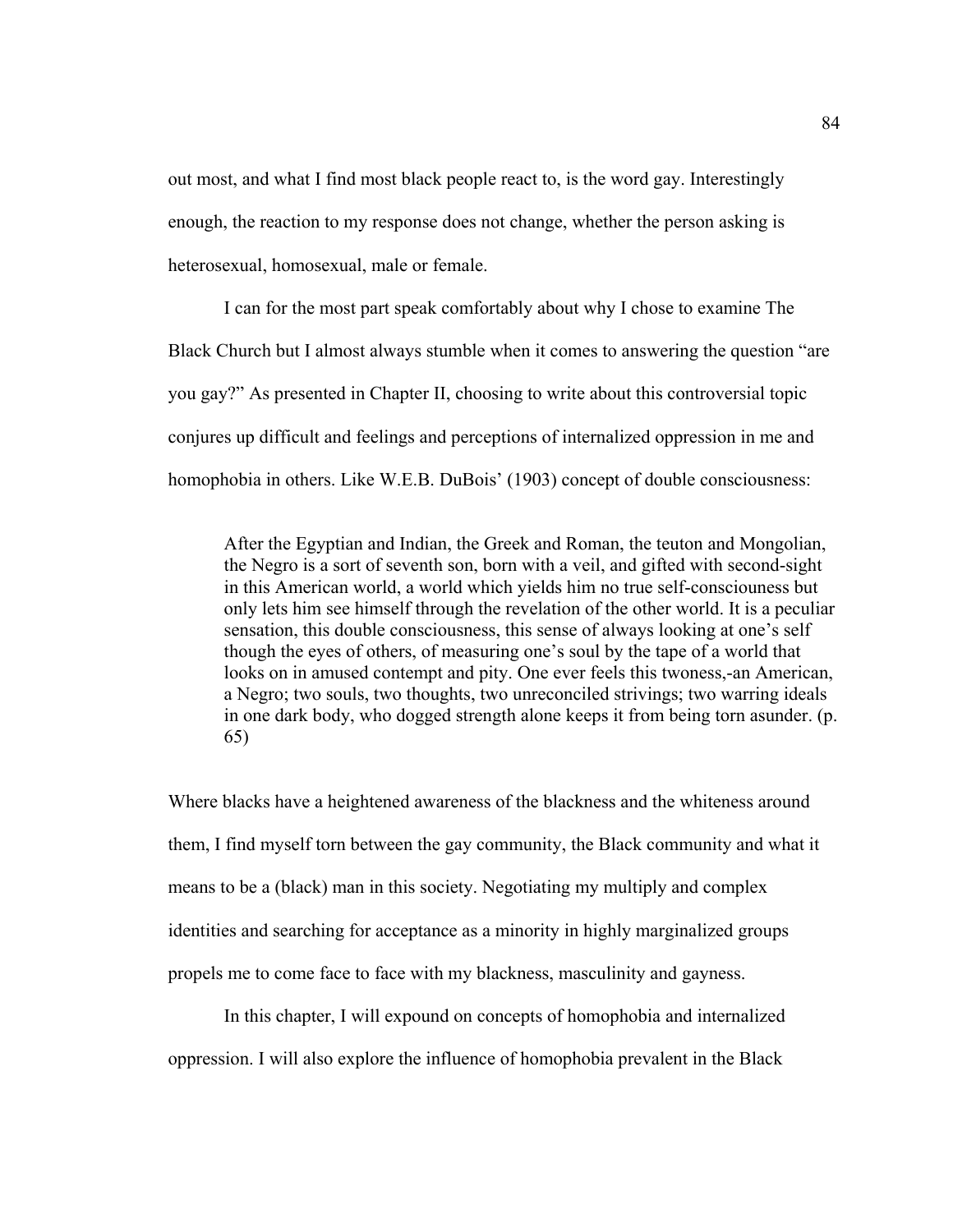out most, and what I find most black people react to, is the word gay. Interestingly enough, the reaction to my response does not change, whether the person asking is heterosexual, homosexual, male or female.

I can for the most part speak comfortably about why I chose to examine The Black Church but I almost always stumble when it comes to answering the question "are you gay?" As presented in Chapter II, choosing to write about this controversial topic conjures up difficult and feelings and perceptions of internalized oppression in me and homophobia in others. Like W.E.B. DuBois' (1903) concept of double consciousness:

After the Egyptian and Indian, the Greek and Roman, the teuton and Mongolian, the Negro is a sort of seventh son, born with a veil, and gifted with second-sight in this American world, a world which yields him no true self-consciouness but only lets him see himself through the revelation of the other world. It is a peculiar sensation, this double consciousness, this sense of always looking at one's self though the eyes of others, of measuring one's soul by the tape of a world that looks on in amused contempt and pity. One ever feels this twoness,-an American, a Negro; two souls, two thoughts, two unreconciled strivings; two warring ideals in one dark body, who dogged strength alone keeps it from being torn asunder. (p. 65)

Where blacks have a heightened awareness of the blackness and the whiteness around them, I find myself torn between the gay community, the Black community and what it means to be a (black) man in this society. Negotiating my multiply and complex identities and searching for acceptance as a minority in highly marginalized groups propels me to come face to face with my blackness, masculinity and gayness.

 In this chapter, I will expound on concepts of homophobia and internalized oppression. I will also explore the influence of homophobia prevalent in the Black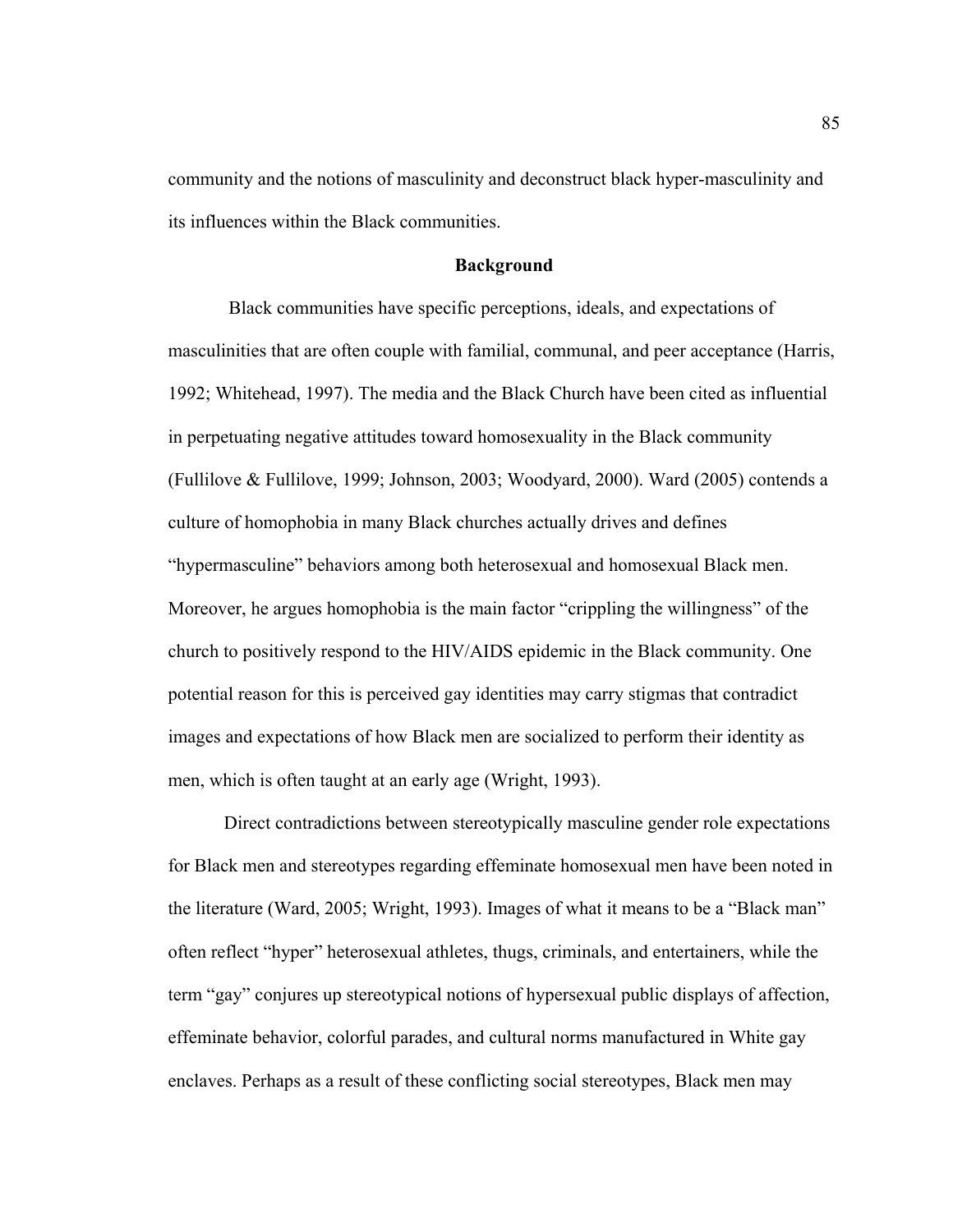community and the notions of masculinity and deconstruct black hyper-masculinity and its influences within the Black communities.

## **Background**

 Black communities have specific perceptions, ideals, and expectations of masculinities that are often couple with familial, communal, and peer acceptance (Harris, 1992; Whitehead, 1997). The media and the Black Church have been cited as influential in perpetuating negative attitudes toward homosexuality in the Black community (Fullilove & Fullilove, 1999; Johnson, 2003; Woodyard, 2000). Ward (2005) contends a culture of homophobia in many Black churches actually drives and defines "hypermasculine" behaviors among both heterosexual and homosexual Black men. Moreover, he argues homophobia is the main factor "crippling the willingness" of the church to positively respond to the HIV/AIDS epidemic in the Black community. One potential reason for this is perceived gay identities may carry stigmas that contradict images and expectations of how Black men are socialized to perform their identity as men, which is often taught at an early age (Wright, 1993).

 Direct contradictions between stereotypically masculine gender role expectations for Black men and stereotypes regarding effeminate homosexual men have been noted in the literature (Ward, 2005; Wright, 1993). Images of what it means to be a "Black man" often reflect "hyper" heterosexual athletes, thugs, criminals, and entertainers, while the term "gay" conjures up stereotypical notions of hypersexual public displays of affection, effeminate behavior, colorful parades, and cultural norms manufactured in White gay enclaves. Perhaps as a result of these conflicting social stereotypes, Black men may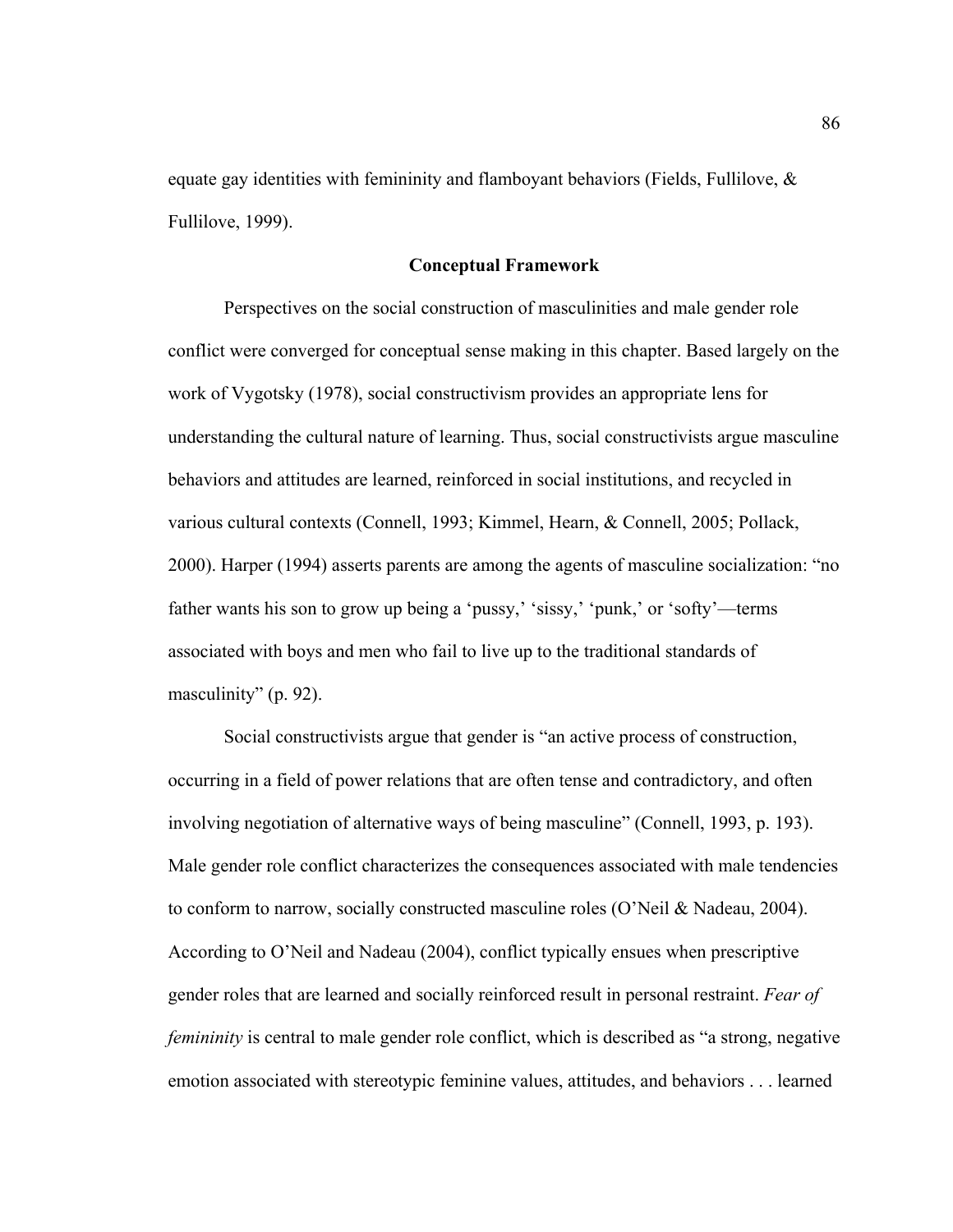equate gay identities with femininity and flamboyant behaviors (Fields, Fullilove, & Fullilove, 1999).

## **Conceptual Framework**

 Perspectives on the social construction of masculinities and male gender role conflict were converged for conceptual sense making in this chapter. Based largely on the work of Vygotsky (1978), social constructivism provides an appropriate lens for understanding the cultural nature of learning. Thus, social constructivists argue masculine behaviors and attitudes are learned, reinforced in social institutions, and recycled in various cultural contexts (Connell, 1993; Kimmel, Hearn, & Connell, 2005; Pollack, 2000). Harper (1994) asserts parents are among the agents of masculine socialization: "no father wants his son to grow up being a 'pussy,' 'sissy,' 'punk,' or 'softy'—terms associated with boys and men who fail to live up to the traditional standards of masculinity" (p. 92).

 Social constructivists argue that gender is "an active process of construction, occurring in a field of power relations that are often tense and contradictory, and often involving negotiation of alternative ways of being masculine" (Connell, 1993, p. 193). Male gender role conflict characterizes the consequences associated with male tendencies to conform to narrow, socially constructed masculine roles (O'Neil & Nadeau, 2004). According to O'Neil and Nadeau (2004), conflict typically ensues when prescriptive gender roles that are learned and socially reinforced result in personal restraint. *Fear of femininity* is central to male gender role conflict, which is described as "a strong, negative emotion associated with stereotypic feminine values, attitudes, and behaviors . . . learned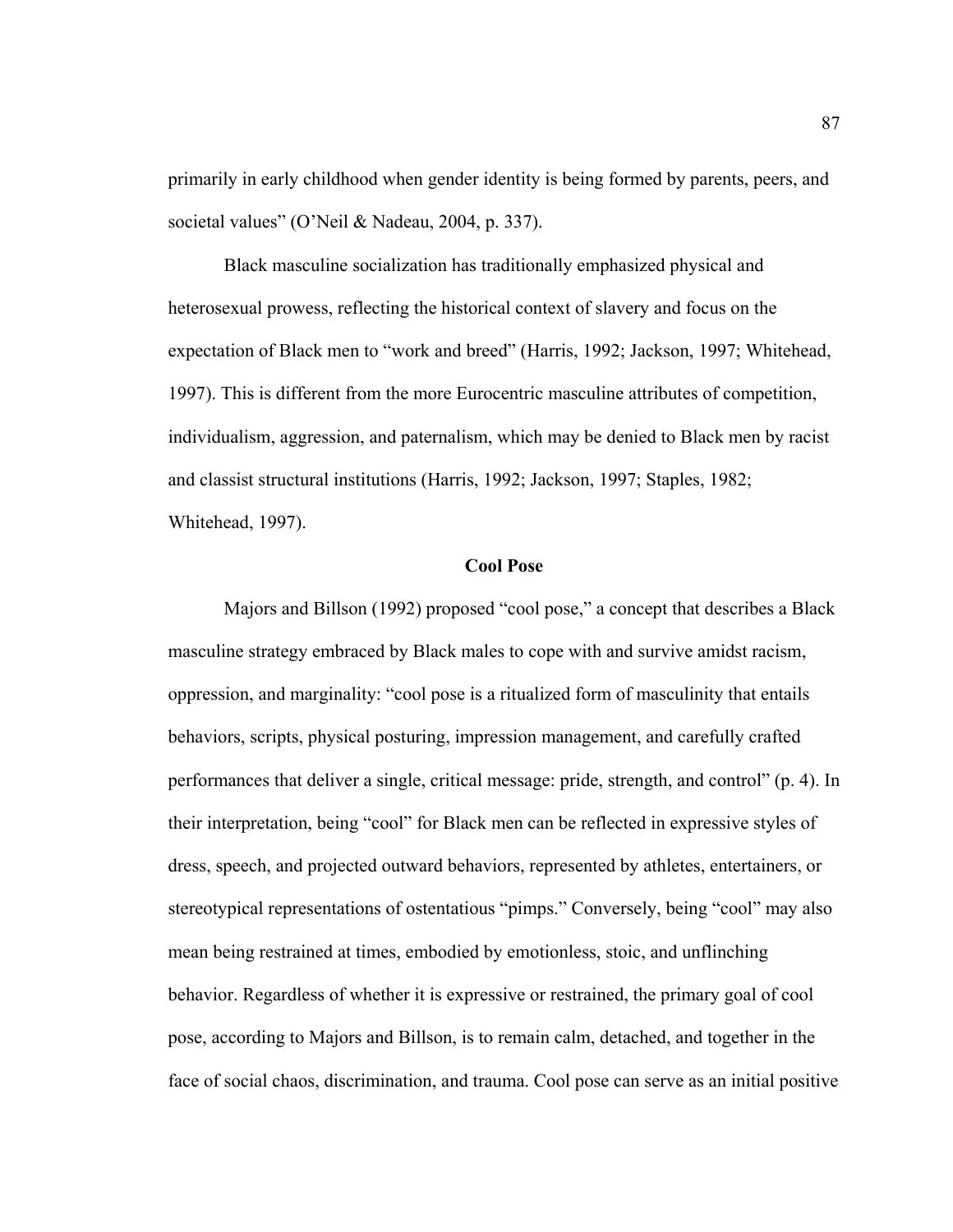primarily in early childhood when gender identity is being formed by parents, peers, and societal values" (O'Neil & Nadeau, 2004, p. 337).

 Black masculine socialization has traditionally emphasized physical and heterosexual prowess, reflecting the historical context of slavery and focus on the expectation of Black men to "work and breed" (Harris, 1992; Jackson, 1997; Whitehead, 1997). This is different from the more Eurocentric masculine attributes of competition, individualism, aggression, and paternalism, which may be denied to Black men by racist and classist structural institutions (Harris, 1992; Jackson, 1997; Staples, 1982; Whitehead, 1997).

# **Cool Pose**

Majors and Billson (1992) proposed "cool pose," a concept that describes a Black masculine strategy embraced by Black males to cope with and survive amidst racism, oppression, and marginality: "cool pose is a ritualized form of masculinity that entails behaviors, scripts, physical posturing, impression management, and carefully crafted performances that deliver a single, critical message: pride, strength, and control" (p. 4). In their interpretation, being "cool" for Black men can be reflected in expressive styles of dress, speech, and projected outward behaviors, represented by athletes, entertainers, or stereotypical representations of ostentatious "pimps." Conversely, being "cool" may also mean being restrained at times, embodied by emotionless, stoic, and unflinching behavior. Regardless of whether it is expressive or restrained, the primary goal of cool pose, according to Majors and Billson, is to remain calm, detached, and together in the face of social chaos, discrimination, and trauma. Cool pose can serve as an initial positive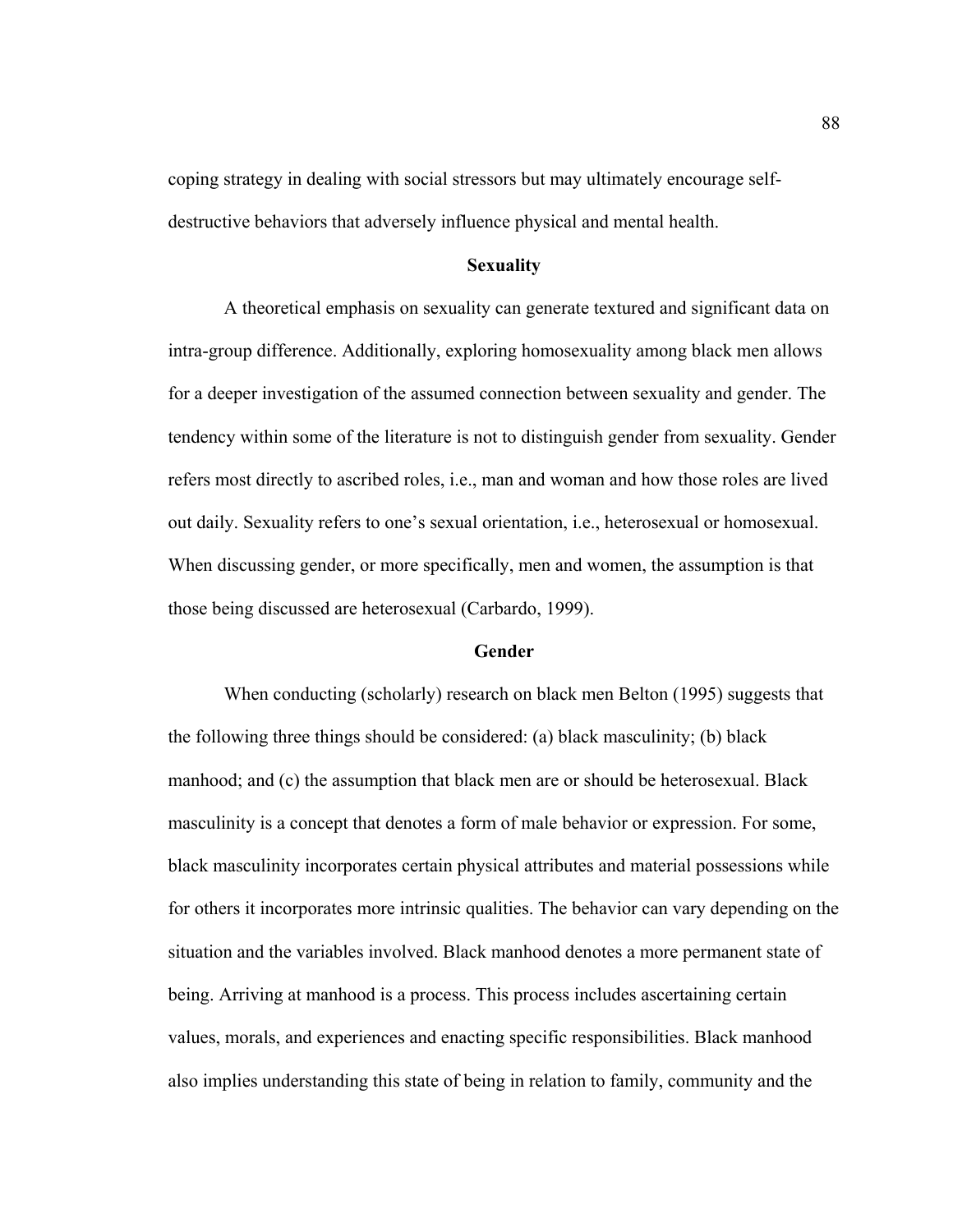coping strategy in dealing with social stressors but may ultimately encourage selfdestructive behaviors that adversely influence physical and mental health.

## **Sexuality**

A theoretical emphasis on sexuality can generate textured and significant data on intra-group difference. Additionally, exploring homosexuality among black men allows for a deeper investigation of the assumed connection between sexuality and gender. The tendency within some of the literature is not to distinguish gender from sexuality. Gender refers most directly to ascribed roles, i.e., man and woman and how those roles are lived out daily. Sexuality refers to one's sexual orientation, i.e., heterosexual or homosexual. When discussing gender, or more specifically, men and women, the assumption is that those being discussed are heterosexual (Carbardo, 1999).

#### **Gender**

When conducting (scholarly) research on black men Belton (1995) suggests that the following three things should be considered: (a) black masculinity; (b) black manhood; and (c) the assumption that black men are or should be heterosexual. Black masculinity is a concept that denotes a form of male behavior or expression. For some, black masculinity incorporates certain physical attributes and material possessions while for others it incorporates more intrinsic qualities. The behavior can vary depending on the situation and the variables involved. Black manhood denotes a more permanent state of being. Arriving at manhood is a process. This process includes ascertaining certain values, morals, and experiences and enacting specific responsibilities. Black manhood also implies understanding this state of being in relation to family, community and the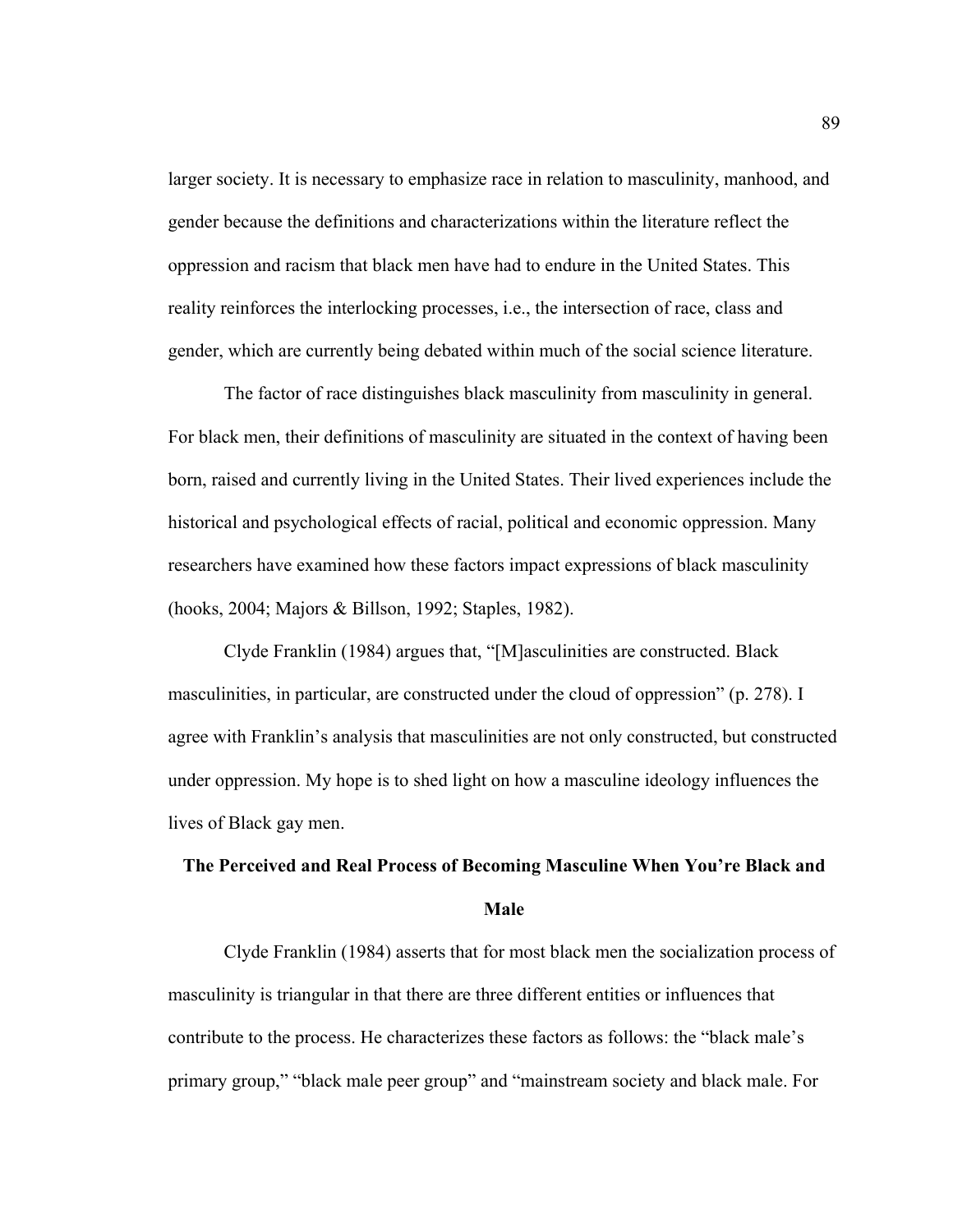larger society. It is necessary to emphasize race in relation to masculinity, manhood, and gender because the definitions and characterizations within the literature reflect the oppression and racism that black men have had to endure in the United States. This reality reinforces the interlocking processes, i.e., the intersection of race, class and gender, which are currently being debated within much of the social science literature.

The factor of race distinguishes black masculinity from masculinity in general. For black men, their definitions of masculinity are situated in the context of having been born, raised and currently living in the United States. Their lived experiences include the historical and psychological effects of racial, political and economic oppression. Many researchers have examined how these factors impact expressions of black masculinity (hooks, 2004; Majors & Billson, 1992; Staples, 1982).

Clyde Franklin (1984) argues that, "[M]asculinities are constructed. Black masculinities, in particular, are constructed under the cloud of oppression" (p. 278). I agree with Franklin's analysis that masculinities are not only constructed, but constructed under oppression. My hope is to shed light on how a masculine ideology influences the lives of Black gay men.

# **The Perceived and Real Process of Becoming Masculine When You're Black and Male**

Clyde Franklin (1984) asserts that for most black men the socialization process of masculinity is triangular in that there are three different entities or influences that contribute to the process. He characterizes these factors as follows: the "black male's primary group," "black male peer group" and "mainstream society and black male. For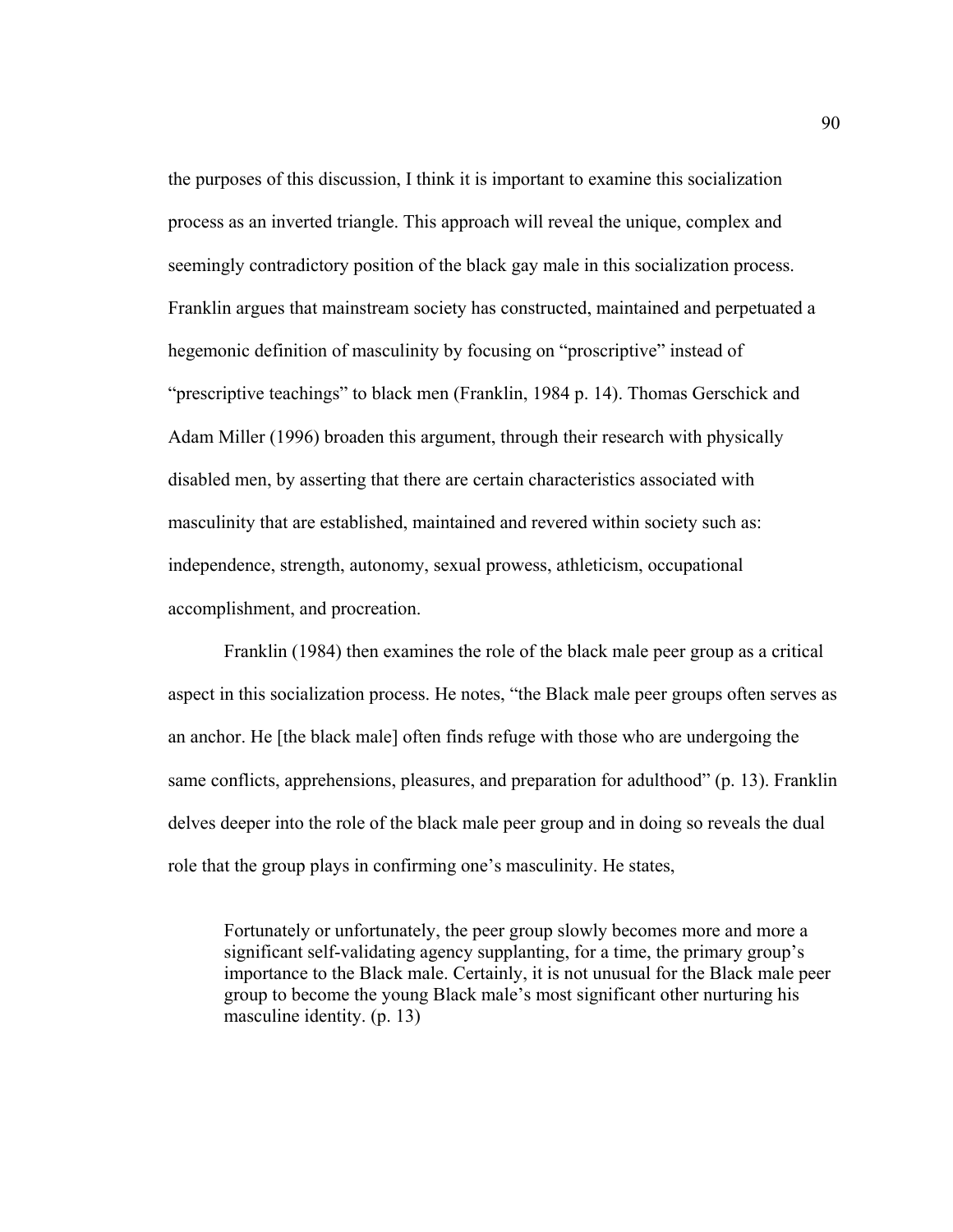the purposes of this discussion, I think it is important to examine this socialization process as an inverted triangle. This approach will reveal the unique, complex and seemingly contradictory position of the black gay male in this socialization process. Franklin argues that mainstream society has constructed, maintained and perpetuated a hegemonic definition of masculinity by focusing on "proscriptive" instead of "prescriptive teachings" to black men (Franklin, 1984 p. 14). Thomas Gerschick and Adam Miller (1996) broaden this argument, through their research with physically disabled men, by asserting that there are certain characteristics associated with masculinity that are established, maintained and revered within society such as: independence, strength, autonomy, sexual prowess, athleticism, occupational accomplishment, and procreation.

Franklin (1984) then examines the role of the black male peer group as a critical aspect in this socialization process. He notes, "the Black male peer groups often serves as an anchor. He [the black male] often finds refuge with those who are undergoing the same conflicts, apprehensions, pleasures, and preparation for adulthood" (p. 13). Franklin delves deeper into the role of the black male peer group and in doing so reveals the dual role that the group plays in confirming one's masculinity. He states,

Fortunately or unfortunately, the peer group slowly becomes more and more a significant self-validating agency supplanting, for a time, the primary group's importance to the Black male. Certainly, it is not unusual for the Black male peer group to become the young Black male's most significant other nurturing his masculine identity. (p. 13)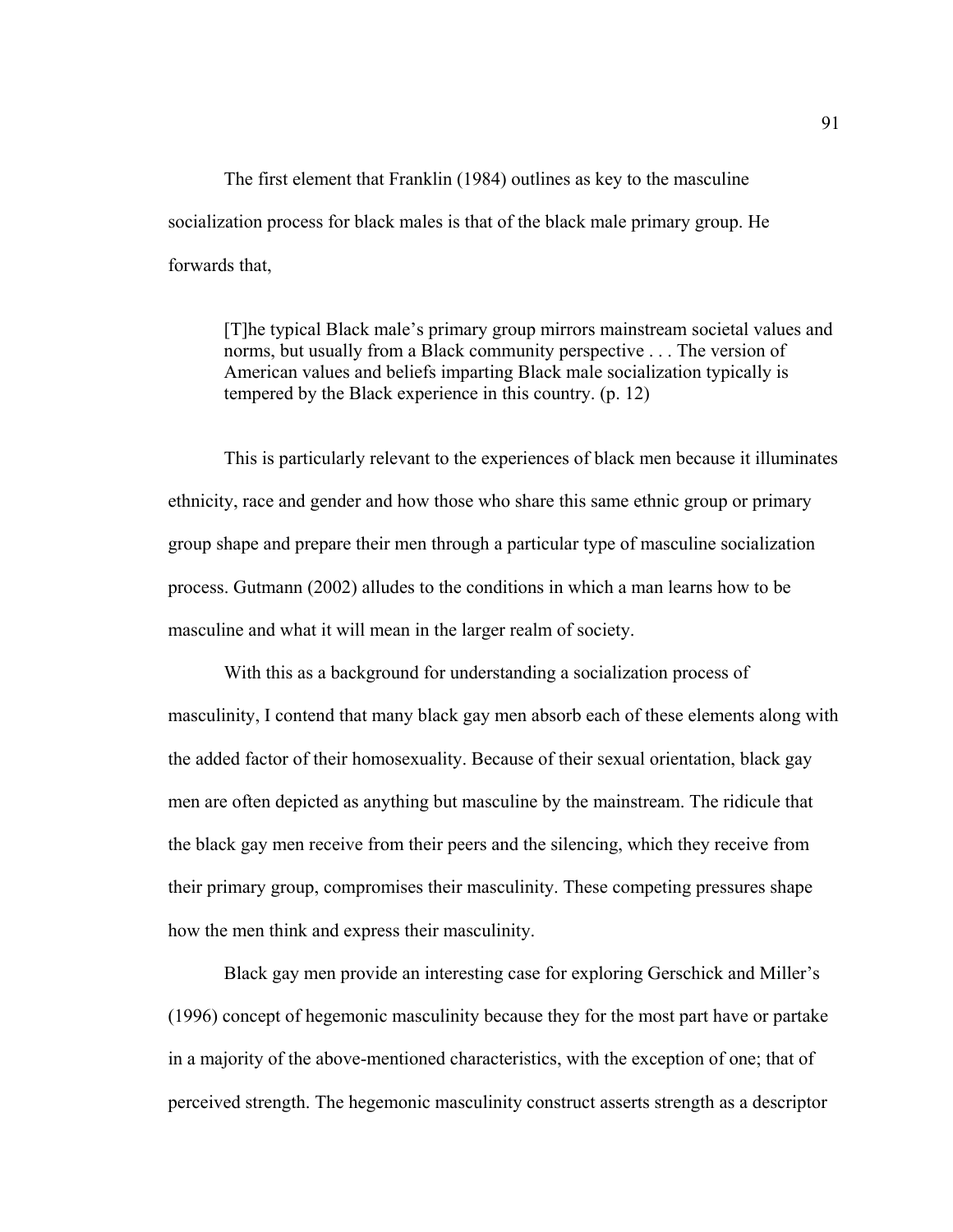The first element that Franklin (1984) outlines as key to the masculine socialization process for black males is that of the black male primary group. He forwards that,

[T]he typical Black male's primary group mirrors mainstream societal values and norms, but usually from a Black community perspective . . . The version of American values and beliefs imparting Black male socialization typically is tempered by the Black experience in this country. (p. 12)

This is particularly relevant to the experiences of black men because it illuminates ethnicity, race and gender and how those who share this same ethnic group or primary group shape and prepare their men through a particular type of masculine socialization process. Gutmann (2002) alludes to the conditions in which a man learns how to be masculine and what it will mean in the larger realm of society.

With this as a background for understanding a socialization process of masculinity, I contend that many black gay men absorb each of these elements along with the added factor of their homosexuality. Because of their sexual orientation, black gay men are often depicted as anything but masculine by the mainstream. The ridicule that the black gay men receive from their peers and the silencing, which they receive from their primary group, compromises their masculinity. These competing pressures shape how the men think and express their masculinity.

Black gay men provide an interesting case for exploring Gerschick and Miller's (1996) concept of hegemonic masculinity because they for the most part have or partake in a majority of the above-mentioned characteristics, with the exception of one; that of perceived strength. The hegemonic masculinity construct asserts strength as a descriptor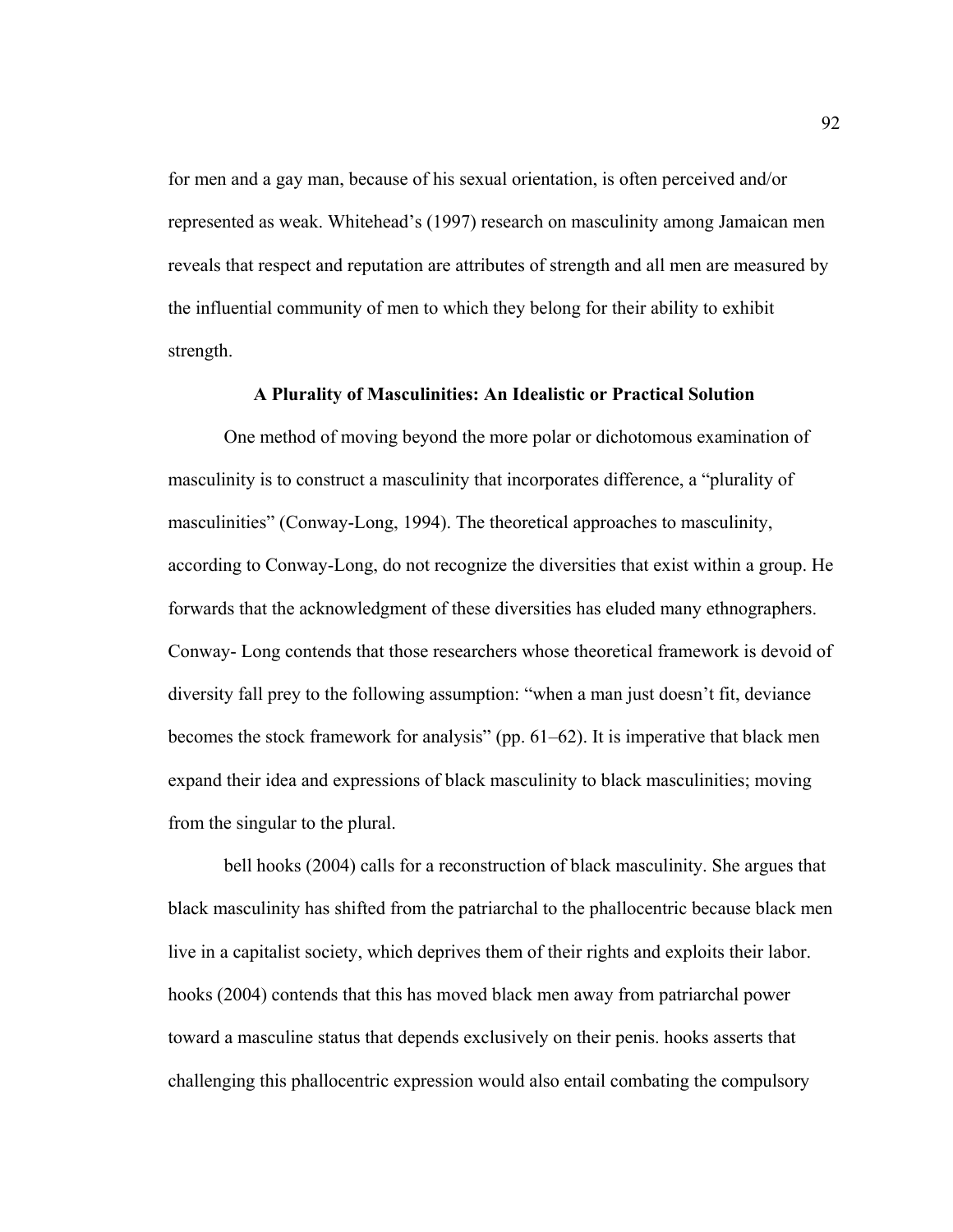for men and a gay man, because of his sexual orientation, is often perceived and/or represented as weak. Whitehead's (1997) research on masculinity among Jamaican men reveals that respect and reputation are attributes of strength and all men are measured by the influential community of men to which they belong for their ability to exhibit strength.

## **A Plurality of Masculinities: An Idealistic or Practical Solution**

One method of moving beyond the more polar or dichotomous examination of masculinity is to construct a masculinity that incorporates difference, a "plurality of masculinities" (Conway-Long, 1994). The theoretical approaches to masculinity, according to Conway-Long, do not recognize the diversities that exist within a group. He forwards that the acknowledgment of these diversities has eluded many ethnographers. Conway- Long contends that those researchers whose theoretical framework is devoid of diversity fall prey to the following assumption: "when a man just doesn't fit, deviance becomes the stock framework for analysis" (pp. 61–62). It is imperative that black men expand their idea and expressions of black masculinity to black masculinities; moving from the singular to the plural.

bell hooks (2004) calls for a reconstruction of black masculinity. She argues that black masculinity has shifted from the patriarchal to the phallocentric because black men live in a capitalist society, which deprives them of their rights and exploits their labor. hooks (2004) contends that this has moved black men away from patriarchal power toward a masculine status that depends exclusively on their penis. hooks asserts that challenging this phallocentric expression would also entail combating the compulsory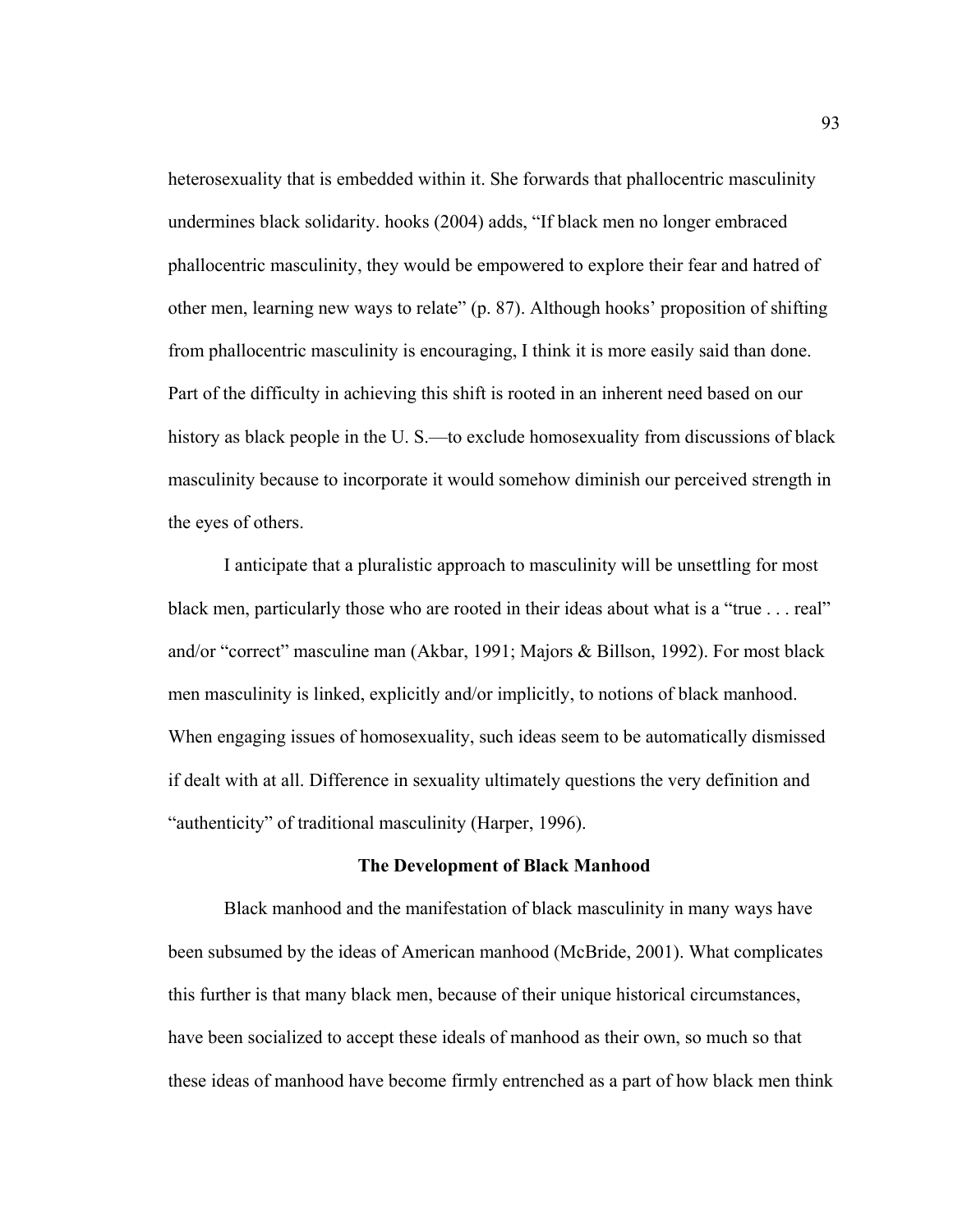heterosexuality that is embedded within it. She forwards that phallocentric masculinity undermines black solidarity. hooks (2004) adds, "If black men no longer embraced phallocentric masculinity, they would be empowered to explore their fear and hatred of other men, learning new ways to relate" (p. 87). Although hooks' proposition of shifting from phallocentric masculinity is encouraging, I think it is more easily said than done. Part of the difficulty in achieving this shift is rooted in an inherent need based on our history as black people in the U.S.—to exclude homosexuality from discussions of black masculinity because to incorporate it would somehow diminish our perceived strength in the eyes of others.

I anticipate that a pluralistic approach to masculinity will be unsettling for most black men, particularly those who are rooted in their ideas about what is a "true . . . real" and/or "correct" masculine man (Akbar, 1991; Majors & Billson, 1992). For most black men masculinity is linked, explicitly and/or implicitly, to notions of black manhood. When engaging issues of homosexuality, such ideas seem to be automatically dismissed if dealt with at all. Difference in sexuality ultimately questions the very definition and "authenticity" of traditional masculinity (Harper, 1996).

# **The Development of Black Manhood**

Black manhood and the manifestation of black masculinity in many ways have been subsumed by the ideas of American manhood (McBride, 2001). What complicates this further is that many black men, because of their unique historical circumstances, have been socialized to accept these ideals of manhood as their own, so much so that these ideas of manhood have become firmly entrenched as a part of how black men think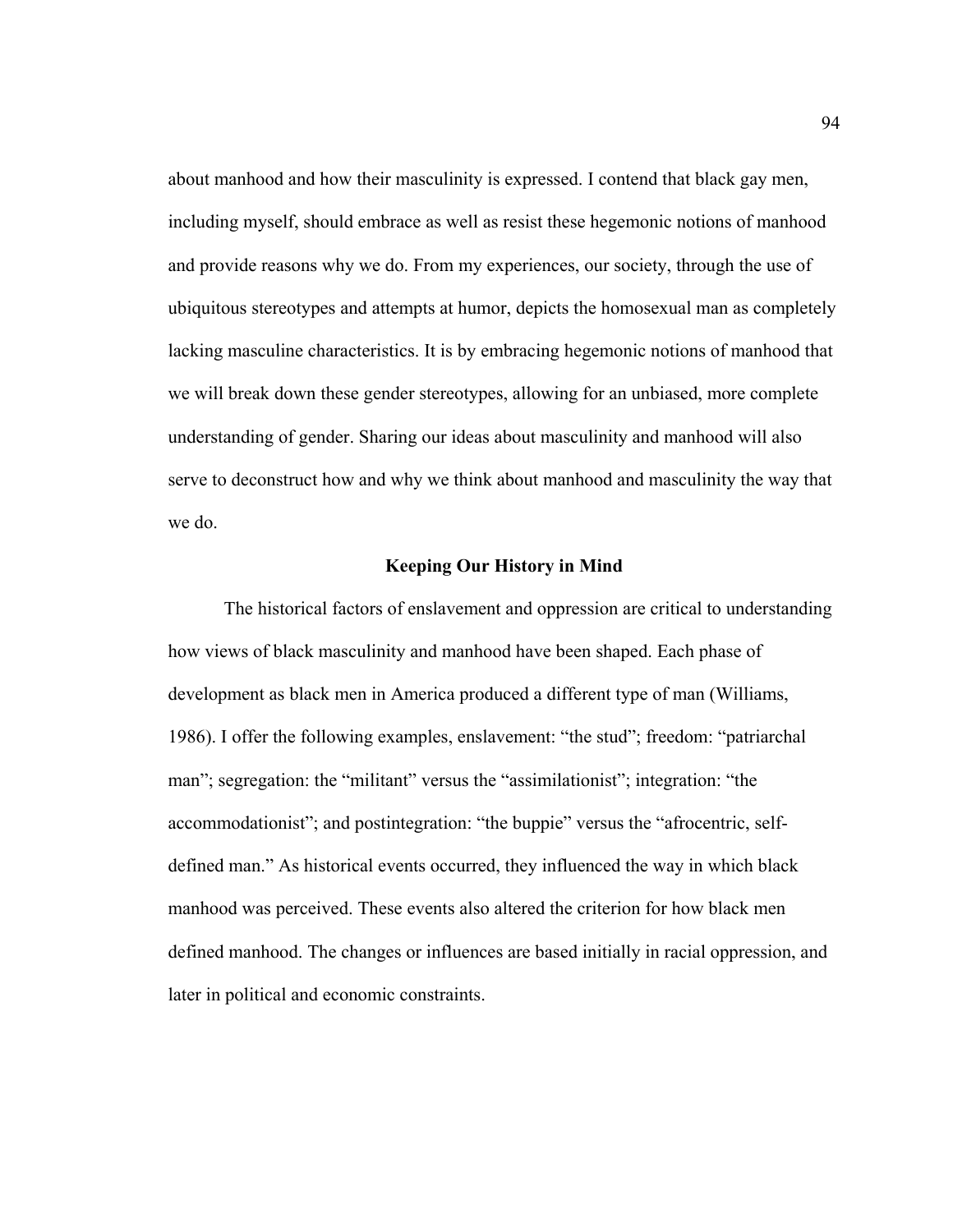about manhood and how their masculinity is expressed. I contend that black gay men, including myself, should embrace as well as resist these hegemonic notions of manhood and provide reasons why we do. From my experiences, our society, through the use of ubiquitous stereotypes and attempts at humor, depicts the homosexual man as completely lacking masculine characteristics. It is by embracing hegemonic notions of manhood that we will break down these gender stereotypes, allowing for an unbiased, more complete understanding of gender. Sharing our ideas about masculinity and manhood will also serve to deconstruct how and why we think about manhood and masculinity the way that we do.

#### **Keeping Our History in Mind**

The historical factors of enslavement and oppression are critical to understanding how views of black masculinity and manhood have been shaped. Each phase of development as black men in America produced a different type of man (Williams, 1986). I offer the following examples, enslavement: "the stud"; freedom: "patriarchal man"; segregation: the "militant" versus the "assimilationist"; integration: "the accommodationist"; and postintegration: "the buppie" versus the "afrocentric, selfdefined man." As historical events occurred, they influenced the way in which black manhood was perceived. These events also altered the criterion for how black men defined manhood. The changes or influences are based initially in racial oppression, and later in political and economic constraints.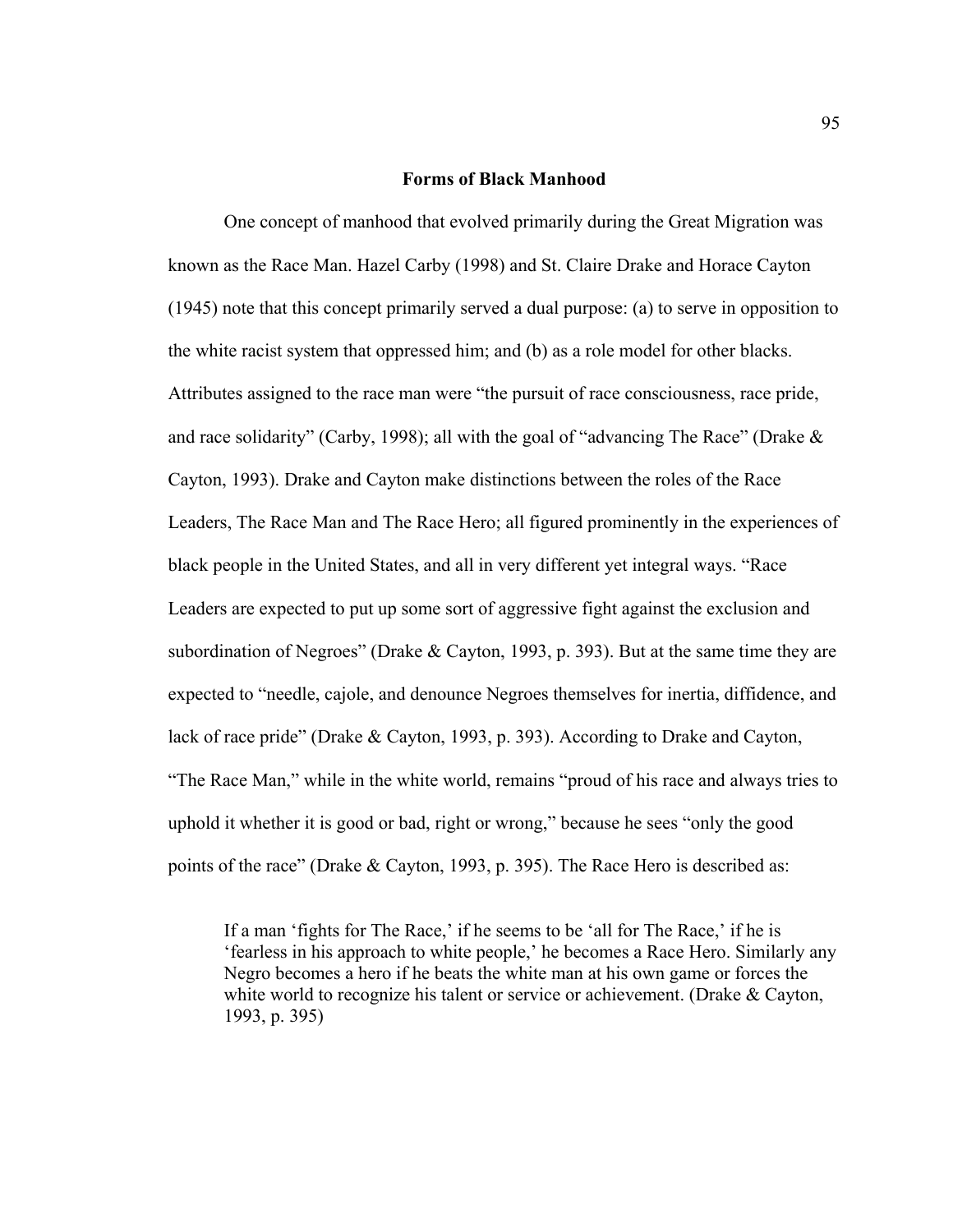## **Forms of Black Manhood**

One concept of manhood that evolved primarily during the Great Migration was known as the Race Man. Hazel Carby (1998) and St. Claire Drake and Horace Cayton (1945) note that this concept primarily served a dual purpose: (a) to serve in opposition to the white racist system that oppressed him; and (b) as a role model for other blacks. Attributes assigned to the race man were "the pursuit of race consciousness, race pride, and race solidarity" (Carby, 1998); all with the goal of "advancing The Race" (Drake  $\&$ Cayton, 1993). Drake and Cayton make distinctions between the roles of the Race Leaders, The Race Man and The Race Hero; all figured prominently in the experiences of black people in the United States, and all in very different yet integral ways. "Race Leaders are expected to put up some sort of aggressive fight against the exclusion and subordination of Negroes" (Drake & Cayton, 1993, p. 393). But at the same time they are expected to "needle, cajole, and denounce Negroes themselves for inertia, diffidence, and lack of race pride" (Drake & Cayton, 1993, p. 393). According to Drake and Cayton, "The Race Man," while in the white world, remains "proud of his race and always tries to uphold it whether it is good or bad, right or wrong," because he sees "only the good points of the race" (Drake & Cayton, 1993, p. 395). The Race Hero is described as:

If a man 'fights for The Race,' if he seems to be 'all for The Race,' if he is 'fearless in his approach to white people,' he becomes a Race Hero. Similarly any Negro becomes a hero if he beats the white man at his own game or forces the white world to recognize his talent or service or achievement. (Drake & Cayton, 1993, p. 395)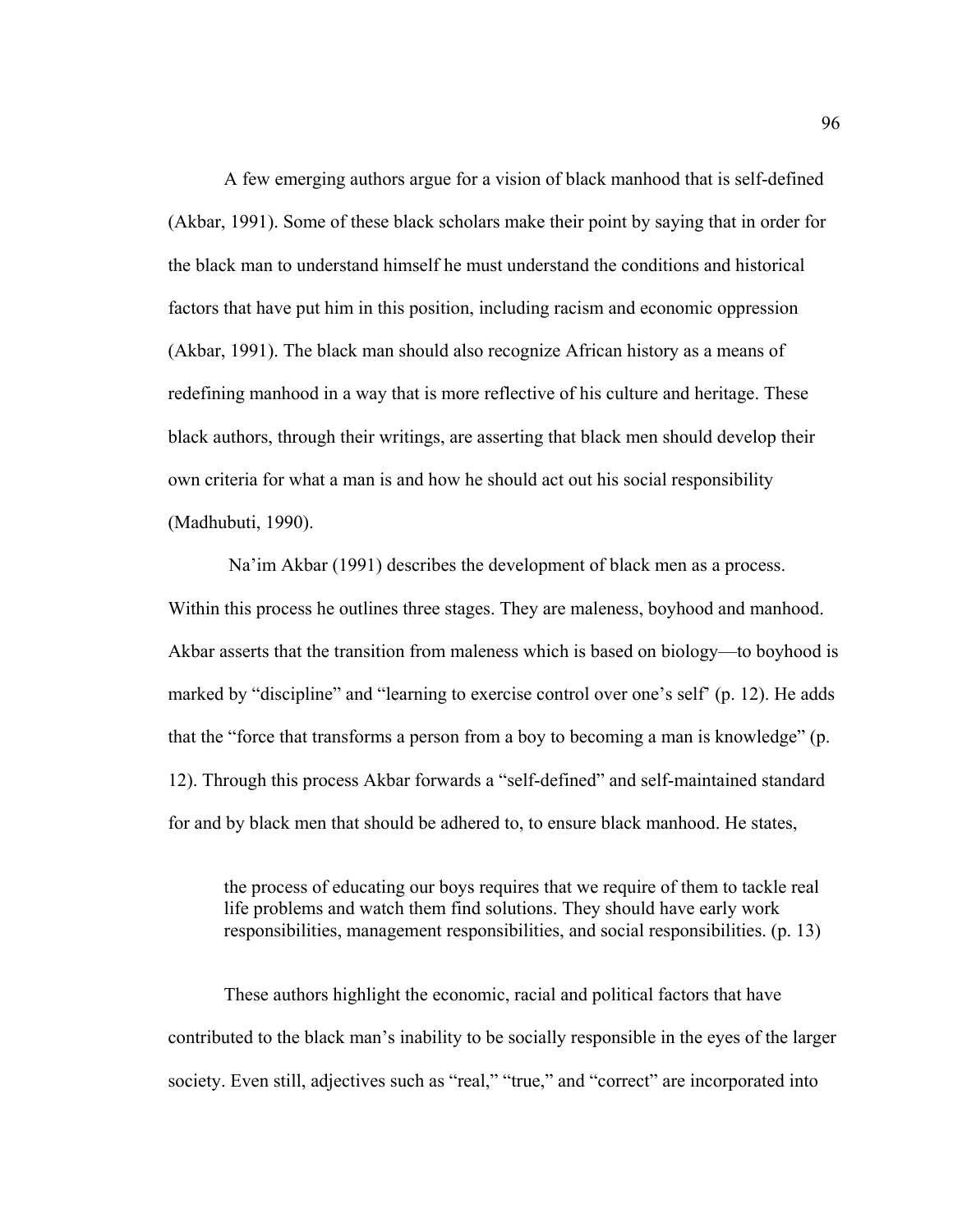A few emerging authors argue for a vision of black manhood that is self-defined (Akbar, 1991). Some of these black scholars make their point by saying that in order for the black man to understand himself he must understand the conditions and historical factors that have put him in this position, including racism and economic oppression (Akbar, 1991). The black man should also recognize African history as a means of redefining manhood in a way that is more reflective of his culture and heritage. These black authors, through their writings, are asserting that black men should develop their own criteria for what a man is and how he should act out his social responsibility (Madhubuti, 1990).

 Na'im Akbar (1991) describes the development of black men as a process. Within this process he outlines three stages. They are maleness, boyhood and manhood. Akbar asserts that the transition from maleness which is based on biology—to boyhood is marked by "discipline" and "learning to exercise control over one's self' (p. 12). He adds that the "force that transforms a person from a boy to becoming a man is knowledge" (p. 12). Through this process Akbar forwards a "self-defined" and self-maintained standard for and by black men that should be adhered to, to ensure black manhood. He states,

the process of educating our boys requires that we require of them to tackle real life problems and watch them find solutions. They should have early work responsibilities, management responsibilities, and social responsibilities. (p. 13)

These authors highlight the economic, racial and political factors that have contributed to the black man's inability to be socially responsible in the eyes of the larger society. Even still, adjectives such as "real," "true," and "correct" are incorporated into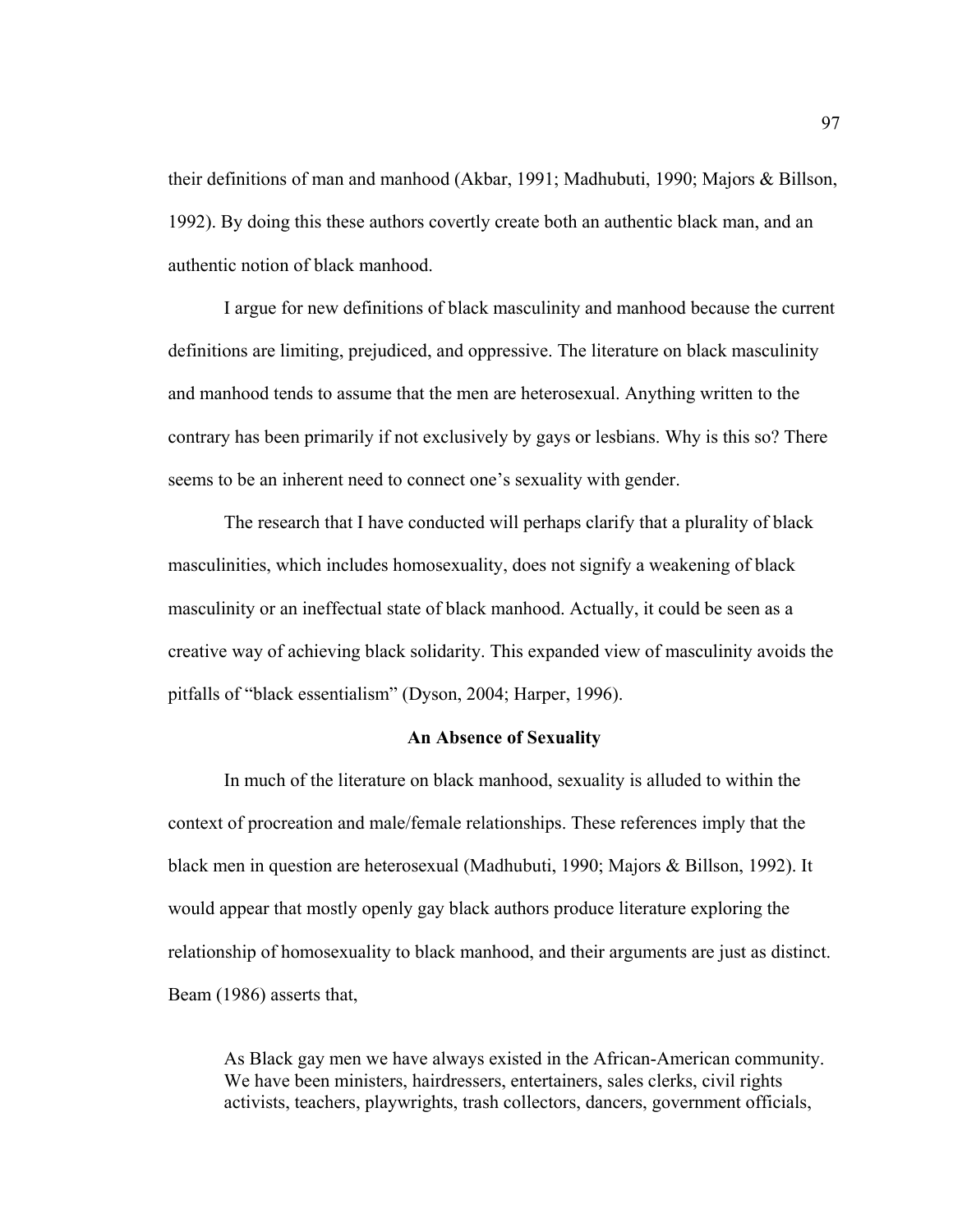their definitions of man and manhood (Akbar, 1991; Madhubuti, 1990; Majors & Billson, 1992). By doing this these authors covertly create both an authentic black man, and an authentic notion of black manhood.

I argue for new definitions of black masculinity and manhood because the current definitions are limiting, prejudiced, and oppressive. The literature on black masculinity and manhood tends to assume that the men are heterosexual. Anything written to the contrary has been primarily if not exclusively by gays or lesbians. Why is this so? There seems to be an inherent need to connect one's sexuality with gender.

The research that I have conducted will perhaps clarify that a plurality of black masculinities, which includes homosexuality, does not signify a weakening of black masculinity or an ineffectual state of black manhood. Actually, it could be seen as a creative way of achieving black solidarity. This expanded view of masculinity avoids the pitfalls of "black essentialism" (Dyson, 2004; Harper, 1996).

#### **An Absence of Sexuality**

In much of the literature on black manhood, sexuality is alluded to within the context of procreation and male/female relationships. These references imply that the black men in question are heterosexual (Madhubuti, 1990; Majors & Billson, 1992). It would appear that mostly openly gay black authors produce literature exploring the relationship of homosexuality to black manhood, and their arguments are just as distinct. Beam (1986) asserts that,

As Black gay men we have always existed in the African-American community. We have been ministers, hairdressers, entertainers, sales clerks, civil rights activists, teachers, playwrights, trash collectors, dancers, government officials,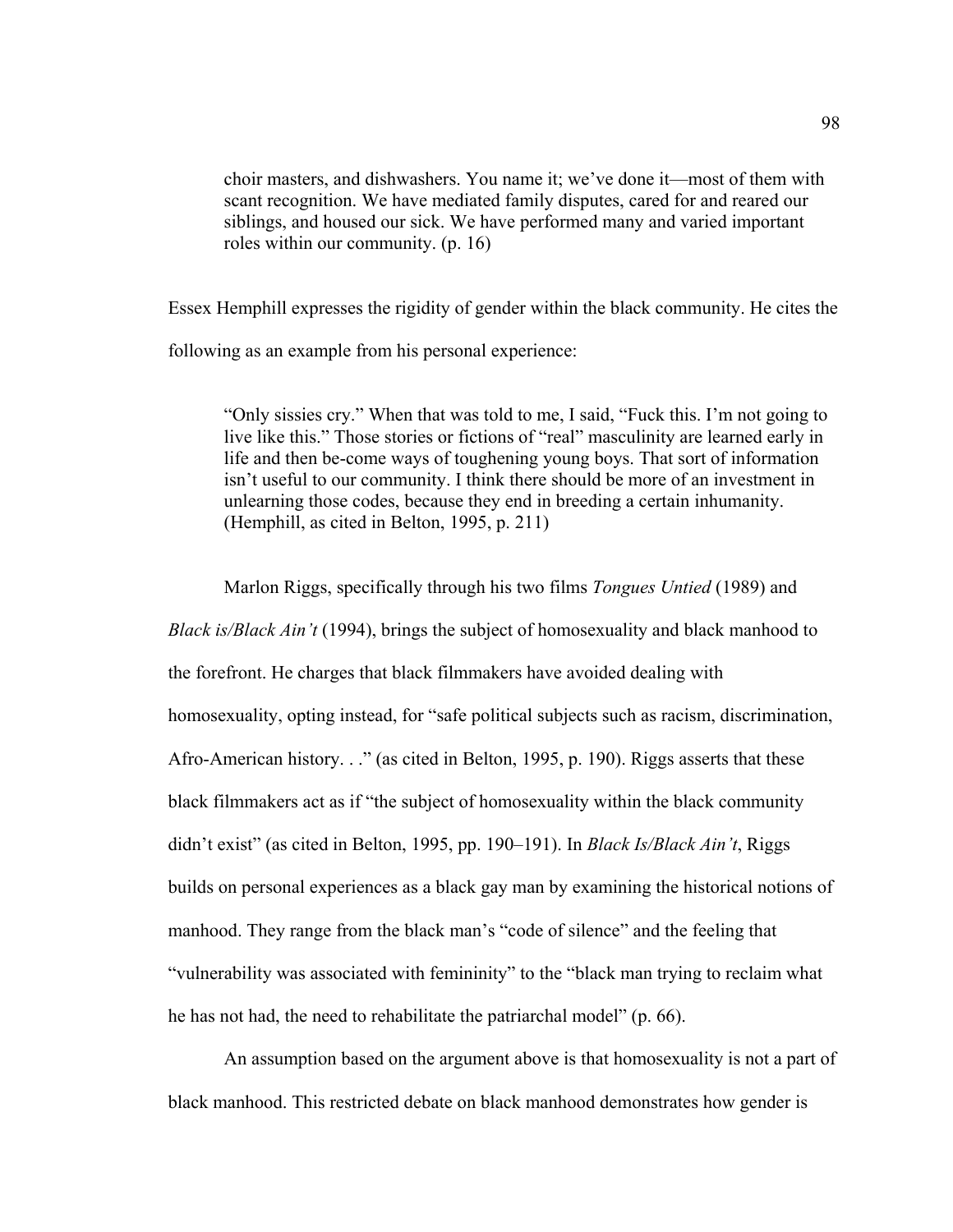choir masters, and dishwashers. You name it; we've done it—most of them with scant recognition. We have mediated family disputes, cared for and reared our siblings, and housed our sick. We have performed many and varied important roles within our community. (p. 16)

Essex Hemphill expresses the rigidity of gender within the black community. He cites the following as an example from his personal experience:

"Only sissies cry." When that was told to me, I said, "Fuck this. I'm not going to live like this." Those stories or fictions of "real" masculinity are learned early in life and then be-come ways of toughening young boys. That sort of information isn't useful to our community. I think there should be more of an investment in unlearning those codes, because they end in breeding a certain inhumanity. (Hemphill, as cited in Belton, 1995, p. 211)

Marlon Riggs, specifically through his two films *Tongues Untied* (1989) and

*Black is/Black Ain't* (1994), brings the subject of homosexuality and black manhood to the forefront. He charges that black filmmakers have avoided dealing with homosexuality, opting instead, for "safe political subjects such as racism, discrimination, Afro-American history. . ." (as cited in Belton, 1995, p. 190). Riggs asserts that these black filmmakers act as if "the subject of homosexuality within the black community didn't exist" (as cited in Belton, 1995, pp. 190–191). In *Black Is/Black Ain't*, Riggs builds on personal experiences as a black gay man by examining the historical notions of manhood. They range from the black man's "code of silence" and the feeling that "vulnerability was associated with femininity" to the "black man trying to reclaim what he has not had, the need to rehabilitate the patriarchal model" (p. 66).

An assumption based on the argument above is that homosexuality is not a part of black manhood. This restricted debate on black manhood demonstrates how gender is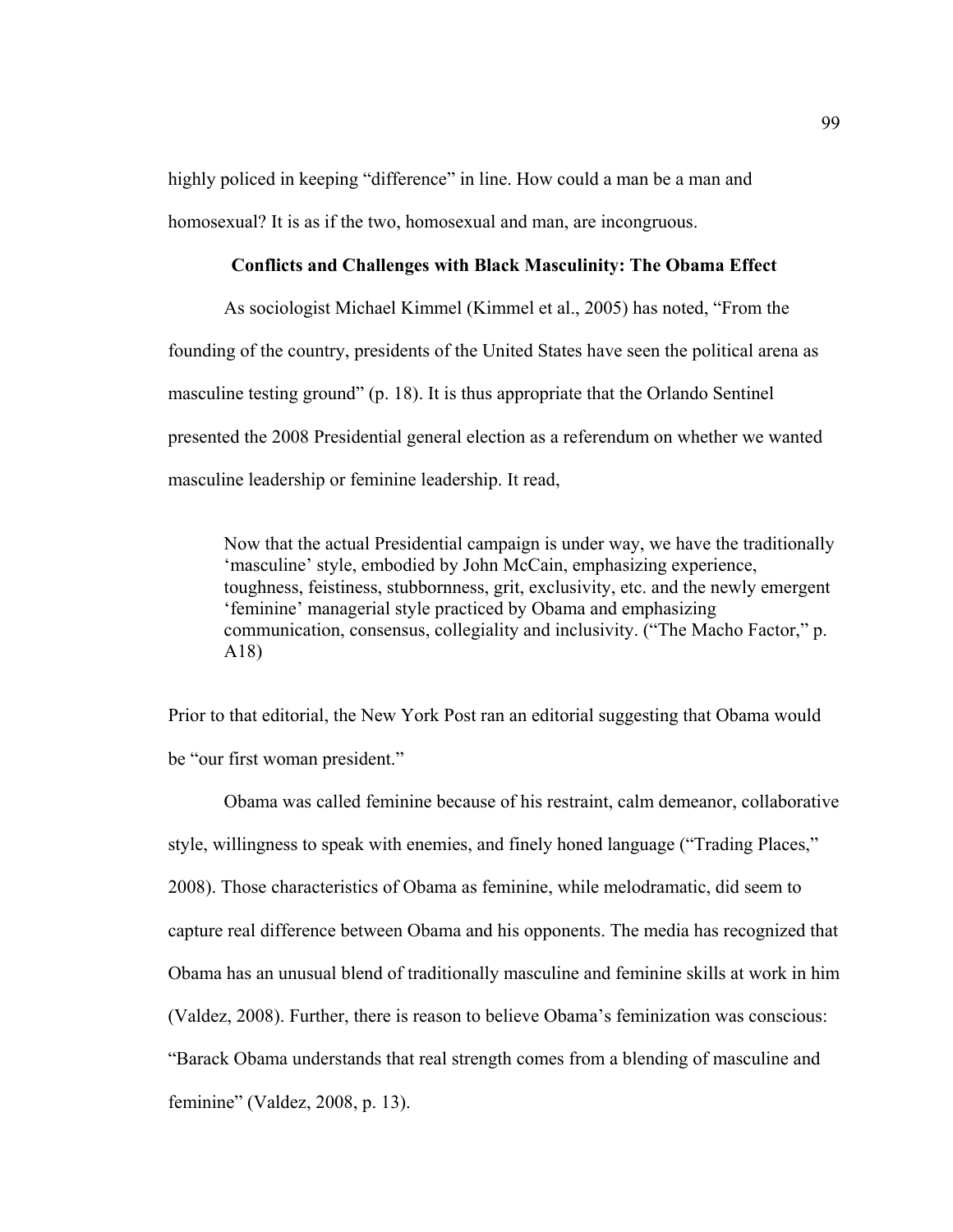highly policed in keeping "difference" in line. How could a man be a man and homosexual? It is as if the two, homosexual and man, are incongruous.

## **Conflicts and Challenges with Black Masculinity: The Obama Effect**

 As sociologist Michael Kimmel (Kimmel et al., 2005) has noted, "From the founding of the country, presidents of the United States have seen the political arena as masculine testing ground" (p. 18). It is thus appropriate that the Orlando Sentinel presented the 2008 Presidential general election as a referendum on whether we wanted masculine leadership or feminine leadership. It read,

Now that the actual Presidential campaign is under way, we have the traditionally 'masculine' style, embodied by John McCain, emphasizing experience, toughness, feistiness, stubbornness, grit, exclusivity, etc. and the newly emergent 'feminine' managerial style practiced by Obama and emphasizing communication, consensus, collegiality and inclusivity. ("The Macho Factor," p. A18)

Prior to that editorial, the New York Post ran an editorial suggesting that Obama would be "our first woman president."

 Obama was called feminine because of his restraint, calm demeanor, collaborative style, willingness to speak with enemies, and finely honed language ("Trading Places," 2008). Those characteristics of Obama as feminine, while melodramatic, did seem to capture real difference between Obama and his opponents. The media has recognized that Obama has an unusual blend of traditionally masculine and feminine skills at work in him (Valdez, 2008). Further, there is reason to believe Obama's feminization was conscious: "Barack Obama understands that real strength comes from a blending of masculine and feminine" (Valdez, 2008, p. 13).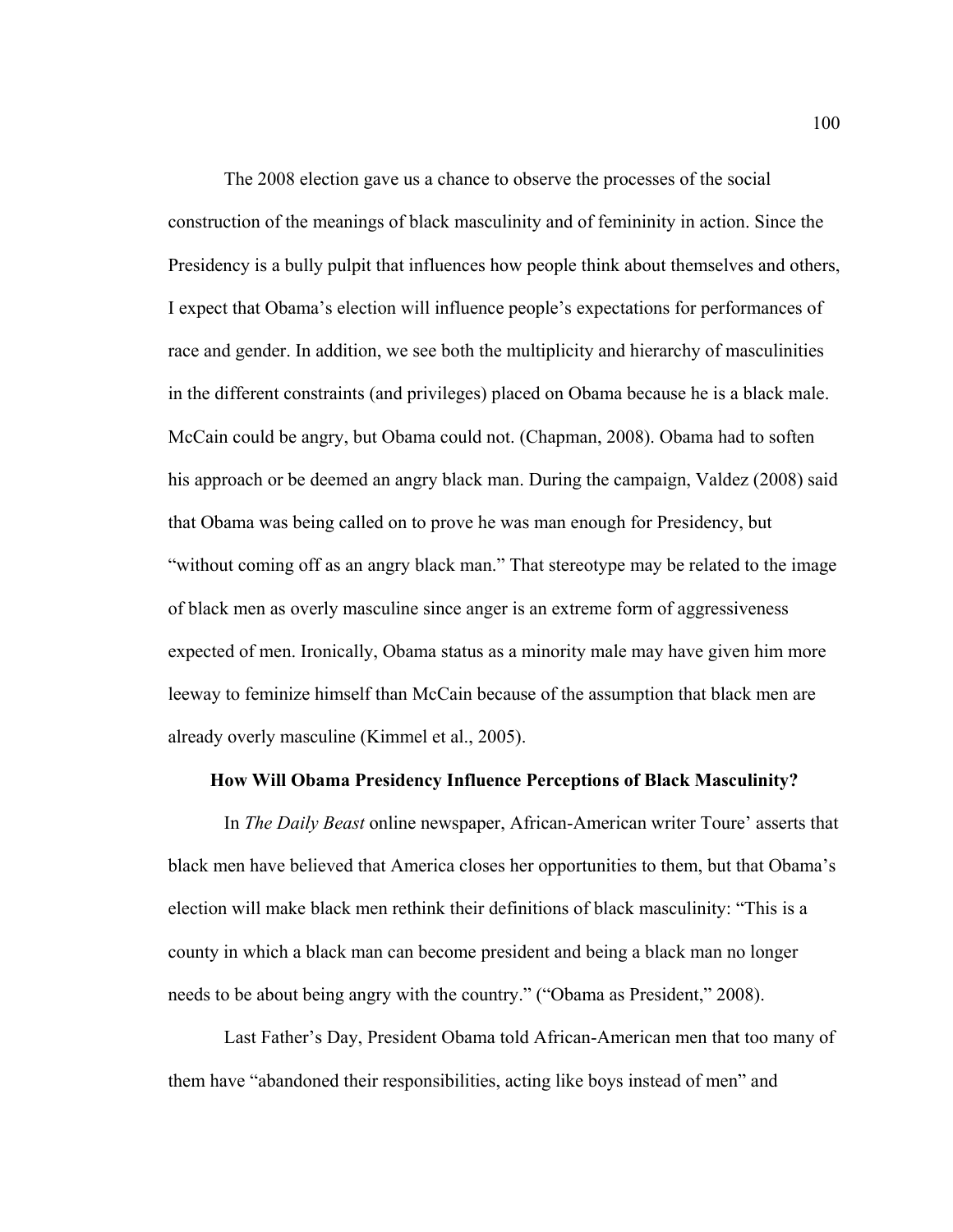The 2008 election gave us a chance to observe the processes of the social construction of the meanings of black masculinity and of femininity in action. Since the Presidency is a bully pulpit that influences how people think about themselves and others, I expect that Obama's election will influence people's expectations for performances of race and gender. In addition, we see both the multiplicity and hierarchy of masculinities in the different constraints (and privileges) placed on Obama because he is a black male. McCain could be angry, but Obama could not. (Chapman, 2008). Obama had to soften his approach or be deemed an angry black man. During the campaign, Valdez (2008) said that Obama was being called on to prove he was man enough for Presidency, but "without coming off as an angry black man." That stereotype may be related to the image of black men as overly masculine since anger is an extreme form of aggressiveness expected of men. Ironically, Obama status as a minority male may have given him more leeway to feminize himself than McCain because of the assumption that black men are already overly masculine (Kimmel et al., 2005).

## **How Will Obama Presidency Influence Perceptions of Black Masculinity?**

 In *The Daily Beast* online newspaper, African-American writer Toure' asserts that black men have believed that America closes her opportunities to them, but that Obama's election will make black men rethink their definitions of black masculinity: "This is a county in which a black man can become president and being a black man no longer needs to be about being angry with the country." ("Obama as President," 2008).

 Last Father's Day, President Obama told African-American men that too many of them have "abandoned their responsibilities, acting like boys instead of men" and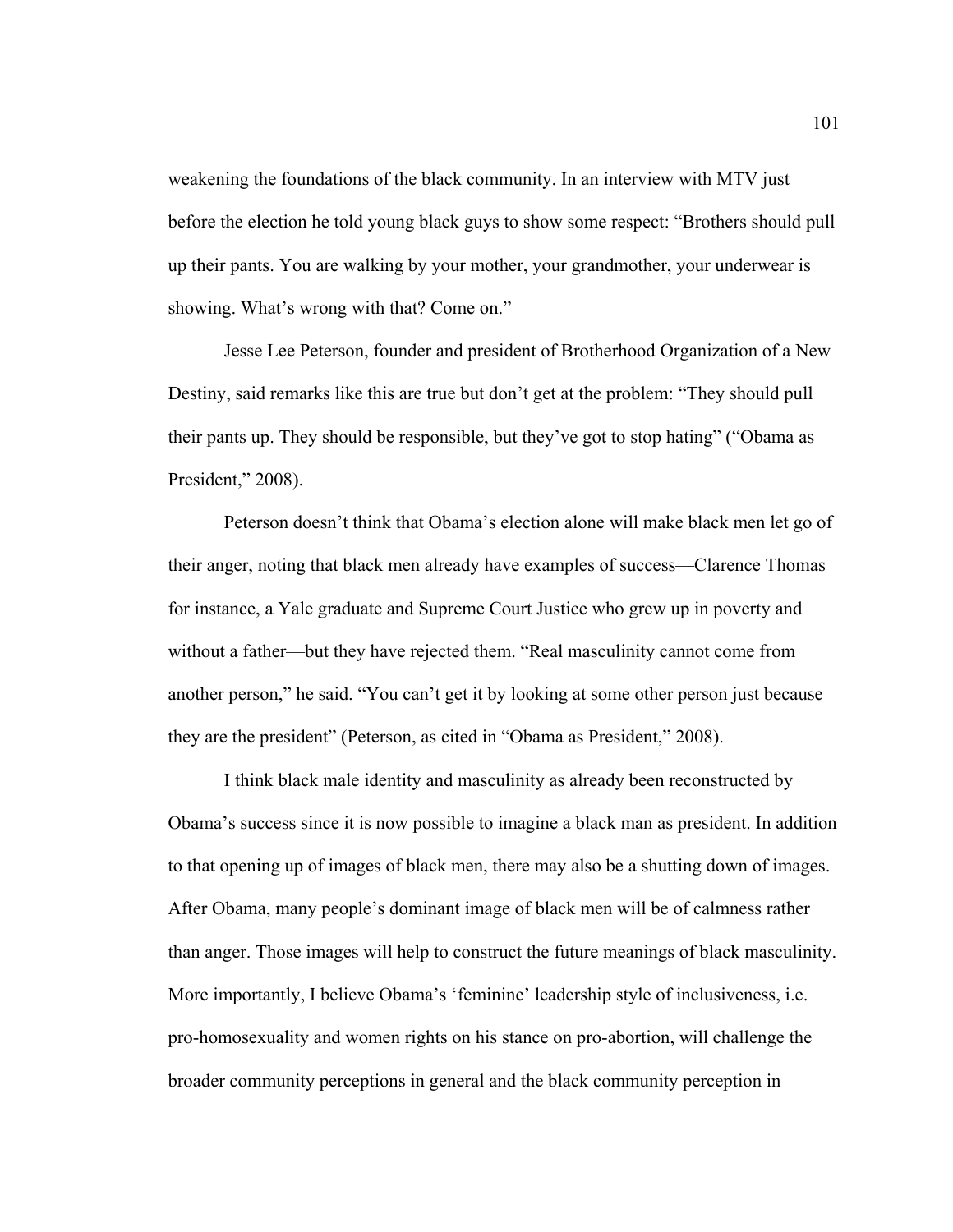weakening the foundations of the black community. In an interview with MTV just before the election he told young black guys to show some respect: "Brothers should pull up their pants. You are walking by your mother, your grandmother, your underwear is showing. What's wrong with that? Come on."

 Jesse Lee Peterson, founder and president of Brotherhood Organization of a New Destiny, said remarks like this are true but don't get at the problem: "They should pull their pants up. They should be responsible, but they've got to stop hating" ("Obama as President," 2008).

 Peterson doesn't think that Obama's election alone will make black men let go of their anger, noting that black men already have examples of success—Clarence Thomas for instance, a Yale graduate and Supreme Court Justice who grew up in poverty and without a father—but they have rejected them. "Real masculinity cannot come from another person," he said. "You can't get it by looking at some other person just because they are the president" (Peterson, as cited in "Obama as President," 2008).

 I think black male identity and masculinity as already been reconstructed by Obama's success since it is now possible to imagine a black man as president. In addition to that opening up of images of black men, there may also be a shutting down of images. After Obama, many people's dominant image of black men will be of calmness rather than anger. Those images will help to construct the future meanings of black masculinity. More importantly, I believe Obama's 'feminine' leadership style of inclusiveness, i.e. pro-homosexuality and women rights on his stance on pro-abortion, will challenge the broader community perceptions in general and the black community perception in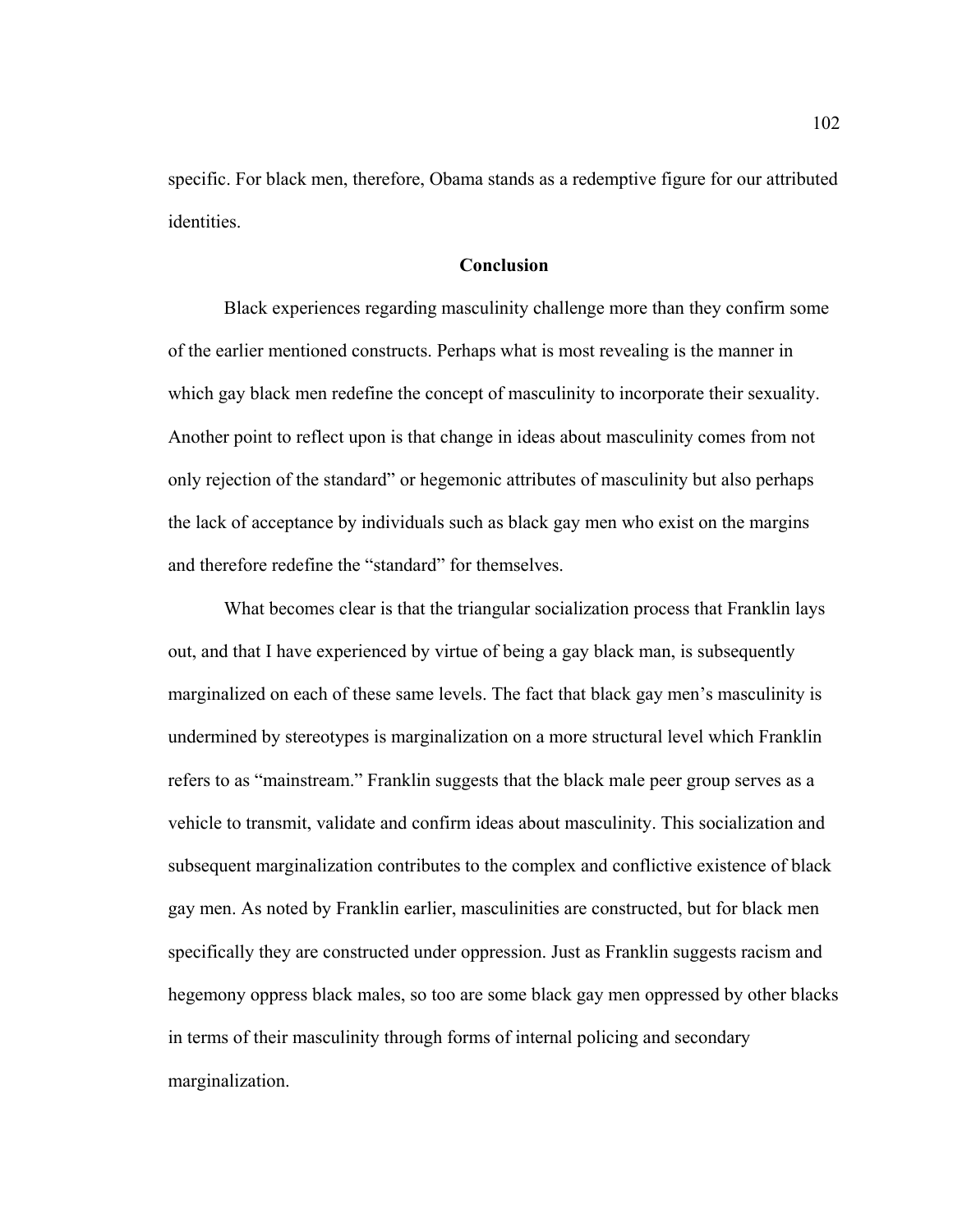specific. For black men, therefore, Obama stands as a redemptive figure for our attributed identities.

# **Conclusion**

Black experiences regarding masculinity challenge more than they confirm some of the earlier mentioned constructs. Perhaps what is most revealing is the manner in which gay black men redefine the concept of masculinity to incorporate their sexuality. Another point to reflect upon is that change in ideas about masculinity comes from not only rejection of the standard" or hegemonic attributes of masculinity but also perhaps the lack of acceptance by individuals such as black gay men who exist on the margins and therefore redefine the "standard" for themselves.

What becomes clear is that the triangular socialization process that Franklin lays out, and that I have experienced by virtue of being a gay black man, is subsequently marginalized on each of these same levels. The fact that black gay men's masculinity is undermined by stereotypes is marginalization on a more structural level which Franklin refers to as "mainstream." Franklin suggests that the black male peer group serves as a vehicle to transmit, validate and confirm ideas about masculinity. This socialization and subsequent marginalization contributes to the complex and conflictive existence of black gay men. As noted by Franklin earlier, masculinities are constructed, but for black men specifically they are constructed under oppression. Just as Franklin suggests racism and hegemony oppress black males, so too are some black gay men oppressed by other blacks in terms of their masculinity through forms of internal policing and secondary marginalization.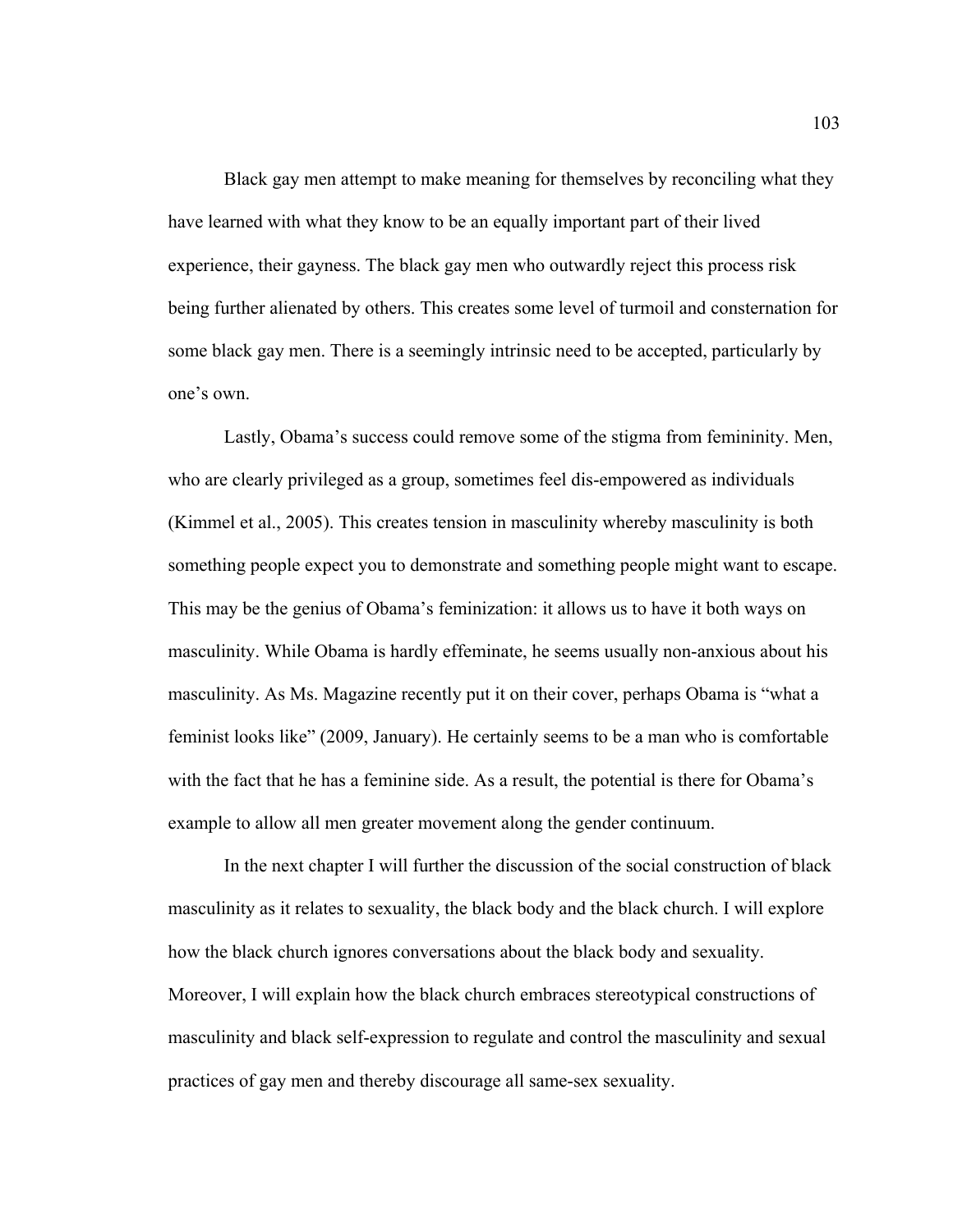Black gay men attempt to make meaning for themselves by reconciling what they have learned with what they know to be an equally important part of their lived experience, their gayness. The black gay men who outwardly reject this process risk being further alienated by others. This creates some level of turmoil and consternation for some black gay men. There is a seemingly intrinsic need to be accepted, particularly by one's own.

Lastly, Obama's success could remove some of the stigma from femininity. Men, who are clearly privileged as a group, sometimes feel dis-empowered as individuals (Kimmel et al., 2005). This creates tension in masculinity whereby masculinity is both something people expect you to demonstrate and something people might want to escape. This may be the genius of Obama's feminization: it allows us to have it both ways on masculinity. While Obama is hardly effeminate, he seems usually non-anxious about his masculinity. As Ms. Magazine recently put it on their cover, perhaps Obama is "what a feminist looks like" (2009, January). He certainly seems to be a man who is comfortable with the fact that he has a feminine side. As a result, the potential is there for Obama's example to allow all men greater movement along the gender continuum.

In the next chapter I will further the discussion of the social construction of black masculinity as it relates to sexuality, the black body and the black church. I will explore how the black church ignores conversations about the black body and sexuality. Moreover, I will explain how the black church embraces stereotypical constructions of masculinity and black self-expression to regulate and control the masculinity and sexual practices of gay men and thereby discourage all same-sex sexuality.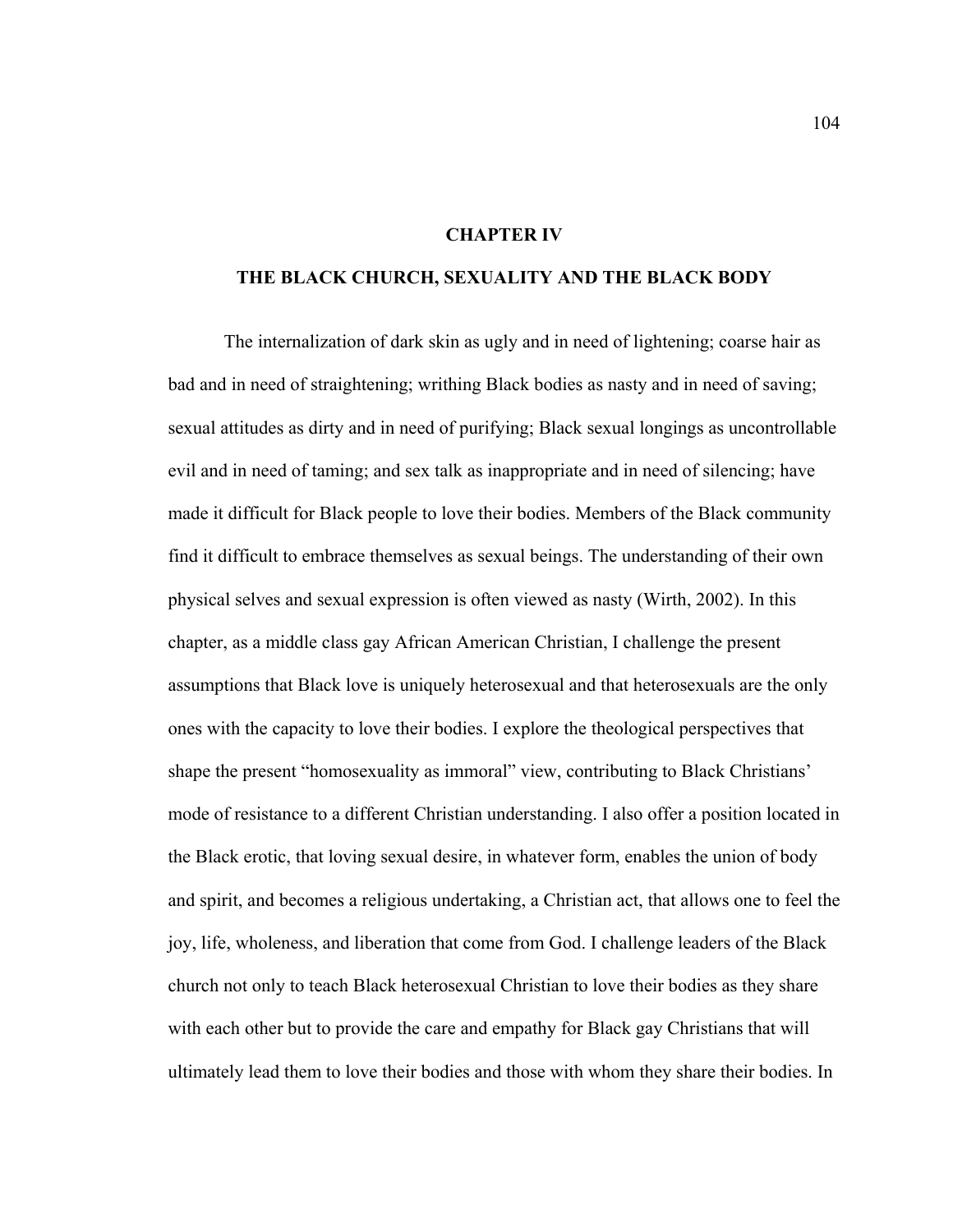# **CHAPTER IV**

## **THE BLACK CHURCH, SEXUALITY AND THE BLACK BODY**

The internalization of dark skin as ugly and in need of lightening; coarse hair as bad and in need of straightening; writhing Black bodies as nasty and in need of saving; sexual attitudes as dirty and in need of purifying; Black sexual longings as uncontrollable evil and in need of taming; and sex talk as inappropriate and in need of silencing; have made it difficult for Black people to love their bodies. Members of the Black community find it difficult to embrace themselves as sexual beings. The understanding of their own physical selves and sexual expression is often viewed as nasty (Wirth, 2002). In this chapter, as a middle class gay African American Christian, I challenge the present assumptions that Black love is uniquely heterosexual and that heterosexuals are the only ones with the capacity to love their bodies. I explore the theological perspectives that shape the present "homosexuality as immoral" view, contributing to Black Christians' mode of resistance to a different Christian understanding. I also offer a position located in the Black erotic, that loving sexual desire, in whatever form, enables the union of body and spirit, and becomes a religious undertaking, a Christian act, that allows one to feel the joy, life, wholeness, and liberation that come from God. I challenge leaders of the Black church not only to teach Black heterosexual Christian to love their bodies as they share with each other but to provide the care and empathy for Black gay Christians that will ultimately lead them to love their bodies and those with whom they share their bodies. In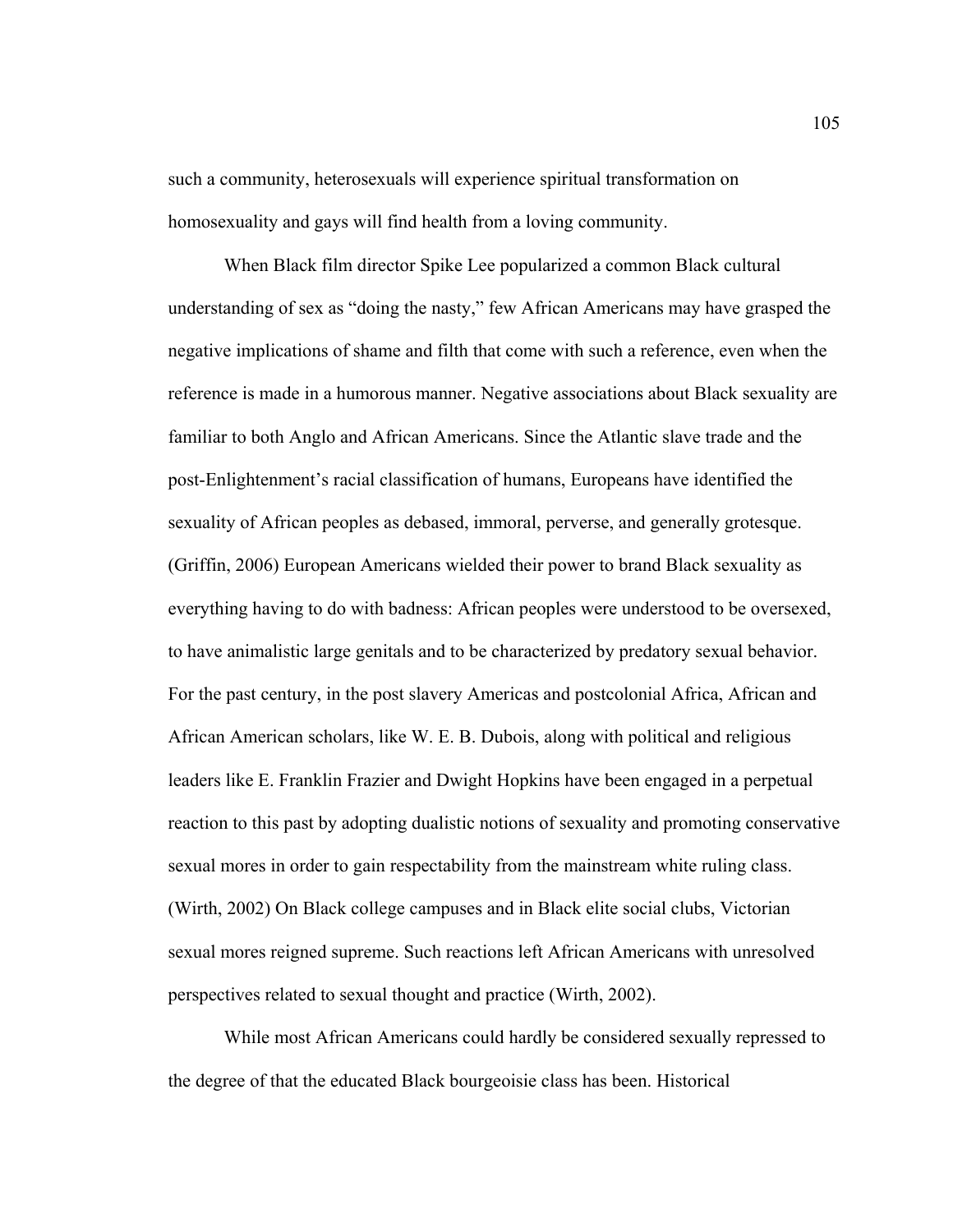such a community, heterosexuals will experience spiritual transformation on homosexuality and gays will find health from a loving community.

When Black film director Spike Lee popularized a common Black cultural understanding of sex as "doing the nasty," few African Americans may have grasped the negative implications of shame and filth that come with such a reference, even when the reference is made in a humorous manner. Negative associations about Black sexuality are familiar to both Anglo and African Americans. Since the Atlantic slave trade and the post-Enlightenment's racial classification of humans, Europeans have identified the sexuality of African peoples as debased, immoral, perverse, and generally grotesque. (Griffin, 2006) European Americans wielded their power to brand Black sexuality as everything having to do with badness: African peoples were understood to be oversexed, to have animalistic large genitals and to be characterized by predatory sexual behavior. For the past century, in the post slavery Americas and postcolonial Africa, African and African American scholars, like W. E. B. Dubois, along with political and religious leaders like E. Franklin Frazier and Dwight Hopkins have been engaged in a perpetual reaction to this past by adopting dualistic notions of sexuality and promoting conservative sexual mores in order to gain respectability from the mainstream white ruling class. (Wirth, 2002) On Black college campuses and in Black elite social clubs, Victorian sexual mores reigned supreme. Such reactions left African Americans with unresolved perspectives related to sexual thought and practice (Wirth, 2002).

 While most African Americans could hardly be considered sexually repressed to the degree of that the educated Black bourgeoisie class has been. Historical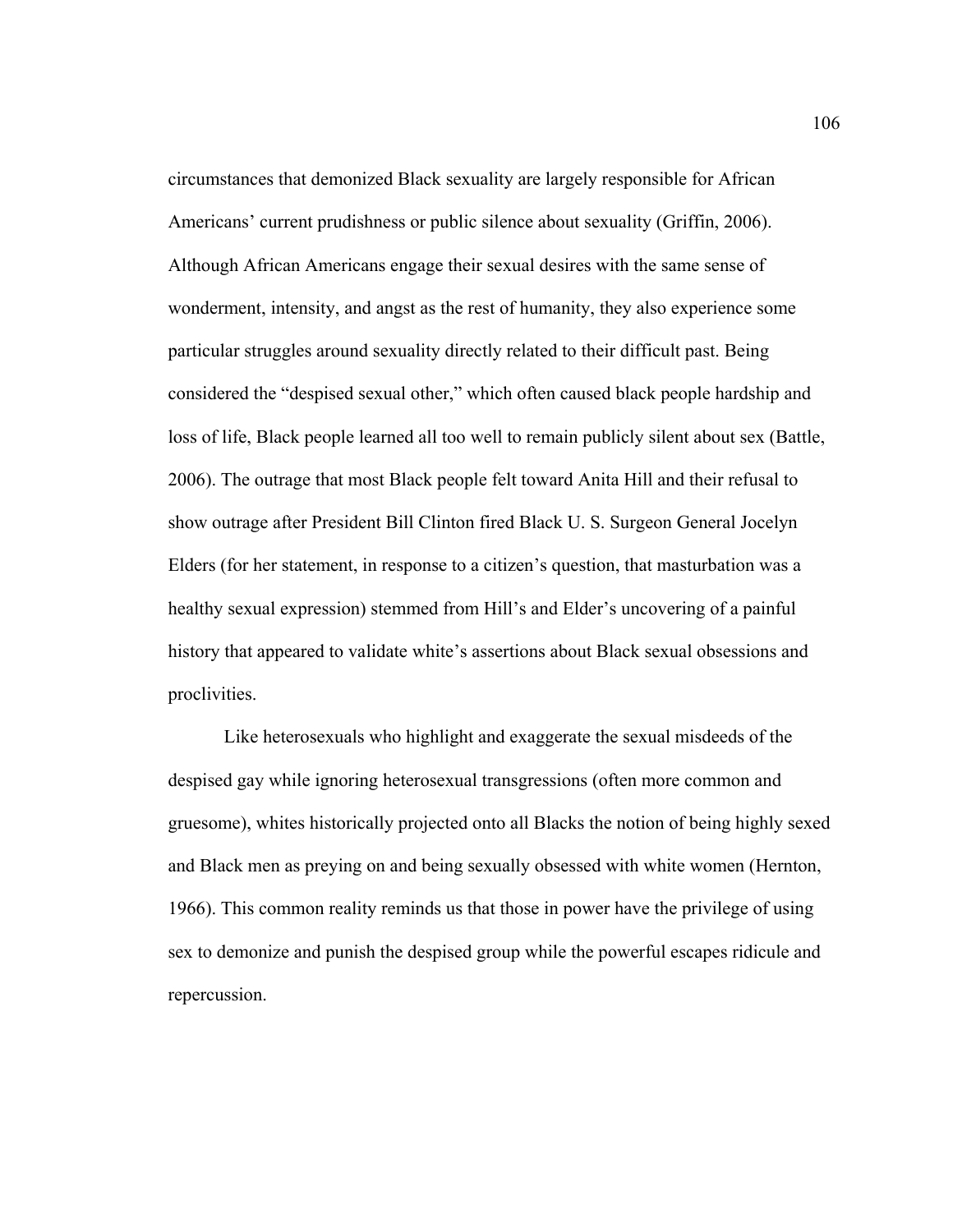circumstances that demonized Black sexuality are largely responsible for African Americans' current prudishness or public silence about sexuality (Griffin, 2006). Although African Americans engage their sexual desires with the same sense of wonderment, intensity, and angst as the rest of humanity, they also experience some particular struggles around sexuality directly related to their difficult past. Being considered the "despised sexual other," which often caused black people hardship and loss of life, Black people learned all too well to remain publicly silent about sex (Battle, 2006). The outrage that most Black people felt toward Anita Hill and their refusal to show outrage after President Bill Clinton fired Black U. S. Surgeon General Jocelyn Elders (for her statement, in response to a citizen's question, that masturbation was a healthy sexual expression) stemmed from Hill's and Elder's uncovering of a painful history that appeared to validate white's assertions about Black sexual obsessions and proclivities.

 Like heterosexuals who highlight and exaggerate the sexual misdeeds of the despised gay while ignoring heterosexual transgressions (often more common and gruesome), whites historically projected onto all Blacks the notion of being highly sexed and Black men as preying on and being sexually obsessed with white women (Hernton, 1966). This common reality reminds us that those in power have the privilege of using sex to demonize and punish the despised group while the powerful escapes ridicule and repercussion.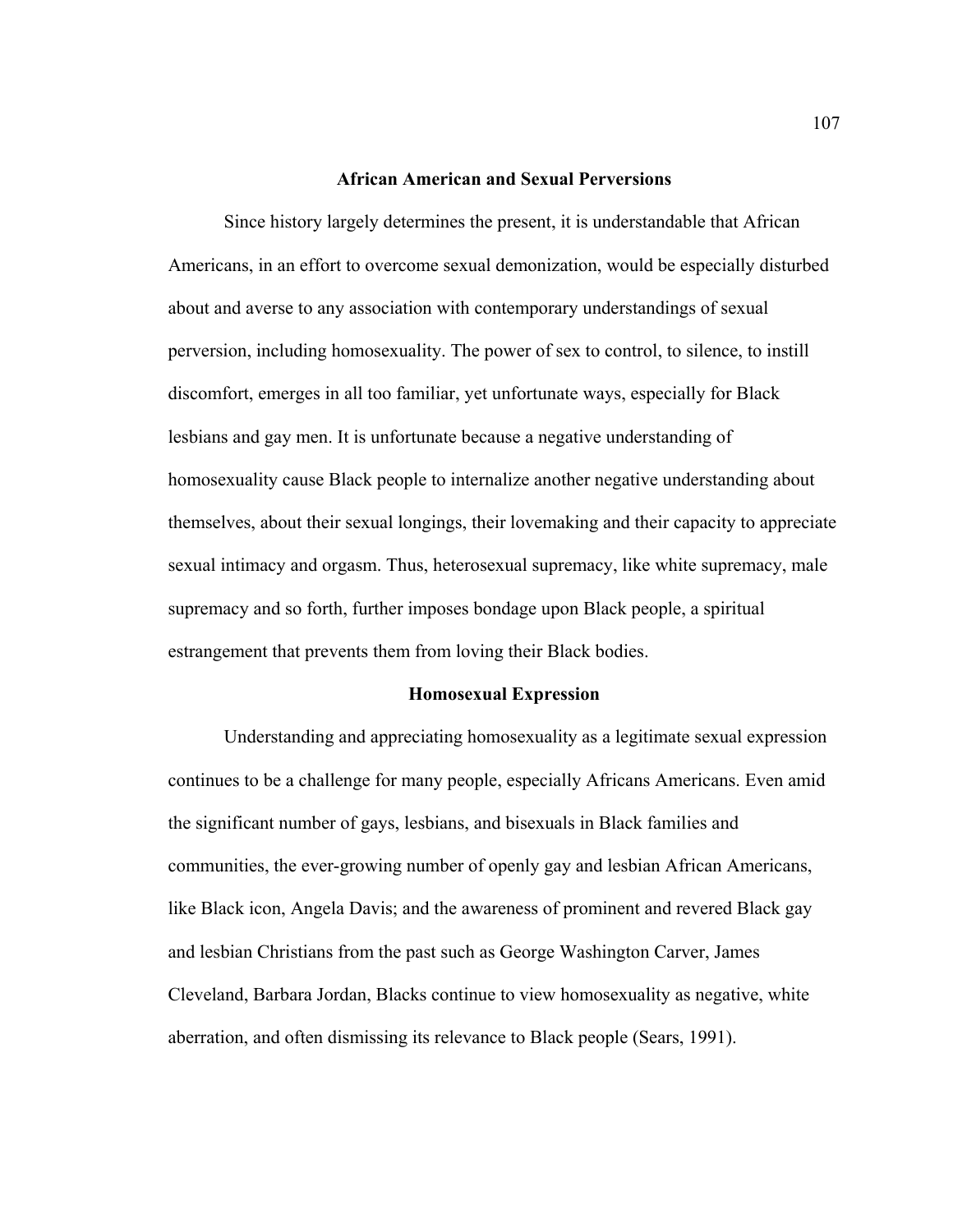# **African American and Sexual Perversions**

 Since history largely determines the present, it is understandable that African Americans, in an effort to overcome sexual demonization, would be especially disturbed about and averse to any association with contemporary understandings of sexual perversion, including homosexuality. The power of sex to control, to silence, to instill discomfort, emerges in all too familiar, yet unfortunate ways, especially for Black lesbians and gay men. It is unfortunate because a negative understanding of homosexuality cause Black people to internalize another negative understanding about themselves, about their sexual longings, their lovemaking and their capacity to appreciate sexual intimacy and orgasm. Thus, heterosexual supremacy, like white supremacy, male supremacy and so forth, further imposes bondage upon Black people, a spiritual estrangement that prevents them from loving their Black bodies.

#### **Homosexual Expression**

 Understanding and appreciating homosexuality as a legitimate sexual expression continues to be a challenge for many people, especially Africans Americans. Even amid the significant number of gays, lesbians, and bisexuals in Black families and communities, the ever-growing number of openly gay and lesbian African Americans, like Black icon, Angela Davis; and the awareness of prominent and revered Black gay and lesbian Christians from the past such as George Washington Carver, James Cleveland, Barbara Jordan, Blacks continue to view homosexuality as negative, white aberration, and often dismissing its relevance to Black people (Sears, 1991).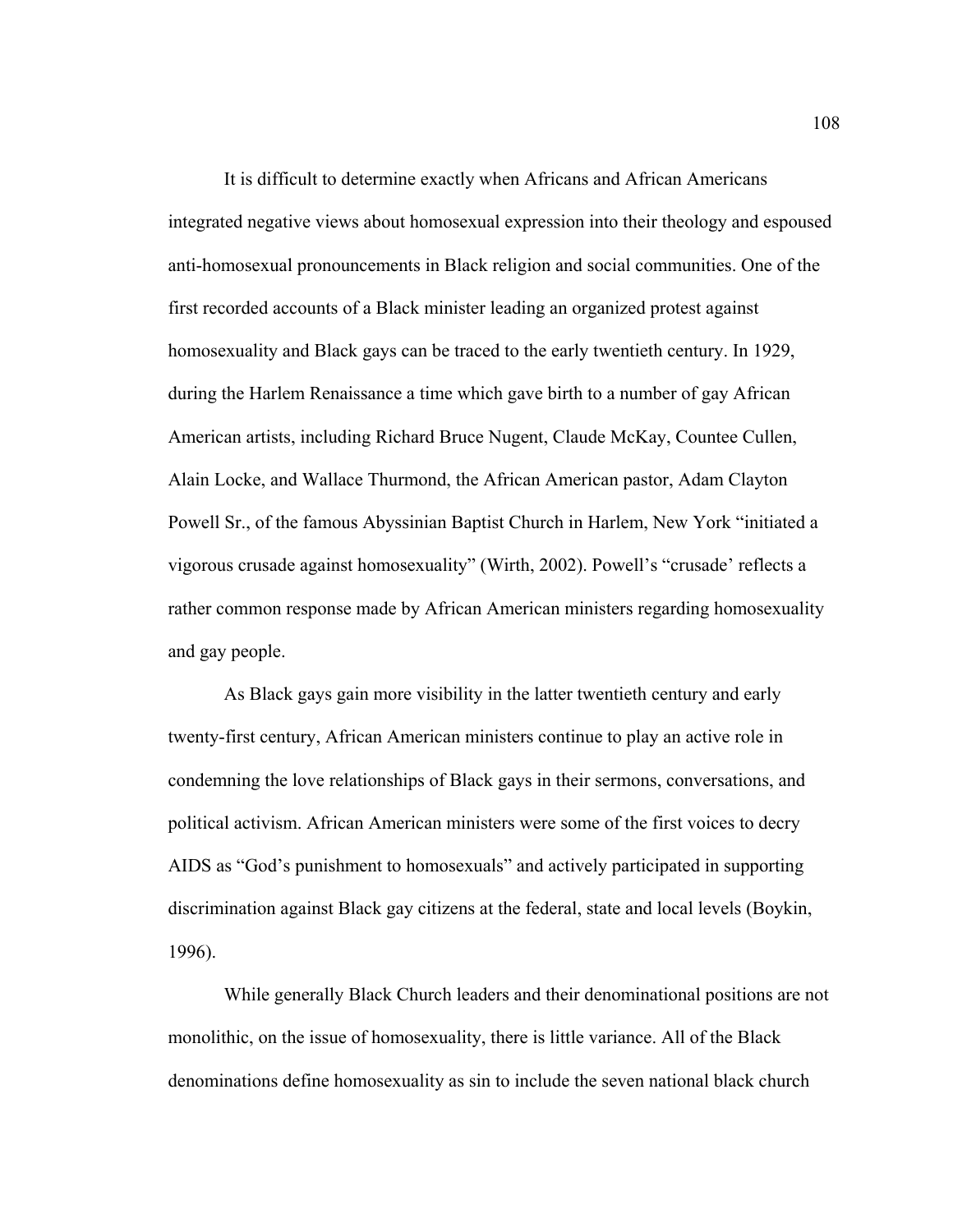It is difficult to determine exactly when Africans and African Americans integrated negative views about homosexual expression into their theology and espoused anti-homosexual pronouncements in Black religion and social communities. One of the first recorded accounts of a Black minister leading an organized protest against homosexuality and Black gays can be traced to the early twentieth century. In 1929, during the Harlem Renaissance a time which gave birth to a number of gay African American artists, including Richard Bruce Nugent, Claude McKay, Countee Cullen, Alain Locke, and Wallace Thurmond, the African American pastor, Adam Clayton Powell Sr., of the famous Abyssinian Baptist Church in Harlem, New York "initiated a vigorous crusade against homosexuality" (Wirth, 2002). Powell's "crusade' reflects a rather common response made by African American ministers regarding homosexuality and gay people.

 As Black gays gain more visibility in the latter twentieth century and early twenty-first century, African American ministers continue to play an active role in condemning the love relationships of Black gays in their sermons, conversations, and political activism. African American ministers were some of the first voices to decry AIDS as "God's punishment to homosexuals" and actively participated in supporting discrimination against Black gay citizens at the federal, state and local levels (Boykin, 1996).

 While generally Black Church leaders and their denominational positions are not monolithic, on the issue of homosexuality, there is little variance. All of the Black denominations define homosexuality as sin to include the seven national black church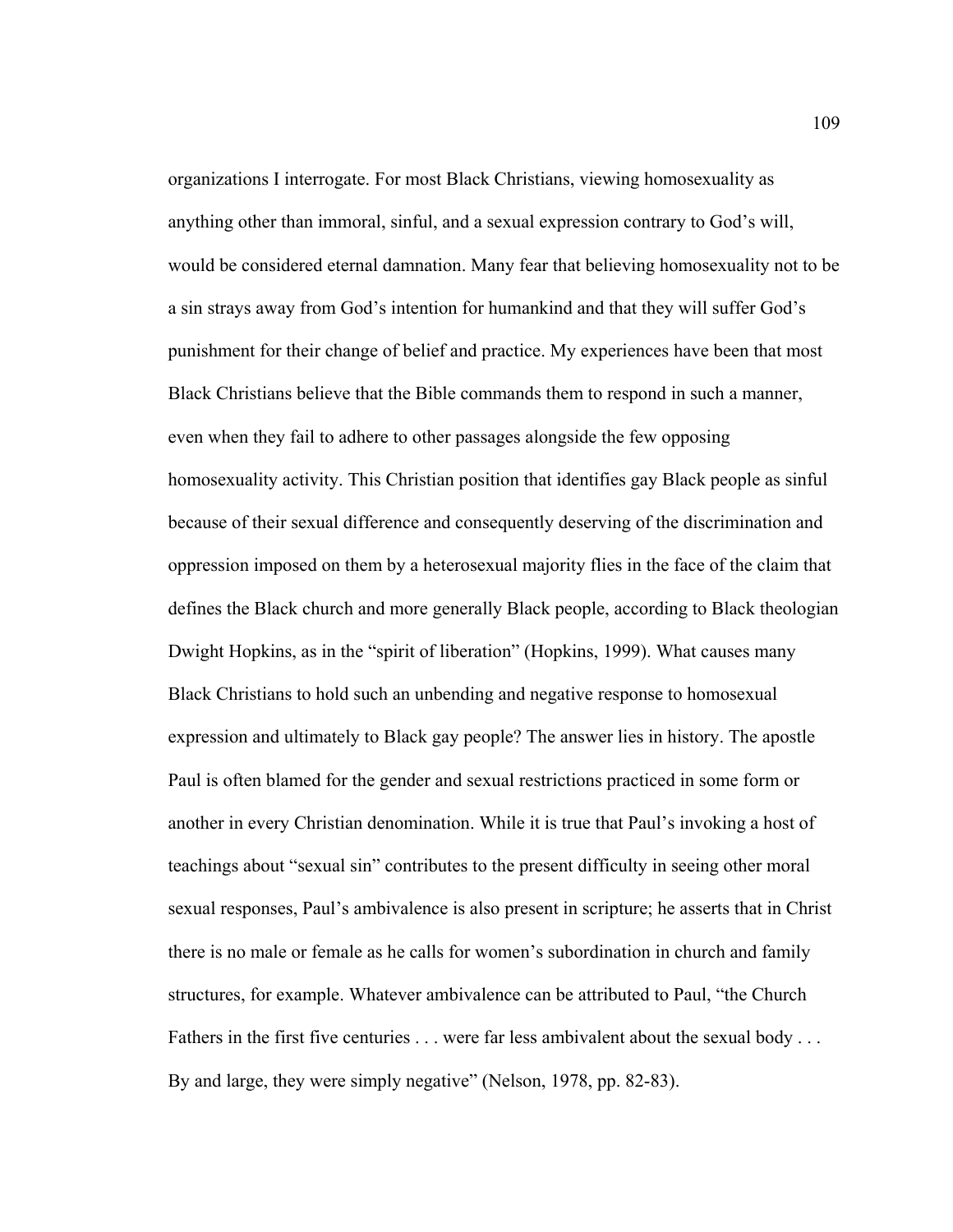organizations I interrogate. For most Black Christians, viewing homosexuality as anything other than immoral, sinful, and a sexual expression contrary to God's will, would be considered eternal damnation. Many fear that believing homosexuality not to be a sin strays away from God's intention for humankind and that they will suffer God's punishment for their change of belief and practice. My experiences have been that most Black Christians believe that the Bible commands them to respond in such a manner, even when they fail to adhere to other passages alongside the few opposing homosexuality activity. This Christian position that identifies gay Black people as sinful because of their sexual difference and consequently deserving of the discrimination and oppression imposed on them by a heterosexual majority flies in the face of the claim that defines the Black church and more generally Black people, according to Black theologian Dwight Hopkins, as in the "spirit of liberation" (Hopkins, 1999). What causes many Black Christians to hold such an unbending and negative response to homosexual expression and ultimately to Black gay people? The answer lies in history. The apostle Paul is often blamed for the gender and sexual restrictions practiced in some form or another in every Christian denomination. While it is true that Paul's invoking a host of teachings about "sexual sin" contributes to the present difficulty in seeing other moral sexual responses, Paul's ambivalence is also present in scripture; he asserts that in Christ there is no male or female as he calls for women's subordination in church and family structures, for example. Whatever ambivalence can be attributed to Paul, "the Church Fathers in the first five centuries . . . were far less ambivalent about the sexual body . . . By and large, they were simply negative" (Nelson, 1978, pp. 82-83).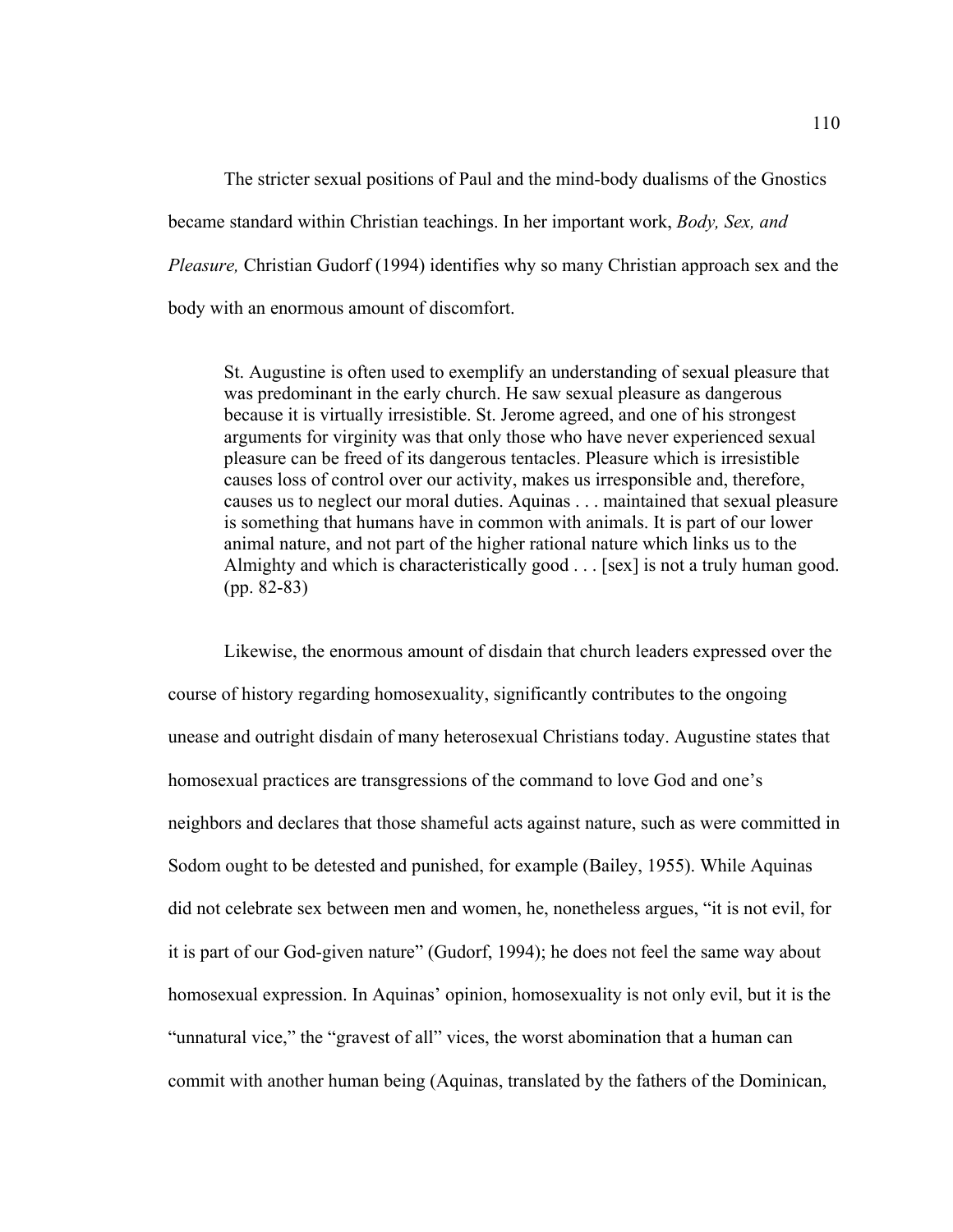The stricter sexual positions of Paul and the mind-body dualisms of the Gnostics became standard within Christian teachings. In her important work, *Body, Sex, and Pleasure,* Christian Gudorf (1994) identifies why so many Christian approach sex and the body with an enormous amount of discomfort.

St. Augustine is often used to exemplify an understanding of sexual pleasure that was predominant in the early church. He saw sexual pleasure as dangerous because it is virtually irresistible. St. Jerome agreed, and one of his strongest arguments for virginity was that only those who have never experienced sexual pleasure can be freed of its dangerous tentacles. Pleasure which is irresistible causes loss of control over our activity, makes us irresponsible and, therefore, causes us to neglect our moral duties. Aquinas . . . maintained that sexual pleasure is something that humans have in common with animals. It is part of our lower animal nature, and not part of the higher rational nature which links us to the Almighty and which is characteristically good . . . [sex] is not a truly human good. (pp. 82-83)

 Likewise, the enormous amount of disdain that church leaders expressed over the course of history regarding homosexuality, significantly contributes to the ongoing unease and outright disdain of many heterosexual Christians today. Augustine states that homosexual practices are transgressions of the command to love God and one's neighbors and declares that those shameful acts against nature, such as were committed in Sodom ought to be detested and punished, for example (Bailey, 1955). While Aquinas did not celebrate sex between men and women, he, nonetheless argues, "it is not evil, for it is part of our God-given nature" (Gudorf, 1994); he does not feel the same way about homosexual expression. In Aquinas' opinion, homosexuality is not only evil, but it is the "unnatural vice," the "gravest of all" vices, the worst abomination that a human can commit with another human being (Aquinas, translated by the fathers of the Dominican,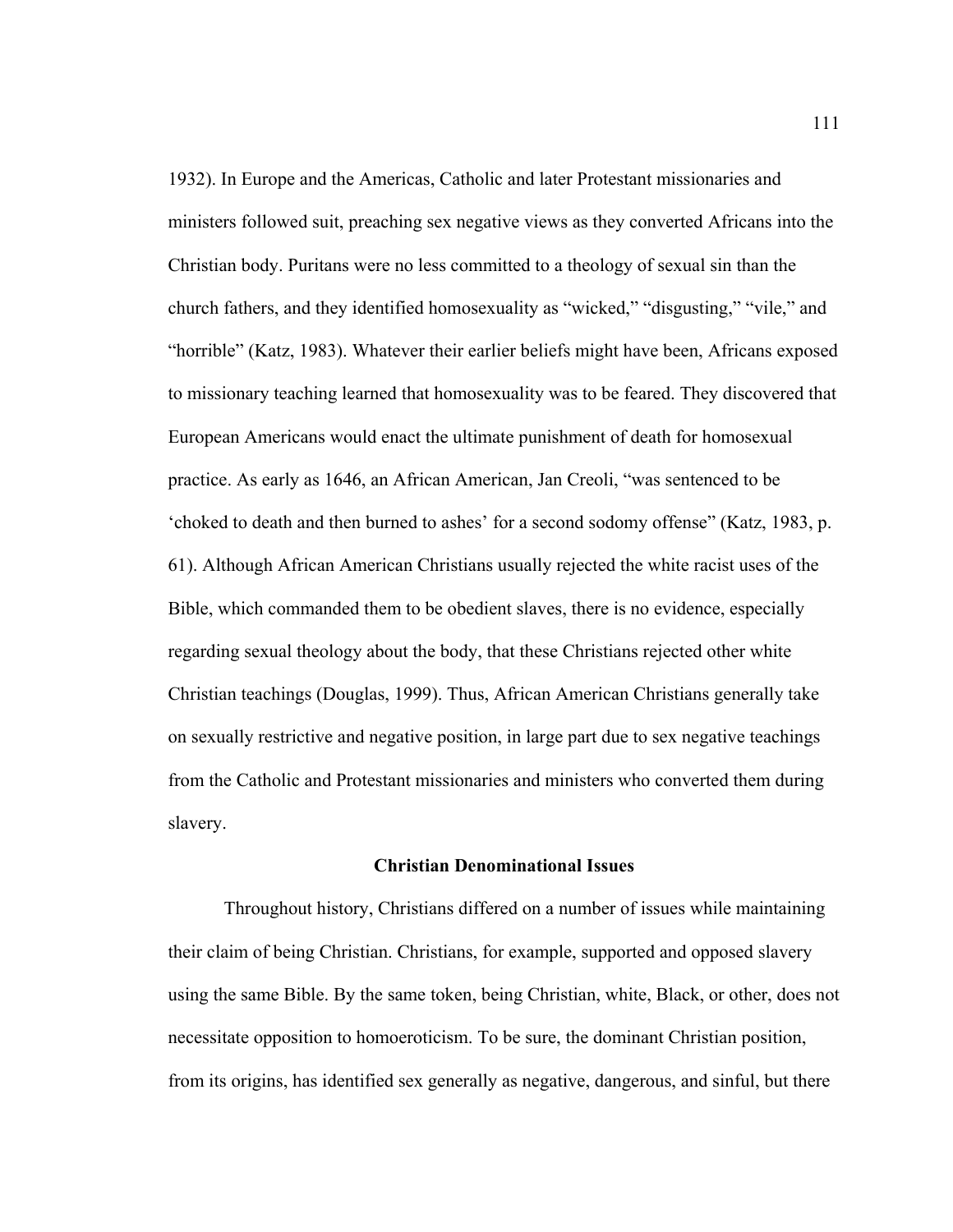1932). In Europe and the Americas, Catholic and later Protestant missionaries and ministers followed suit, preaching sex negative views as they converted Africans into the Christian body. Puritans were no less committed to a theology of sexual sin than the church fathers, and they identified homosexuality as "wicked," "disgusting," "vile," and "horrible" (Katz, 1983). Whatever their earlier beliefs might have been, Africans exposed to missionary teaching learned that homosexuality was to be feared. They discovered that European Americans would enact the ultimate punishment of death for homosexual practice. As early as 1646, an African American, Jan Creoli, "was sentenced to be 'choked to death and then burned to ashes' for a second sodomy offense" (Katz, 1983, p. 61). Although African American Christians usually rejected the white racist uses of the Bible, which commanded them to be obedient slaves, there is no evidence, especially regarding sexual theology about the body, that these Christians rejected other white Christian teachings (Douglas, 1999). Thus, African American Christians generally take on sexually restrictive and negative position, in large part due to sex negative teachings from the Catholic and Protestant missionaries and ministers who converted them during slavery.

## **Christian Denominational Issues**

Throughout history, Christians differed on a number of issues while maintaining their claim of being Christian. Christians, for example, supported and opposed slavery using the same Bible. By the same token, being Christian, white, Black, or other, does not necessitate opposition to homoeroticism. To be sure, the dominant Christian position, from its origins, has identified sex generally as negative, dangerous, and sinful, but there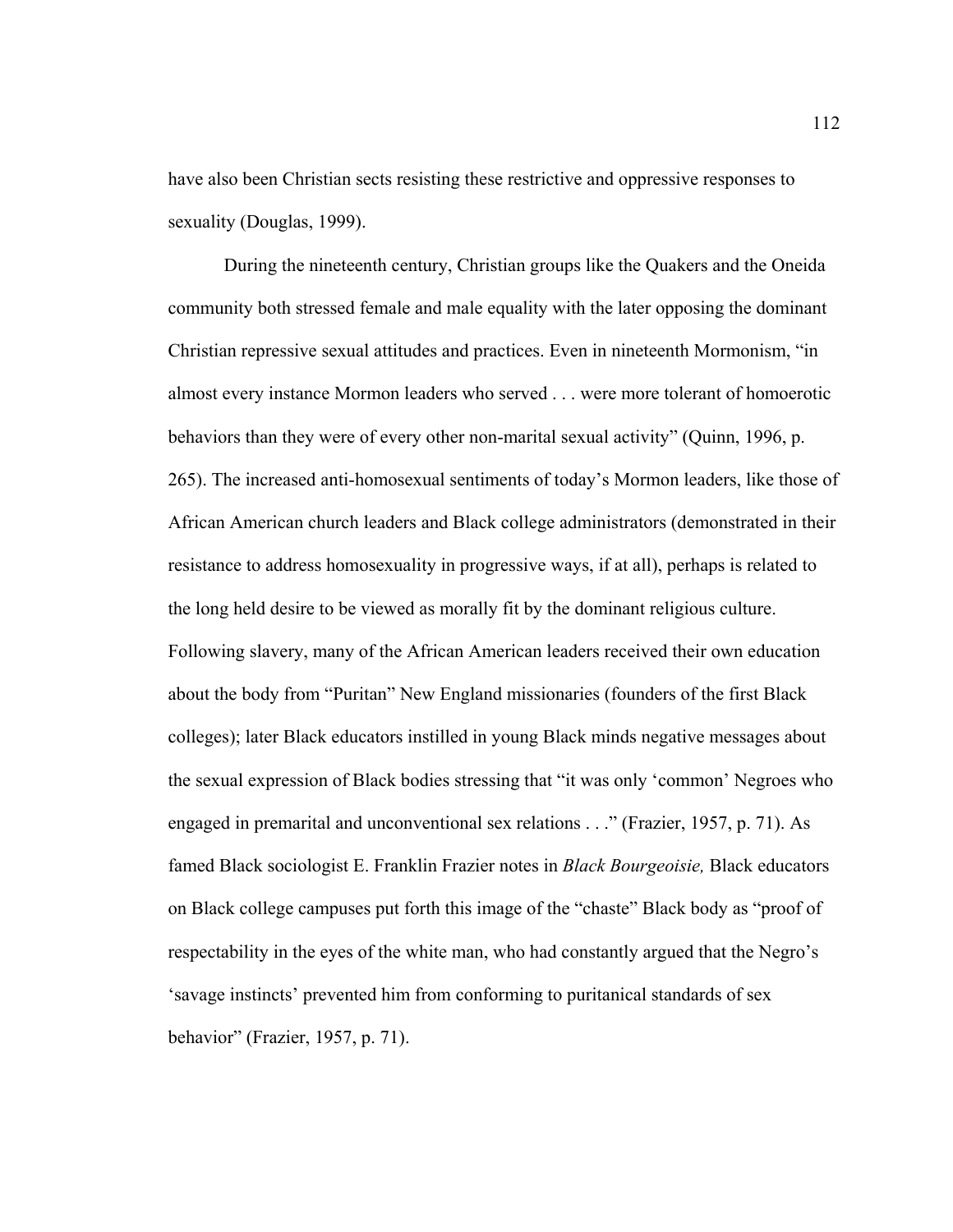have also been Christian sects resisting these restrictive and oppressive responses to sexuality (Douglas, 1999).

 During the nineteenth century, Christian groups like the Quakers and the Oneida community both stressed female and male equality with the later opposing the dominant Christian repressive sexual attitudes and practices. Even in nineteenth Mormonism, "in almost every instance Mormon leaders who served . . . were more tolerant of homoerotic behaviors than they were of every other non-marital sexual activity" (Quinn, 1996, p. 265). The increased anti-homosexual sentiments of today's Mormon leaders, like those of African American church leaders and Black college administrators (demonstrated in their resistance to address homosexuality in progressive ways, if at all), perhaps is related to the long held desire to be viewed as morally fit by the dominant religious culture. Following slavery, many of the African American leaders received their own education about the body from "Puritan" New England missionaries (founders of the first Black colleges); later Black educators instilled in young Black minds negative messages about the sexual expression of Black bodies stressing that "it was only 'common' Negroes who engaged in premarital and unconventional sex relations . . ." (Frazier, 1957, p. 71). As famed Black sociologist E. Franklin Frazier notes in *Black Bourgeoisie,* Black educators on Black college campuses put forth this image of the "chaste" Black body as "proof of respectability in the eyes of the white man, who had constantly argued that the Negro's 'savage instincts' prevented him from conforming to puritanical standards of sex behavior" (Frazier, 1957, p. 71).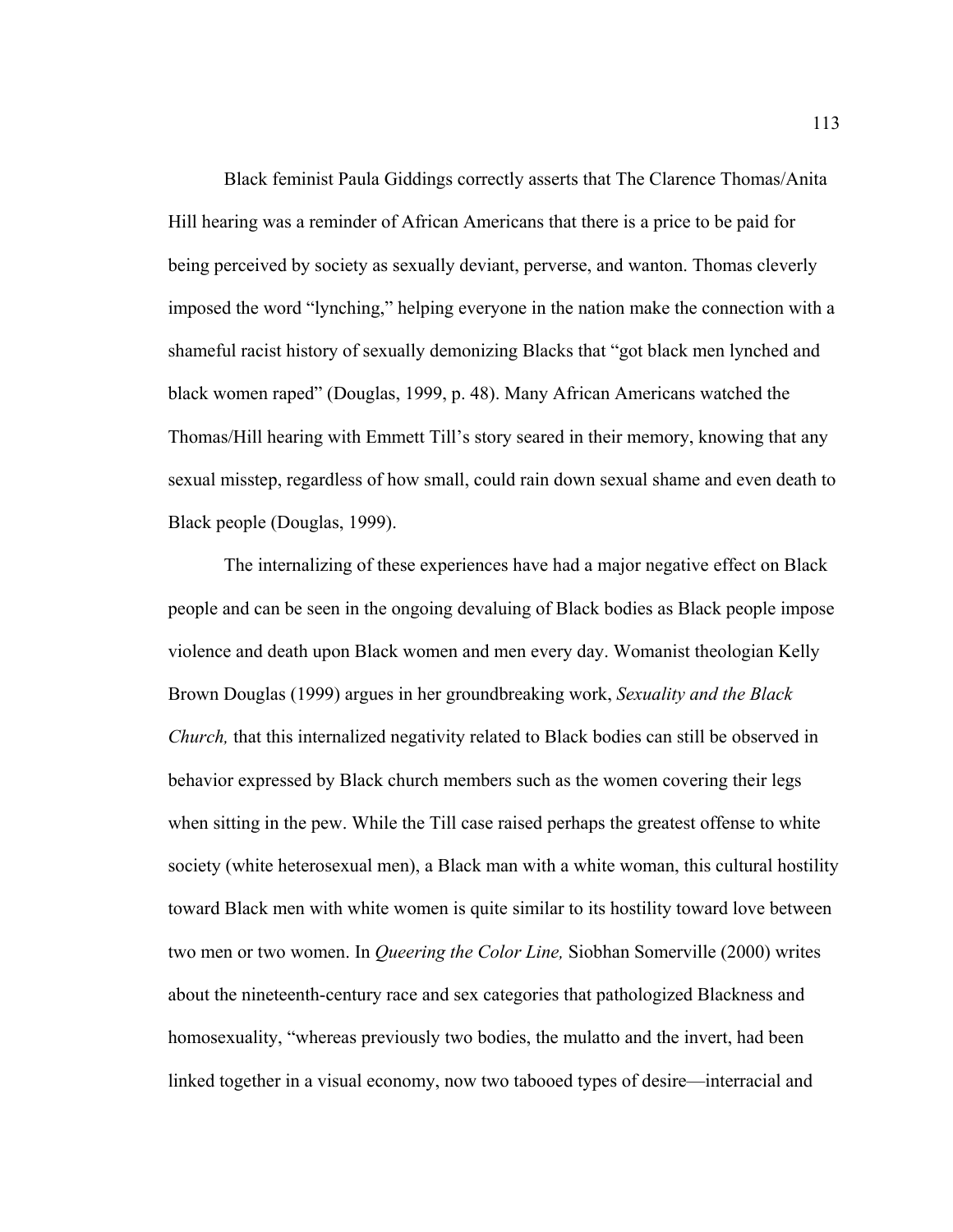Black feminist Paula Giddings correctly asserts that The Clarence Thomas/Anita Hill hearing was a reminder of African Americans that there is a price to be paid for being perceived by society as sexually deviant, perverse, and wanton. Thomas cleverly imposed the word "lynching," helping everyone in the nation make the connection with a shameful racist history of sexually demonizing Blacks that "got black men lynched and black women raped" (Douglas, 1999, p. 48). Many African Americans watched the Thomas/Hill hearing with Emmett Till's story seared in their memory, knowing that any sexual misstep, regardless of how small, could rain down sexual shame and even death to Black people (Douglas, 1999).

 The internalizing of these experiences have had a major negative effect on Black people and can be seen in the ongoing devaluing of Black bodies as Black people impose violence and death upon Black women and men every day. Womanist theologian Kelly Brown Douglas (1999) argues in her groundbreaking work, *Sexuality and the Black Church,* that this internalized negativity related to Black bodies can still be observed in behavior expressed by Black church members such as the women covering their legs when sitting in the pew. While the Till case raised perhaps the greatest offense to white society (white heterosexual men), a Black man with a white woman, this cultural hostility toward Black men with white women is quite similar to its hostility toward love between two men or two women. In *Queering the Color Line,* Siobhan Somerville (2000) writes about the nineteenth-century race and sex categories that pathologized Blackness and homosexuality, "whereas previously two bodies, the mulatto and the invert, had been linked together in a visual economy, now two tabooed types of desire—interracial and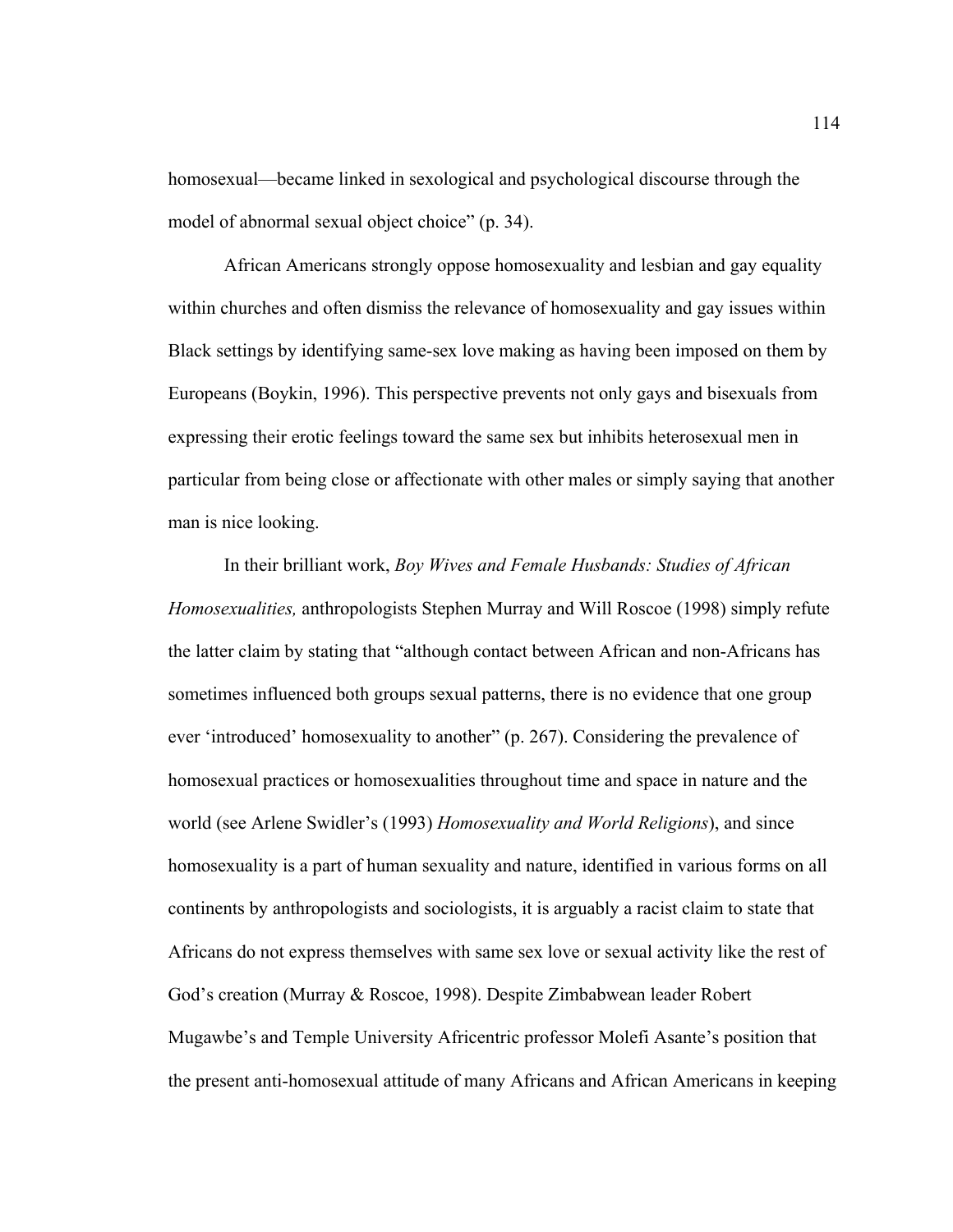homosexual—became linked in sexological and psychological discourse through the model of abnormal sexual object choice" (p. 34).

African Americans strongly oppose homosexuality and lesbian and gay equality within churches and often dismiss the relevance of homosexuality and gay issues within Black settings by identifying same-sex love making as having been imposed on them by Europeans (Boykin, 1996). This perspective prevents not only gays and bisexuals from expressing their erotic feelings toward the same sex but inhibits heterosexual men in particular from being close or affectionate with other males or simply saying that another man is nice looking.

 In their brilliant work, *Boy Wives and Female Husbands: Studies of African Homosexualities,* anthropologists Stephen Murray and Will Roscoe (1998) simply refute the latter claim by stating that "although contact between African and non-Africans has sometimes influenced both groups sexual patterns, there is no evidence that one group ever 'introduced' homosexuality to another" (p. 267). Considering the prevalence of homosexual practices or homosexualities throughout time and space in nature and the world (see Arlene Swidler's (1993) *Homosexuality and World Religions*), and since homosexuality is a part of human sexuality and nature, identified in various forms on all continents by anthropologists and sociologists, it is arguably a racist claim to state that Africans do not express themselves with same sex love or sexual activity like the rest of God's creation (Murray & Roscoe, 1998). Despite Zimbabwean leader Robert Mugawbe's and Temple University Africentric professor Molefi Asante's position that the present anti-homosexual attitude of many Africans and African Americans in keeping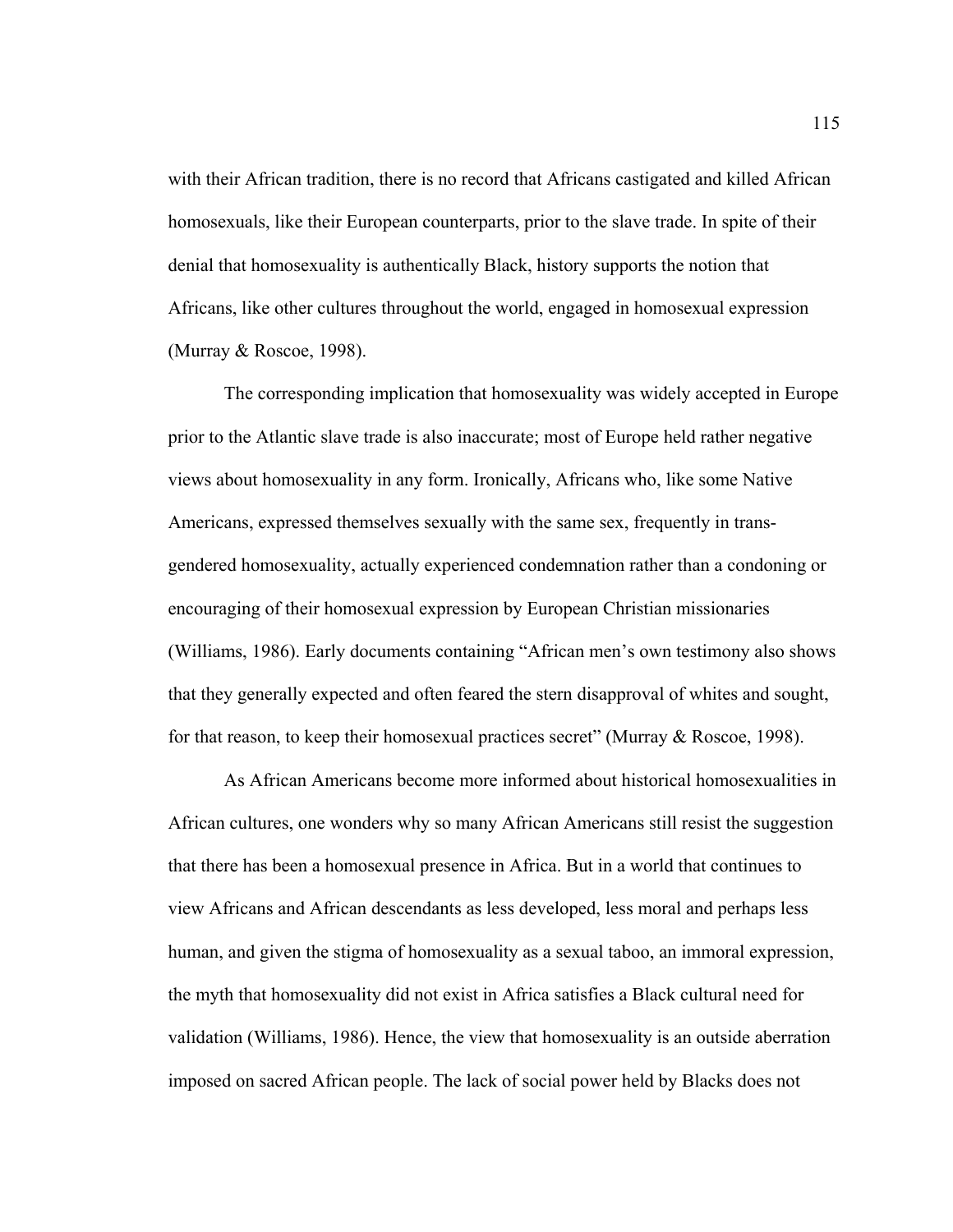with their African tradition, there is no record that Africans castigated and killed African homosexuals, like their European counterparts, prior to the slave trade. In spite of their denial that homosexuality is authentically Black, history supports the notion that Africans, like other cultures throughout the world, engaged in homosexual expression (Murray & Roscoe, 1998).

 The corresponding implication that homosexuality was widely accepted in Europe prior to the Atlantic slave trade is also inaccurate; most of Europe held rather negative views about homosexuality in any form. Ironically, Africans who, like some Native Americans, expressed themselves sexually with the same sex, frequently in transgendered homosexuality, actually experienced condemnation rather than a condoning or encouraging of their homosexual expression by European Christian missionaries (Williams, 1986). Early documents containing "African men's own testimony also shows that they generally expected and often feared the stern disapproval of whites and sought, for that reason, to keep their homosexual practices secret" (Murray & Roscoe, 1998).

 As African Americans become more informed about historical homosexualities in African cultures, one wonders why so many African Americans still resist the suggestion that there has been a homosexual presence in Africa. But in a world that continues to view Africans and African descendants as less developed, less moral and perhaps less human, and given the stigma of homosexuality as a sexual taboo, an immoral expression, the myth that homosexuality did not exist in Africa satisfies a Black cultural need for validation (Williams, 1986). Hence, the view that homosexuality is an outside aberration imposed on sacred African people. The lack of social power held by Blacks does not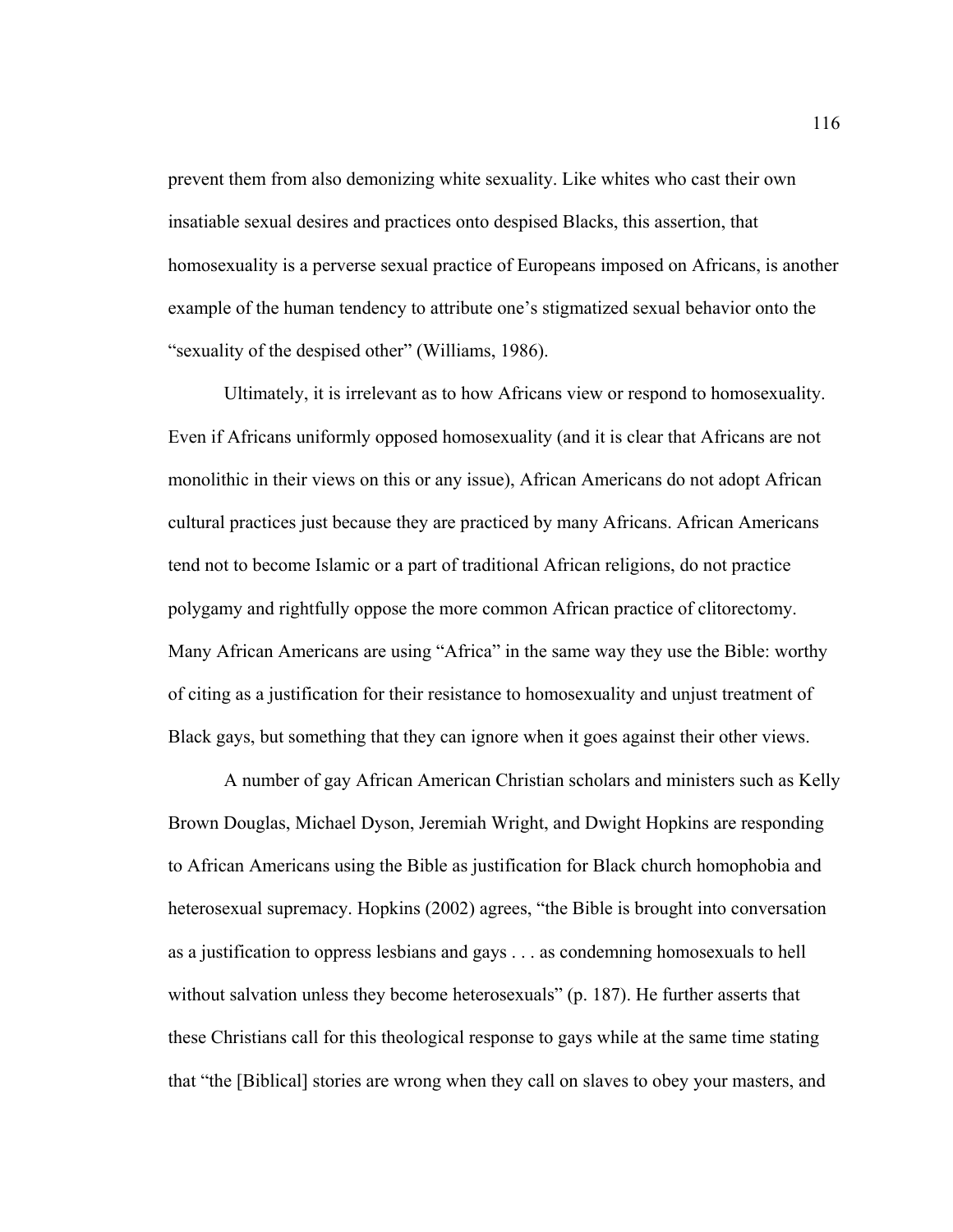prevent them from also demonizing white sexuality. Like whites who cast their own insatiable sexual desires and practices onto despised Blacks, this assertion, that homosexuality is a perverse sexual practice of Europeans imposed on Africans, is another example of the human tendency to attribute one's stigmatized sexual behavior onto the "sexuality of the despised other" (Williams, 1986).

 Ultimately, it is irrelevant as to how Africans view or respond to homosexuality. Even if Africans uniformly opposed homosexuality (and it is clear that Africans are not monolithic in their views on this or any issue), African Americans do not adopt African cultural practices just because they are practiced by many Africans. African Americans tend not to become Islamic or a part of traditional African religions, do not practice polygamy and rightfully oppose the more common African practice of clitorectomy. Many African Americans are using "Africa" in the same way they use the Bible: worthy of citing as a justification for their resistance to homosexuality and unjust treatment of Black gays, but something that they can ignore when it goes against their other views.

 A number of gay African American Christian scholars and ministers such as Kelly Brown Douglas, Michael Dyson, Jeremiah Wright, and Dwight Hopkins are responding to African Americans using the Bible as justification for Black church homophobia and heterosexual supremacy. Hopkins (2002) agrees, "the Bible is brought into conversation as a justification to oppress lesbians and gays . . . as condemning homosexuals to hell without salvation unless they become heterosexuals" (p. 187). He further asserts that these Christians call for this theological response to gays while at the same time stating that "the [Biblical] stories are wrong when they call on slaves to obey your masters, and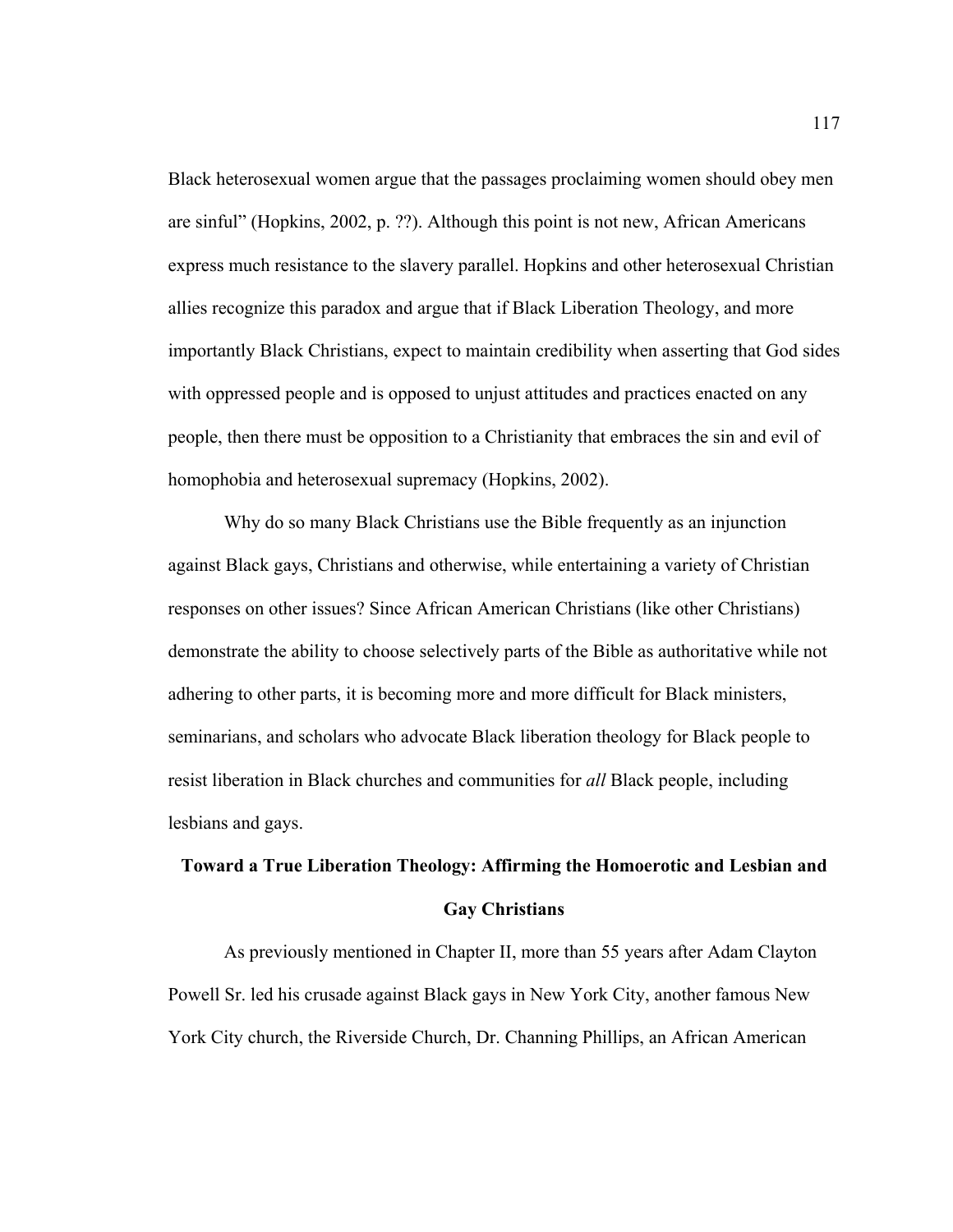Black heterosexual women argue that the passages proclaiming women should obey men are sinful" (Hopkins, 2002, p. ??). Although this point is not new, African Americans express much resistance to the slavery parallel. Hopkins and other heterosexual Christian allies recognize this paradox and argue that if Black Liberation Theology, and more importantly Black Christians, expect to maintain credibility when asserting that God sides with oppressed people and is opposed to unjust attitudes and practices enacted on any people, then there must be opposition to a Christianity that embraces the sin and evil of homophobia and heterosexual supremacy (Hopkins, 2002).

 Why do so many Black Christians use the Bible frequently as an injunction against Black gays, Christians and otherwise, while entertaining a variety of Christian responses on other issues? Since African American Christians (like other Christians) demonstrate the ability to choose selectively parts of the Bible as authoritative while not adhering to other parts, it is becoming more and more difficult for Black ministers, seminarians, and scholars who advocate Black liberation theology for Black people to resist liberation in Black churches and communities for *all* Black people, including lesbians and gays.

# **Toward a True Liberation Theology: Affirming the Homoerotic and Lesbian and Gay Christians**

 As previously mentioned in Chapter II, more than 55 years after Adam Clayton Powell Sr. led his crusade against Black gays in New York City, another famous New York City church, the Riverside Church, Dr. Channing Phillips, an African American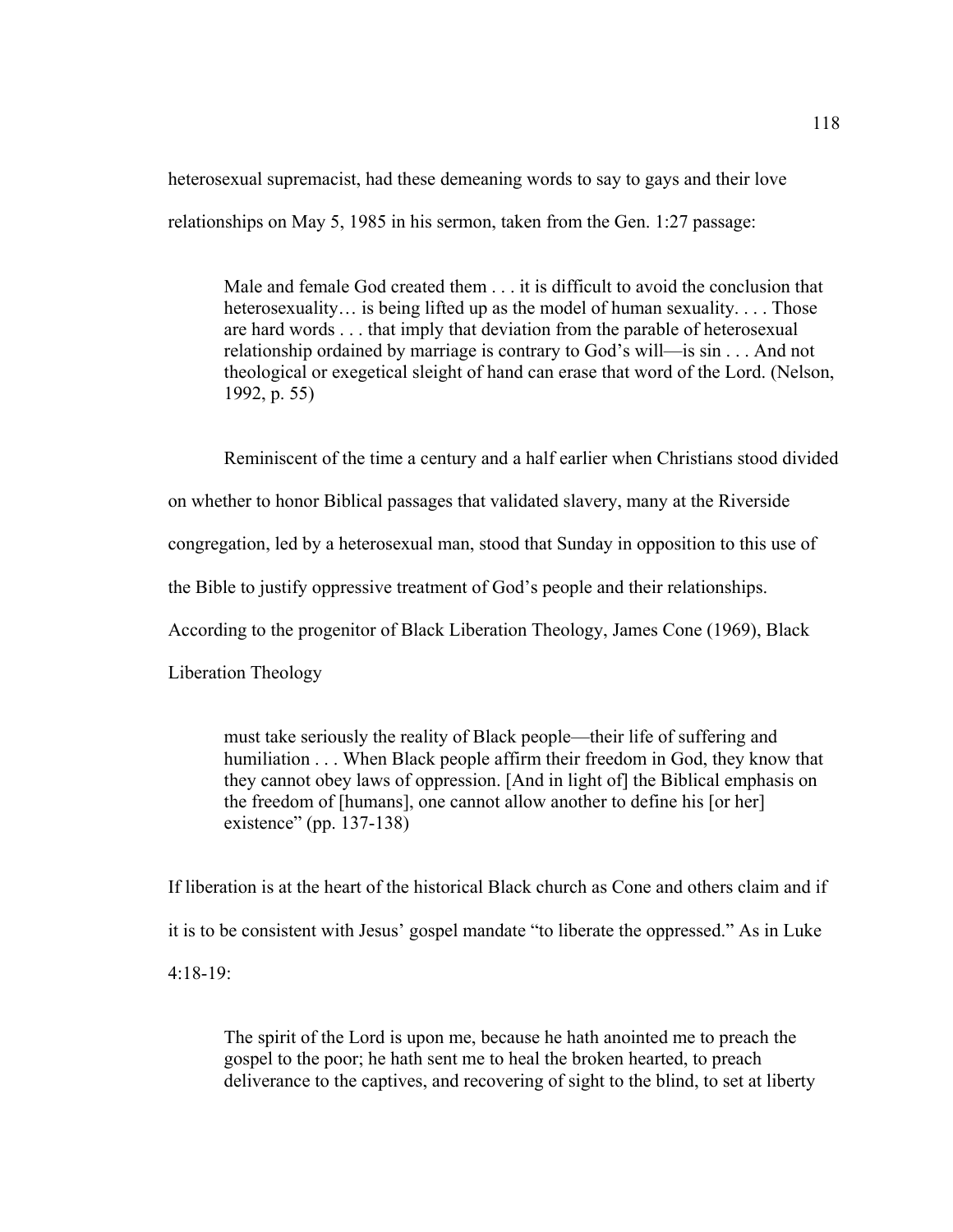heterosexual supremacist, had these demeaning words to say to gays and their love relationships on May 5, 1985 in his sermon, taken from the Gen. 1:27 passage:

Male and female God created them . . . it is difficult to avoid the conclusion that heterosexuality... is being lifted up as the model of human sexuality.... Those are hard words . . . that imply that deviation from the parable of heterosexual relationship ordained by marriage is contrary to God's will—is sin . . . And not theological or exegetical sleight of hand can erase that word of the Lord. (Nelson, 1992, p. 55)

Reminiscent of the time a century and a half earlier when Christians stood divided

on whether to honor Biblical passages that validated slavery, many at the Riverside

congregation, led by a heterosexual man, stood that Sunday in opposition to this use of

the Bible to justify oppressive treatment of God's people and their relationships.

According to the progenitor of Black Liberation Theology, James Cone (1969), Black

Liberation Theology

must take seriously the reality of Black people—their life of suffering and humiliation . . . When Black people affirm their freedom in God, they know that they cannot obey laws of oppression. [And in light of] the Biblical emphasis on the freedom of [humans], one cannot allow another to define his [or her] existence" (pp. 137-138)

If liberation is at the heart of the historical Black church as Cone and others claim and if it is to be consistent with Jesus' gospel mandate "to liberate the oppressed." As in Luke 4:18-19:

The spirit of the Lord is upon me, because he hath anointed me to preach the gospel to the poor; he hath sent me to heal the broken hearted, to preach deliverance to the captives, and recovering of sight to the blind, to set at liberty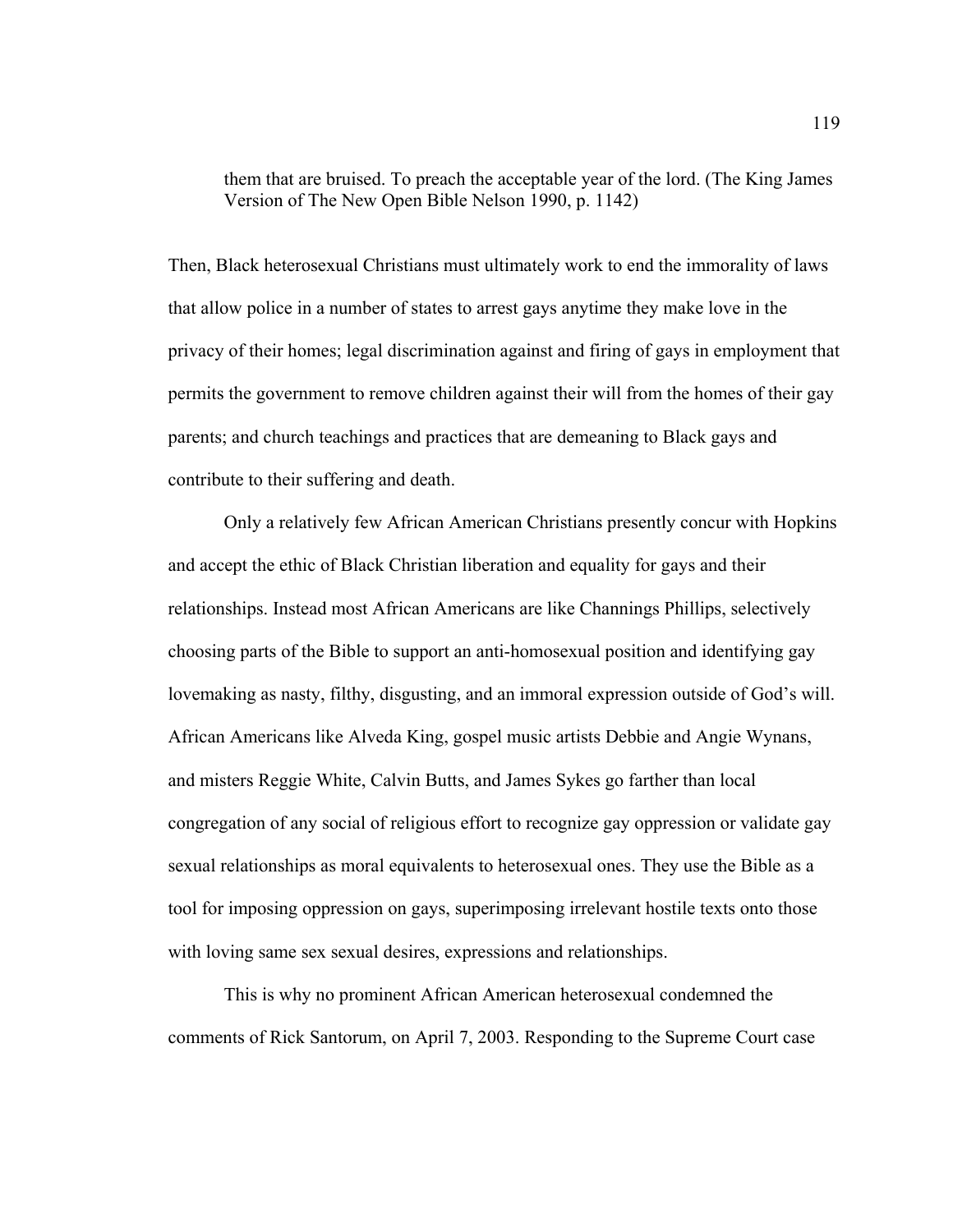them that are bruised. To preach the acceptable year of the lord. (The King James Version of The New Open Bible Nelson 1990, p. 1142)

Then, Black heterosexual Christians must ultimately work to end the immorality of laws that allow police in a number of states to arrest gays anytime they make love in the privacy of their homes; legal discrimination against and firing of gays in employment that permits the government to remove children against their will from the homes of their gay parents; and church teachings and practices that are demeaning to Black gays and contribute to their suffering and death.

 Only a relatively few African American Christians presently concur with Hopkins and accept the ethic of Black Christian liberation and equality for gays and their relationships. Instead most African Americans are like Channings Phillips, selectively choosing parts of the Bible to support an anti-homosexual position and identifying gay lovemaking as nasty, filthy, disgusting, and an immoral expression outside of God's will. African Americans like Alveda King, gospel music artists Debbie and Angie Wynans, and misters Reggie White, Calvin Butts, and James Sykes go farther than local congregation of any social of religious effort to recognize gay oppression or validate gay sexual relationships as moral equivalents to heterosexual ones. They use the Bible as a tool for imposing oppression on gays, superimposing irrelevant hostile texts onto those with loving same sex sexual desires, expressions and relationships.

 This is why no prominent African American heterosexual condemned the comments of Rick Santorum, on April 7, 2003. Responding to the Supreme Court case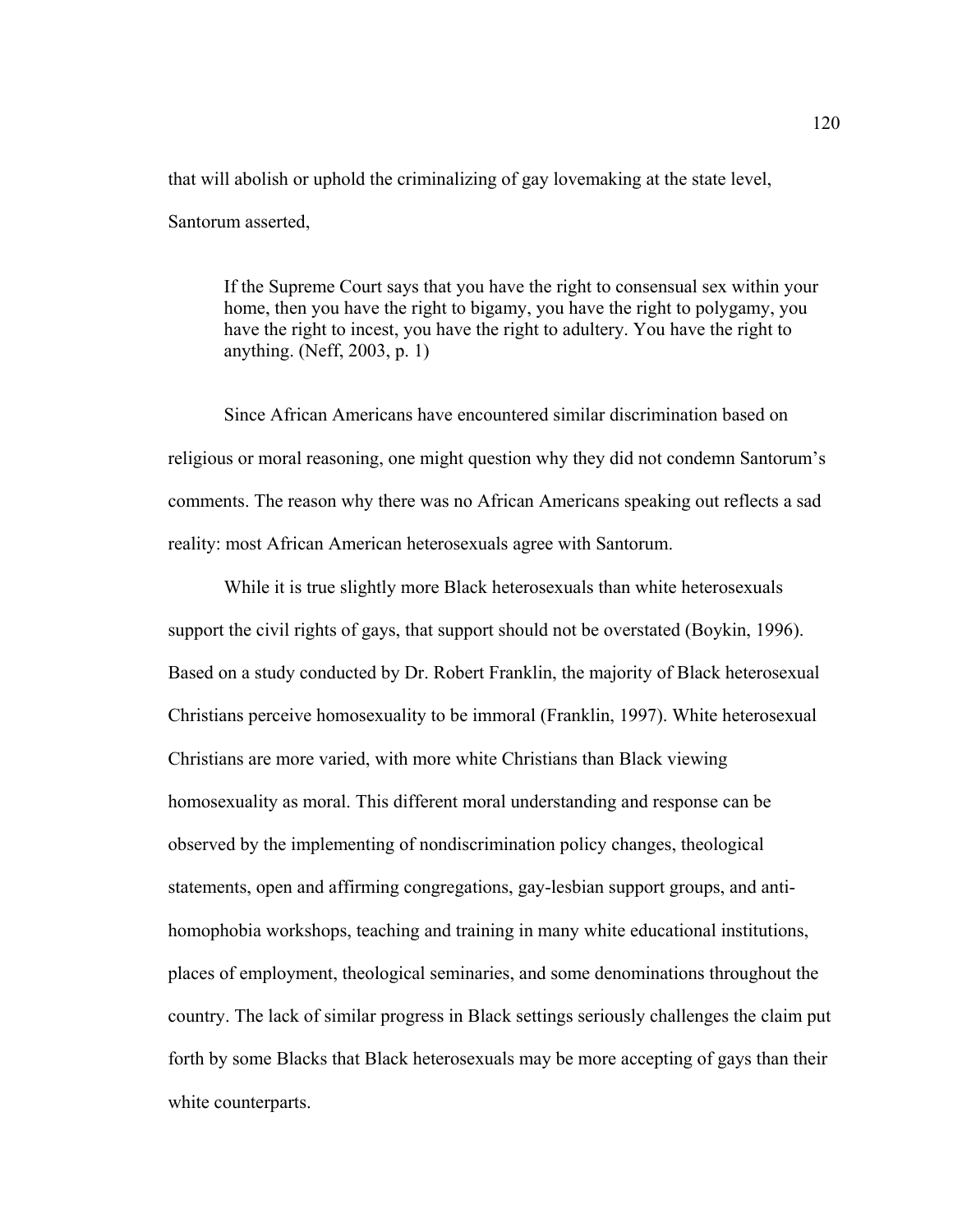that will abolish or uphold the criminalizing of gay lovemaking at the state level, Santorum asserted,

If the Supreme Court says that you have the right to consensual sex within your home, then you have the right to bigamy, you have the right to polygamy, you have the right to incest, you have the right to adultery. You have the right to anything. (Neff, 2003, p. 1)

 Since African Americans have encountered similar discrimination based on religious or moral reasoning, one might question why they did not condemn Santorum's comments. The reason why there was no African Americans speaking out reflects a sad reality: most African American heterosexuals agree with Santorum.

 While it is true slightly more Black heterosexuals than white heterosexuals support the civil rights of gays, that support should not be overstated (Boykin, 1996). Based on a study conducted by Dr. Robert Franklin, the majority of Black heterosexual Christians perceive homosexuality to be immoral (Franklin, 1997). White heterosexual Christians are more varied, with more white Christians than Black viewing homosexuality as moral. This different moral understanding and response can be observed by the implementing of nondiscrimination policy changes, theological statements, open and affirming congregations, gay-lesbian support groups, and antihomophobia workshops, teaching and training in many white educational institutions, places of employment, theological seminaries, and some denominations throughout the country. The lack of similar progress in Black settings seriously challenges the claim put forth by some Blacks that Black heterosexuals may be more accepting of gays than their white counterparts.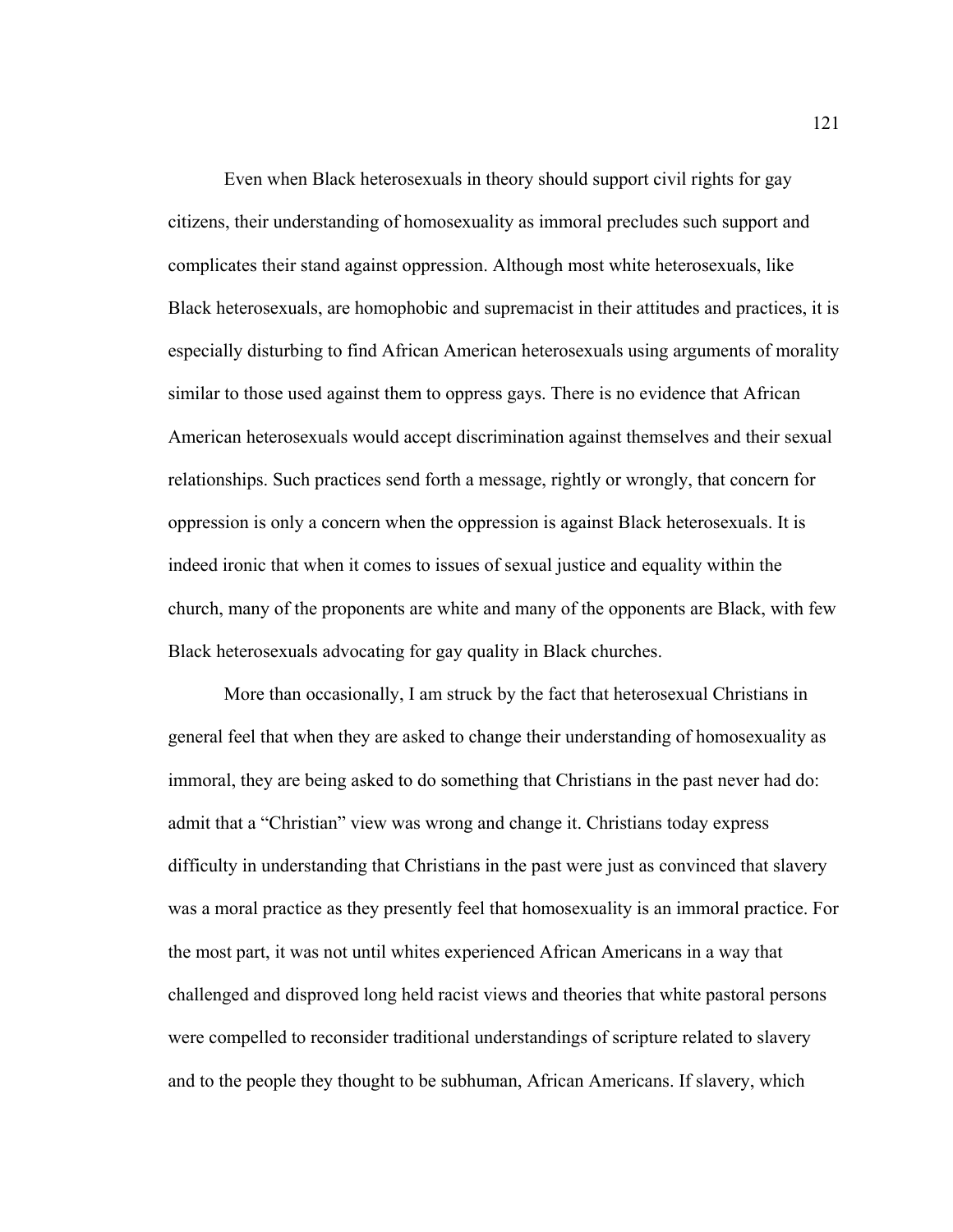Even when Black heterosexuals in theory should support civil rights for gay citizens, their understanding of homosexuality as immoral precludes such support and complicates their stand against oppression. Although most white heterosexuals, like Black heterosexuals, are homophobic and supremacist in their attitudes and practices, it is especially disturbing to find African American heterosexuals using arguments of morality similar to those used against them to oppress gays. There is no evidence that African American heterosexuals would accept discrimination against themselves and their sexual relationships. Such practices send forth a message, rightly or wrongly, that concern for oppression is only a concern when the oppression is against Black heterosexuals. It is indeed ironic that when it comes to issues of sexual justice and equality within the church, many of the proponents are white and many of the opponents are Black, with few Black heterosexuals advocating for gay quality in Black churches.

More than occasionally, I am struck by the fact that heterosexual Christians in general feel that when they are asked to change their understanding of homosexuality as immoral, they are being asked to do something that Christians in the past never had do: admit that a "Christian" view was wrong and change it. Christians today express difficulty in understanding that Christians in the past were just as convinced that slavery was a moral practice as they presently feel that homosexuality is an immoral practice. For the most part, it was not until whites experienced African Americans in a way that challenged and disproved long held racist views and theories that white pastoral persons were compelled to reconsider traditional understandings of scripture related to slavery and to the people they thought to be subhuman, African Americans. If slavery, which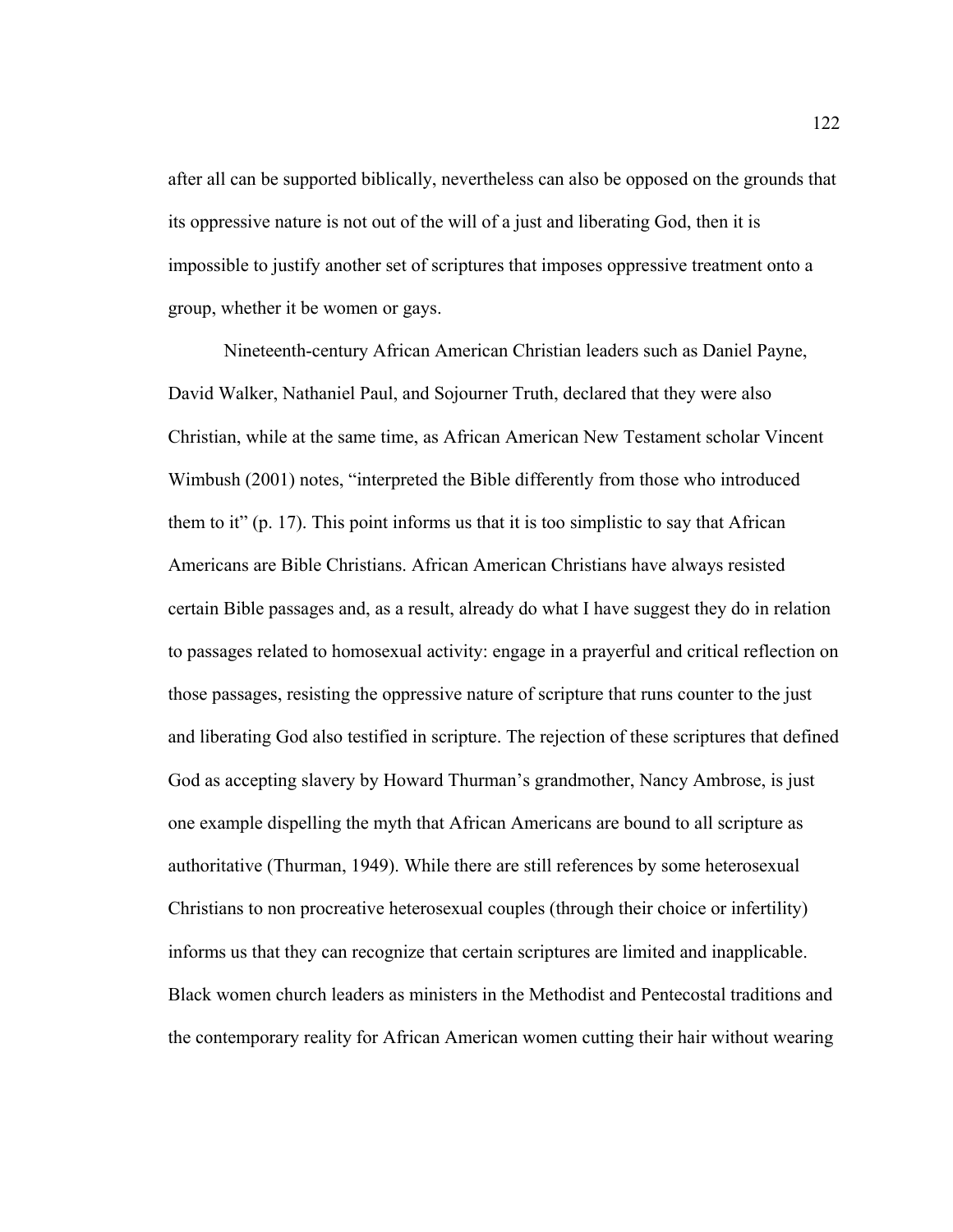after all can be supported biblically, nevertheless can also be opposed on the grounds that its oppressive nature is not out of the will of a just and liberating God, then it is impossible to justify another set of scriptures that imposes oppressive treatment onto a group, whether it be women or gays.

 Nineteenth-century African American Christian leaders such as Daniel Payne, David Walker, Nathaniel Paul, and Sojourner Truth, declared that they were also Christian, while at the same time, as African American New Testament scholar Vincent Wimbush (2001) notes, "interpreted the Bible differently from those who introduced them to it" (p. 17). This point informs us that it is too simplistic to say that African Americans are Bible Christians. African American Christians have always resisted certain Bible passages and, as a result, already do what I have suggest they do in relation to passages related to homosexual activity: engage in a prayerful and critical reflection on those passages, resisting the oppressive nature of scripture that runs counter to the just and liberating God also testified in scripture. The rejection of these scriptures that defined God as accepting slavery by Howard Thurman's grandmother, Nancy Ambrose, is just one example dispelling the myth that African Americans are bound to all scripture as authoritative (Thurman, 1949). While there are still references by some heterosexual Christians to non procreative heterosexual couples (through their choice or infertility) informs us that they can recognize that certain scriptures are limited and inapplicable. Black women church leaders as ministers in the Methodist and Pentecostal traditions and the contemporary reality for African American women cutting their hair without wearing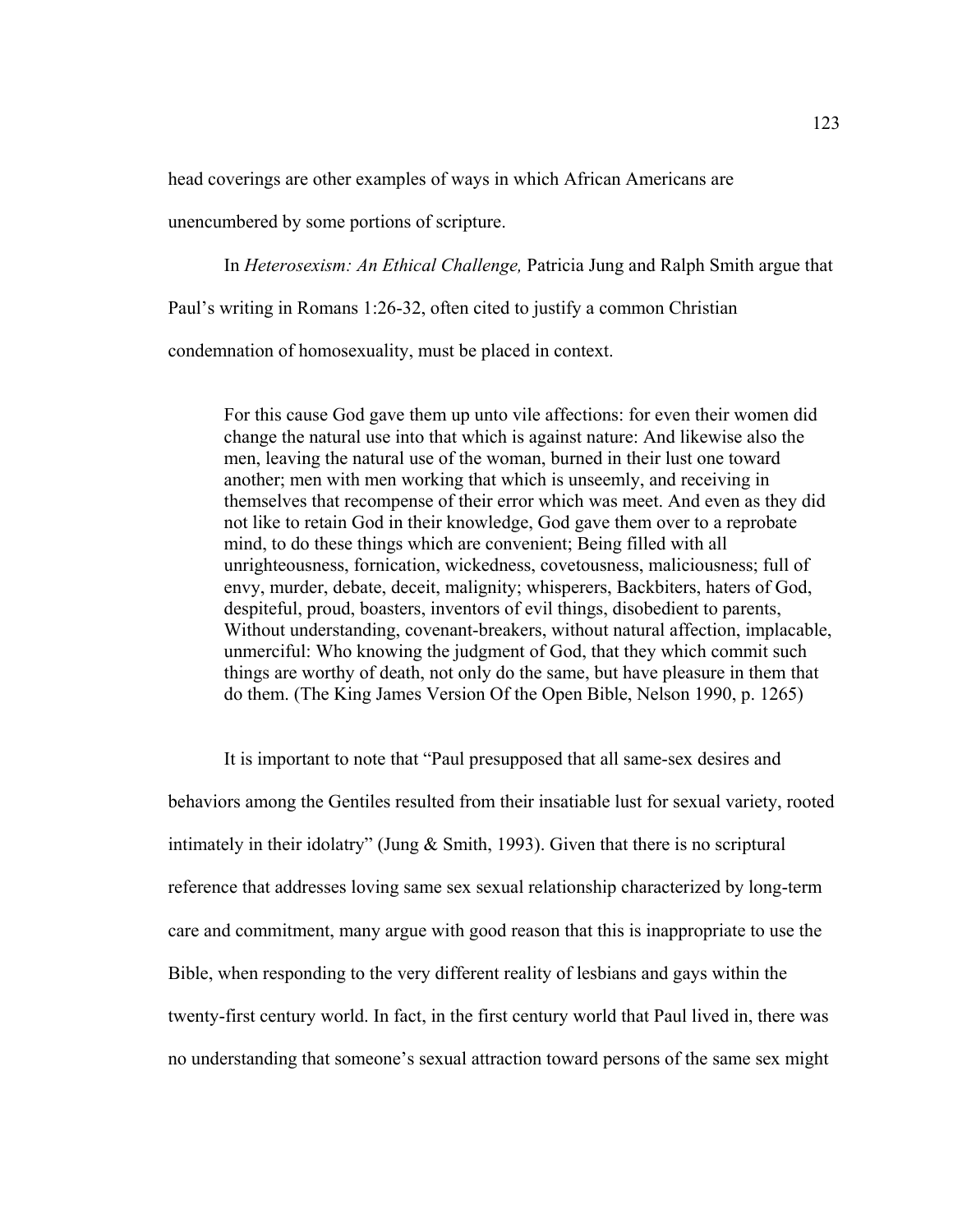head coverings are other examples of ways in which African Americans are

unencumbered by some portions of scripture.

In *Heterosexism: An Ethical Challenge,* Patricia Jung and Ralph Smith argue that

Paul's writing in Romans 1:26-32, often cited to justify a common Christian

condemnation of homosexuality, must be placed in context.

For this cause God gave them up unto vile affections: for even their women did change the natural use into that which is against nature: And likewise also the men, leaving the natural use of the woman, burned in their lust one toward another; men with men working that which is unseemly, and receiving in themselves that recompense of their error which was meet. And even as they did not like to retain God in their knowledge, God gave them over to a reprobate mind, to do these things which are convenient; Being filled with all unrighteousness, fornication, wickedness, covetousness, maliciousness; full of envy, murder, debate, deceit, malignity; whisperers, Backbiters, haters of God, despiteful, proud, boasters, inventors of evil things, disobedient to parents, Without understanding, covenant-breakers, without natural affection, implacable, unmerciful: Who knowing the judgment of God, that they which commit such things are worthy of death, not only do the same, but have pleasure in them that do them. (The King James Version Of the Open Bible, Nelson 1990, p. 1265)

It is important to note that "Paul presupposed that all same-sex desires and behaviors among the Gentiles resulted from their insatiable lust for sexual variety, rooted intimately in their idolatry" (Jung  $&$  Smith, 1993). Given that there is no scriptural reference that addresses loving same sex sexual relationship characterized by long-term care and commitment, many argue with good reason that this is inappropriate to use the Bible, when responding to the very different reality of lesbians and gays within the twenty-first century world. In fact, in the first century world that Paul lived in, there was no understanding that someone's sexual attraction toward persons of the same sex might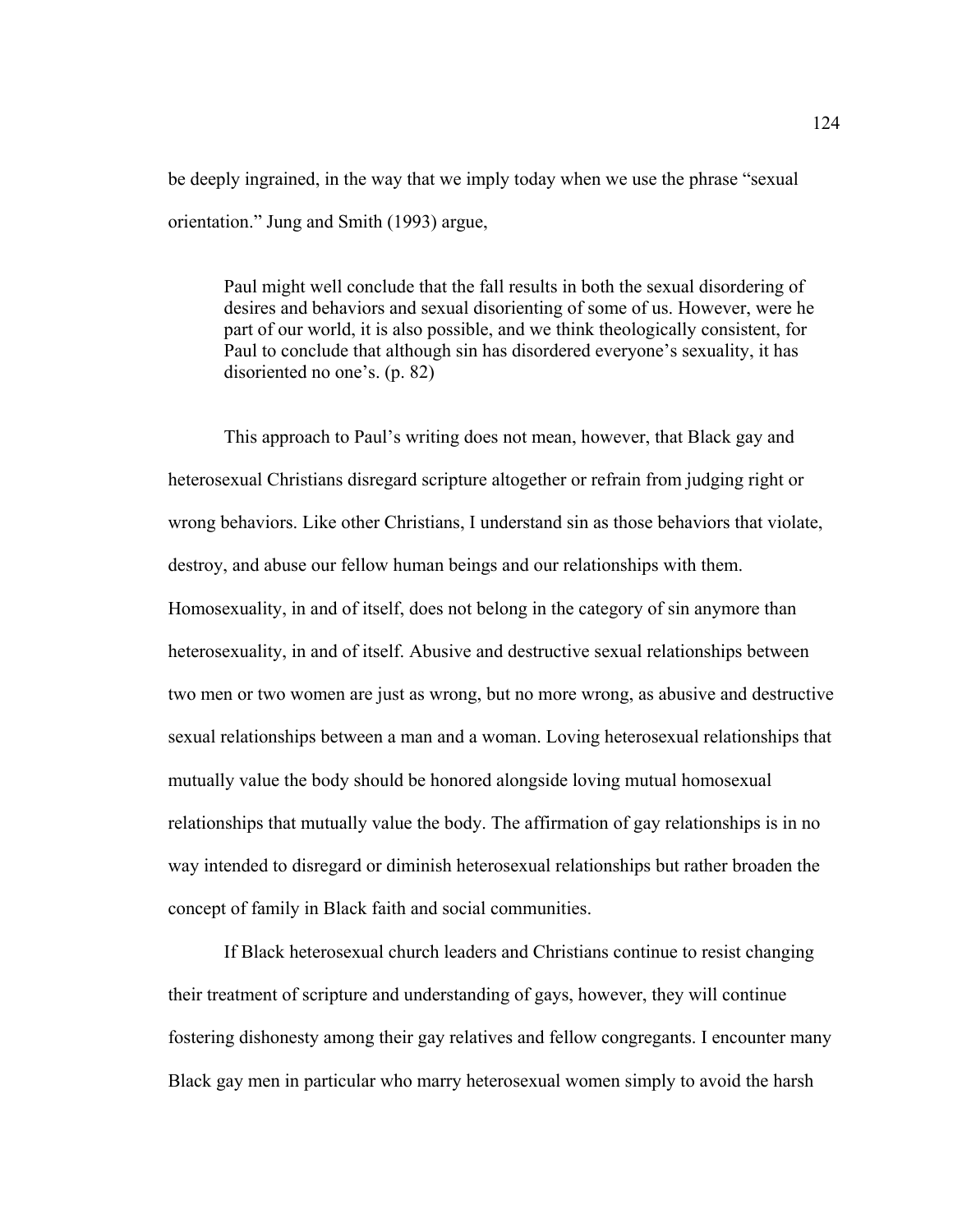be deeply ingrained, in the way that we imply today when we use the phrase "sexual orientation." Jung and Smith (1993) argue,

Paul might well conclude that the fall results in both the sexual disordering of desires and behaviors and sexual disorienting of some of us. However, were he part of our world, it is also possible, and we think theologically consistent, for Paul to conclude that although sin has disordered everyone's sexuality, it has disoriented no one's. (p. 82)

This approach to Paul's writing does not mean, however, that Black gay and heterosexual Christians disregard scripture altogether or refrain from judging right or wrong behaviors. Like other Christians, I understand sin as those behaviors that violate, destroy, and abuse our fellow human beings and our relationships with them. Homosexuality, in and of itself, does not belong in the category of sin anymore than heterosexuality, in and of itself. Abusive and destructive sexual relationships between two men or two women are just as wrong, but no more wrong, as abusive and destructive sexual relationships between a man and a woman. Loving heterosexual relationships that mutually value the body should be honored alongside loving mutual homosexual relationships that mutually value the body. The affirmation of gay relationships is in no way intended to disregard or diminish heterosexual relationships but rather broaden the concept of family in Black faith and social communities.

 If Black heterosexual church leaders and Christians continue to resist changing their treatment of scripture and understanding of gays, however, they will continue fostering dishonesty among their gay relatives and fellow congregants. I encounter many Black gay men in particular who marry heterosexual women simply to avoid the harsh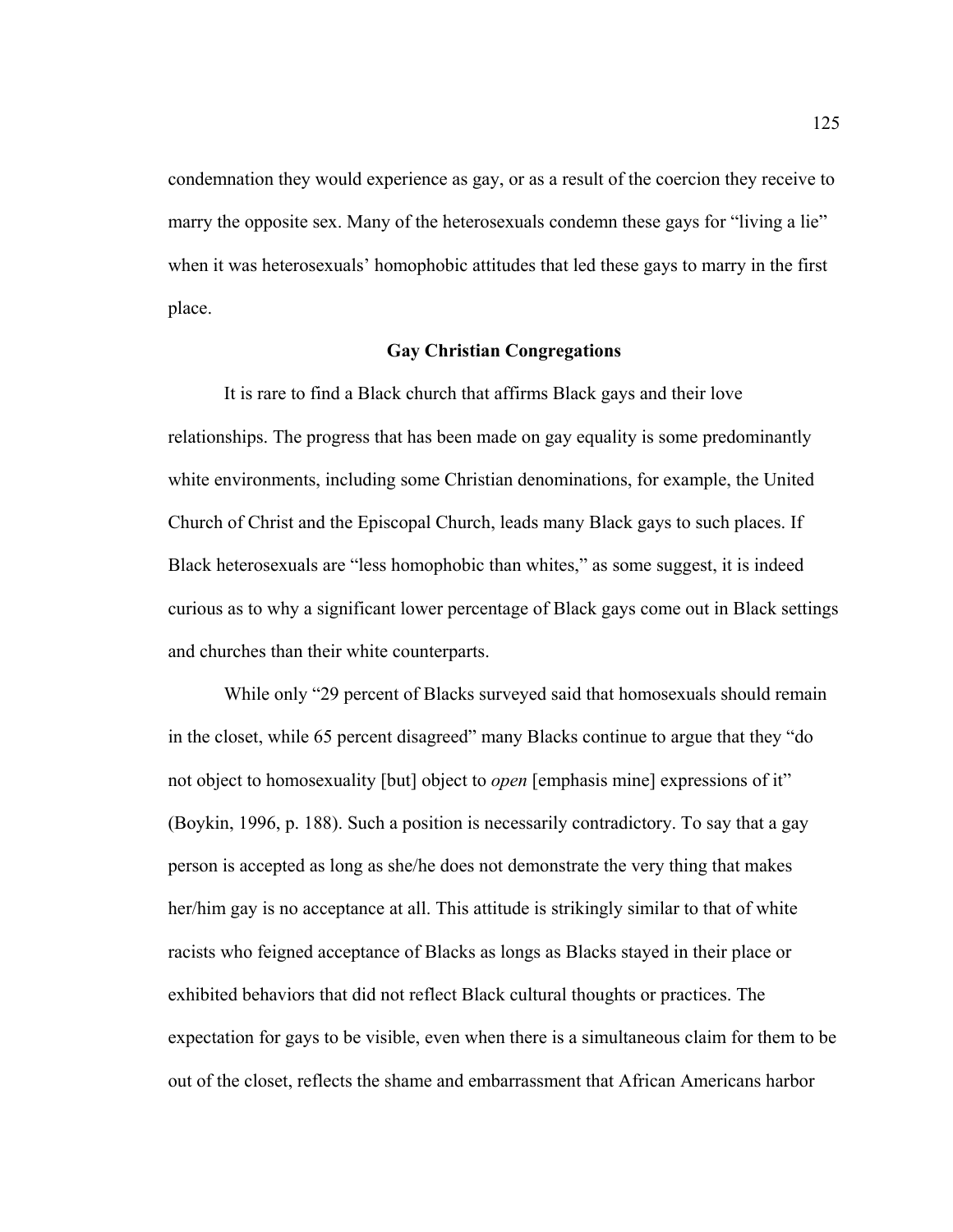condemnation they would experience as gay, or as a result of the coercion they receive to marry the opposite sex. Many of the heterosexuals condemn these gays for "living a lie" when it was heterosexuals' homophobic attitudes that led these gays to marry in the first place.

#### **Gay Christian Congregations**

It is rare to find a Black church that affirms Black gays and their love relationships. The progress that has been made on gay equality is some predominantly white environments, including some Christian denominations, for example, the United Church of Christ and the Episcopal Church, leads many Black gays to such places. If Black heterosexuals are "less homophobic than whites," as some suggest, it is indeed curious as to why a significant lower percentage of Black gays come out in Black settings and churches than their white counterparts.

 While only "29 percent of Blacks surveyed said that homosexuals should remain in the closet, while 65 percent disagreed" many Blacks continue to argue that they "do not object to homosexuality [but] object to *open* [emphasis mine] expressions of it" (Boykin, 1996, p. 188). Such a position is necessarily contradictory. To say that a gay person is accepted as long as she/he does not demonstrate the very thing that makes her/him gay is no acceptance at all. This attitude is strikingly similar to that of white racists who feigned acceptance of Blacks as longs as Blacks stayed in their place or exhibited behaviors that did not reflect Black cultural thoughts or practices. The expectation for gays to be visible, even when there is a simultaneous claim for them to be out of the closet, reflects the shame and embarrassment that African Americans harbor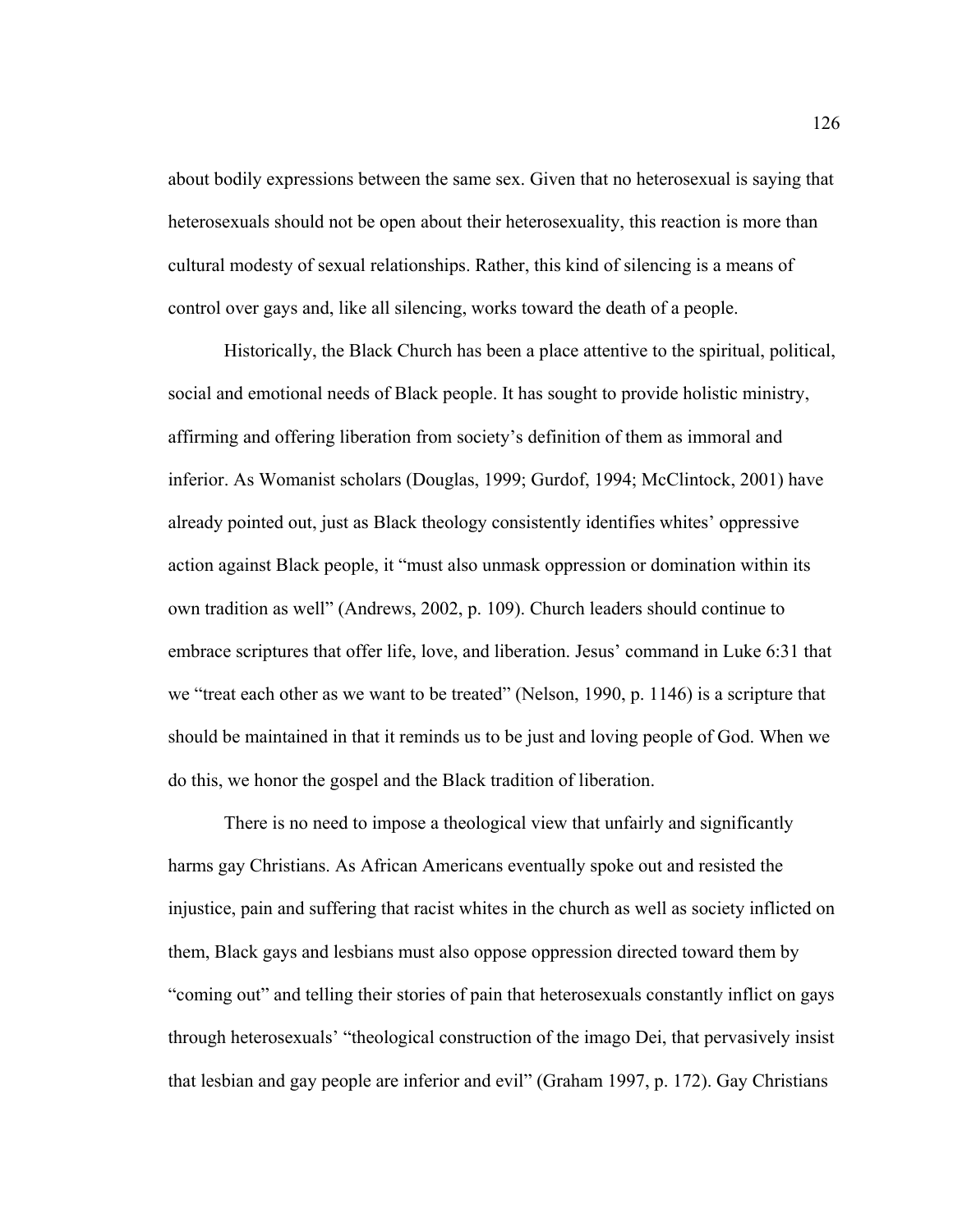about bodily expressions between the same sex. Given that no heterosexual is saying that heterosexuals should not be open about their heterosexuality, this reaction is more than cultural modesty of sexual relationships. Rather, this kind of silencing is a means of control over gays and, like all silencing, works toward the death of a people.

 Historically, the Black Church has been a place attentive to the spiritual, political, social and emotional needs of Black people. It has sought to provide holistic ministry, affirming and offering liberation from society's definition of them as immoral and inferior. As Womanist scholars (Douglas, 1999; Gurdof, 1994; McClintock, 2001) have already pointed out, just as Black theology consistently identifies whites' oppressive action against Black people, it "must also unmask oppression or domination within its own tradition as well" (Andrews, 2002, p. 109). Church leaders should continue to embrace scriptures that offer life, love, and liberation. Jesus' command in Luke 6:31 that we "treat each other as we want to be treated" (Nelson, 1990, p. 1146) is a scripture that should be maintained in that it reminds us to be just and loving people of God. When we do this, we honor the gospel and the Black tradition of liberation.

 There is no need to impose a theological view that unfairly and significantly harms gay Christians. As African Americans eventually spoke out and resisted the injustice, pain and suffering that racist whites in the church as well as society inflicted on them, Black gays and lesbians must also oppose oppression directed toward them by "coming out" and telling their stories of pain that heterosexuals constantly inflict on gays through heterosexuals' "theological construction of the imago Dei, that pervasively insist that lesbian and gay people are inferior and evil" (Graham 1997, p. 172). Gay Christians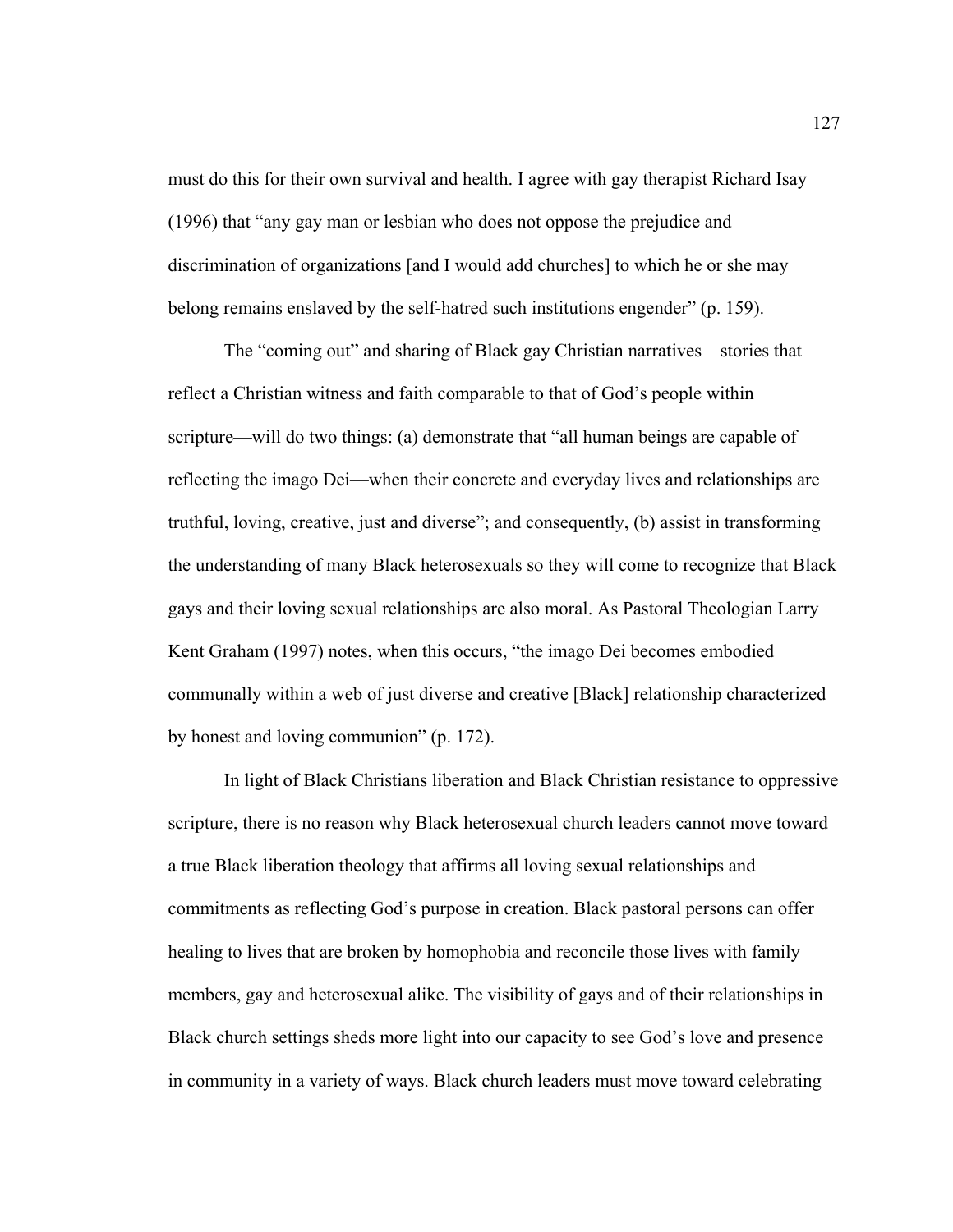must do this for their own survival and health. I agree with gay therapist Richard Isay (1996) that "any gay man or lesbian who does not oppose the prejudice and discrimination of organizations [and I would add churches] to which he or she may belong remains enslaved by the self-hatred such institutions engender" (p. 159).

 The "coming out" and sharing of Black gay Christian narratives—stories that reflect a Christian witness and faith comparable to that of God's people within scripture—will do two things: (a) demonstrate that "all human beings are capable of reflecting the imago Dei—when their concrete and everyday lives and relationships are truthful, loving, creative, just and diverse"; and consequently, (b) assist in transforming the understanding of many Black heterosexuals so they will come to recognize that Black gays and their loving sexual relationships are also moral. As Pastoral Theologian Larry Kent Graham (1997) notes, when this occurs, "the imago Dei becomes embodied communally within a web of just diverse and creative [Black] relationship characterized by honest and loving communion" (p. 172).

In light of Black Christians liberation and Black Christian resistance to oppressive scripture, there is no reason why Black heterosexual church leaders cannot move toward a true Black liberation theology that affirms all loving sexual relationships and commitments as reflecting God's purpose in creation. Black pastoral persons can offer healing to lives that are broken by homophobia and reconcile those lives with family members, gay and heterosexual alike. The visibility of gays and of their relationships in Black church settings sheds more light into our capacity to see God's love and presence in community in a variety of ways. Black church leaders must move toward celebrating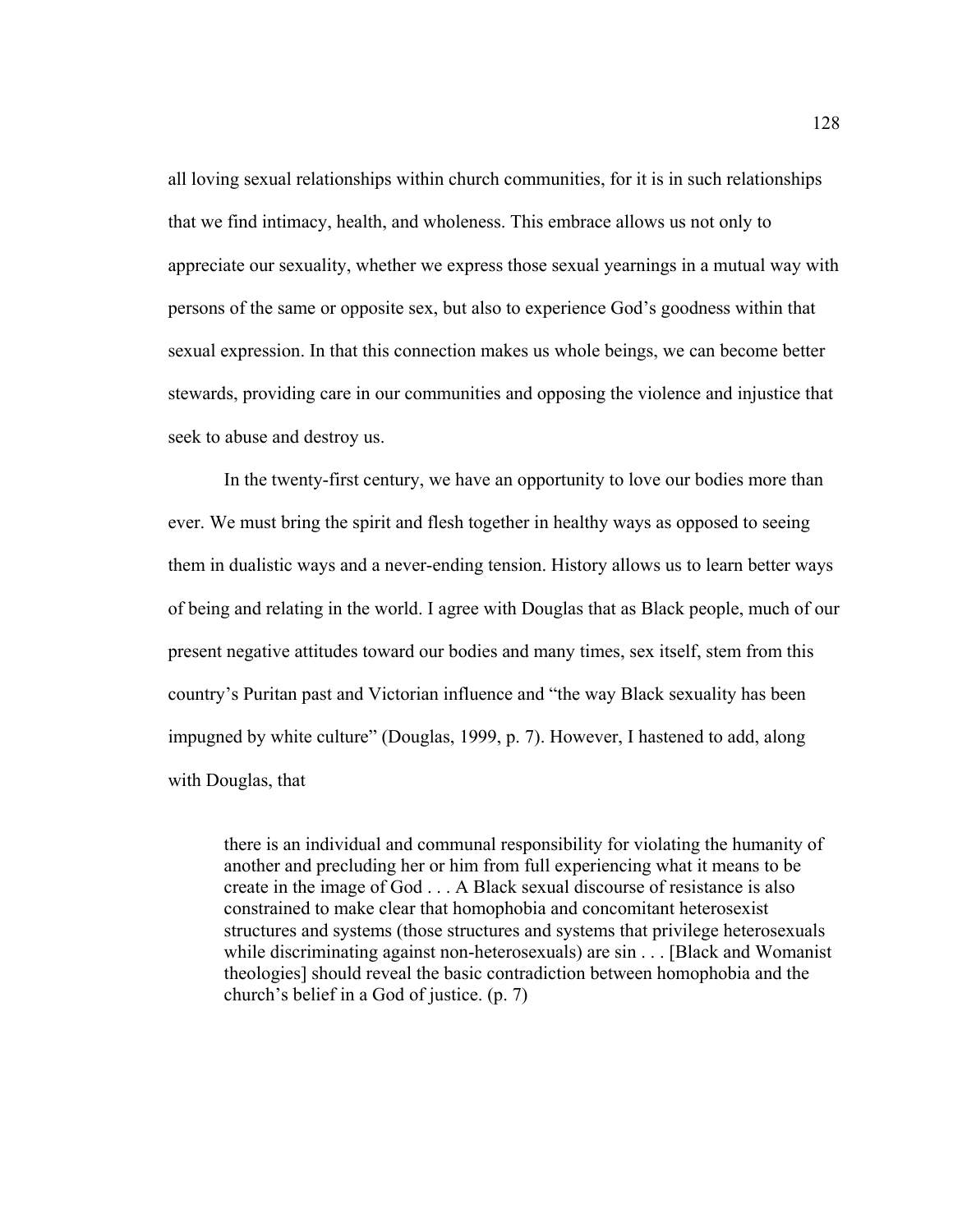all loving sexual relationships within church communities, for it is in such relationships that we find intimacy, health, and wholeness. This embrace allows us not only to appreciate our sexuality, whether we express those sexual yearnings in a mutual way with persons of the same or opposite sex, but also to experience God's goodness within that sexual expression. In that this connection makes us whole beings, we can become better stewards, providing care in our communities and opposing the violence and injustice that seek to abuse and destroy us.

 In the twenty-first century, we have an opportunity to love our bodies more than ever. We must bring the spirit and flesh together in healthy ways as opposed to seeing them in dualistic ways and a never-ending tension. History allows us to learn better ways of being and relating in the world. I agree with Douglas that as Black people, much of our present negative attitudes toward our bodies and many times, sex itself, stem from this country's Puritan past and Victorian influence and "the way Black sexuality has been impugned by white culture" (Douglas, 1999, p. 7). However, I hastened to add, along with Douglas, that

there is an individual and communal responsibility for violating the humanity of another and precluding her or him from full experiencing what it means to be create in the image of God . . . A Black sexual discourse of resistance is also constrained to make clear that homophobia and concomitant heterosexist structures and systems (those structures and systems that privilege heterosexuals while discriminating against non-heterosexuals) are sin . . . [Black and Womanist] theologies] should reveal the basic contradiction between homophobia and the church's belief in a God of justice. (p. 7)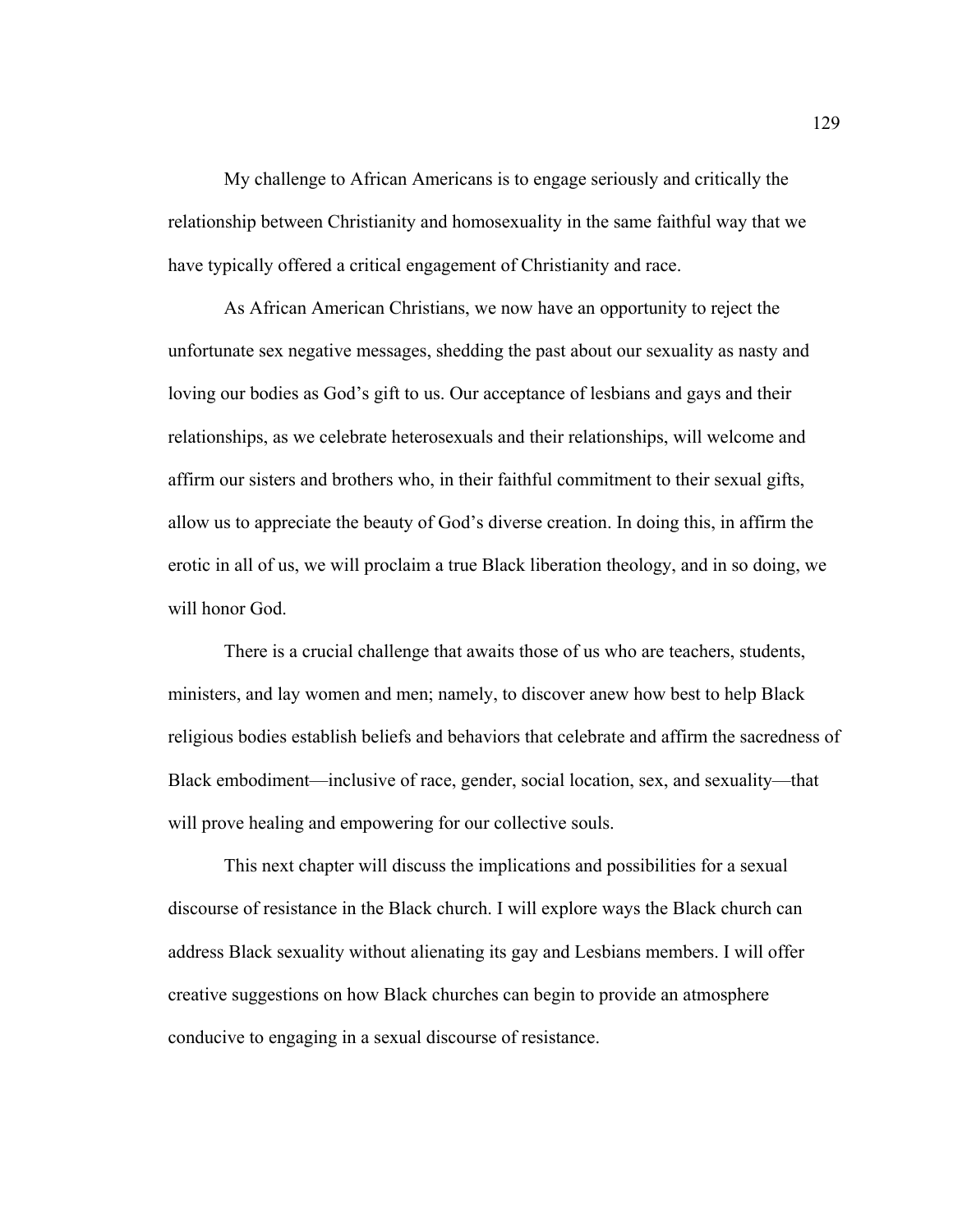My challenge to African Americans is to engage seriously and critically the relationship between Christianity and homosexuality in the same faithful way that we have typically offered a critical engagement of Christianity and race.

 As African American Christians, we now have an opportunity to reject the unfortunate sex negative messages, shedding the past about our sexuality as nasty and loving our bodies as God's gift to us. Our acceptance of lesbians and gays and their relationships, as we celebrate heterosexuals and their relationships, will welcome and affirm our sisters and brothers who, in their faithful commitment to their sexual gifts, allow us to appreciate the beauty of God's diverse creation. In doing this, in affirm the erotic in all of us, we will proclaim a true Black liberation theology, and in so doing, we will honor God.

 There is a crucial challenge that awaits those of us who are teachers, students, ministers, and lay women and men; namely, to discover anew how best to help Black religious bodies establish beliefs and behaviors that celebrate and affirm the sacredness of Black embodiment—inclusive of race, gender, social location, sex, and sexuality—that will prove healing and empowering for our collective souls.

 This next chapter will discuss the implications and possibilities for a sexual discourse of resistance in the Black church. I will explore ways the Black church can address Black sexuality without alienating its gay and Lesbians members. I will offer creative suggestions on how Black churches can begin to provide an atmosphere conducive to engaging in a sexual discourse of resistance.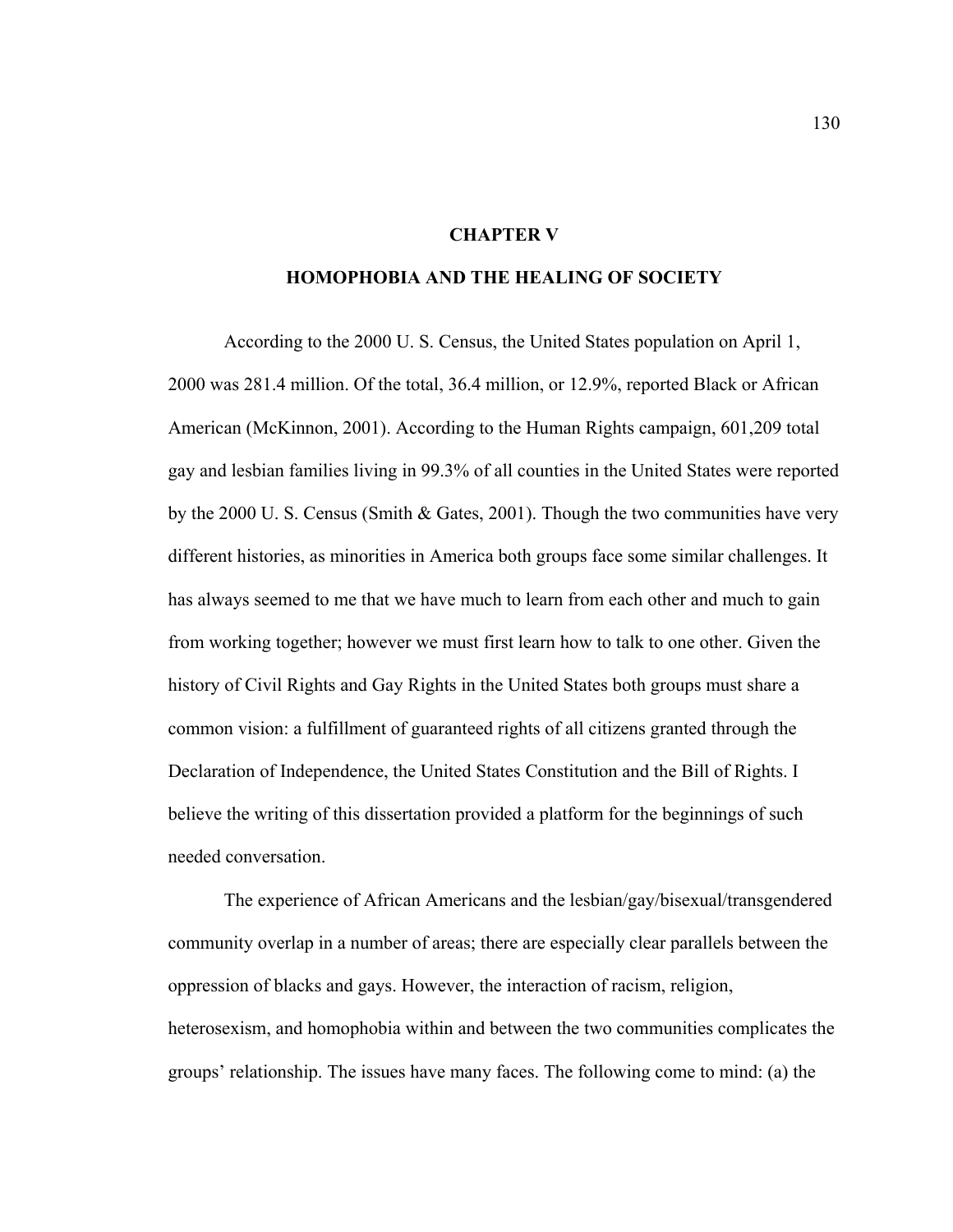# **CHAPTER V**

# **HOMOPHOBIA AND THE HEALING OF SOCIETY**

 According to the 2000 U. S. Census, the United States population on April 1, 2000 was 281.4 million. Of the total, 36.4 million, or 12.9%, reported Black or African American (McKinnon, 2001). According to the Human Rights campaign, 601,209 total gay and lesbian families living in 99.3% of all counties in the United States were reported by the 2000 U. S. Census (Smith & Gates, 2001). Though the two communities have very different histories, as minorities in America both groups face some similar challenges. It has always seemed to me that we have much to learn from each other and much to gain from working together; however we must first learn how to talk to one other. Given the history of Civil Rights and Gay Rights in the United States both groups must share a common vision: a fulfillment of guaranteed rights of all citizens granted through the Declaration of Independence, the United States Constitution and the Bill of Rights. I believe the writing of this dissertation provided a platform for the beginnings of such needed conversation.

 The experience of African Americans and the lesbian/gay/bisexual/transgendered community overlap in a number of areas; there are especially clear parallels between the oppression of blacks and gays. However, the interaction of racism, religion, heterosexism, and homophobia within and between the two communities complicates the groups' relationship. The issues have many faces. The following come to mind: (a) the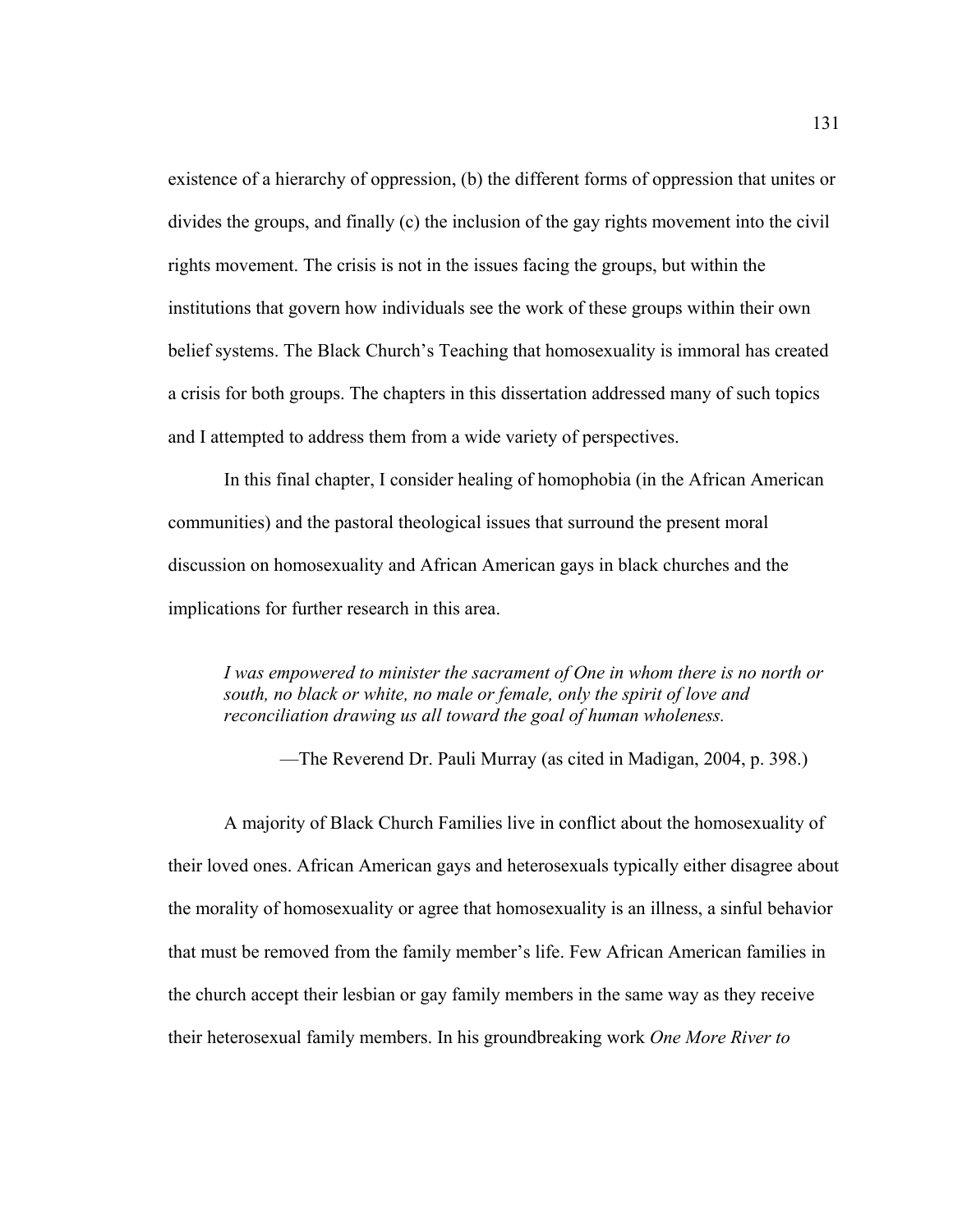existence of a hierarchy of oppression, (b) the different forms of oppression that unites or divides the groups, and finally (c) the inclusion of the gay rights movement into the civil rights movement. The crisis is not in the issues facing the groups, but within the institutions that govern how individuals see the work of these groups within their own belief systems. The Black Church's Teaching that homosexuality is immoral has created a crisis for both groups. The chapters in this dissertation addressed many of such topics and I attempted to address them from a wide variety of perspectives.

 In this final chapter, I consider healing of homophobia (in the African American communities) and the pastoral theological issues that surround the present moral discussion on homosexuality and African American gays in black churches and the implications for further research in this area.

*I was empowered to minister the sacrament of One in whom there is no north or south, no black or white, no male or female, only the spirit of love and reconciliation drawing us all toward the goal of human wholeness.* 

—The Reverend Dr. Pauli Murray (as cited in Madigan, 2004, p. 398.)

 A majority of Black Church Families live in conflict about the homosexuality of their loved ones. African American gays and heterosexuals typically either disagree about the morality of homosexuality or agree that homosexuality is an illness, a sinful behavior that must be removed from the family member's life. Few African American families in the church accept their lesbian or gay family members in the same way as they receive their heterosexual family members. In his groundbreaking work *One More River to*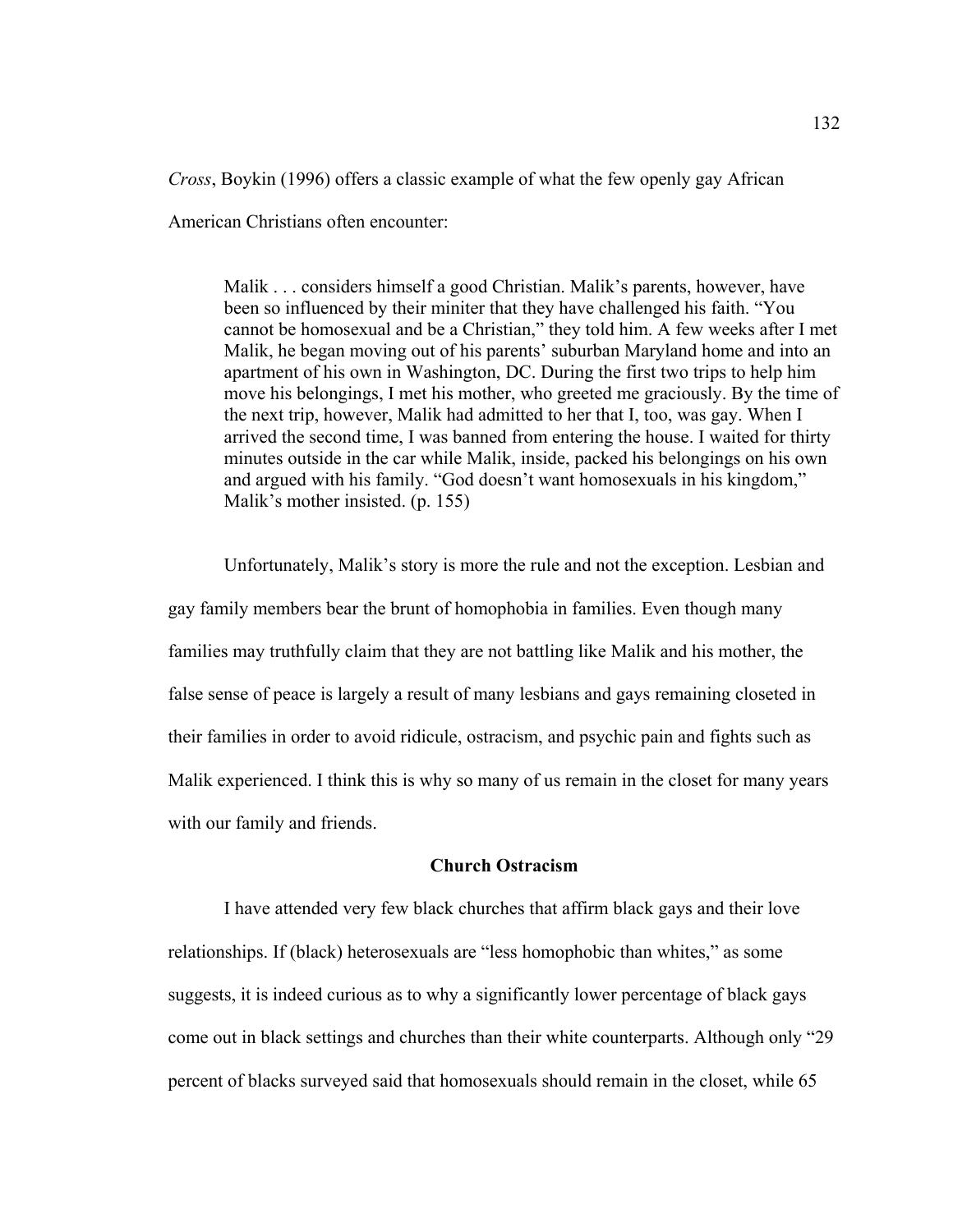*Cross*, Boykin (1996) offers a classic example of what the few openly gay African

American Christians often encounter:

Malik . . . considers himself a good Christian. Malik's parents, however, have been so influenced by their miniter that they have challenged his faith. "You cannot be homosexual and be a Christian," they told him. A few weeks after I met Malik, he began moving out of his parents' suburban Maryland home and into an apartment of his own in Washington, DC. During the first two trips to help him move his belongings, I met his mother, who greeted me graciously. By the time of the next trip, however, Malik had admitted to her that I, too, was gay. When I arrived the second time, I was banned from entering the house. I waited for thirty minutes outside in the car while Malik, inside, packed his belongings on his own and argued with his family. "God doesn't want homosexuals in his kingdom," Malik's mother insisted. (p. 155)

 Unfortunately, Malik's story is more the rule and not the exception. Lesbian and gay family members bear the brunt of homophobia in families. Even though many families may truthfully claim that they are not battling like Malik and his mother, the false sense of peace is largely a result of many lesbians and gays remaining closeted in their families in order to avoid ridicule, ostracism, and psychic pain and fights such as Malik experienced. I think this is why so many of us remain in the closet for many years with our family and friends.

## **Church Ostracism**

 I have attended very few black churches that affirm black gays and their love relationships. If (black) heterosexuals are "less homophobic than whites," as some suggests, it is indeed curious as to why a significantly lower percentage of black gays come out in black settings and churches than their white counterparts. Although only "29 percent of blacks surveyed said that homosexuals should remain in the closet, while 65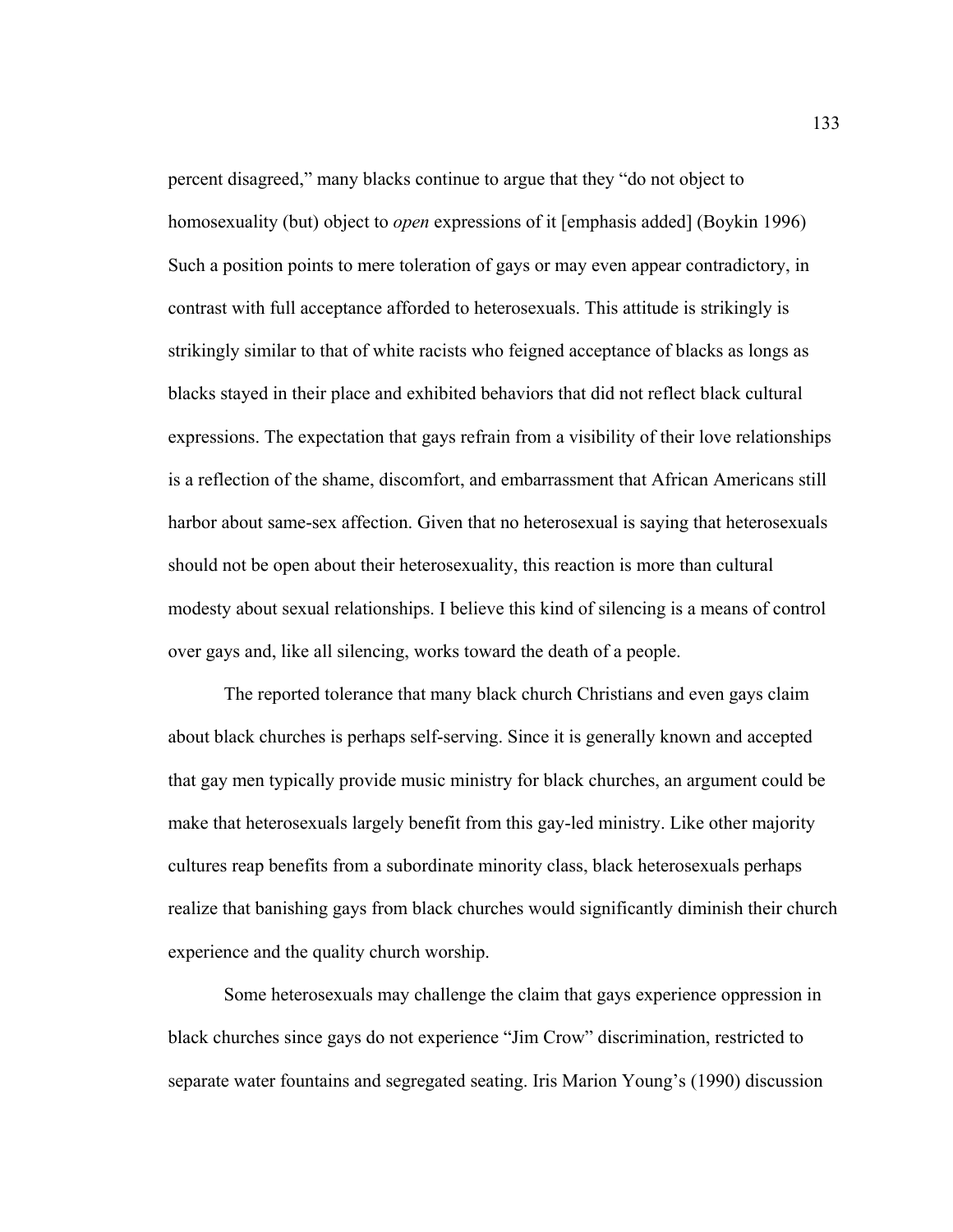percent disagreed," many blacks continue to argue that they "do not object to homosexuality (but) object to *open* expressions of it [emphasis added] (Boykin 1996) Such a position points to mere toleration of gays or may even appear contradictory, in contrast with full acceptance afforded to heterosexuals. This attitude is strikingly is strikingly similar to that of white racists who feigned acceptance of blacks as longs as blacks stayed in their place and exhibited behaviors that did not reflect black cultural expressions. The expectation that gays refrain from a visibility of their love relationships is a reflection of the shame, discomfort, and embarrassment that African Americans still harbor about same-sex affection. Given that no heterosexual is saying that heterosexuals should not be open about their heterosexuality, this reaction is more than cultural modesty about sexual relationships. I believe this kind of silencing is a means of control over gays and, like all silencing, works toward the death of a people.

 The reported tolerance that many black church Christians and even gays claim about black churches is perhaps self-serving. Since it is generally known and accepted that gay men typically provide music ministry for black churches, an argument could be make that heterosexuals largely benefit from this gay-led ministry. Like other majority cultures reap benefits from a subordinate minority class, black heterosexuals perhaps realize that banishing gays from black churches would significantly diminish their church experience and the quality church worship.

 Some heterosexuals may challenge the claim that gays experience oppression in black churches since gays do not experience "Jim Crow" discrimination, restricted to separate water fountains and segregated seating. Iris Marion Young's (1990) discussion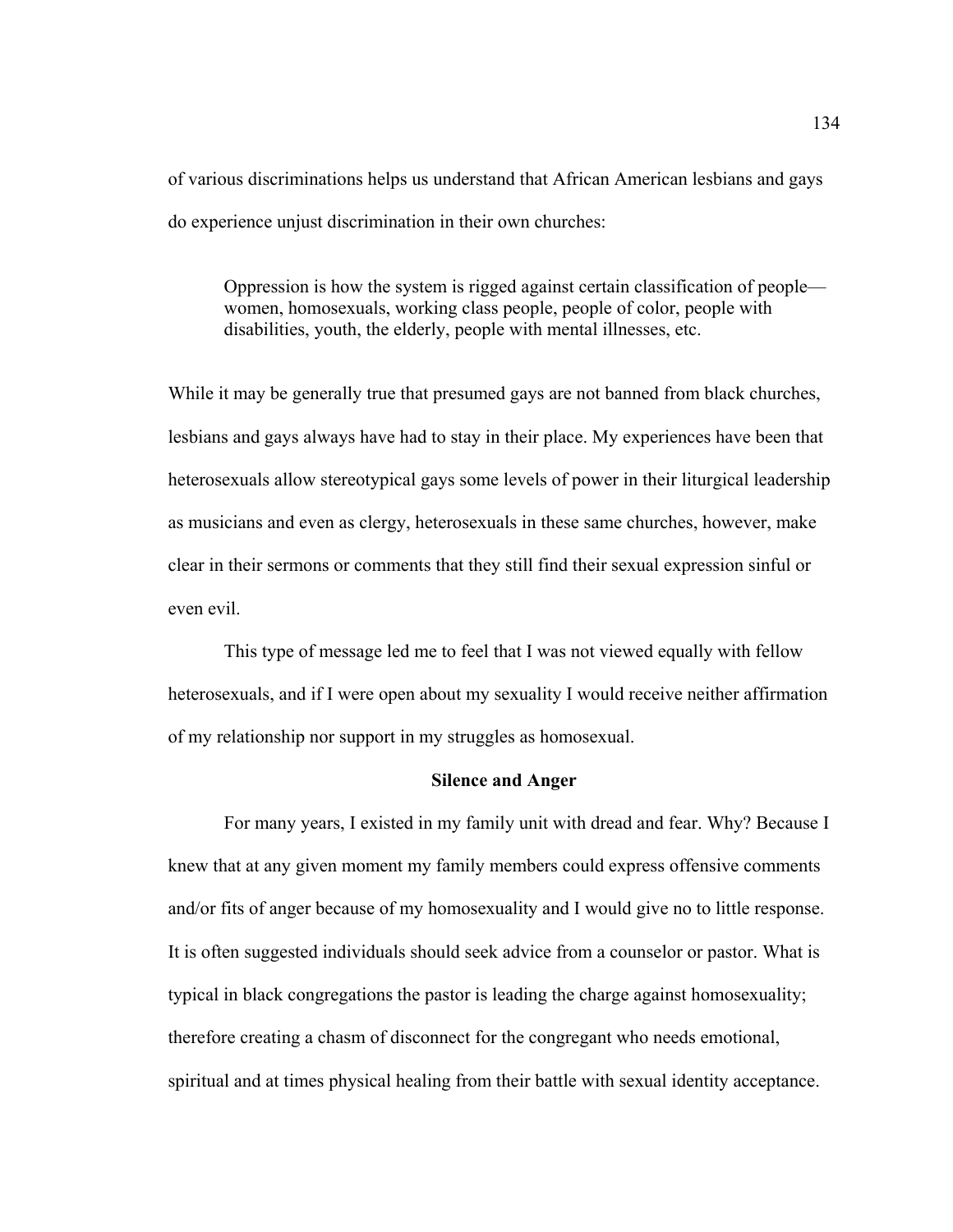of various discriminations helps us understand that African American lesbians and gays do experience unjust discrimination in their own churches:

Oppression is how the system is rigged against certain classification of people women, homosexuals, working class people, people of color, people with disabilities, youth, the elderly, people with mental illnesses, etc.

While it may be generally true that presumed gays are not banned from black churches, lesbians and gays always have had to stay in their place. My experiences have been that heterosexuals allow stereotypical gays some levels of power in their liturgical leadership as musicians and even as clergy, heterosexuals in these same churches, however, make clear in their sermons or comments that they still find their sexual expression sinful or even evil.

 This type of message led me to feel that I was not viewed equally with fellow heterosexuals, and if I were open about my sexuality I would receive neither affirmation of my relationship nor support in my struggles as homosexual.

#### **Silence and Anger**

For many years, I existed in my family unit with dread and fear. Why? Because I knew that at any given moment my family members could express offensive comments and/or fits of anger because of my homosexuality and I would give no to little response. It is often suggested individuals should seek advice from a counselor or pastor. What is typical in black congregations the pastor is leading the charge against homosexuality; therefore creating a chasm of disconnect for the congregant who needs emotional, spiritual and at times physical healing from their battle with sexual identity acceptance.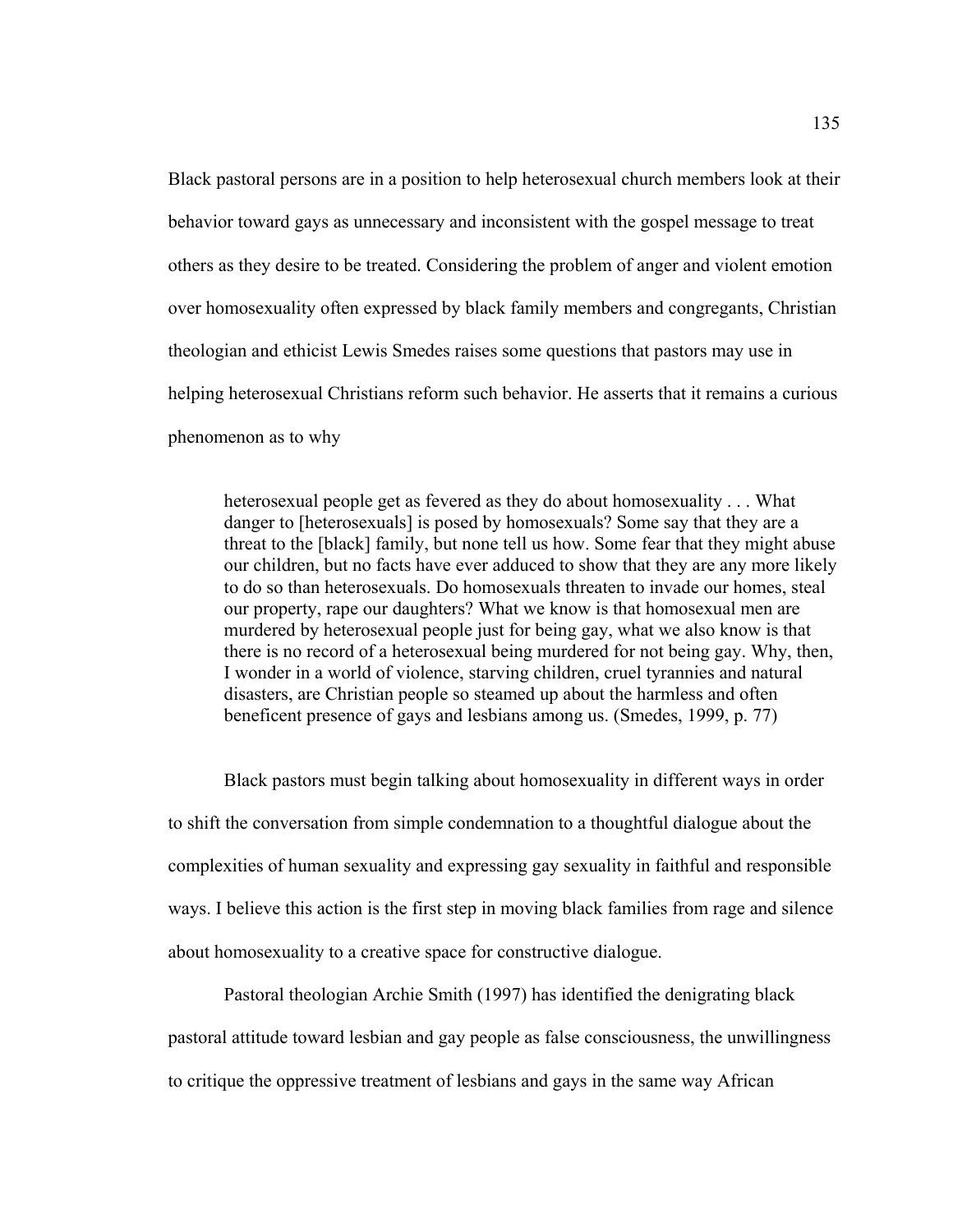Black pastoral persons are in a position to help heterosexual church members look at their behavior toward gays as unnecessary and inconsistent with the gospel message to treat others as they desire to be treated. Considering the problem of anger and violent emotion over homosexuality often expressed by black family members and congregants, Christian theologian and ethicist Lewis Smedes raises some questions that pastors may use in helping heterosexual Christians reform such behavior. He asserts that it remains a curious phenomenon as to why

heterosexual people get as fevered as they do about homosexuality . . . What danger to [heterosexuals] is posed by homosexuals? Some say that they are a threat to the [black] family, but none tell us how. Some fear that they might abuse our children, but no facts have ever adduced to show that they are any more likely to do so than heterosexuals. Do homosexuals threaten to invade our homes, steal our property, rape our daughters? What we know is that homosexual men are murdered by heterosexual people just for being gay, what we also know is that there is no record of a heterosexual being murdered for not being gay. Why, then, I wonder in a world of violence, starving children, cruel tyrannies and natural disasters, are Christian people so steamed up about the harmless and often beneficent presence of gays and lesbians among us. (Smedes, 1999, p. 77)

Black pastors must begin talking about homosexuality in different ways in order to shift the conversation from simple condemnation to a thoughtful dialogue about the complexities of human sexuality and expressing gay sexuality in faithful and responsible ways. I believe this action is the first step in moving black families from rage and silence about homosexuality to a creative space for constructive dialogue.

 Pastoral theologian Archie Smith (1997) has identified the denigrating black pastoral attitude toward lesbian and gay people as false consciousness, the unwillingness to critique the oppressive treatment of lesbians and gays in the same way African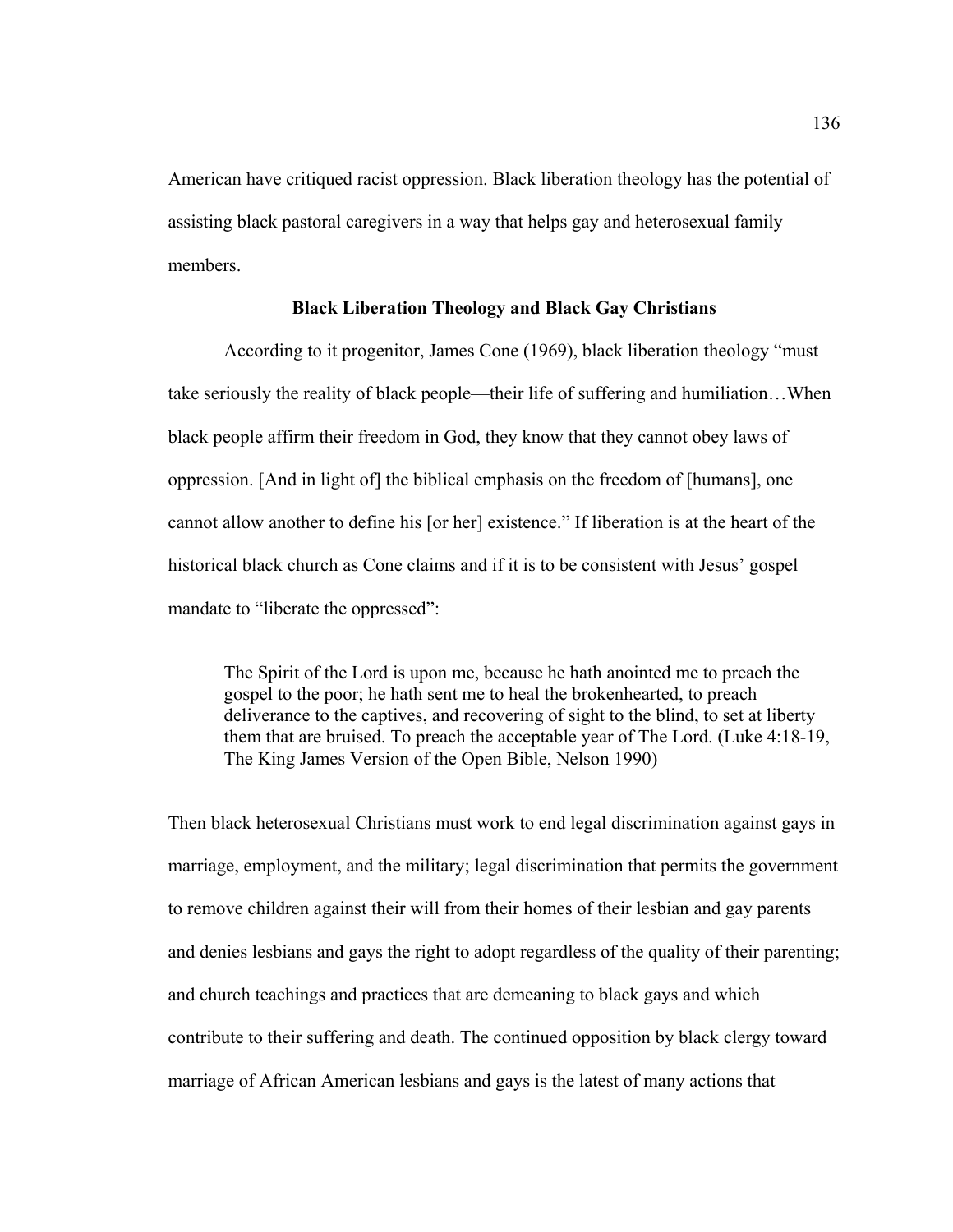American have critiqued racist oppression. Black liberation theology has the potential of assisting black pastoral caregivers in a way that helps gay and heterosexual family members.

# **Black Liberation Theology and Black Gay Christians**

 According to it progenitor, James Cone (1969), black liberation theology "must take seriously the reality of black people—their life of suffering and humiliation…When black people affirm their freedom in God, they know that they cannot obey laws of oppression. [And in light of] the biblical emphasis on the freedom of [humans], one cannot allow another to define his [or her] existence." If liberation is at the heart of the historical black church as Cone claims and if it is to be consistent with Jesus' gospel mandate to "liberate the oppressed":

The Spirit of the Lord is upon me, because he hath anointed me to preach the gospel to the poor; he hath sent me to heal the brokenhearted, to preach deliverance to the captives, and recovering of sight to the blind, to set at liberty them that are bruised. To preach the acceptable year of The Lord. (Luke 4:18-19, The King James Version of the Open Bible, Nelson 1990)

Then black heterosexual Christians must work to end legal discrimination against gays in marriage, employment, and the military; legal discrimination that permits the government to remove children against their will from their homes of their lesbian and gay parents and denies lesbians and gays the right to adopt regardless of the quality of their parenting; and church teachings and practices that are demeaning to black gays and which contribute to their suffering and death. The continued opposition by black clergy toward marriage of African American lesbians and gays is the latest of many actions that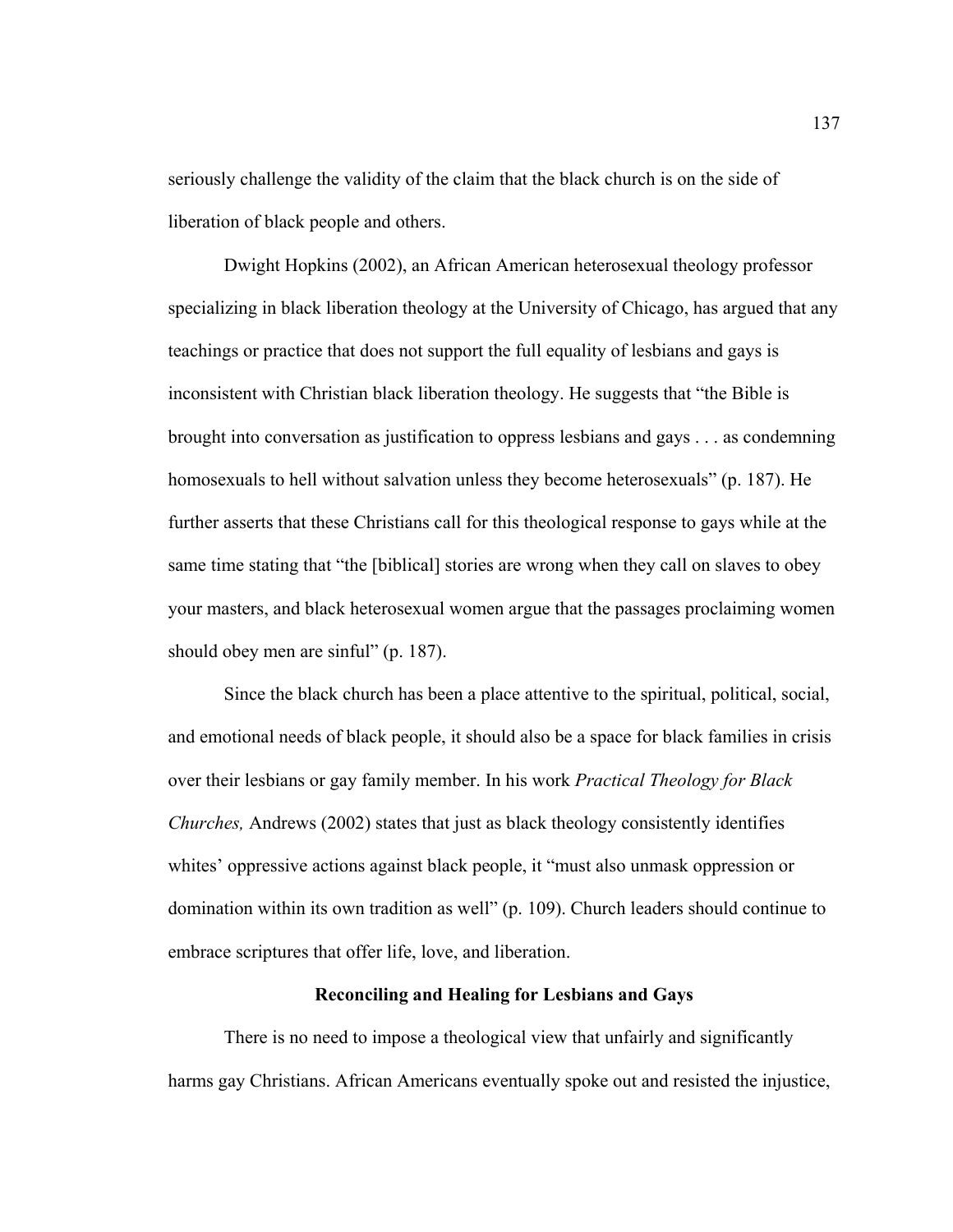seriously challenge the validity of the claim that the black church is on the side of liberation of black people and others.

 Dwight Hopkins (2002), an African American heterosexual theology professor specializing in black liberation theology at the University of Chicago, has argued that any teachings or practice that does not support the full equality of lesbians and gays is inconsistent with Christian black liberation theology. He suggests that "the Bible is brought into conversation as justification to oppress lesbians and gays . . . as condemning homosexuals to hell without salvation unless they become heterosexuals" (p. 187). He further asserts that these Christians call for this theological response to gays while at the same time stating that "the [biblical] stories are wrong when they call on slaves to obey your masters, and black heterosexual women argue that the passages proclaiming women should obey men are sinful" (p. 187).

 Since the black church has been a place attentive to the spiritual, political, social, and emotional needs of black people, it should also be a space for black families in crisis over their lesbians or gay family member. In his work *Practical Theology for Black Churches,* Andrews (2002) states that just as black theology consistently identifies whites' oppressive actions against black people, it "must also unmask oppression or domination within its own tradition as well" (p. 109). Church leaders should continue to embrace scriptures that offer life, love, and liberation.

# **Reconciling and Healing for Lesbians and Gays**

 There is no need to impose a theological view that unfairly and significantly harms gay Christians. African Americans eventually spoke out and resisted the injustice,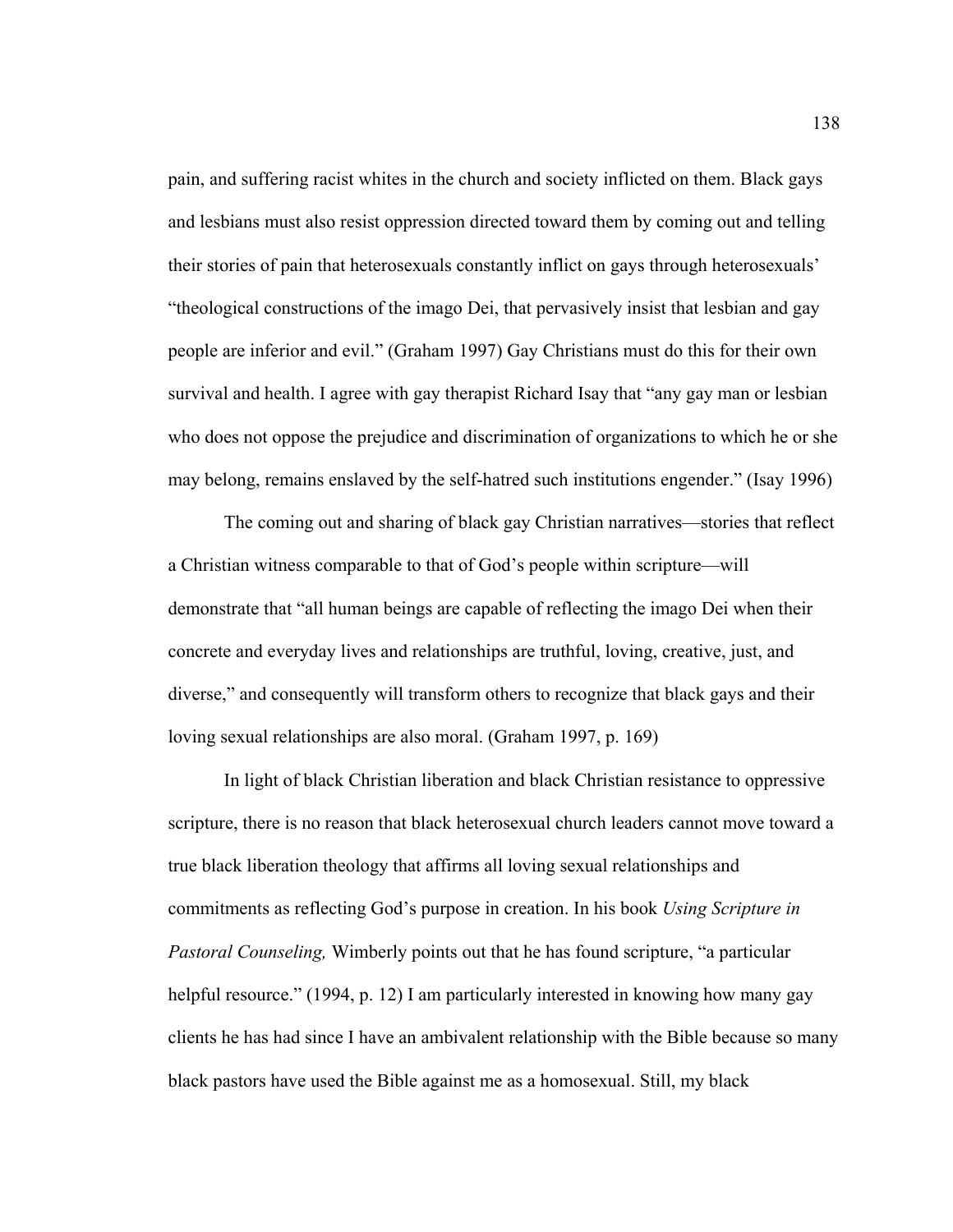pain, and suffering racist whites in the church and society inflicted on them. Black gays and lesbians must also resist oppression directed toward them by coming out and telling their stories of pain that heterosexuals constantly inflict on gays through heterosexuals' "theological constructions of the imago Dei, that pervasively insist that lesbian and gay people are inferior and evil." (Graham 1997) Gay Christians must do this for their own survival and health. I agree with gay therapist Richard Isay that "any gay man or lesbian who does not oppose the prejudice and discrimination of organizations to which he or she may belong, remains enslaved by the self-hatred such institutions engender." (Isay 1996)

 The coming out and sharing of black gay Christian narratives—stories that reflect a Christian witness comparable to that of God's people within scripture—will demonstrate that "all human beings are capable of reflecting the imago Dei when their concrete and everyday lives and relationships are truthful, loving, creative, just, and diverse," and consequently will transform others to recognize that black gays and their loving sexual relationships are also moral. (Graham 1997, p. 169)

 In light of black Christian liberation and black Christian resistance to oppressive scripture, there is no reason that black heterosexual church leaders cannot move toward a true black liberation theology that affirms all loving sexual relationships and commitments as reflecting God's purpose in creation. In his book *Using Scripture in Pastoral Counseling,* Wimberly points out that he has found scripture, "a particular helpful resource." (1994, p. 12) I am particularly interested in knowing how many gay clients he has had since I have an ambivalent relationship with the Bible because so many black pastors have used the Bible against me as a homosexual. Still, my black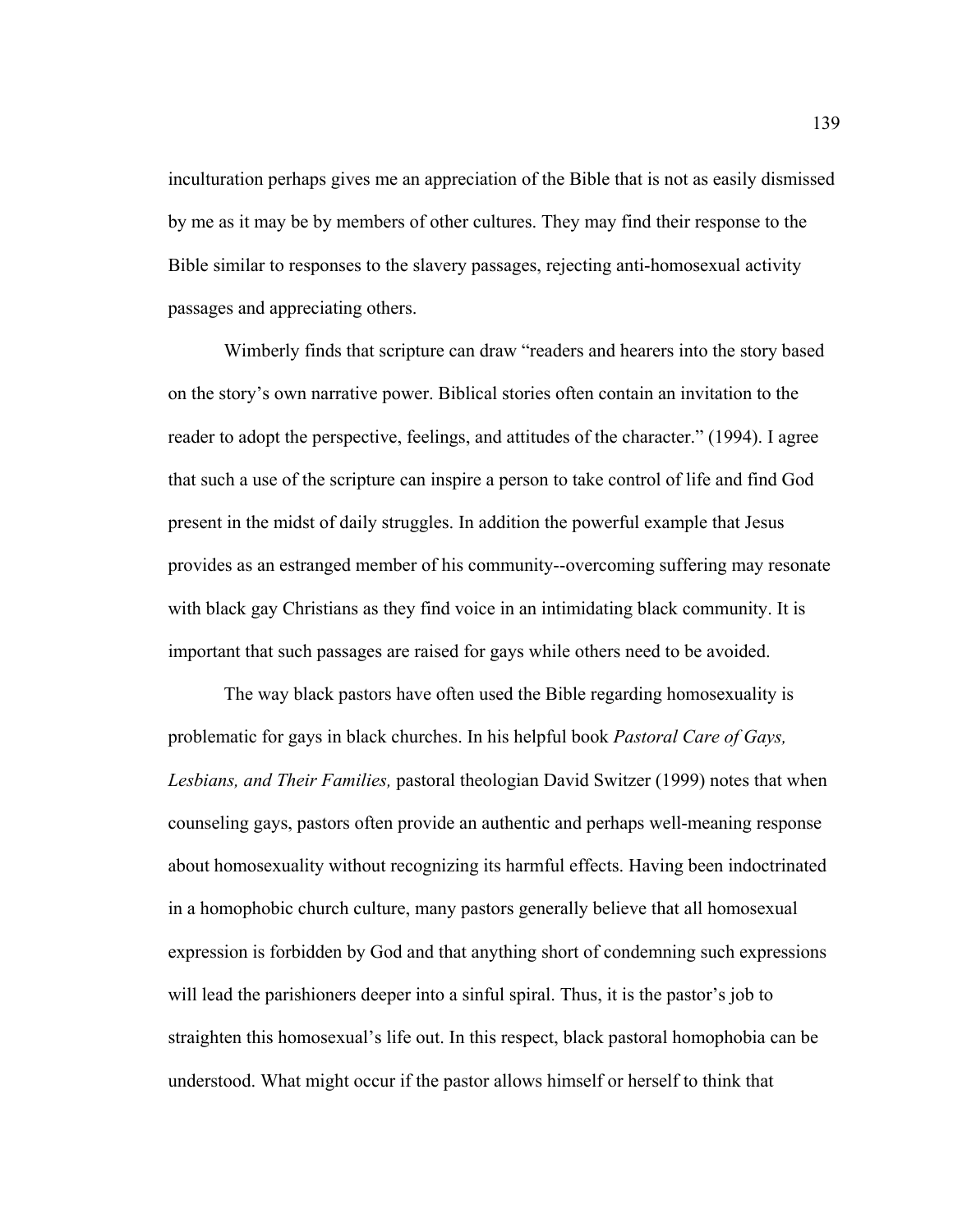inculturation perhaps gives me an appreciation of the Bible that is not as easily dismissed by me as it may be by members of other cultures. They may find their response to the Bible similar to responses to the slavery passages, rejecting anti-homosexual activity passages and appreciating others.

 Wimberly finds that scripture can draw "readers and hearers into the story based on the story's own narrative power. Biblical stories often contain an invitation to the reader to adopt the perspective, feelings, and attitudes of the character." (1994). I agree that such a use of the scripture can inspire a person to take control of life and find God present in the midst of daily struggles. In addition the powerful example that Jesus provides as an estranged member of his community--overcoming suffering may resonate with black gay Christians as they find voice in an intimidating black community. It is important that such passages are raised for gays while others need to be avoided.

 The way black pastors have often used the Bible regarding homosexuality is problematic for gays in black churches. In his helpful book *Pastoral Care of Gays, Lesbians, and Their Families,* pastoral theologian David Switzer (1999) notes that when counseling gays, pastors often provide an authentic and perhaps well-meaning response about homosexuality without recognizing its harmful effects. Having been indoctrinated in a homophobic church culture, many pastors generally believe that all homosexual expression is forbidden by God and that anything short of condemning such expressions will lead the parishioners deeper into a sinful spiral. Thus, it is the pastor's job to straighten this homosexual's life out. In this respect, black pastoral homophobia can be understood. What might occur if the pastor allows himself or herself to think that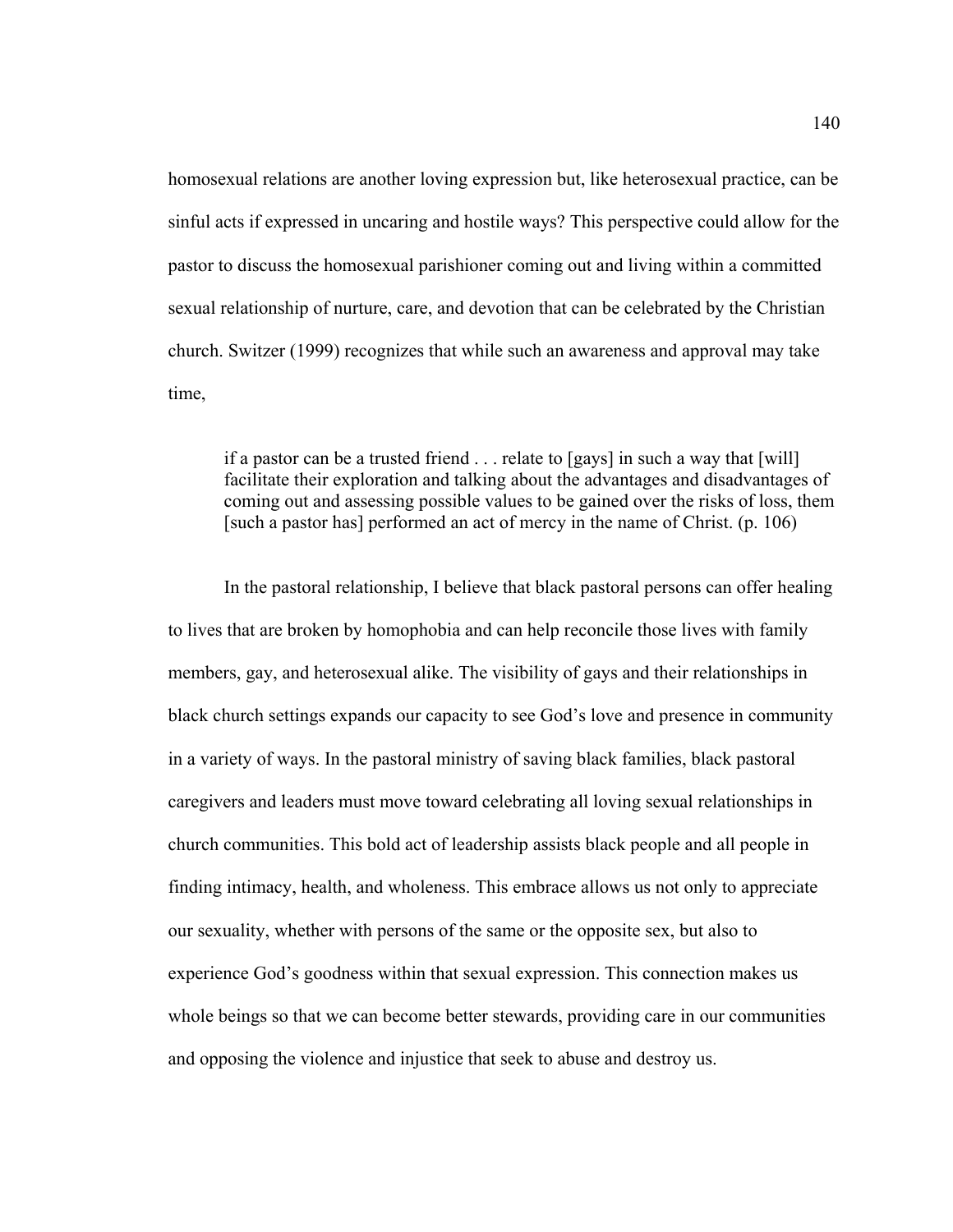homosexual relations are another loving expression but, like heterosexual practice, can be sinful acts if expressed in uncaring and hostile ways? This perspective could allow for the pastor to discuss the homosexual parishioner coming out and living within a committed sexual relationship of nurture, care, and devotion that can be celebrated by the Christian church. Switzer (1999) recognizes that while such an awareness and approval may take time,

if a pastor can be a trusted friend . . . relate to [gays] in such a way that [will] facilitate their exploration and talking about the advantages and disadvantages of coming out and assessing possible values to be gained over the risks of loss, them [such a pastor has] performed an act of mercy in the name of Christ. (p. 106)

 In the pastoral relationship, I believe that black pastoral persons can offer healing to lives that are broken by homophobia and can help reconcile those lives with family members, gay, and heterosexual alike. The visibility of gays and their relationships in black church settings expands our capacity to see God's love and presence in community in a variety of ways. In the pastoral ministry of saving black families, black pastoral caregivers and leaders must move toward celebrating all loving sexual relationships in church communities. This bold act of leadership assists black people and all people in finding intimacy, health, and wholeness. This embrace allows us not only to appreciate our sexuality, whether with persons of the same or the opposite sex, but also to experience God's goodness within that sexual expression. This connection makes us whole beings so that we can become better stewards, providing care in our communities and opposing the violence and injustice that seek to abuse and destroy us.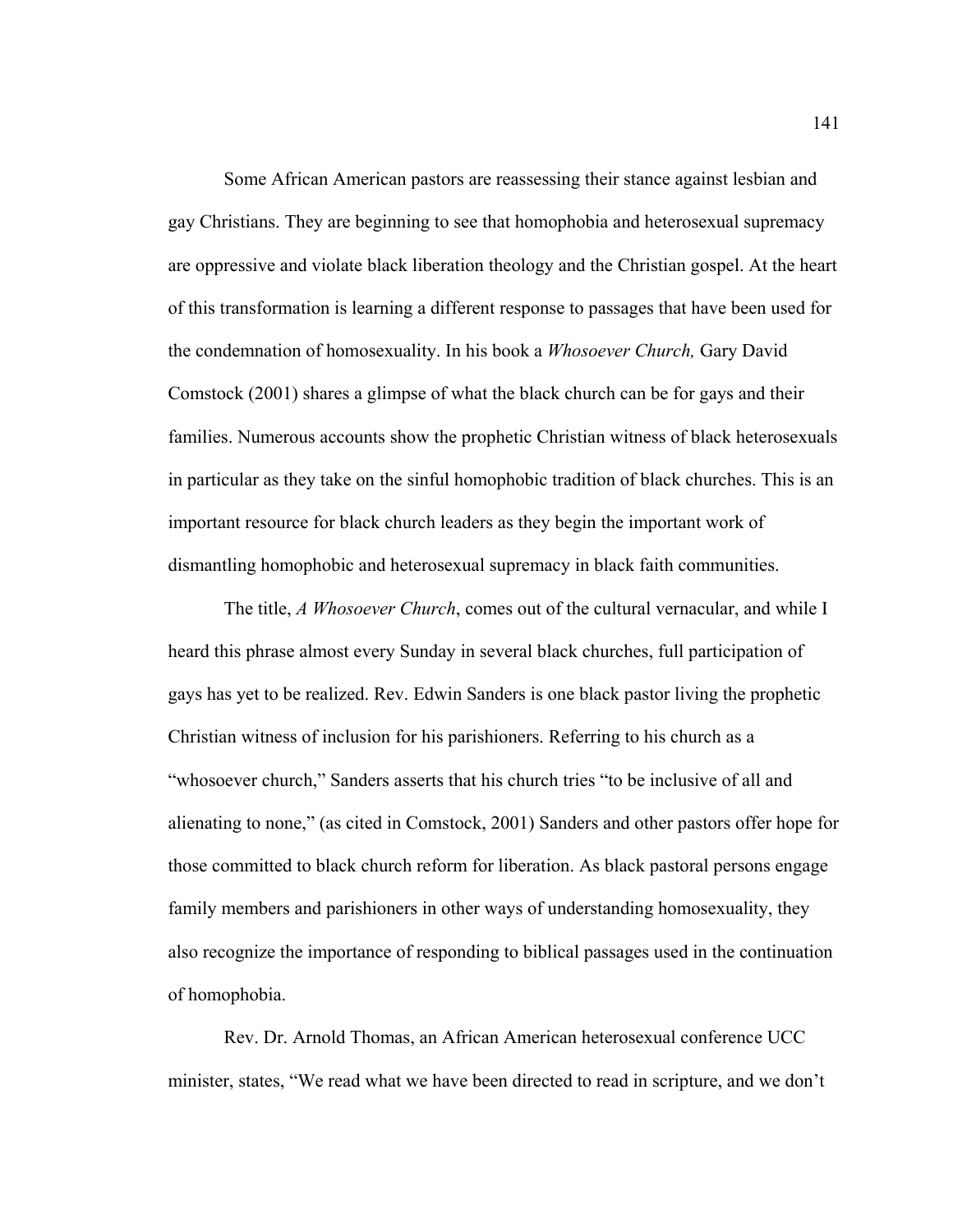Some African American pastors are reassessing their stance against lesbian and gay Christians. They are beginning to see that homophobia and heterosexual supremacy are oppressive and violate black liberation theology and the Christian gospel. At the heart of this transformation is learning a different response to passages that have been used for the condemnation of homosexuality. In his book a *Whosoever Church,* Gary David Comstock (2001) shares a glimpse of what the black church can be for gays and their families. Numerous accounts show the prophetic Christian witness of black heterosexuals in particular as they take on the sinful homophobic tradition of black churches. This is an important resource for black church leaders as they begin the important work of dismantling homophobic and heterosexual supremacy in black faith communities.

 The title, *A Whosoever Church*, comes out of the cultural vernacular, and while I heard this phrase almost every Sunday in several black churches, full participation of gays has yet to be realized. Rev. Edwin Sanders is one black pastor living the prophetic Christian witness of inclusion for his parishioners. Referring to his church as a "whosoever church," Sanders asserts that his church tries "to be inclusive of all and alienating to none," (as cited in Comstock, 2001) Sanders and other pastors offer hope for those committed to black church reform for liberation. As black pastoral persons engage family members and parishioners in other ways of understanding homosexuality, they also recognize the importance of responding to biblical passages used in the continuation of homophobia.

 Rev. Dr. Arnold Thomas, an African American heterosexual conference UCC minister, states, "We read what we have been directed to read in scripture, and we don't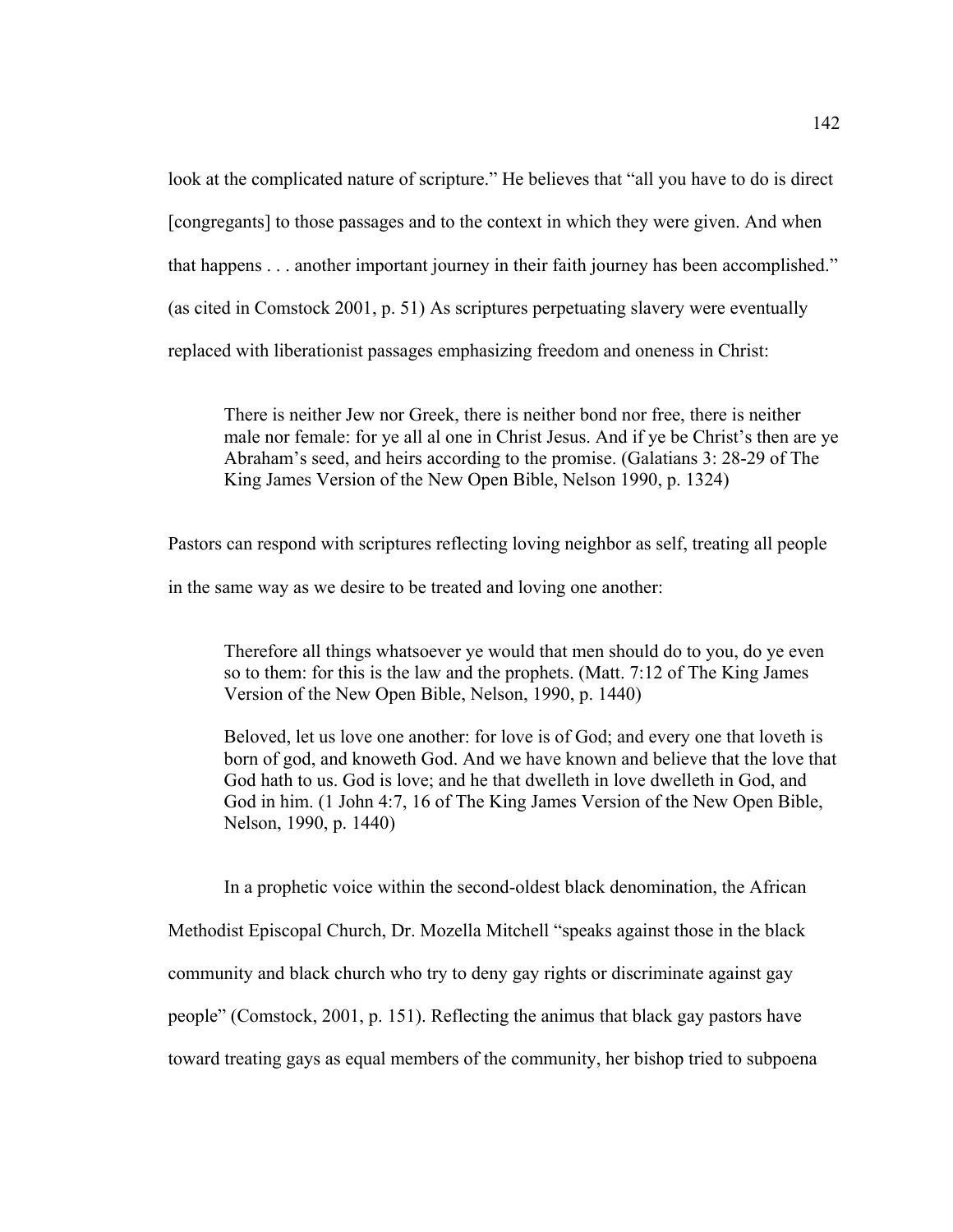look at the complicated nature of scripture." He believes that "all you have to do is direct [congregants] to those passages and to the context in which they were given. And when that happens . . . another important journey in their faith journey has been accomplished." (as cited in Comstock 2001, p. 51) As scriptures perpetuating slavery were eventually replaced with liberationist passages emphasizing freedom and oneness in Christ:

There is neither Jew nor Greek, there is neither bond nor free, there is neither male nor female: for ye all al one in Christ Jesus. And if ye be Christ's then are ye Abraham's seed, and heirs according to the promise. (Galatians 3: 28-29 of The King James Version of the New Open Bible, Nelson 1990, p. 1324)

Pastors can respond with scriptures reflecting loving neighbor as self, treating all people

in the same way as we desire to be treated and loving one another:

Therefore all things whatsoever ye would that men should do to you, do ye even so to them: for this is the law and the prophets. (Matt. 7:12 of The King James Version of the New Open Bible, Nelson, 1990, p. 1440)

Beloved, let us love one another: for love is of God; and every one that loveth is born of god, and knoweth God. And we have known and believe that the love that God hath to us. God is love; and he that dwelleth in love dwelleth in God, and God in him. (1 John 4:7, 16 of The King James Version of the New Open Bible, Nelson, 1990, p. 1440)

In a prophetic voice within the second-oldest black denomination, the African

Methodist Episcopal Church, Dr. Mozella Mitchell "speaks against those in the black

community and black church who try to deny gay rights or discriminate against gay

people" (Comstock, 2001, p. 151). Reflecting the animus that black gay pastors have

toward treating gays as equal members of the community, her bishop tried to subpoena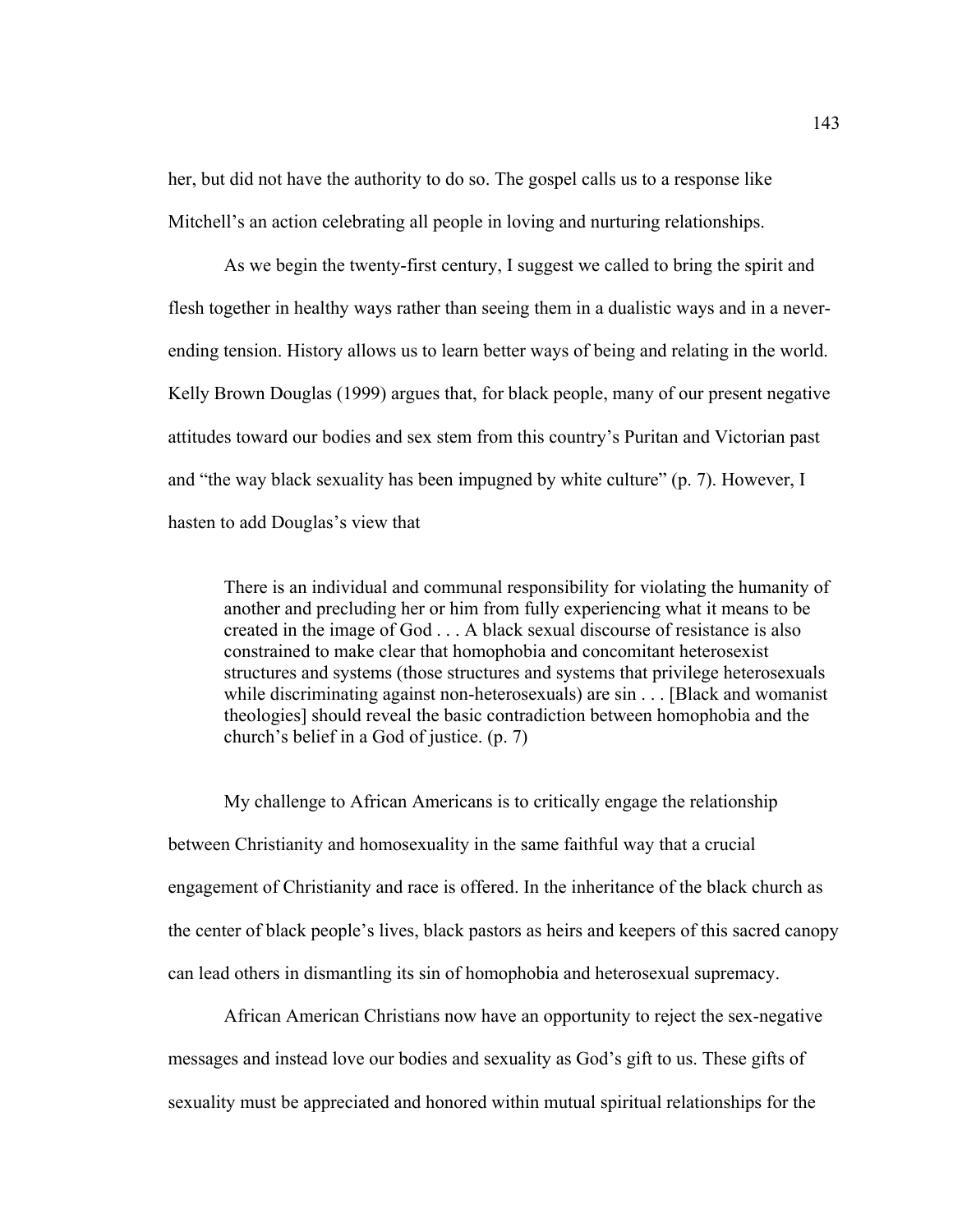her, but did not have the authority to do so. The gospel calls us to a response like Mitchell's an action celebrating all people in loving and nurturing relationships.

 As we begin the twenty-first century, I suggest we called to bring the spirit and flesh together in healthy ways rather than seeing them in a dualistic ways and in a neverending tension. History allows us to learn better ways of being and relating in the world. Kelly Brown Douglas (1999) argues that, for black people, many of our present negative attitudes toward our bodies and sex stem from this country's Puritan and Victorian past and "the way black sexuality has been impugned by white culture" (p. 7). However, I hasten to add Douglas's view that

There is an individual and communal responsibility for violating the humanity of another and precluding her or him from fully experiencing what it means to be created in the image of God . . . A black sexual discourse of resistance is also constrained to make clear that homophobia and concomitant heterosexist structures and systems (those structures and systems that privilege heterosexuals while discriminating against non-heterosexuals) are sin . . . [Black and womanist] theologies] should reveal the basic contradiction between homophobia and the church's belief in a God of justice. (p. 7)

 My challenge to African Americans is to critically engage the relationship between Christianity and homosexuality in the same faithful way that a crucial engagement of Christianity and race is offered. In the inheritance of the black church as the center of black people's lives, black pastors as heirs and keepers of this sacred canopy can lead others in dismantling its sin of homophobia and heterosexual supremacy.

 African American Christians now have an opportunity to reject the sex-negative messages and instead love our bodies and sexuality as God's gift to us. These gifts of sexuality must be appreciated and honored within mutual spiritual relationships for the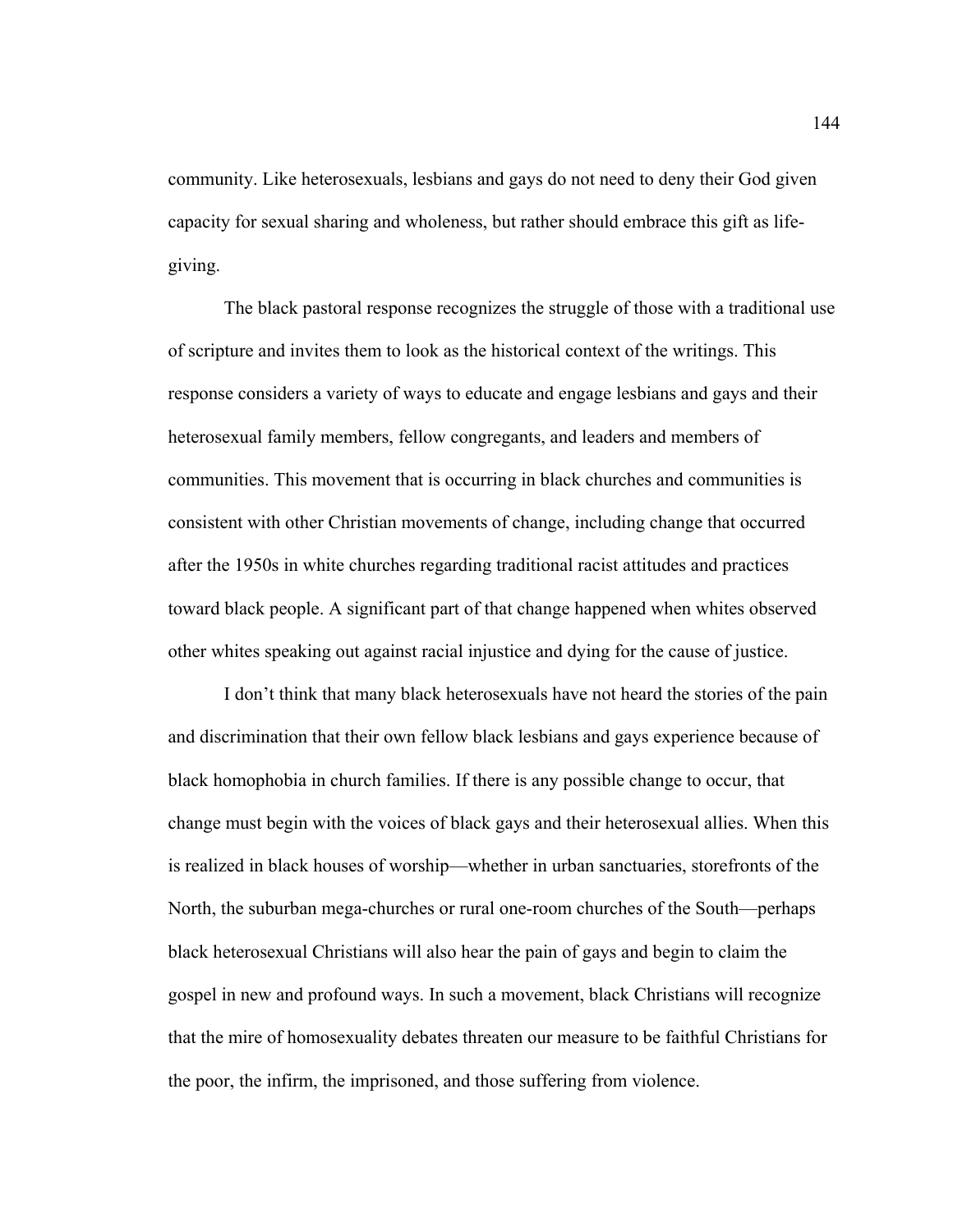community. Like heterosexuals, lesbians and gays do not need to deny their God given capacity for sexual sharing and wholeness, but rather should embrace this gift as lifegiving.

 The black pastoral response recognizes the struggle of those with a traditional use of scripture and invites them to look as the historical context of the writings. This response considers a variety of ways to educate and engage lesbians and gays and their heterosexual family members, fellow congregants, and leaders and members of communities. This movement that is occurring in black churches and communities is consistent with other Christian movements of change, including change that occurred after the 1950s in white churches regarding traditional racist attitudes and practices toward black people. A significant part of that change happened when whites observed other whites speaking out against racial injustice and dying for the cause of justice.

 I don't think that many black heterosexuals have not heard the stories of the pain and discrimination that their own fellow black lesbians and gays experience because of black homophobia in church families. If there is any possible change to occur, that change must begin with the voices of black gays and their heterosexual allies. When this is realized in black houses of worship—whether in urban sanctuaries, storefronts of the North, the suburban mega-churches or rural one-room churches of the South—perhaps black heterosexual Christians will also hear the pain of gays and begin to claim the gospel in new and profound ways. In such a movement, black Christians will recognize that the mire of homosexuality debates threaten our measure to be faithful Christians for the poor, the infirm, the imprisoned, and those suffering from violence.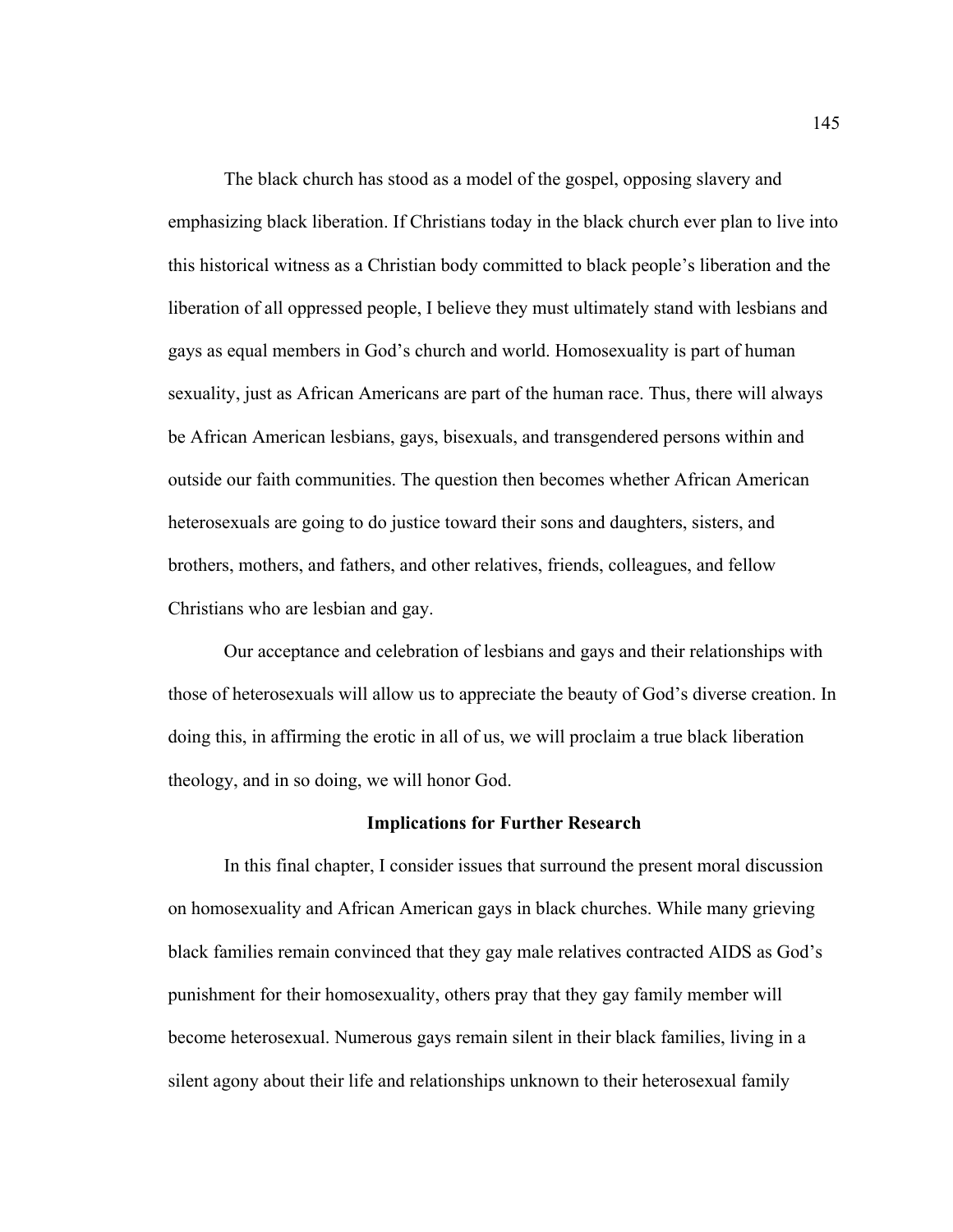The black church has stood as a model of the gospel, opposing slavery and emphasizing black liberation. If Christians today in the black church ever plan to live into this historical witness as a Christian body committed to black people's liberation and the liberation of all oppressed people, I believe they must ultimately stand with lesbians and gays as equal members in God's church and world. Homosexuality is part of human sexuality, just as African Americans are part of the human race. Thus, there will always be African American lesbians, gays, bisexuals, and transgendered persons within and outside our faith communities. The question then becomes whether African American heterosexuals are going to do justice toward their sons and daughters, sisters, and brothers, mothers, and fathers, and other relatives, friends, colleagues, and fellow Christians who are lesbian and gay.

 Our acceptance and celebration of lesbians and gays and their relationships with those of heterosexuals will allow us to appreciate the beauty of God's diverse creation. In doing this, in affirming the erotic in all of us, we will proclaim a true black liberation theology, and in so doing, we will honor God.

## **Implications for Further Research**

In this final chapter, I consider issues that surround the present moral discussion on homosexuality and African American gays in black churches. While many grieving black families remain convinced that they gay male relatives contracted AIDS as God's punishment for their homosexuality, others pray that they gay family member will become heterosexual. Numerous gays remain silent in their black families, living in a silent agony about their life and relationships unknown to their heterosexual family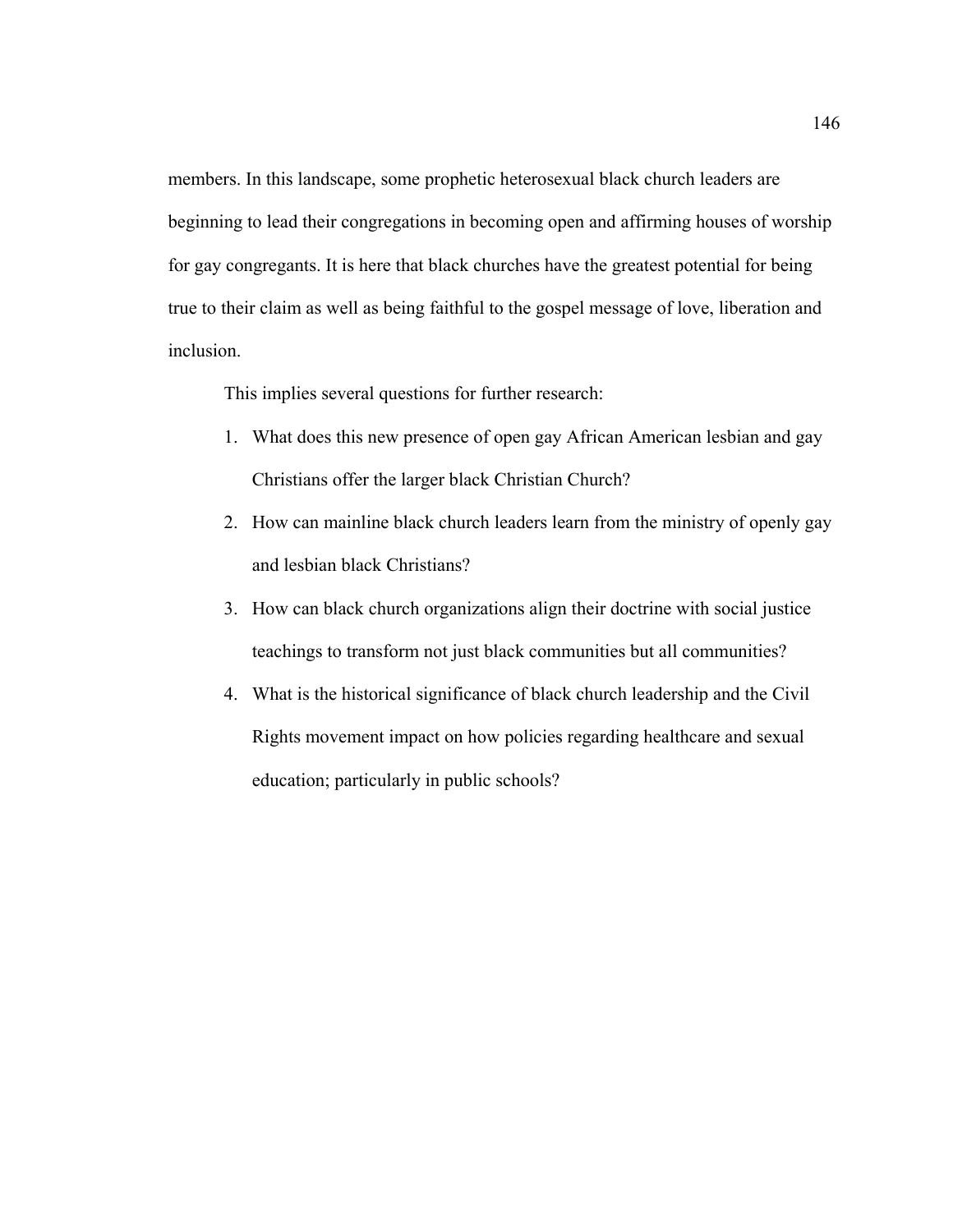members. In this landscape, some prophetic heterosexual black church leaders are beginning to lead their congregations in becoming open and affirming houses of worship for gay congregants. It is here that black churches have the greatest potential for being true to their claim as well as being faithful to the gospel message of love, liberation and inclusion.

This implies several questions for further research:

- 1. What does this new presence of open gay African American lesbian and gay Christians offer the larger black Christian Church?
- 2. How can mainline black church leaders learn from the ministry of openly gay and lesbian black Christians?
- 3. How can black church organizations align their doctrine with social justice teachings to transform not just black communities but all communities?
- 4. What is the historical significance of black church leadership and the Civil Rights movement impact on how policies regarding healthcare and sexual education; particularly in public schools?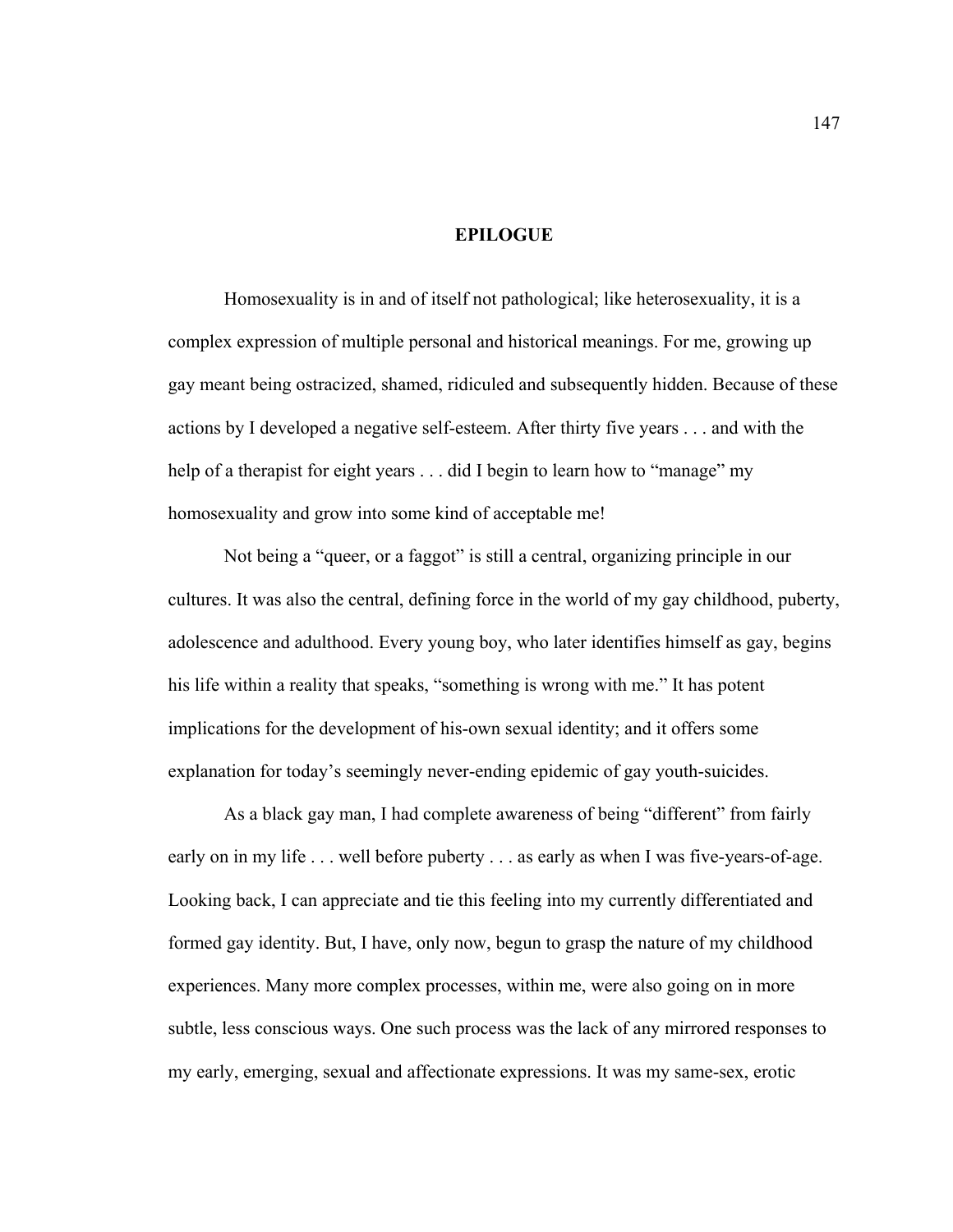## **EPILOGUE**

Homosexuality is in and of itself not pathological; like heterosexuality, it is a complex expression of multiple personal and historical meanings. For me, growing up gay meant being ostracized, shamed, ridiculed and subsequently hidden. Because of these actions by I developed a negative self-esteem. After thirty five years . . . and with the help of a therapist for eight years . . . did I begin to learn how to "manage" my homosexuality and grow into some kind of acceptable me!

Not being a "queer, or a faggot" is still a central, organizing principle in our cultures. It was also the central, defining force in the world of my gay childhood, puberty, adolescence and adulthood. Every young boy, who later identifies himself as gay, begins his life within a reality that speaks, "something is wrong with me." It has potent implications for the development of his-own sexual identity; and it offers some explanation for today's seemingly never-ending epidemic of gay youth-suicides.

As a black gay man, I had complete awareness of being "different" from fairly early on in my life . . . well before puberty . . . as early as when I was five-years-of-age. Looking back, I can appreciate and tie this feeling into my currently differentiated and formed gay identity. But, I have, only now, begun to grasp the nature of my childhood experiences. Many more complex processes, within me, were also going on in more subtle, less conscious ways. One such process was the lack of any mirrored responses to my early, emerging, sexual and affectionate expressions. It was my same-sex, erotic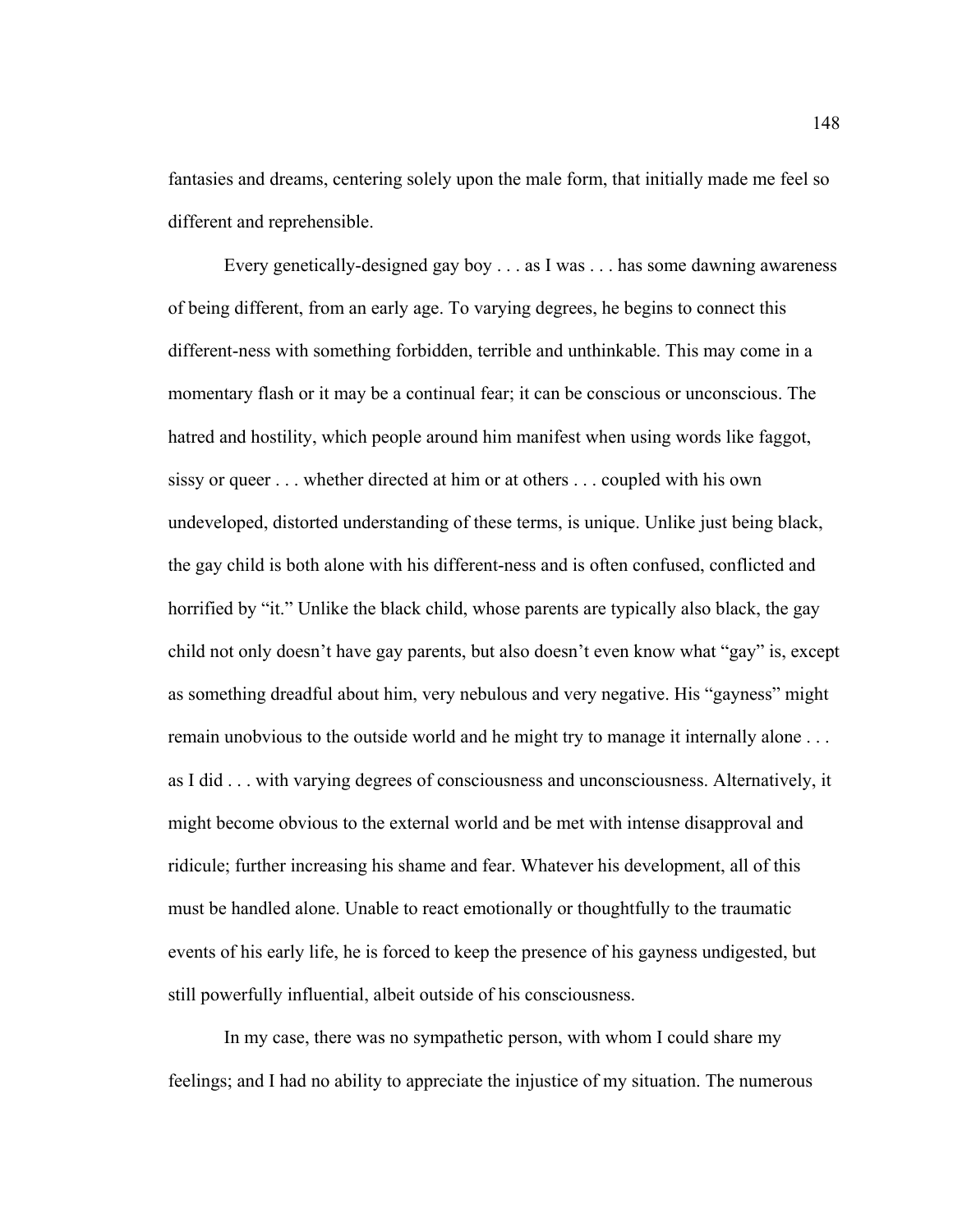fantasies and dreams, centering solely upon the male form, that initially made me feel so different and reprehensible.

Every genetically-designed gay boy . . . as I was . . . has some dawning awareness of being different, from an early age. To varying degrees, he begins to connect this different-ness with something forbidden, terrible and unthinkable. This may come in a momentary flash or it may be a continual fear; it can be conscious or unconscious. The hatred and hostility, which people around him manifest when using words like faggot, sissy or queer . . . whether directed at him or at others . . . coupled with his own undeveloped, distorted understanding of these terms, is unique. Unlike just being black, the gay child is both alone with his different-ness and is often confused, conflicted and horrified by "it." Unlike the black child, whose parents are typically also black, the gay child not only doesn't have gay parents, but also doesn't even know what "gay" is, except as something dreadful about him, very nebulous and very negative. His "gayness" might remain unobvious to the outside world and he might try to manage it internally alone . . . as I did . . . with varying degrees of consciousness and unconsciousness. Alternatively, it might become obvious to the external world and be met with intense disapproval and ridicule; further increasing his shame and fear. Whatever his development, all of this must be handled alone. Unable to react emotionally or thoughtfully to the traumatic events of his early life, he is forced to keep the presence of his gayness undigested, but still powerfully influential, albeit outside of his consciousness.

In my case, there was no sympathetic person, with whom I could share my feelings; and I had no ability to appreciate the injustice of my situation. The numerous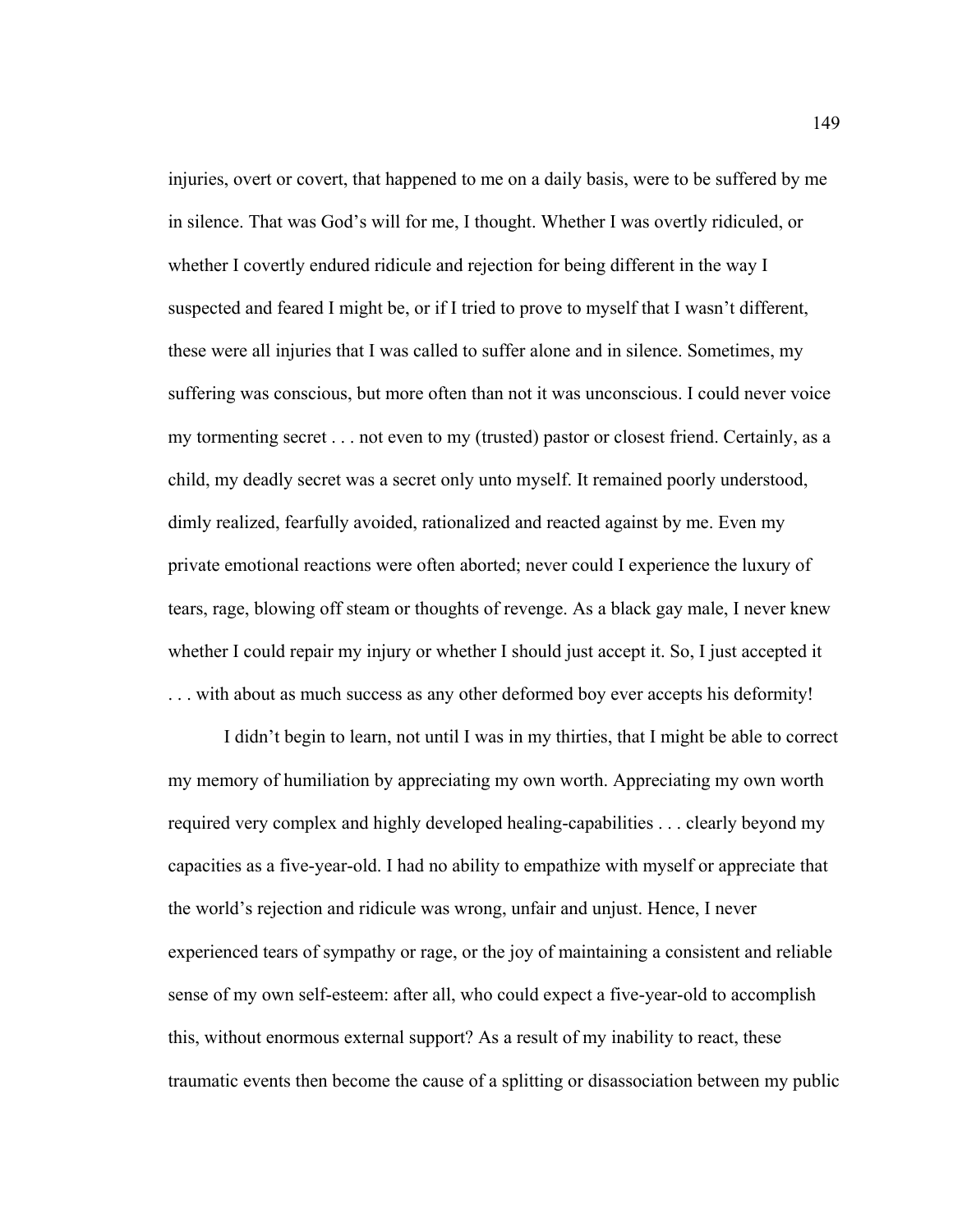injuries, overt or covert, that happened to me on a daily basis, were to be suffered by me in silence. That was God's will for me, I thought. Whether I was overtly ridiculed, or whether I covertly endured ridicule and rejection for being different in the way I suspected and feared I might be, or if I tried to prove to myself that I wasn't different, these were all injuries that I was called to suffer alone and in silence. Sometimes, my suffering was conscious, but more often than not it was unconscious. I could never voice my tormenting secret . . . not even to my (trusted) pastor or closest friend. Certainly, as a child, my deadly secret was a secret only unto myself. It remained poorly understood, dimly realized, fearfully avoided, rationalized and reacted against by me. Even my private emotional reactions were often aborted; never could I experience the luxury of tears, rage, blowing off steam or thoughts of revenge. As a black gay male, I never knew whether I could repair my injury or whether I should just accept it. So, I just accepted it . . . with about as much success as any other deformed boy ever accepts his deformity!

I didn't begin to learn, not until I was in my thirties, that I might be able to correct my memory of humiliation by appreciating my own worth. Appreciating my own worth required very complex and highly developed healing-capabilities . . . clearly beyond my capacities as a five-year-old. I had no ability to empathize with myself or appreciate that the world's rejection and ridicule was wrong, unfair and unjust. Hence, I never experienced tears of sympathy or rage, or the joy of maintaining a consistent and reliable sense of my own self-esteem: after all, who could expect a five-year-old to accomplish this, without enormous external support? As a result of my inability to react, these traumatic events then become the cause of a splitting or disassociation between my public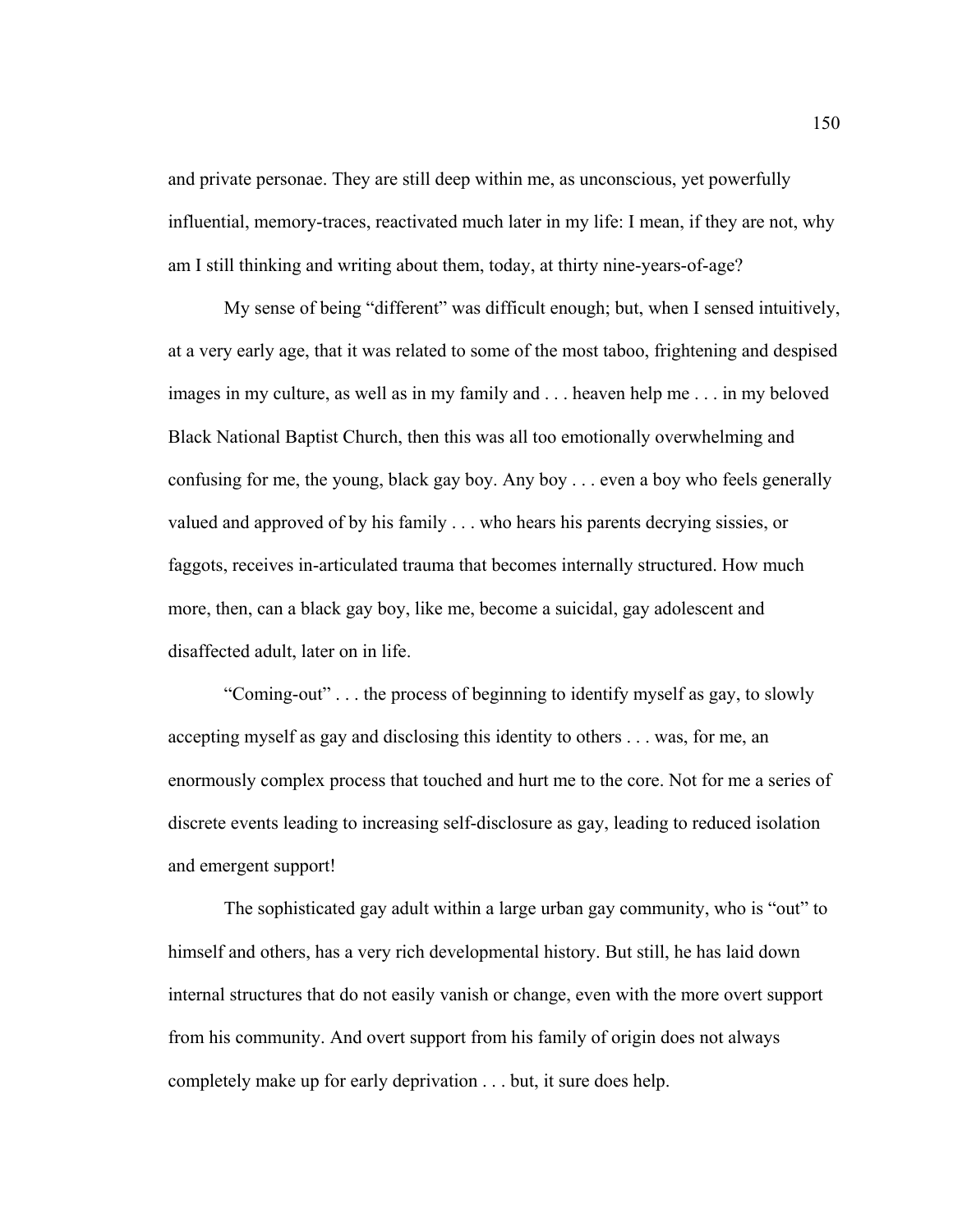and private personae. They are still deep within me, as unconscious, yet powerfully influential, memory-traces, reactivated much later in my life: I mean, if they are not, why am I still thinking and writing about them, today, at thirty nine-years-of-age?

My sense of being "different" was difficult enough; but, when I sensed intuitively, at a very early age, that it was related to some of the most taboo, frightening and despised images in my culture, as well as in my family and . . . heaven help me . . . in my beloved Black National Baptist Church, then this was all too emotionally overwhelming and confusing for me, the young, black gay boy. Any boy . . . even a boy who feels generally valued and approved of by his family . . . who hears his parents decrying sissies, or faggots, receives in-articulated trauma that becomes internally structured. How much more, then, can a black gay boy, like me, become a suicidal, gay adolescent and disaffected adult, later on in life.

"Coming-out" . . . the process of beginning to identify myself as gay, to slowly accepting myself as gay and disclosing this identity to others . . . was, for me, an enormously complex process that touched and hurt me to the core. Not for me a series of discrete events leading to increasing self-disclosure as gay, leading to reduced isolation and emergent support!

The sophisticated gay adult within a large urban gay community, who is "out" to himself and others, has a very rich developmental history. But still, he has laid down internal structures that do not easily vanish or change, even with the more overt support from his community. And overt support from his family of origin does not always completely make up for early deprivation . . . but, it sure does help.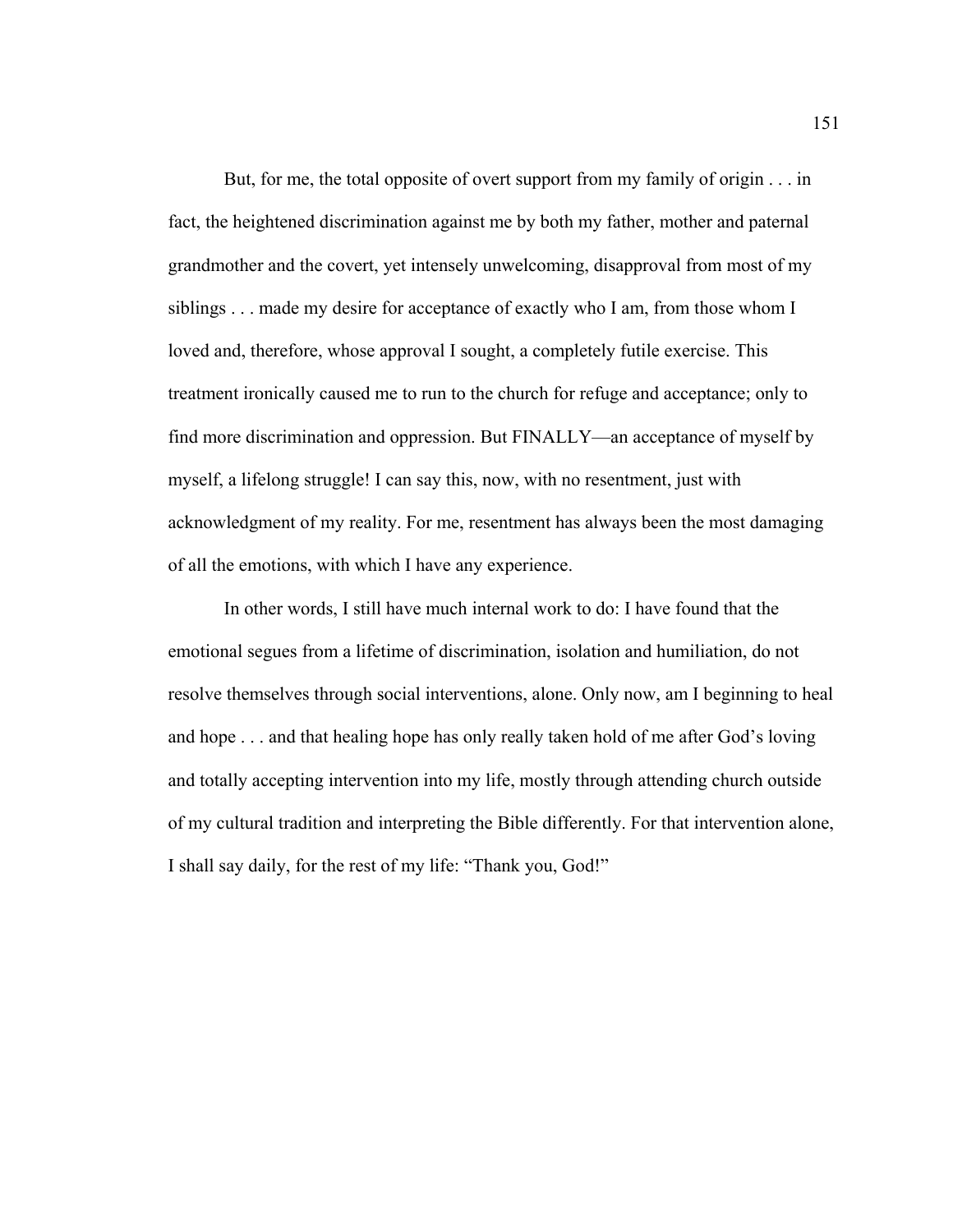But, for me, the total opposite of overt support from my family of origin . . . in fact, the heightened discrimination against me by both my father, mother and paternal grandmother and the covert, yet intensely unwelcoming, disapproval from most of my siblings . . . made my desire for acceptance of exactly who I am, from those whom I loved and, therefore, whose approval I sought, a completely futile exercise. This treatment ironically caused me to run to the church for refuge and acceptance; only to find more discrimination and oppression. But FINALLY—an acceptance of myself by myself, a lifelong struggle! I can say this, now, with no resentment, just with acknowledgment of my reality. For me, resentment has always been the most damaging of all the emotions, with which I have any experience.

In other words, I still have much internal work to do: I have found that the emotional segues from a lifetime of discrimination, isolation and humiliation, do not resolve themselves through social interventions, alone. Only now, am I beginning to heal and hope . . . and that healing hope has only really taken hold of me after God's loving and totally accepting intervention into my life, mostly through attending church outside of my cultural tradition and interpreting the Bible differently. For that intervention alone, I shall say daily, for the rest of my life: "Thank you, God!"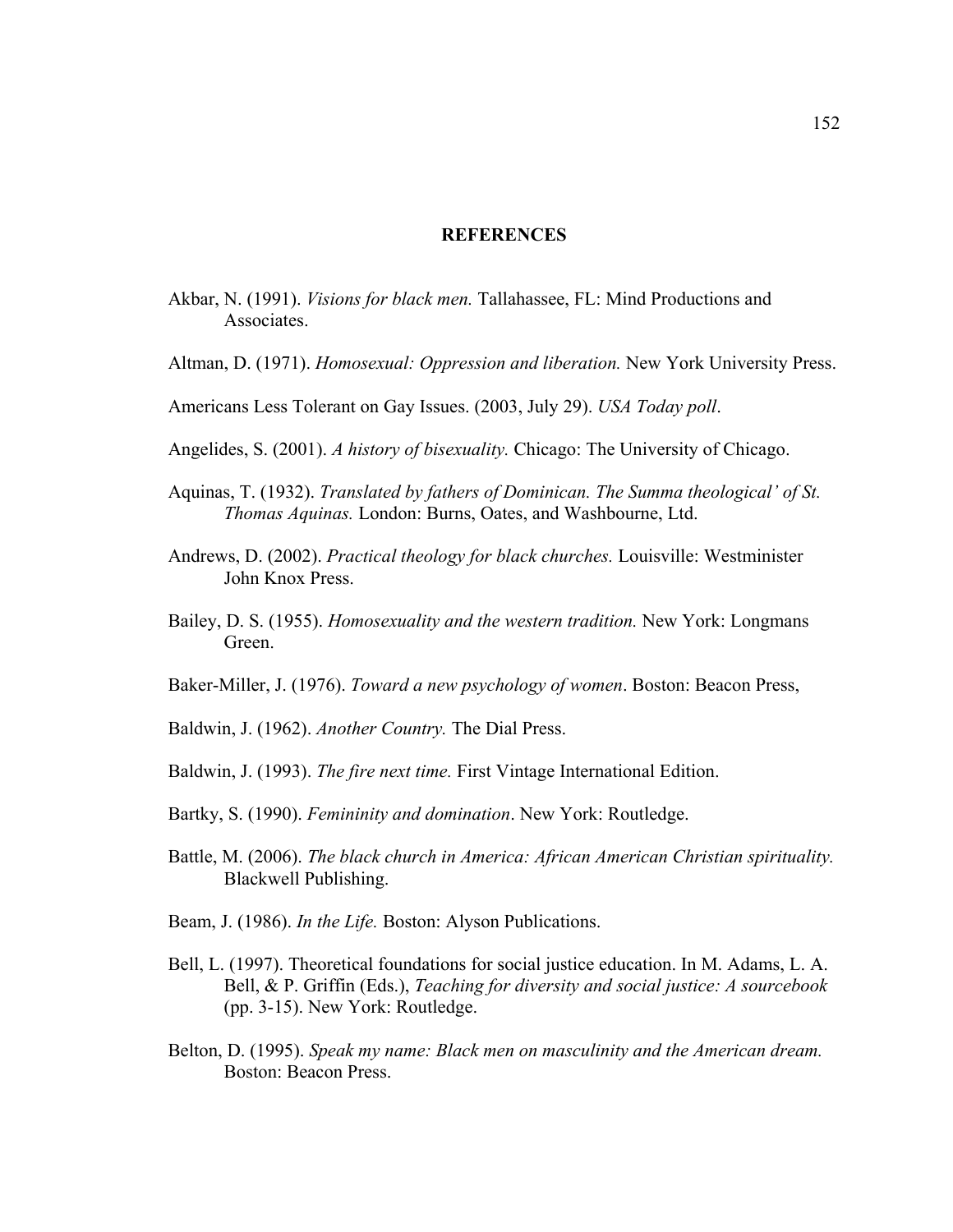## **REFERENCES**

- Akbar, N. (1991). *Visions for black men.* Tallahassee, FL: Mind Productions and **Associates**
- Altman, D. (1971). *Homosexual: Oppression and liberation.* New York University Press.
- Americans Less Tolerant on Gay Issues. (2003, July 29). *USA Today poll*.
- Angelides, S. (2001). *A history of bisexuality.* Chicago: The University of Chicago.
- Aquinas, T. (1932). *Translated by fathers of Dominican. The Summa theological' of St. Thomas Aquinas.* London: Burns, Oates, and Washbourne, Ltd.
- Andrews, D. (2002). *Practical theology for black churches.* Louisville: Westminister John Knox Press.
- Bailey, D. S. (1955). *Homosexuality and the western tradition.* New York: Longmans Green.
- Baker-Miller, J. (1976). *Toward a new psychology of women*. Boston: Beacon Press,
- Baldwin, J. (1962). *Another Country.* The Dial Press.
- Baldwin, J. (1993). *The fire next time.* First Vintage International Edition.
- Bartky, S. (1990). *Femininity and domination*. New York: Routledge.
- Battle, M. (2006). *The black church in America: African American Christian spirituality.*  Blackwell Publishing.
- Beam, J. (1986). *In the Life.* Boston: Alyson Publications.
- Bell, L. (1997). Theoretical foundations for social justice education. In M. Adams, L. A. Bell, & P. Griffin (Eds.), *Teaching for diversity and social justice: A sourcebook*  (pp. 3-15). New York: Routledge.
- Belton, D. (1995). *Speak my name: Black men on masculinity and the American dream.*  Boston: Beacon Press.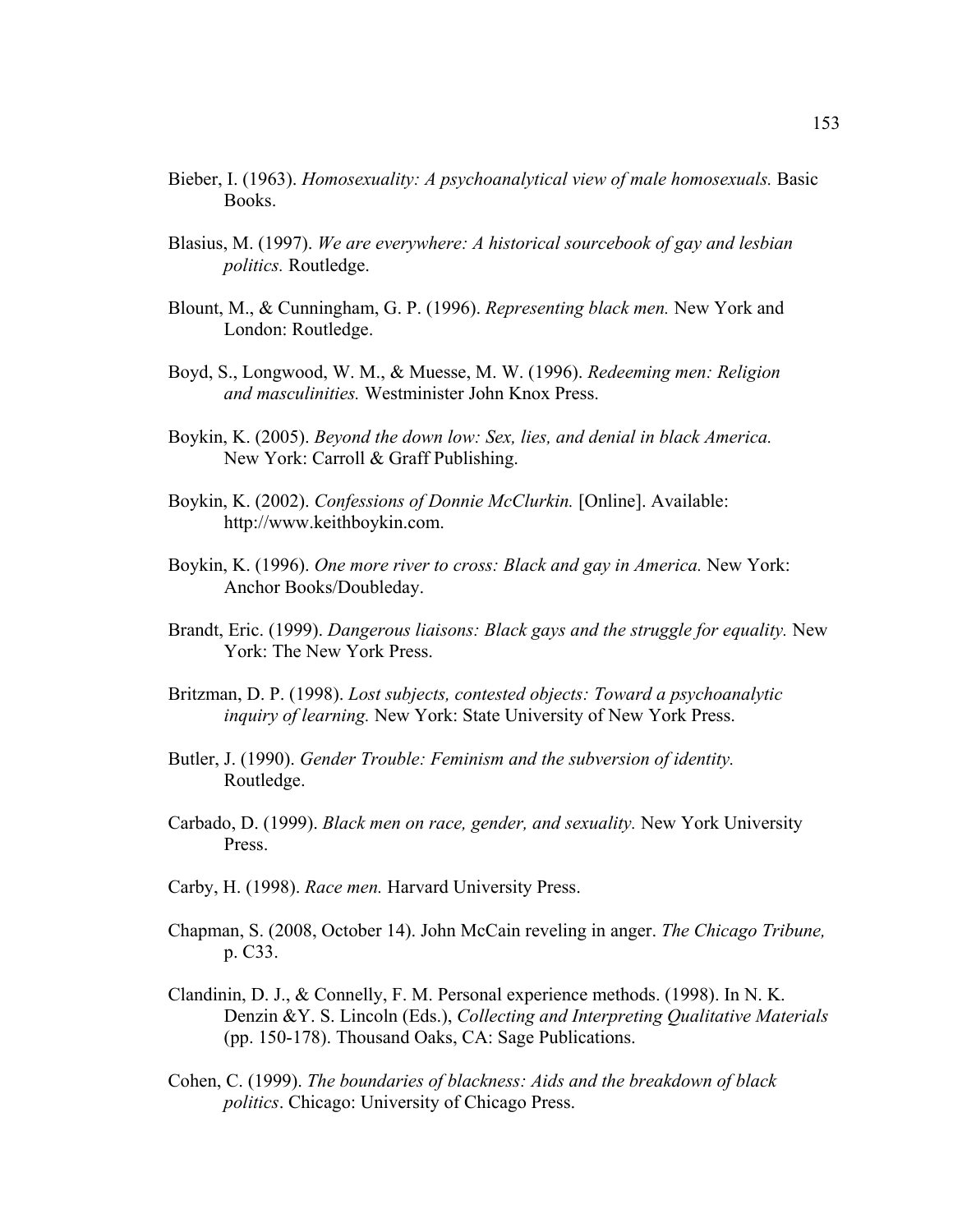- Bieber, I. (1963). *Homosexuality: A psychoanalytical view of male homosexuals.* Basic Books.
- Blasius, M. (1997). *We are everywhere: A historical sourcebook of gay and lesbian politics.* Routledge.
- Blount, M., & Cunningham, G. P. (1996). *Representing black men.* New York and London: Routledge.
- Boyd, S., Longwood, W. M., & Muesse, M. W. (1996). *Redeeming men: Religion and masculinities.* Westminister John Knox Press.
- Boykin, K. (2005). *Beyond the down low: Sex, lies, and denial in black America.*  New York: Carroll & Graff Publishing.
- Boykin, K. (2002). *Confessions of Donnie McClurkin.* [Online]. Available: http://www.keithboykin.com.
- Boykin, K. (1996). *One more river to cross: Black and gay in America.* New York: Anchor Books/Doubleday.
- Brandt, Eric. (1999). *Dangerous liaisons: Black gays and the struggle for equality.* New York: The New York Press.
- Britzman, D. P. (1998). *Lost subjects, contested objects: Toward a psychoanalytic inquiry of learning.* New York: State University of New York Press.
- Butler, J. (1990). *Gender Trouble: Feminism and the subversion of identity.*  Routledge.
- Carbado, D. (1999). *Black men on race, gender, and sexuality.* New York University Press.
- Carby, H. (1998). *Race men.* Harvard University Press.
- Chapman, S. (2008, October 14). John McCain reveling in anger. *The Chicago Tribune,*  p. C33.
- Clandinin, D. J., & Connelly, F. M. Personal experience methods. (1998). In N. K. Denzin &Y. S. Lincoln (Eds.), *Collecting and Interpreting Qualitative Materials*  (pp. 150-178). Thousand Oaks, CA: Sage Publications.
- Cohen, C. (1999). *The boundaries of blackness: Aids and the breakdown of black politics*. Chicago: University of Chicago Press.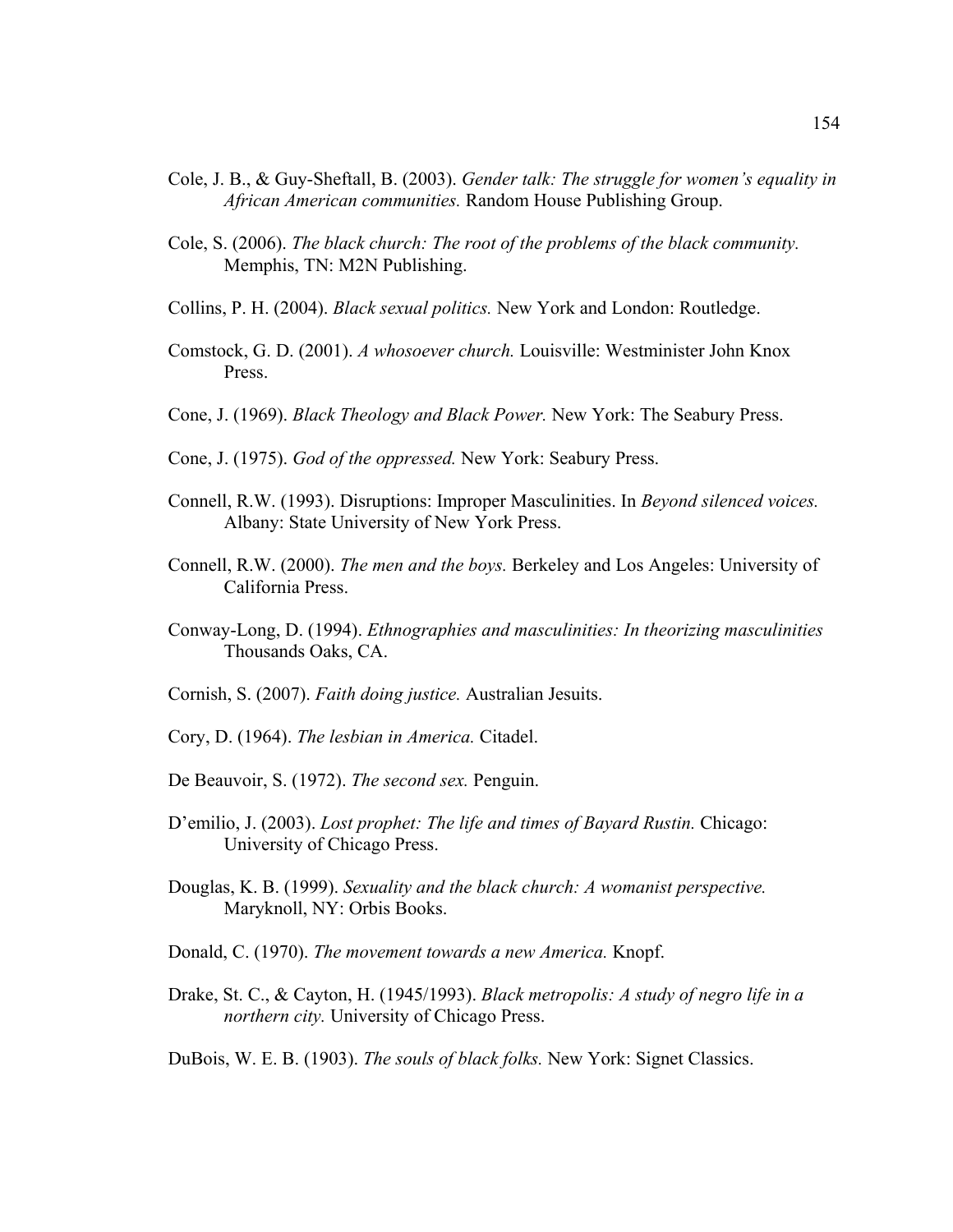- Cole, J. B., & Guy-Sheftall, B. (2003). *Gender talk: The struggle for women's equality in African American communities.* Random House Publishing Group.
- Cole, S. (2006). *The black church: The root of the problems of the black community.*  Memphis, TN: M2N Publishing.
- Collins, P. H. (2004). *Black sexual politics.* New York and London: Routledge.
- Comstock, G. D. (2001). *A whosoever church.* Louisville: Westminister John Knox Press.
- Cone, J. (1969). *Black Theology and Black Power.* New York: The Seabury Press.
- Cone, J. (1975). *God of the oppressed.* New York: Seabury Press.
- Connell, R.W. (1993). Disruptions: Improper Masculinities. In *Beyond silenced voices.*  Albany: State University of New York Press.
- Connell, R.W. (2000). *The men and the boys.* Berkeley and Los Angeles: University of California Press.
- Conway-Long, D. (1994). *Ethnographies and masculinities: In theorizing masculinities*  Thousands Oaks, CA.
- Cornish, S. (2007). *Faith doing justice.* Australian Jesuits.
- Cory, D. (1964). *The lesbian in America.* Citadel.
- De Beauvoir, S. (1972). *The second sex.* Penguin.
- D'emilio, J. (2003). *Lost prophet: The life and times of Bayard Rustin.* Chicago: University of Chicago Press.
- Douglas, K. B. (1999). *Sexuality and the black church: A womanist perspective.*  Maryknoll, NY: Orbis Books.
- Donald, C. (1970). *The movement towards a new America.* Knopf.
- Drake, St. C., & Cayton, H. (1945/1993). *Black metropolis: A study of negro life in a northern city.* University of Chicago Press.

DuBois, W. E. B. (1903). *The souls of black folks.* New York: Signet Classics.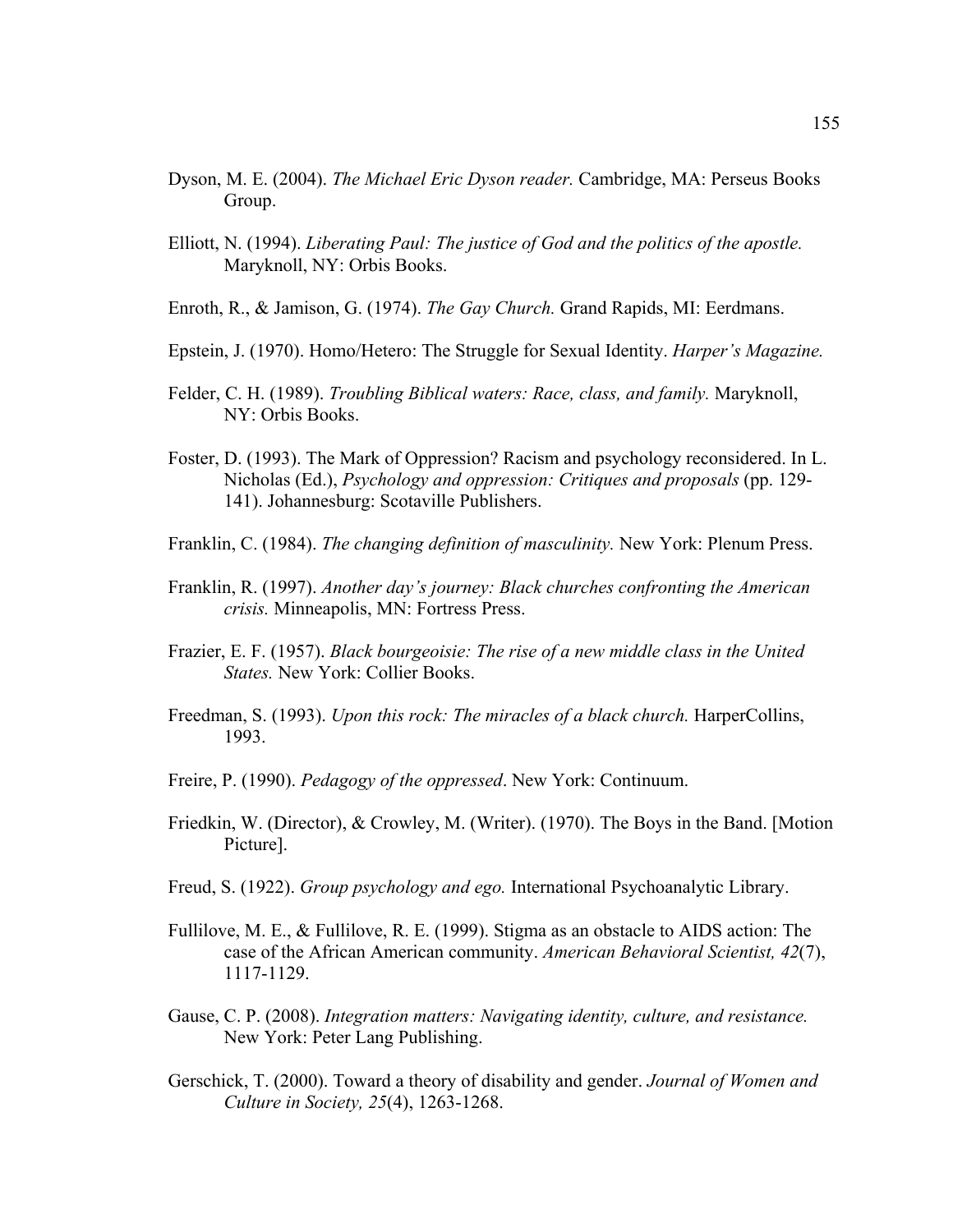- Dyson, M. E. (2004). *The Michael Eric Dyson reader.* Cambridge, MA: Perseus Books Group.
- Elliott, N. (1994). *Liberating Paul: The justice of God and the politics of the apostle.*  Maryknoll, NY: Orbis Books.
- Enroth, R., & Jamison, G. (1974). *The Gay Church.* Grand Rapids, MI: Eerdmans.
- Epstein, J. (1970). Homo/Hetero: The Struggle for Sexual Identity. *Harper's Magazine.*
- Felder, C. H. (1989). *Troubling Biblical waters: Race, class, and family.* Maryknoll, NY: Orbis Books.
- Foster, D. (1993). The Mark of Oppression? Racism and psychology reconsidered. In L. Nicholas (Ed.), *Psychology and oppression: Critiques and proposals* (pp. 129- 141). Johannesburg: Scotaville Publishers.
- Franklin, C. (1984). *The changing definition of masculinity.* New York: Plenum Press.
- Franklin, R. (1997). *Another day's journey: Black churches confronting the American crisis.* Minneapolis, MN: Fortress Press.
- Frazier, E. F. (1957). *Black bourgeoisie: The rise of a new middle class in the United States.* New York: Collier Books.
- Freedman, S. (1993). *Upon this rock: The miracles of a black church*. HarperCollins, 1993.
- Freire, P. (1990). *Pedagogy of the oppressed*. New York: Continuum.
- Friedkin, W. (Director), & Crowley, M. (Writer). (1970). The Boys in the Band. [Motion Picture].
- Freud, S. (1922). *Group psychology and ego.* International Psychoanalytic Library.
- Fullilove, M. E., & Fullilove, R. E. (1999). Stigma as an obstacle to AIDS action: The case of the African American community. *American Behavioral Scientist, 42*(7), 1117-1129.
- Gause, C. P. (2008). *Integration matters: Navigating identity, culture, and resistance.*  New York: Peter Lang Publishing.
- Gerschick, T. (2000). Toward a theory of disability and gender. *Journal of Women and Culture in Society, 25*(4), 1263-1268.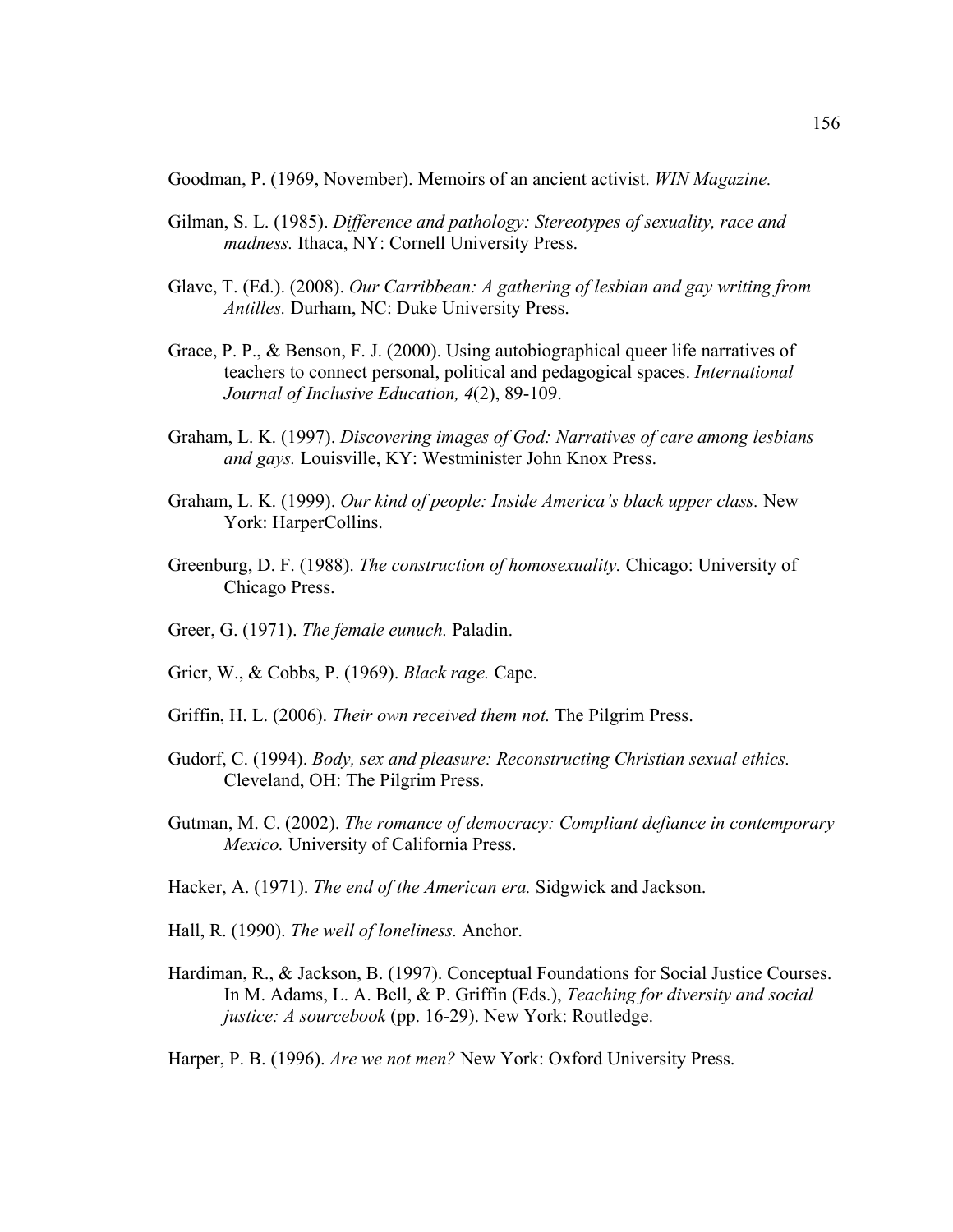Goodman, P. (1969, November). Memoirs of an ancient activist. *WIN Magazine.* 

- Gilman, S. L. (1985). *Difference and pathology: Stereotypes of sexuality, race and madness.* Ithaca, NY: Cornell University Press.
- Glave, T. (Ed.). (2008). *Our Carribbean: A gathering of lesbian and gay writing from Antilles.* Durham, NC: Duke University Press.
- Grace, P. P., & Benson, F. J. (2000). Using autobiographical queer life narratives of teachers to connect personal, political and pedagogical spaces. *International Journal of Inclusive Education, 4*(2), 89-109.
- Graham, L. K. (1997). *Discovering images of God: Narratives of care among lesbians and gays.* Louisville, KY: Westminister John Knox Press.
- Graham, L. K. (1999). *Our kind of people: Inside America's black upper class.* New York: HarperCollins.
- Greenburg, D. F. (1988). *The construction of homosexuality.* Chicago: University of Chicago Press.
- Greer, G. (1971). *The female eunuch.* Paladin.
- Grier, W., & Cobbs, P. (1969). *Black rage.* Cape.
- Griffin, H. L. (2006). *Their own received them not.* The Pilgrim Press.
- Gudorf, C. (1994). *Body, sex and pleasure: Reconstructing Christian sexual ethics.*  Cleveland, OH: The Pilgrim Press.
- Gutman, M. C. (2002). *The romance of democracy: Compliant defiance in contemporary Mexico.* University of California Press.
- Hacker, A. (1971). *The end of the American era.* Sidgwick and Jackson.
- Hall, R. (1990). *The well of loneliness.* Anchor.
- Hardiman, R., & Jackson, B. (1997). Conceptual Foundations for Social Justice Courses. In M. Adams, L. A. Bell, & P. Griffin (Eds.), *Teaching for diversity and social justice: A sourcebook* (pp. 16-29). New York: Routledge.
- Harper, P. B. (1996). *Are we not men?* New York: Oxford University Press.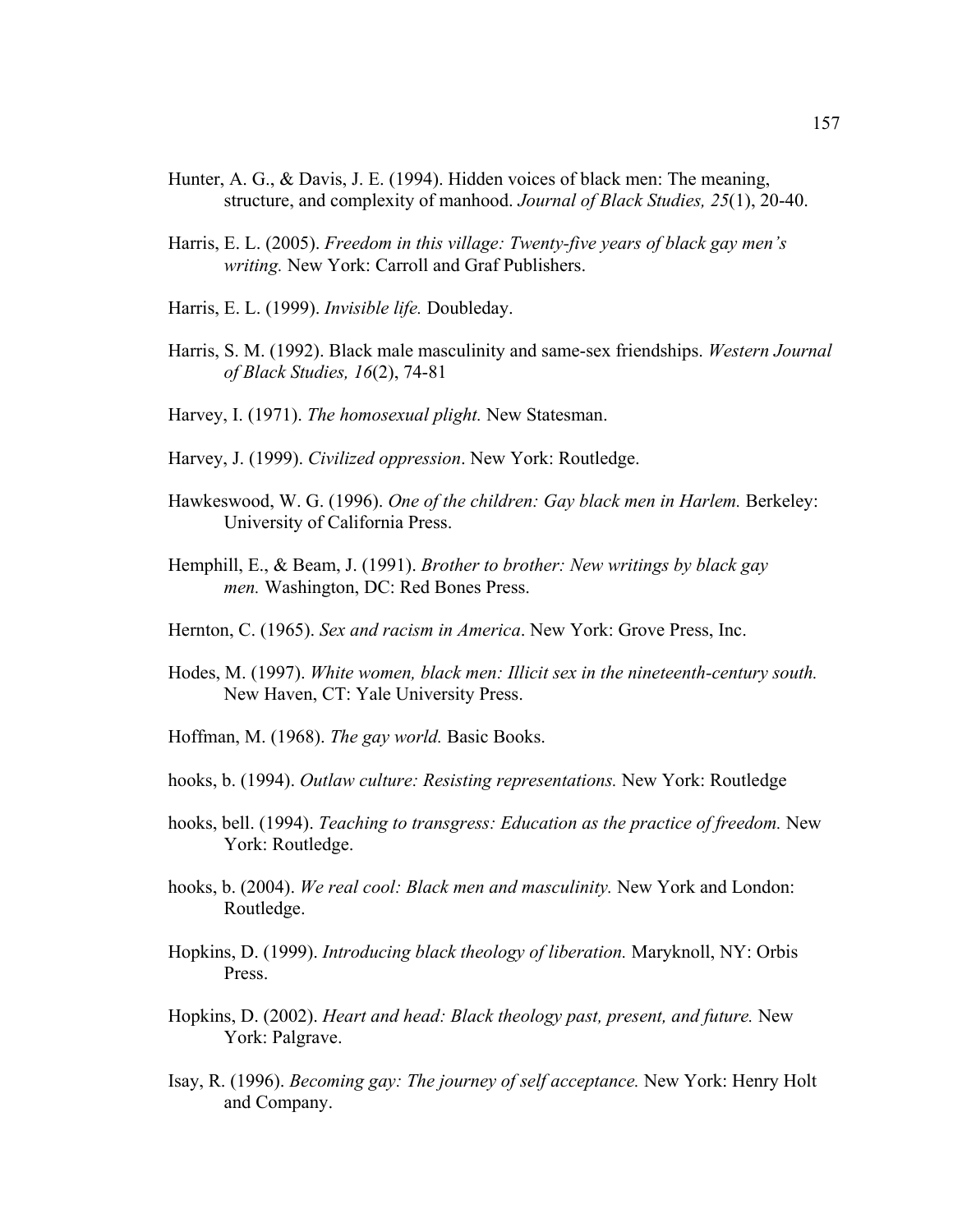- Hunter, A. G., & Davis, J. E. (1994). Hidden voices of black men: The meaning, structure, and complexity of manhood. *Journal of Black Studies, 25*(1), 20-40.
- Harris, E. L. (2005). *Freedom in this village: Twenty-five years of black gay men's writing.* New York: Carroll and Graf Publishers.
- Harris, E. L. (1999). *Invisible life.* Doubleday.
- Harris, S. M. (1992). Black male masculinity and same-sex friendships. *Western Journal of Black Studies, 16*(2), 74-81
- Harvey, I. (1971). *The homosexual plight.* New Statesman.
- Harvey, J. (1999). *Civilized oppression*. New York: Routledge.
- Hawkeswood, W. G. (1996). *One of the children: Gay black men in Harlem.* Berkeley: University of California Press.
- Hemphill, E., & Beam, J. (1991). *Brother to brother: New writings by black gay men.* Washington, DC: Red Bones Press.
- Hernton, C. (1965). *Sex and racism in America*. New York: Grove Press, Inc.
- Hodes, M. (1997). *White women, black men: Illicit sex in the nineteenth-century south.* New Haven, CT: Yale University Press.
- Hoffman, M. (1968). *The gay world.* Basic Books.
- hooks, b. (1994). *Outlaw culture: Resisting representations.* New York: Routledge
- hooks, bell. (1994). *Teaching to transgress: Education as the practice of freedom.* New York: Routledge.
- hooks, b. (2004). *We real cool: Black men and masculinity.* New York and London: Routledge.
- Hopkins, D. (1999). *Introducing black theology of liberation.* Maryknoll, NY: Orbis Press.
- Hopkins, D. (2002). *Heart and head: Black theology past, present, and future.* New York: Palgrave.
- Isay, R. (1996). *Becoming gay: The journey of self acceptance.* New York: Henry Holt and Company.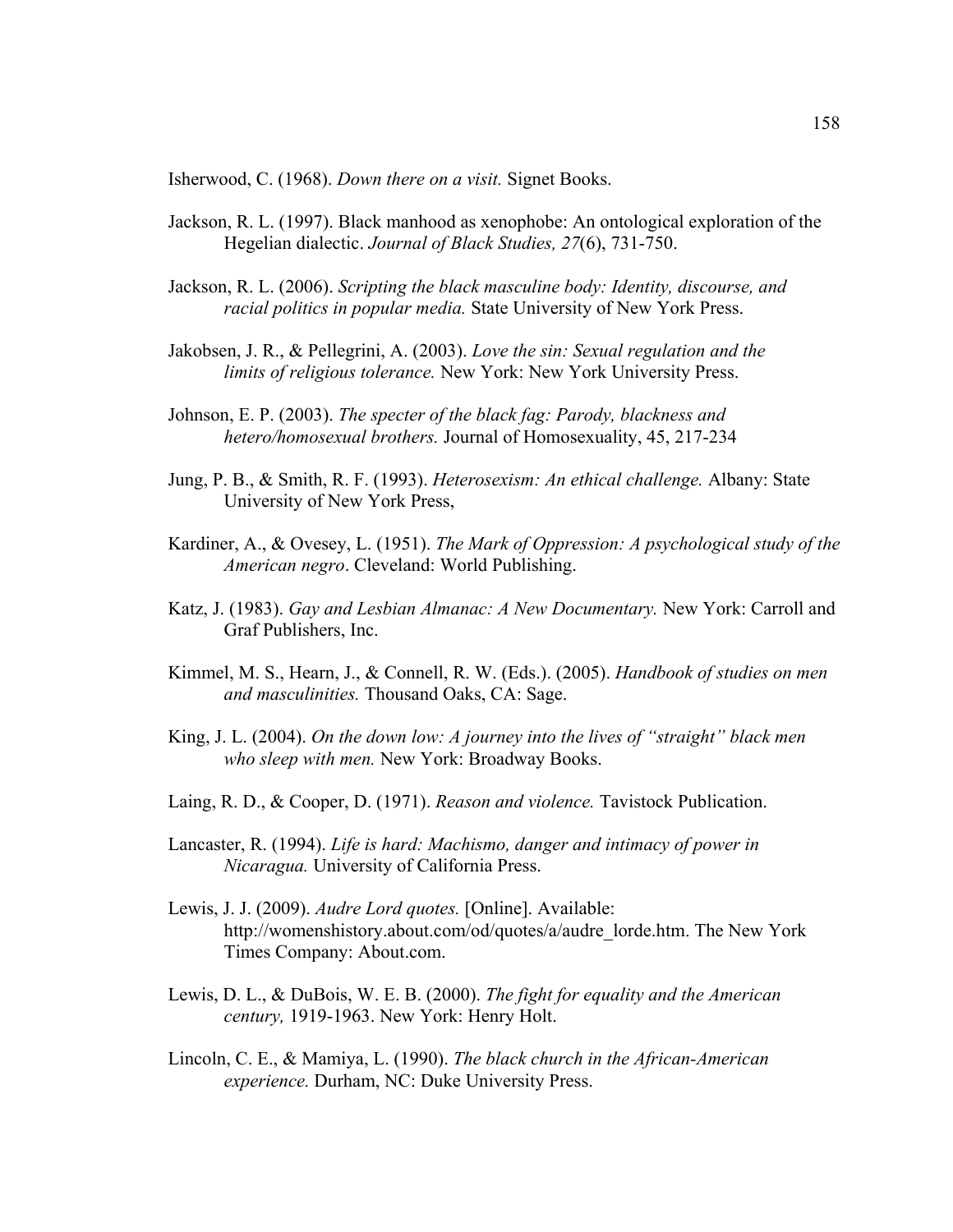Isherwood, C. (1968). *Down there on a visit.* Signet Books.

- Jackson, R. L. (1997). Black manhood as xenophobe: An ontological exploration of the Hegelian dialectic. *Journal of Black Studies, 27*(6), 731-750.
- Jackson, R. L. (2006). *Scripting the black masculine body: Identity, discourse, and racial politics in popular media.* State University of New York Press.
- Jakobsen, J. R., & Pellegrini, A. (2003). *Love the sin: Sexual regulation and the limits of religious tolerance.* New York: New York University Press.
- Johnson, E. P. (2003). *The specter of the black fag: Parody, blackness and hetero/homosexual brothers.* Journal of Homosexuality, 45, 217-234
- Jung, P. B., & Smith, R. F. (1993). *Heterosexism: An ethical challenge.* Albany: State University of New York Press,
- Kardiner, A., & Ovesey, L. (1951). *The Mark of Oppression: A psychological study of the American negro*. Cleveland: World Publishing.
- Katz, J. (1983). *Gay and Lesbian Almanac: A New Documentary.* New York: Carroll and Graf Publishers, Inc.
- Kimmel, M. S., Hearn, J., & Connell, R. W. (Eds.). (2005). *Handbook of studies on men and masculinities.* Thousand Oaks, CA: Sage.
- King, J. L. (2004). *On the down low: A journey into the lives of "straight" black men who sleep with men.* New York: Broadway Books.
- Laing, R. D., & Cooper, D. (1971). *Reason and violence.* Tavistock Publication.
- Lancaster, R. (1994). *Life is hard: Machismo, danger and intimacy of power in Nicaragua.* University of California Press.
- Lewis, J. J. (2009). *Audre Lord quotes.* [Online]. Available: http://womenshistory.about.com/od/quotes/a/audre\_lorde.htm. The New York Times Company: About.com.
- Lewis, D. L., & DuBois, W. E. B. (2000). *The fight for equality and the American century,* 1919-1963. New York: Henry Holt.
- Lincoln, C. E., & Mamiya, L. (1990). *The black church in the African-American experience.* Durham, NC: Duke University Press.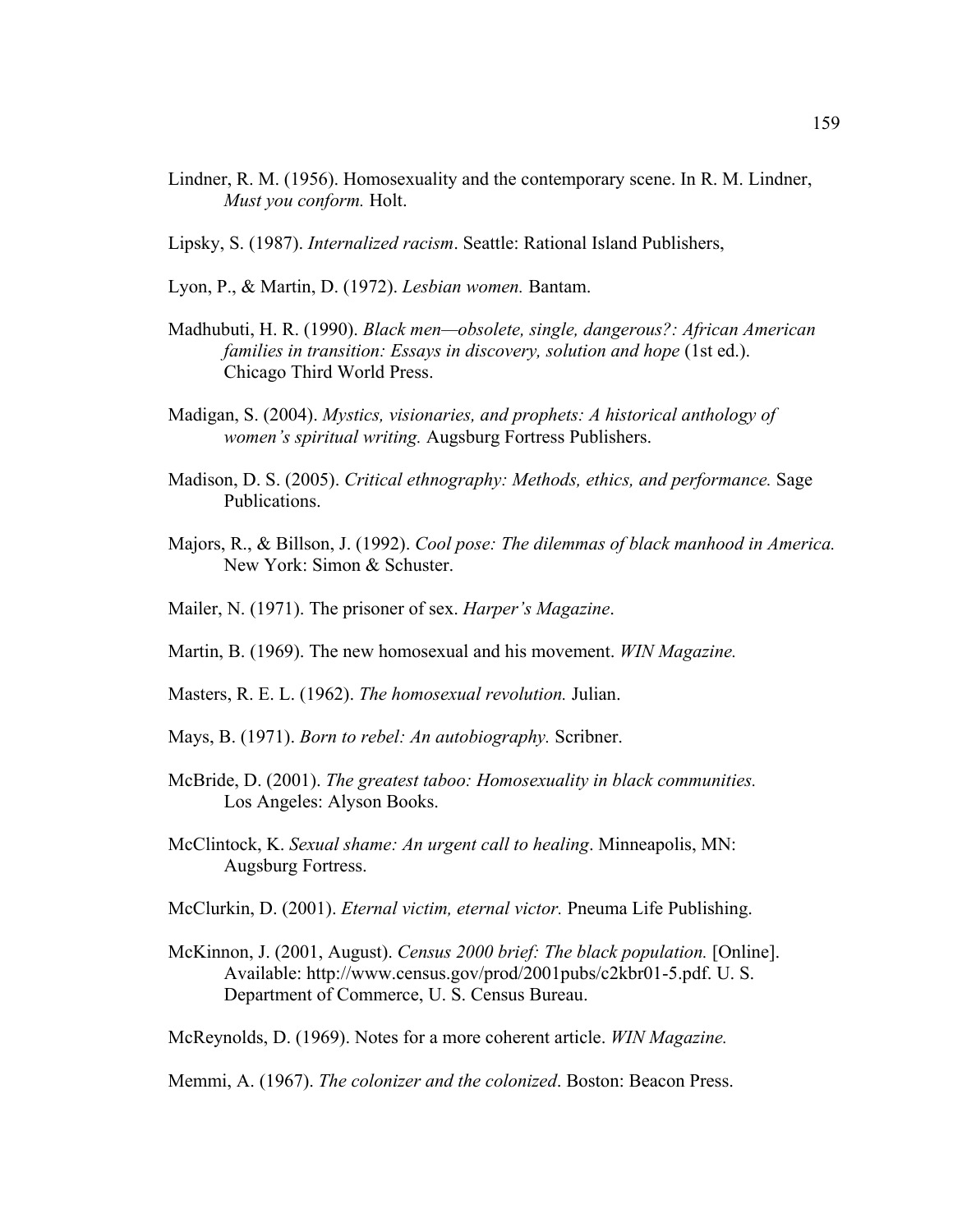- Lindner, R. M. (1956). Homosexuality and the contemporary scene. In R. M. Lindner, *Must you conform.* Holt.
- Lipsky, S. (1987). *Internalized racism*. Seattle: Rational Island Publishers,
- Lyon, P., & Martin, D. (1972). *Lesbian women.* Bantam.
- Madhubuti, H. R. (1990). *Black men—obsolete, single, dangerous?: African American families in transition: Essays in discovery, solution and hope* (1st ed.). Chicago Third World Press.
- Madigan, S. (2004). *Mystics, visionaries, and prophets: A historical anthology of women's spiritual writing.* Augsburg Fortress Publishers.
- Madison, D. S. (2005). *Critical ethnography: Methods, ethics, and performance.* Sage Publications.
- Majors, R., & Billson, J. (1992). *Cool pose: The dilemmas of black manhood in America.*  New York: Simon & Schuster.
- Mailer, N. (1971). The prisoner of sex. *Harper's Magazine*.
- Martin, B. (1969). The new homosexual and his movement. *WIN Magazine.*
- Masters, R. E. L. (1962). *The homosexual revolution.* Julian.
- Mays, B. (1971). *Born to rebel: An autobiography.* Scribner.
- McBride, D. (2001). *The greatest taboo: Homosexuality in black communities.*  Los Angeles: Alyson Books.
- McClintock, K. *Sexual shame: An urgent call to healing*. Minneapolis, MN: Augsburg Fortress.
- McClurkin, D. (2001). *Eternal victim, eternal victor.* Pneuma Life Publishing.
- McKinnon, J. (2001, August). *Census 2000 brief: The black population.* [Online]. Available: http://www.census.gov/prod/2001pubs/c2kbr01-5.pdf. U. S. Department of Commerce, U. S. Census Bureau.
- McReynolds, D. (1969). Notes for a more coherent article. *WIN Magazine.*

Memmi, A. (1967). *The colonizer and the colonized*. Boston: Beacon Press.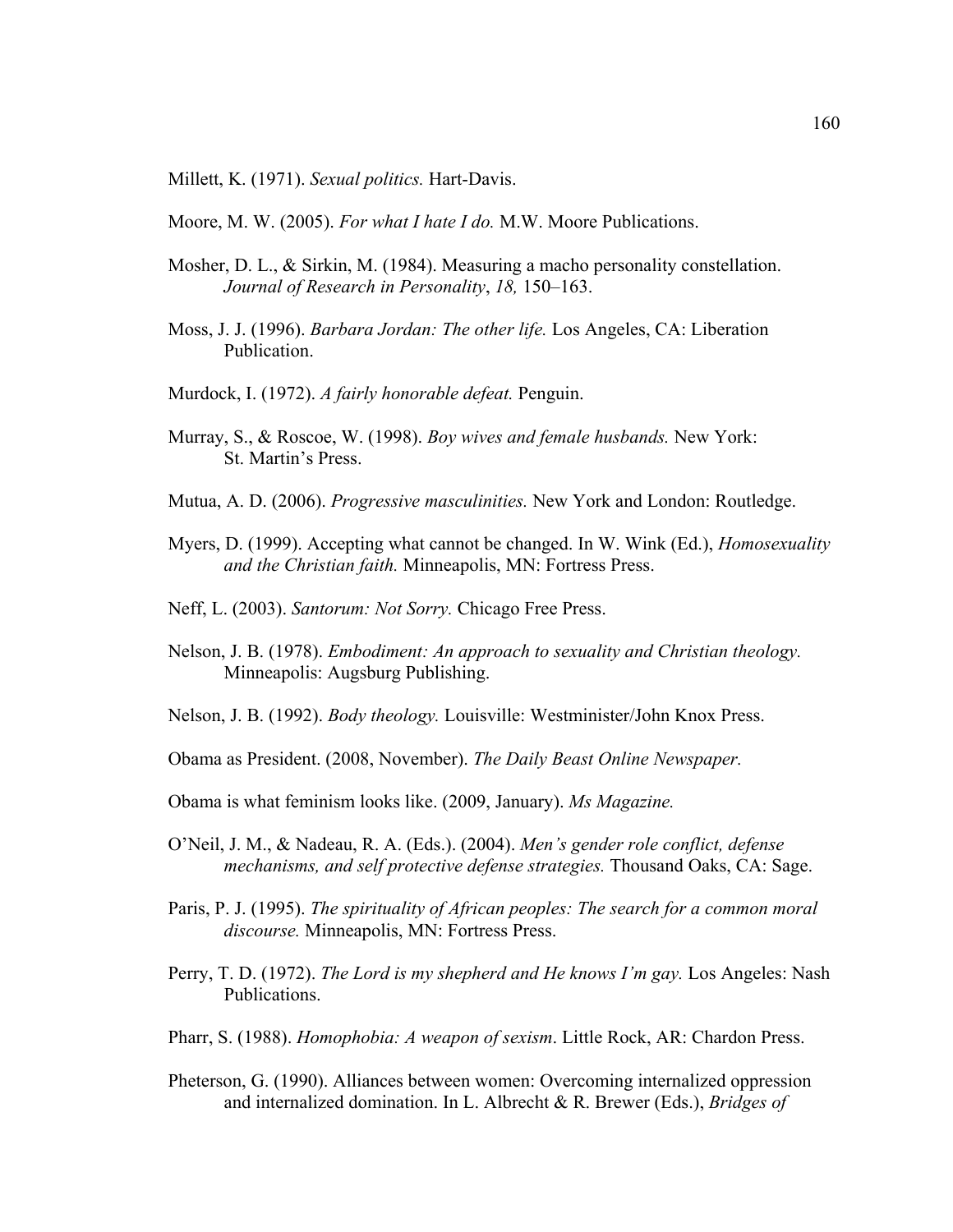Millett, K. (1971). *Sexual politics.* Hart-Davis.

Moore, M. W. (2005). *For what I hate I do.* M.W. Moore Publications.

- Mosher, D. L., & Sirkin, M. (1984). Measuring a macho personality constellation. *Journal of Research in Personality*, *18,* 150–163.
- Moss, J. J. (1996). *Barbara Jordan: The other life.* Los Angeles, CA: Liberation Publication.
- Murdock, I. (1972). *A fairly honorable defeat.* Penguin.
- Murray, S., & Roscoe, W. (1998). *Boy wives and female husbands.* New York: St. Martin's Press.
- Mutua, A. D. (2006). *Progressive masculinities.* New York and London: Routledge.
- Myers, D. (1999). Accepting what cannot be changed. In W. Wink (Ed.), *Homosexuality and the Christian faith.* Minneapolis, MN: Fortress Press.
- Neff, L. (2003). *Santorum: Not Sorry.* Chicago Free Press.
- Nelson, J. B. (1978). *Embodiment: An approach to sexuality and Christian theology.*  Minneapolis: Augsburg Publishing.
- Nelson, J. B. (1992). *Body theology.* Louisville: Westminister/John Knox Press.
- Obama as President. (2008, November). *The Daily Beast Online Newspaper.*
- Obama is what feminism looks like. (2009, January). *Ms Magazine.*
- O'Neil, J. M., & Nadeau, R. A. (Eds.). (2004). *Men's gender role conflict, defense mechanisms, and self protective defense strategies.* Thousand Oaks, CA: Sage.
- Paris, P. J. (1995). *The spirituality of African peoples: The search for a common moral discourse.* Minneapolis, MN: Fortress Press.
- Perry, T. D. (1972). *The Lord is my shepherd and He knows I'm gay.* Los Angeles: Nash Publications.
- Pharr, S. (1988). *Homophobia: A weapon of sexism*. Little Rock, AR: Chardon Press.
- Pheterson, G. (1990). Alliances between women: Overcoming internalized oppression and internalized domination. In L. Albrecht & R. Brewer (Eds.), *Bridges of*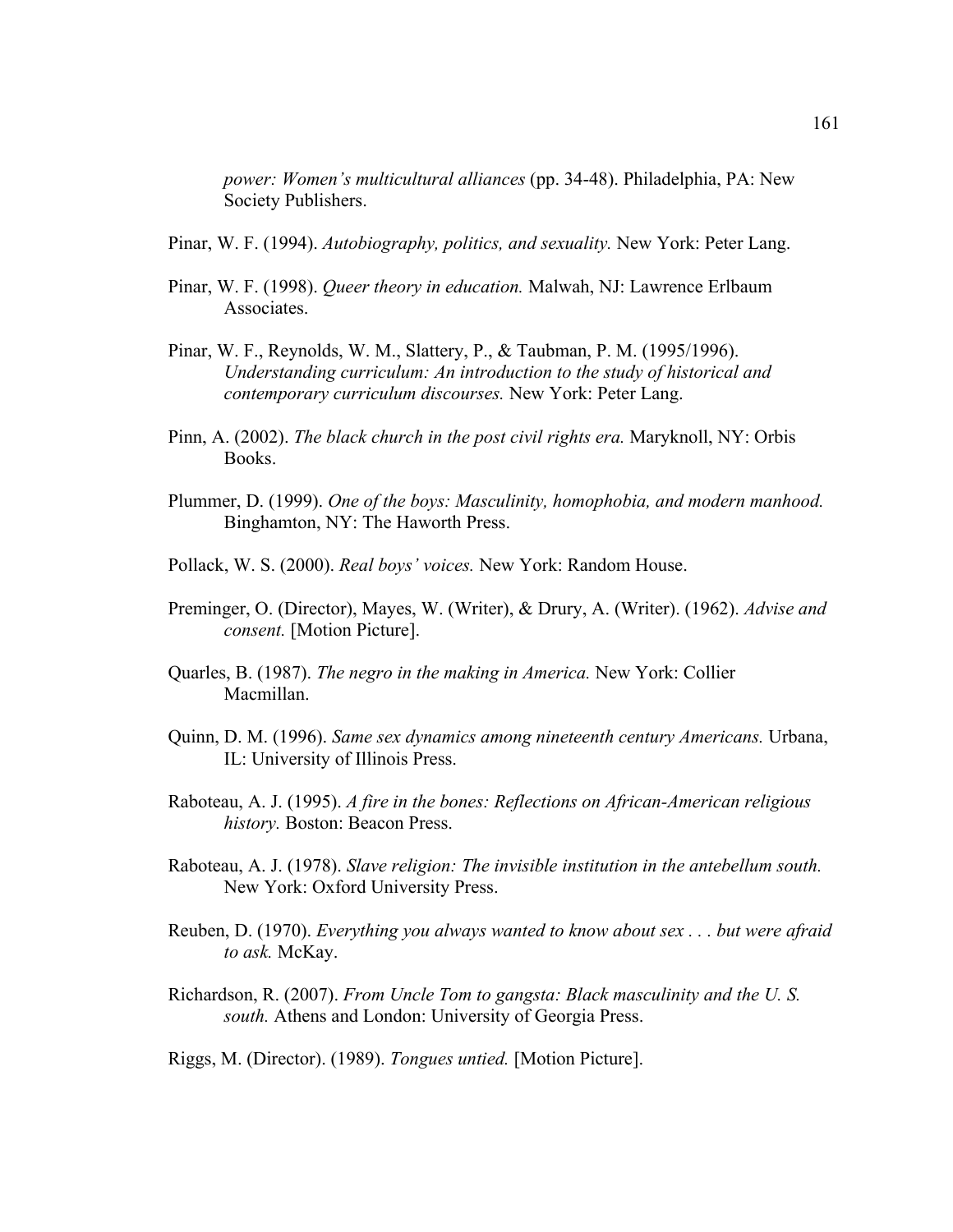*power: Women's multicultural alliances* (pp. 34-48). Philadelphia, PA: New Society Publishers.

Pinar, W. F. (1994). *Autobiography, politics, and sexuality.* New York: Peter Lang.

- Pinar, W. F. (1998). *Queer theory in education.* Malwah, NJ: Lawrence Erlbaum Associates.
- Pinar, W. F., Reynolds, W. M., Slattery, P., & Taubman, P. M. (1995/1996). *Understanding curriculum: An introduction to the study of historical and contemporary curriculum discourses.* New York: Peter Lang.
- Pinn, A. (2002). *The black church in the post civil rights era.* Maryknoll, NY: Orbis Books.
- Plummer, D. (1999). *One of the boys: Masculinity, homophobia, and modern manhood.*  Binghamton, NY: The Haworth Press.
- Pollack, W. S. (2000). *Real boys' voices.* New York: Random House.
- Preminger, O. (Director), Mayes, W. (Writer), & Drury, A. (Writer). (1962). *Advise and consent.* [Motion Picture].
- Quarles, B. (1987). *The negro in the making in America.* New York: Collier Macmillan.
- Quinn, D. M. (1996). *Same sex dynamics among nineteenth century Americans.* Urbana, IL: University of Illinois Press.
- Raboteau, A. J. (1995). *A fire in the bones: Reflections on African-American religious history.* Boston: Beacon Press.
- Raboteau, A. J. (1978). *Slave religion: The invisible institution in the antebellum south.*  New York: Oxford University Press.
- Reuben, D. (1970). *Everything you always wanted to know about sex . . . but were afraid to ask.* McKay.
- Richardson, R. (2007). *From Uncle Tom to gangsta: Black masculinity and the U. S. south.* Athens and London: University of Georgia Press.

Riggs, M. (Director). (1989). *Tongues untied.* [Motion Picture].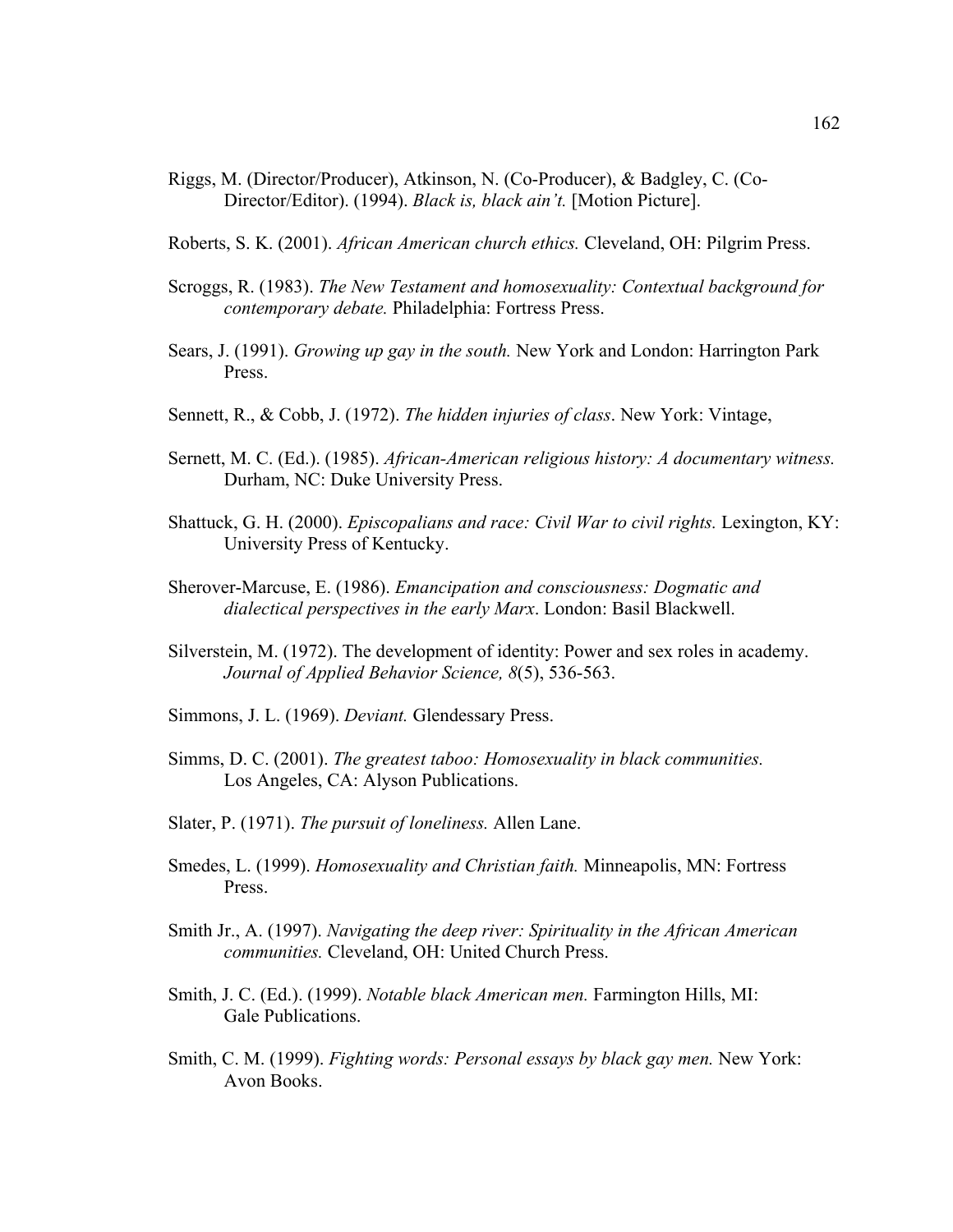- Riggs, M. (Director/Producer), Atkinson, N. (Co-Producer), & Badgley, C. (Co-Director/Editor). (1994). *Black is, black ain't.* [Motion Picture].
- Roberts, S. K. (2001). *African American church ethics.* Cleveland, OH: Pilgrim Press.
- Scroggs, R. (1983). *The New Testament and homosexuality: Contextual background for contemporary debate.* Philadelphia: Fortress Press.
- Sears, J. (1991). *Growing up gay in the south.* New York and London: Harrington Park Press.
- Sennett, R., & Cobb, J. (1972). *The hidden injuries of class*. New York: Vintage,
- Sernett, M. C. (Ed.). (1985). *African-American religious history: A documentary witness.*  Durham, NC: Duke University Press.
- Shattuck, G. H. (2000). *Episcopalians and race: Civil War to civil rights.* Lexington, KY: University Press of Kentucky.
- Sherover-Marcuse, E. (1986). *Emancipation and consciousness: Dogmatic and dialectical perspectives in the early Marx*. London: Basil Blackwell.
- Silverstein, M. (1972). The development of identity: Power and sex roles in academy. *Journal of Applied Behavior Science, 8*(5), 536-563.
- Simmons, J. L. (1969). *Deviant.* Glendessary Press.
- Simms, D. C. (2001). *The greatest taboo: Homosexuality in black communities.*  Los Angeles, CA: Alyson Publications.
- Slater, P. (1971). *The pursuit of loneliness.* Allen Lane.
- Smedes, L. (1999). *Homosexuality and Christian faith.* Minneapolis, MN: Fortress Press.
- Smith Jr., A. (1997). *Navigating the deep river: Spirituality in the African American communities.* Cleveland, OH: United Church Press.
- Smith, J. C. (Ed.). (1999). *Notable black American men.* Farmington Hills, MI: Gale Publications.
- Smith, C. M. (1999). *Fighting words: Personal essays by black gay men.* New York: Avon Books.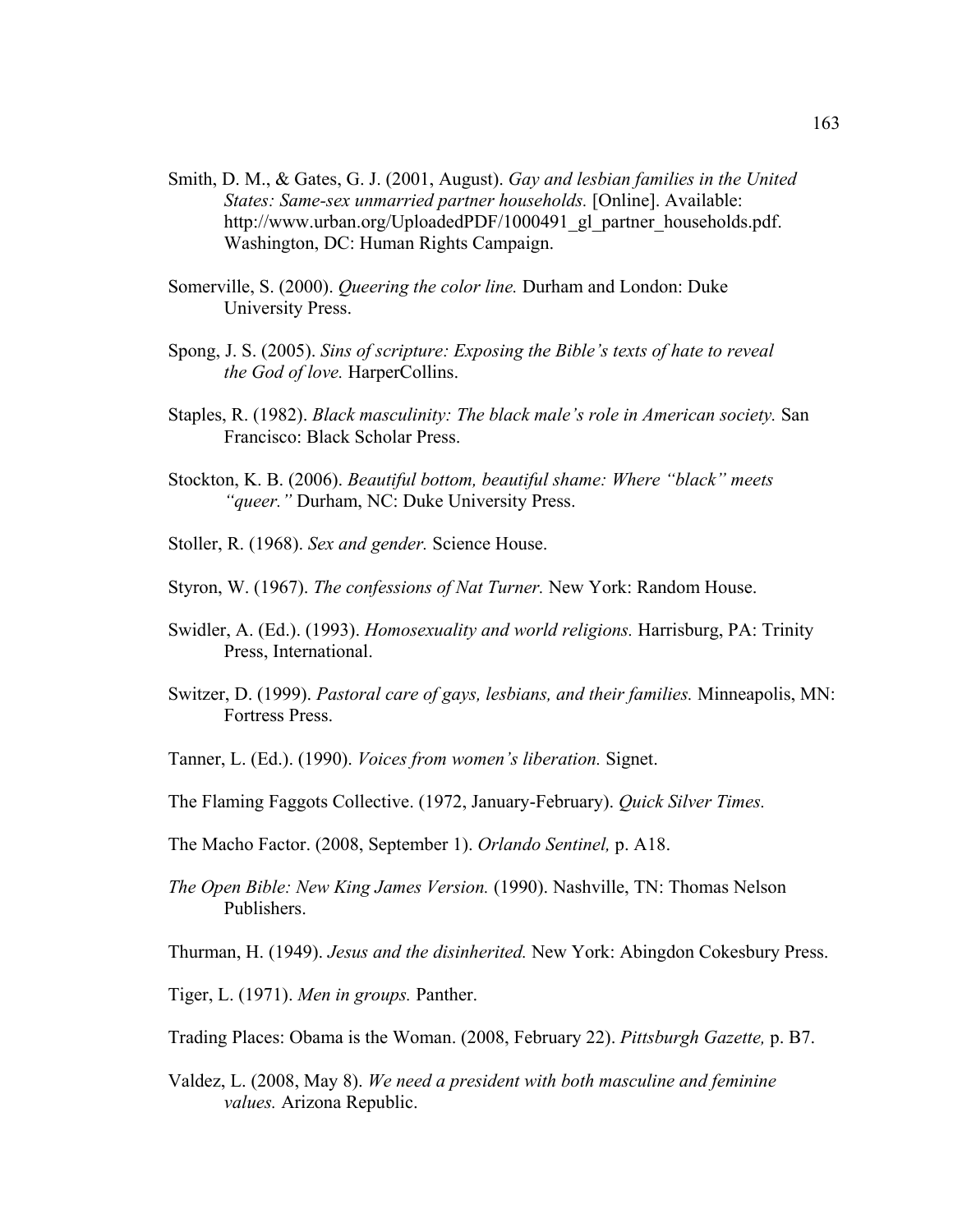- Smith, D. M., & Gates, G. J. (2001, August). *Gay and lesbian families in the United States: Same-sex unmarried partner households.* [Online]. Available: http://www.urban.org/UploadedPDF/1000491\_gl\_partner\_households.pdf. Washington, DC: Human Rights Campaign.
- Somerville, S. (2000). *Queering the color line.* Durham and London: Duke University Press.
- Spong, J. S. (2005). *Sins of scripture: Exposing the Bible's texts of hate to reveal the God of love.* HarperCollins.
- Staples, R. (1982). *Black masculinity: The black male's role in American society.* San Francisco: Black Scholar Press.
- Stockton, K. B. (2006). *Beautiful bottom, beautiful shame: Where "black" meets "queer."* Durham, NC: Duke University Press.
- Stoller, R. (1968). *Sex and gender.* Science House.
- Styron, W. (1967). *The confessions of Nat Turner.* New York: Random House.
- Swidler, A. (Ed.). (1993). *Homosexuality and world religions.* Harrisburg, PA: Trinity Press, International.
- Switzer, D. (1999). *Pastoral care of gays, lesbians, and their families.* Minneapolis, MN: Fortress Press.
- Tanner, L. (Ed.). (1990). *Voices from women's liberation.* Signet.
- The Flaming Faggots Collective. (1972, January-February). *Quick Silver Times.*
- The Macho Factor. (2008, September 1). *Orlando Sentinel,* p. A18.
- *The Open Bible: New King James Version.* (1990). Nashville, TN: Thomas Nelson Publishers.

Thurman, H. (1949). *Jesus and the disinherited.* New York: Abingdon Cokesbury Press.

- Tiger, L. (1971). *Men in groups.* Panther.
- Trading Places: Obama is the Woman. (2008, February 22). *Pittsburgh Gazette,* p. B7.
- Valdez, L. (2008, May 8). *We need a president with both masculine and feminine values.* Arizona Republic.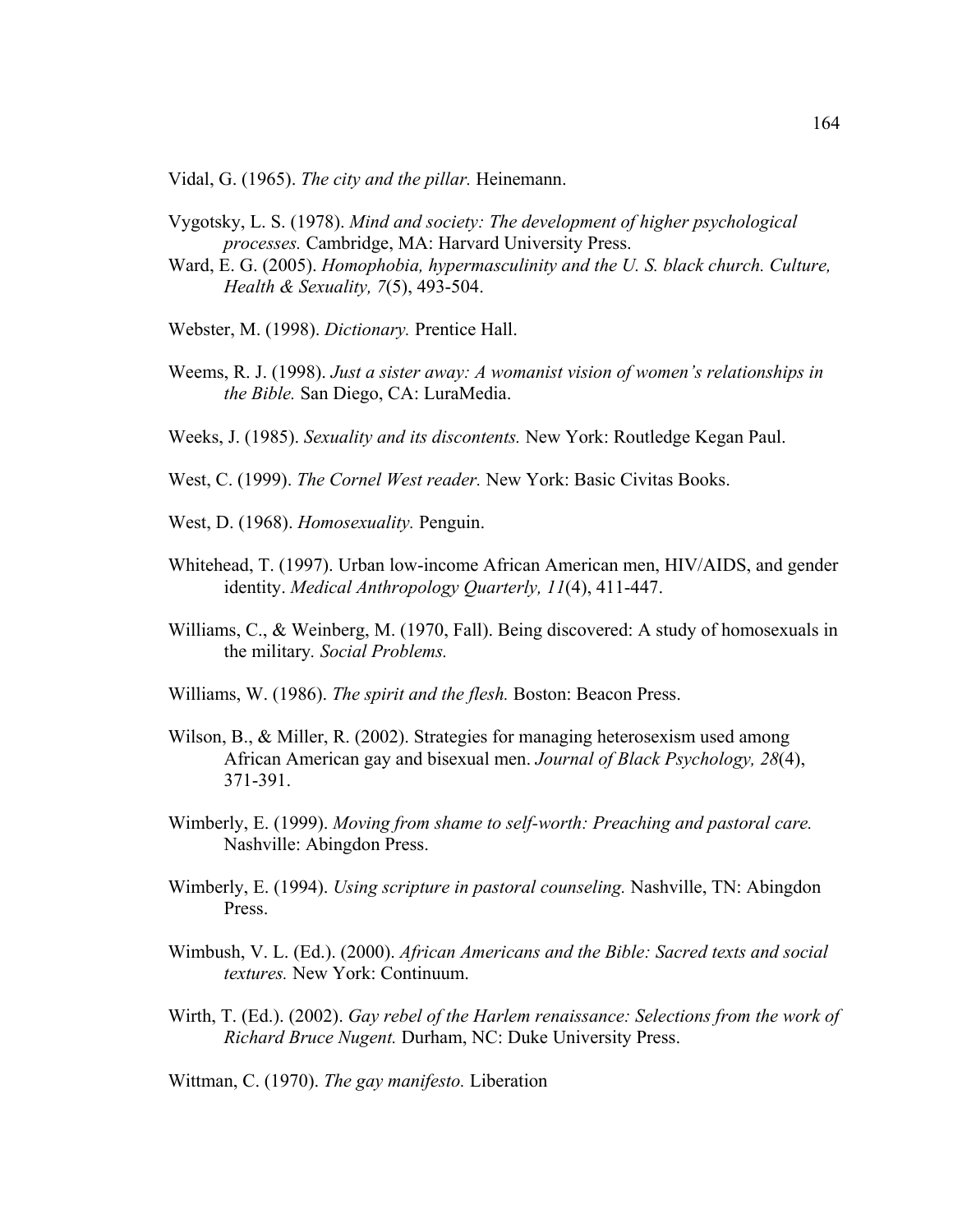Vidal, G. (1965). *The city and the pillar.* Heinemann.

- Vygotsky, L. S. (1978). *Mind and society: The development of higher psychological processes.* Cambridge, MA: Harvard University Press.
- Ward, E. G. (2005). *Homophobia, hypermasculinity and the U. S. black church. Culture, Health & Sexuality, 7*(5), 493-504.
- Webster, M. (1998). *Dictionary.* Prentice Hall.
- Weems, R. J. (1998). *Just a sister away: A womanist vision of women's relationships in the Bible.* San Diego, CA: LuraMedia.
- Weeks, J. (1985). *Sexuality and its discontents.* New York: Routledge Kegan Paul.
- West, C. (1999). *The Cornel West reader.* New York: Basic Civitas Books.
- West, D. (1968). *Homosexuality.* Penguin.
- Whitehead, T. (1997). Urban low-income African American men, HIV/AIDS, and gender identity. *Medical Anthropology Quarterly, 11*(4), 411-447.
- Williams, C., & Weinberg, M. (1970, Fall). Being discovered: A study of homosexuals in the military*. Social Problems.*
- Williams, W. (1986). *The spirit and the flesh.* Boston: Beacon Press.
- Wilson, B., & Miller, R. (2002). Strategies for managing heterosexism used among African American gay and bisexual men. *Journal of Black Psychology, 28*(4), 371-391.
- Wimberly, E. (1999). *Moving from shame to self-worth: Preaching and pastoral care.*  Nashville: Abingdon Press.
- Wimberly, E. (1994). *Using scripture in pastoral counseling.* Nashville, TN: Abingdon Press.
- Wimbush, V. L. (Ed.). (2000). *African Americans and the Bible: Sacred texts and social textures.* New York: Continuum.
- Wirth, T. (Ed.). (2002). *Gay rebel of the Harlem renaissance: Selections from the work of Richard Bruce Nugent.* Durham, NC: Duke University Press.

Wittman, C. (1970). *The gay manifesto.* Liberation